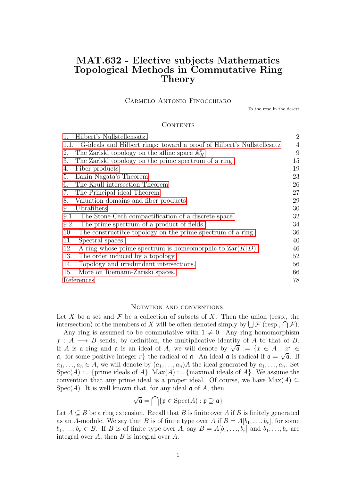# MAT.632 - Elective subjects Mathematics Topological Methods in Commutative Ring Theory

## Carmelo Antonio Finocchiaro

To the rose in the desert

#### **CONTENTS**

| Hilbert's Nullstellensatz.<br>1.                                            | $\overline{2}$ |
|-----------------------------------------------------------------------------|----------------|
| 1.1. G-ideals and Hilbert rings: toward a proof of Hilbert's Nullstellesatz | $\overline{4}$ |
| The Zariski topology on the affine space $\mathbb{A}^n$<br>2.               | 9              |
| The Zariski topology on the prime spectrum of a ring.<br>3.                 | 15             |
| Fiber products<br>4.                                                        | 19             |
| Eakin-Nagata's Theorem<br>5.                                                | 23             |
| The Krull intersection Theorem<br>6.                                        | 26             |
| The Principal ideal Theorem<br>7.                                           | 27             |
| Valuation domains and fiber products<br>8.                                  | 29             |
| Ultrafilters<br>9.                                                          | 30             |
| The Stone-Cech compactification of a discrete space.<br>9.1.                | 32             |
| The prime spectrum of a product of fields.<br>9.2.                          | 34             |
| The constructible topology on the prime spectrum of a ring.<br>10.          | 36             |
| Spectral spaces.<br>11.                                                     | 40             |
| 12.<br>A ring whose prime spectrum is homeomorphic to $\text{Zar}(K D)$ .   | 46             |
| The order induced by a topology.<br>13.                                     | 52             |
| Topology and irredundant intersections.<br>14.                              | 56             |
| 15.<br>More on Riemann-Zariski spaces.                                      | 66             |
| References                                                                  | 78             |

#### NOTATION AND CONVENTIONS.

Let X be a set and  $\mathcal F$  be a collection of subsets of X. Then the union (resp., the intersection) of the members of X will be often denoted simply by  $\bigcup \mathcal{F}$  (resp.,  $\bigcap \mathcal{F}$ ).

Any ring is assumed to be commutative with  $1 \neq 0$ . Any ring homomorphism  $f: A \longrightarrow B$  sends, by definition, the multiplicative identity of A to that of B. If A is a ring and  $\mathfrak a$  is an ideal of A, we will denote by  $\sqrt{\mathfrak a} := \{x \in A : x^r \in A\}$  $\mathfrak{a}$ , for some positive integer r the radical of  $\mathfrak{a}$ . An ideal  $\mathfrak{a}$  is radical if  $\mathfrak{a} = \sqrt{\mathfrak{a}}$ . If  $a_1, \ldots, a_n \in A$ , we will denote by  $(a_1, \ldots, a_n)A$  the ideal generated by  $a_1, \ldots, a_n$ . Set  $Spec(A) := \{prime\}$  ideals of  $A\}$ ,  $Max(A) := \{maximal\ ideals\ of\ A\}$ . We assume the convention that any prime ideal is a proper ideal. Of course, we have  $Max(A) \subseteq$  $Spec(A)$ . It is well known that, for any ideal  $\mathfrak a$  of A, then

$$
\sqrt{\mathfrak{a}} = \bigcap \{ \mathfrak{p} \in \text{Spec}(A) : \mathfrak{p} \supseteq \mathfrak{a} \}
$$

Let  $A \subseteq B$  be a ring extension. Recall that B is finite over A if B is finitely generated as an A-module. We say that B is of finite type over A if  $B = A[b_1, \ldots, b_r]$ , for some  $b_1, \ldots, b_r \in B$ . If B is of finite type over A, say  $B = A[b_1, \ldots, b_r]$  and  $b_1, \ldots, b_r$  are integral over  $A$ , then  $B$  is integral over  $A$ .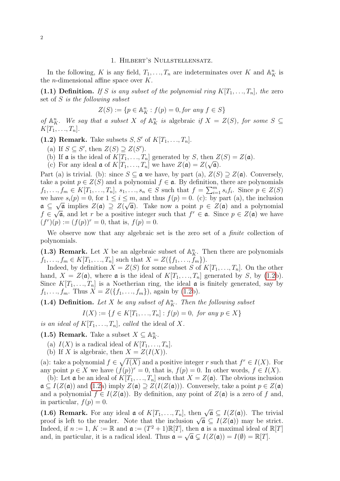#### 1. Hilbert's Nullstellensatz.

<span id="page-1-0"></span>In the following, K is any field,  $T_1, \ldots, T_n$  are indeterminates over K and  $\mathbb{A}_{K}^{n}$  is the *n*-dimensional affine space over  $K$ .

(1.1) Definition. If S is any subset of the polynomial ring  $K[T_1, \ldots, T_n]$ , the zero set of S is the following subset

$$
Z(S) := \{ p \in \mathbb{A}_{K}^{n} : f(p) = 0, \text{for any } f \in S \}
$$

of  $\mathbb{A}_{K}^{n}$ . We say that a subset X of  $\mathbb{A}_{K}^{n}$  is algebraic if  $X = Z(S)$ , for some  $S \subseteq$  $K[T_1, \ldots, T_n].$ 

<span id="page-1-1"></span>(1.2) Remark. Take subsets  $S, S'$  of  $K[T_1, \ldots, T_n]$ .

- (a) If  $S \subseteq S'$ , then  $Z(S) \supseteq Z(S')$ .
- (b) If **a** is the ideal of  $K[T_1, ..., T_n]$  generated by S, then  $Z(S) = Z(\mathfrak{a})$ .
- (c) For any ideal **a** of  $K[T_1, ..., T_n]$  we have  $Z(\mathfrak{a}) = Z(\sqrt{\mathfrak{a}})$ .

Part (a) is trivial. (b): since  $S \subseteq \mathfrak{a}$  we have, by part (a),  $Z(S) \supseteq Z(\mathfrak{a})$ . Conversely, take a point  $p \in Z(S)$  and a polynomial  $f \in \mathfrak{a}$ . By definition, there are polynomials  $f_1, \ldots, f_m \in K[T_1, \ldots, T_n], s_1, \ldots, s_n \in S$  such that  $f = \sum_{i=1}^m s_i f_i$ . Since  $p \in Z(S)$ we have  $s_i(p) = 0$ , for  $1 \le i \le m$ , and thus  $f(p) = 0$ . (c): by part (a), the inclusion  $\mathfrak{a} \subseteq \sqrt{\mathfrak{a}}$  implies  $Z(\mathfrak{a}) \supseteq Z(\sqrt{\mathfrak{a}})$ . Take now a point  $p \in Z(\mathfrak{a})$  and a polynomial  $f \in \sqrt{\mathfrak{a}}$ , and let r be a positive integer such that  $f^r \in \mathfrak{a}$ . Since  $p \in Z(\mathfrak{a})$  we have  $(f^r)(p) := (f(p))^r = 0$ , that is,  $f(p) = 0$ .

We observe now that any algebraic set is the zero set of a *finite* collection of polynomials.

(1.3) Remark. Let X be an algebraic subset of  $\mathbb{A}_{K}^{n}$ . Then there are polynomials  $f_1, \ldots, f_m \in K[T_1, \ldots, T_n]$  such that  $X = Z(\{f_1, \ldots, f_m\}).$ 

Indeed, by definition  $X = Z(S)$  for some subset S of  $K[T_1, \ldots, T_n]$ . On the other hand,  $X = Z(\mathfrak{a})$ , where  $\mathfrak{a}$  is the ideal of  $K[T_1, ..., T_n]$  generated by S, by [\(1.2b](#page-1-1)). Since  $K[T_1, ..., T_n]$  is a Noetherian ring, the ideal  $\boldsymbol{\alpha}$  is finitely generated, say by  $f_1, \ldots, f_m$ . Thus  $X = Z(\{f_1, \ldots, f_m\})$ , again by [\(1.2b](#page-1-1)).

(1.4) Definition. Let X be any subset of  $\mathbb{A}^n$ . Then the following subset

$$
I(X) := \{ f \in K[T_1, ..., T_n] : f(p) = 0, \text{ for any } p \in X \}
$$

is an ideal of  $K[T_1, \ldots, T_n]$ , called the ideal of X.

<span id="page-1-3"></span>(1.5) Remark. Take a subset  $X \subseteq \mathbb{A}_{K}^{n}$ .

- (a)  $I(X)$  is a radical ideal of  $K[T_1, \ldots, T_n]$ .
- (b) If X is algebraic, then  $X = Z(I(X))$ .

(a): take a polynomial  $f \in \sqrt{I(X)}$  and a positive integer r such that  $f^r \in I(X)$ . For any point  $p \in X$  we have  $(f(p))^r = 0$ , that is,  $f(p) = 0$ . In other words,  $f \in I(X)$ .

(b): Let  $\mathfrak a$  be an ideal of  $K[T_1, ..., T_n]$  such that  $X = Z(\mathfrak a)$ . The obvious inclusion  $\mathfrak{a} \subseteq I(Z(\mathfrak{a}))$  and  $(1.2a)$  imply  $Z(\mathfrak{a}) \supseteq Z(I(Z(\mathfrak{a})))$ . Conversely, take a point  $p \in Z(\mathfrak{a})$ and a polynomial  $f \in I(Z(\mathfrak{a}))$ . By definition, any point of  $Z(\mathfrak{a})$  is a zero of f and, in particular,  $f(p) = 0$ .

<span id="page-1-2"></span>(1.6) Remark. For any ideal  $\mathfrak{a}$  of  $K[T_1, ..., T_n]$ , then  $\sqrt{\mathfrak{a}} \subseteq I(Z(\mathfrak{a}))$ . The trivial (1.0) **Remark.** For any ideal  $\mathfrak{a}$  or  $\mathcal{R}[I_1,\ldots,I_n]$ , then  $\mathcal{A} \subseteq I(\mathcal{Z}(\mathfrak{a}))$ . The trivial proof is left to the reader. Note that the inclusion  $\sqrt{\mathfrak{a}} \subseteq I(Z(\mathfrak{a}))$  may be strict. Indeed, if  $n := 1, K := \mathbb{R}$  and  $\mathfrak{a} := (T^2 + 1)\mathbb{R}[T]$ , then  $\mathfrak{a}$  is a maximal ideal of  $\mathbb{R}[T]$ and, in particular, it is a radical ideal. Thus  $\mathfrak{a} = \sqrt{\mathfrak{a}} \subsetneq I(Z(\mathfrak{a})) = I(\emptyset) = \mathbb{R}[T]$ .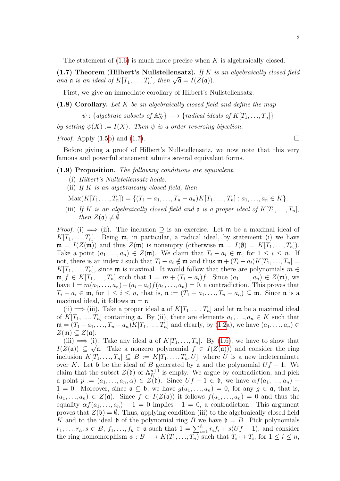The statement of  $(1.6)$  is much more precise when K is algebraically closed.

<span id="page-2-0"></span>(1.7) Theorem (Hilbert's Nullstellensatz). If K is an algebraically closed field (1.*i*) Informal (Hilbert's indistendentially). *If*  $K$  and  $\mathfrak{a}$  is an ideal of  $K[T_1, ..., T_n]$ , then  $\sqrt{\mathfrak{a}} = I(Z(\mathfrak{a}))$ .

First, we give an immediate corollary of Hilbert's Nullstellensatz.

<span id="page-2-2"></span> $(1.8)$  Corollary. Let K be an algebraically closed field and define the map

 $\psi: \{ algebraic \ subsets \ of \ A_K^n \} \longrightarrow \{ \ radical \ ideals \ of \ K[T_1, \ldots, T_n] \}$ 

by setting  $\psi(X) := I(X)$ . Then  $\psi$  is a order reversing bijection.

*Proof.* Apply [\(1.5b](#page-1-3)) and [\(1.7\)](#page-2-0).

Before giving a proof of Hilbert's Nullstellensatz, we now note that this very famous and powerful statement admits several equivalent forms.

<span id="page-2-1"></span>(1.9) Proposition. The following conditions are equivalent.

- (i) Hilbert's Nullstellensatz holds.
- (ii) If K is an algebraically closed field, then
- $\text{Max}(K[T_1, ..., T_n]) = \{ (T_1 a_1, ..., T_n a_n) K[T_1, ..., T_n] : a_1, ..., a_n \in K \}.$
- (iii) If K is an algebraically closed field and  $\mathfrak a$  is a proper ideal of  $K[T_1, \ldots, T_n]$ , then  $Z(\mathfrak{a})\neq \emptyset$ .

*Proof.* (i)  $\implies$  (ii). The inclusion  $\supseteq$  is an exercise. Let **m** be a maximal ideal of  $K[T_1, \ldots, T_n]$ . Being  $\mathfrak{m}$ , in particular, a radical ideal, by statement (i) we have  $\mathfrak{m} = I(Z(\mathfrak{m}))$  and thus  $Z(\mathfrak{m})$  is nonempty (otherwise  $\mathfrak{m} = I(\emptyset) = K[T_1, ..., T_n]$ ). Take a point  $(a_1, \ldots, a_n) \in Z(\mathfrak{m})$ . We claim that  $T_i - a_i \in \mathfrak{m}$ , for  $1 \leq i \leq n$ . If not, there is an index i such that  $T_i - a_i \notin \mathfrak{m}$  and thus  $\mathfrak{m} + (T_i - a_i)K[T_1, \ldots, T_n] =$  $K[T_1, \ldots, T_n]$ , since  $\mathfrak m$  is maximal. It would follow that there are polynomials  $m \in$  $\mathfrak{m}, f \in K[T_1, \ldots, T_n]$  such that  $1 = m + (T_i - a_i)f$ . Since  $(a_1, \ldots, a_n) \in Z(\mathfrak{m})$ , we have  $1 = m(a_1, \ldots, a_n) + (a_i - a_i)f(a_1, \ldots, a_n) = 0$ , a contradiction. This proves that  $T_i - a_i \in \mathfrak{m}$ , for  $1 \leq i \leq n$ , that is,  $\mathfrak{n} := (T_1 - a_1, \ldots, T_n - a_n) \subseteq \mathfrak{m}$ . Since  $\mathfrak{n}$  is a maximal ideal, it follows  $\mathfrak{m} = \mathfrak{n}$ .

(ii)  $\implies$  (iii). Take a proper ideal  $\mathfrak{a}$  of  $K[T_1, \ldots, T_n]$  and let  $\mathfrak{m}$  be a maximal ideal of  $K[T_1, \ldots, T_n]$  containing **a**. By (ii), there are elements  $a_1, \ldots, a_n \in K$  such that  $\mathfrak{m} = (T_1 - a_1, \ldots, T_n - a_n) K[T_1, \ldots, T_n]$  and clearly, by [\(1.2a](#page-1-1)), we have  $(a_1, \ldots, a_n) \in$  $Z(\mathfrak{m}) \subseteq Z(\mathfrak{a}).$ 

(iii)  $\implies$  (i). Take any ideal  $\mathfrak{a}$  of  $K[T_1, \ldots, T_n]$ . By [\(1.6\)](#page-1-2), we have to show that  $I(Z(\mathfrak{a})) \subseteq \sqrt{\mathfrak{a}}$ . Take a nonzero polynomial  $f \in I(Z(\mathfrak{a}))$  and consider the ring inclusion  $K[T_1, ..., T_n] \subseteq B := K[T_1, ..., T_n, U]$ , where U is a new indeterminate over K. Let b be the ideal of B generated by  $\mathfrak a$  and the polynomial  $Uf - 1$ . We claim that the subset  $Z(\mathfrak{b})$  of  $\mathbb{A}^{n+1}_K$  is empty. We argue by contradiction, and pick a point  $p := (a_1, \ldots, a_n, \alpha) \in \overline{Z(\mathfrak{b})}$ . Since  $Uf - 1 \in \mathfrak{b}$ , we have  $\alpha f(a_1, \ldots, a_n)$  $1 = 0$ . Moreover, since  $\mathfrak{a} \subseteq \mathfrak{b}$ , we have  $g(a_1, \ldots, a_n) = 0$ , for any  $g \in \mathfrak{a}$ , that is,  $(a_1, \ldots, a_n) \in Z(\mathfrak{a})$ . Since  $f \in I(Z(\mathfrak{a}))$  it follows  $f(a_1, \ldots, a_n) = 0$  and thus the equality  $\alpha f(a_1, \ldots, a_n) - 1 = 0$  implies  $-1 = 0$ , a contradiction. This argument proves that  $Z(\mathfrak{b}) = \emptyset$ . Thus, applying condition (iii) to the algebraically closed field K and to the ideal b of the polynomial ring B we have  $\mathfrak{b} = B$ . Pick polynomials  $r_1, \ldots, r_h, s \in B, f_1, \ldots, f_h \in \mathfrak{a}$  such that  $1 = \sum_{i=1}^h r_i f_i + s(Uf - 1)$ , and consider the ring homomorphism  $\phi: B \longrightarrow K(T_1, ..., T_n)$  such that  $T_i \mapsto T_i$ , for  $1 \leq i \leq n$ ,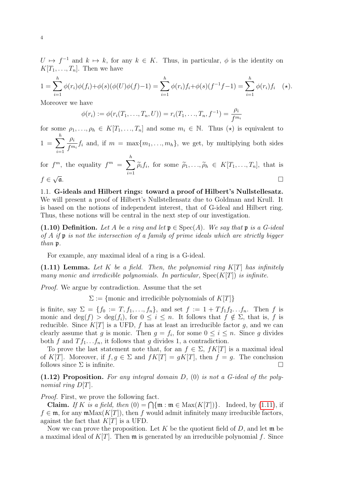$U \mapsto f^{-1}$  and  $k \mapsto k$ , for any  $k \in K$ . Thus, in particular,  $\phi$  is the identity on  $K[T_1, \ldots, T_n]$ . Then we have

$$
1 = \sum_{i=1}^{h} \phi(r_i)\phi(f_i) + \phi(s)(\phi(U)\phi(f) - 1) = \sum_{i=1}^{h} \phi(r_i)f_i + \phi(s)(f^{-1}f - 1) = \sum_{i=1}^{h} \phi(r_i)f_i \quad (*)
$$

Moreover we have

$$
\phi(r_i) := \phi(r_i(T_1, ..., T_n, U)) = r_i(T_1, ..., T_n, f^{-1}) = \frac{\rho_i}{f^{m_i}}
$$

for some  $\rho_1, \ldots, \rho_h \in K[T_1, \ldots, T_n]$  and some  $m_i \in \mathbb{N}$ . Thus  $(\star)$  is equivalent to  $1 = \sum$ h  $i=1$  $\rho_i$  $\frac{P_i}{f^{m_i}}f_i$  and, if  $m = \max\{m_1, \ldots, m_h\}$ , we get, by multiplying both sides

for 
$$
f^m
$$
, the equality  $f^m = \sum_{i=1}^h \widetilde{\rho}_i f_i$ , for some  $\widetilde{\rho}_1, ..., \widetilde{\rho}_h \in K[T_1, ..., T_n]$ , that is  $f \in \sqrt{\mathfrak{a}}$ .

<span id="page-3-0"></span>1.1. G-ideals and Hilbert rings: toward a proof of Hilbert's Nullstellesatz. We will present a proof of Hilbert's Nullstellensatz due to Goldman and Krull. It is based on the notions of independent interest, that of G-ideal and Hilbert ring. Thus, these notions will be central in the next step of our investigation.

(1.10) Definition. Let A be a ring and let  $\mathfrak{p} \in \text{Spec}(A)$ . We say that  $\mathfrak{p}$  is a G-ideal of A if  $\mathfrak p$  is not the intersection of a family of prime ideals which are strictly bigger than p.

For example, any maximal ideal of a ring is a G-ideal.

<span id="page-3-1"></span> $(1.11)$  Lemma. Let K be a field. Then, the polynomial ring  $K[T]$  has infinitely many monic and irredicible polynomials. In particular,  $Spec(K[T])$  is infinite.

Proof. We argue by contradiction. Assume that the set

 $\Sigma := \{$ monic and irredicible polynomials of  $K[T]$ }

is finite, say  $\Sigma = \{f_0 := T, f_1, ..., f_n\}$ , and set  $f := 1 + Tf_1 f_2... f_n$ . Then f is monic and  $\deg(f) > \deg(f_i)$ , for  $0 \leq i \leq n$ . It follows that  $f \notin \Sigma$ , that is, f is reducible. Since  $K[T]$  is a UFD, f has at least an irreducible factor g, and we can clearly assume that g is monic. Then  $g = f_i$ , for some  $0 \le i \le n$ . Since g divides both f and  $T f_1 \ldots f_n$ , it follows that g divides 1, a contradiction.

To prove the last statement note that, for an  $f \in \Sigma$ ,  $fK[T]$  is a maximal ideal of K[T]. Moreover, if  $f, g \in \Sigma$  and  $fK[T] = gK[T]$ , then  $f = g$ . The conclusion follows since  $\Sigma$  is infinite.

<span id="page-3-2"></span> $(1.12)$  Proposition. For any integral domain D,  $(0)$  is not a G-ideal of the polynomial ring  $D[T]$ .

Proof. First, we prove the following fact.

**Claim.** If K is a field, then  $(0) = \bigcap \{\mathfrak{m} : \mathfrak{m} \in \text{Max}(K[T])\}\.$  Indeed, by [\(1.11\)](#page-3-1), if  $f \in \mathfrak{m}$ , for any  $\mathfrak{m} \text{Max}(K[T])$ , then f would admit infinitely many irreducible factors, against the fact that  $K[T]$  is a UFD.

Now we can prove the proposition. Let K be the quotient field of  $D$ , and let  $\mathfrak{m}$  be a maximal ideal of  $K[T]$ . Then  $\mathfrak m$  is generated by an irreducible polynomial f. Since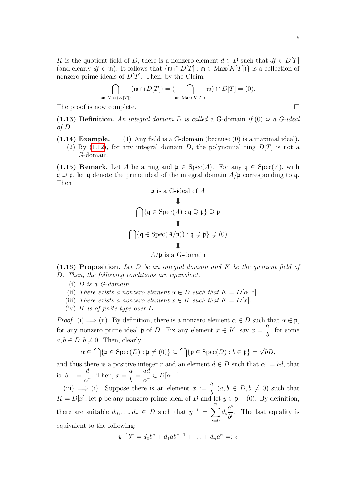K is the quotient field of D, there is a nonzero element  $d \in D$  such that  $df \in D[T]$ (and clearly  $df \in \mathfrak{m}$ ). It follows that  $\{\mathfrak{m} \cap D[T] : \mathfrak{m} \in \text{Max}(K[T])\}$  is a collection of nonzero prime ideals of  $D[T]$ . Then, by the Claim,

$$
\bigcap_{\text{Max}(K[T])} (\mathfrak{m} \cap D[T]) = (\bigcap_{\mathfrak{m} \in \text{Max}(K[T])} \mathfrak{m}) \cap D[T] = (0).
$$

The proof is now complete.

 $m$  $∈$ 

(1.13) Definition. An integral domain D is called a G-domain if  $(0)$  is a G-ideal of D.

 $(1.14)$  Example. (1) Any field is a G-domain (because  $(0)$  is a maximal ideal). (2) By [\(1.12\)](#page-3-2), for any integral domain D, the polynomial ring  $D[T]$  is not a G-domain.

<span id="page-4-1"></span>(1.15) Remark. Let A be a ring and  $\mathfrak{p} \in \text{Spec}(A)$ . For any  $\mathfrak{q} \in \text{Spec}(A)$ , with  $\mathfrak{q} \supseteq \mathfrak{p}$ , let  $\overline{\mathfrak{q}}$  denote the prime ideal of the integral domain  $A/\mathfrak{p}$  corresponding to q. Then

$$
\mathfrak{p} \text{ is a G-ideal of } A
$$
  

$$
\mathbb{T}
$$
  

$$
\bigcap \{ \mathfrak{q} \in \text{Spec}(A) : \mathfrak{q} \supsetneq \mathfrak{p} \} \supsetneq \mathfrak{p}
$$
  

$$
\mathbb{T}
$$
  

$$
\bigcap \{ \overline{\mathfrak{q}} \in \text{Spec}(A/\mathfrak{p})) : \overline{\mathfrak{q}} \supsetneq \overline{\mathfrak{p}} \} \supsetneq (0)
$$
  

$$
\mathbb{T}
$$
  

$$
A/\mathfrak{p} \text{ is a G-domain}
$$

<span id="page-4-0"></span> $(1.16)$  Proposition. Let D be an integral domain and K be the quotient field of D. Then, the following conditions are equivalent.

- $(i)$  *D* is a *G*-domain.
- (ii) There exists a nonzero element  $\alpha \in D$  such that  $K = D[\alpha^{-1}]$ .
- (iii) There exists a nonzero element  $x \in K$  such that  $K = D[x]$ .
- (iv) K is of finite type over  $D$ .

*Proof.* (i)  $\implies$  (ii). By definition, there is a nonzero element  $\alpha \in D$  such that  $\alpha \in \mathfrak{p}$ , for any nonzero prime ideal **p** of D. Fix any element  $x \in K$ , say  $x = \frac{a}{l}$ b , for some  $a, b \in D, b \neq 0$ . Then, clearly

$$
\alpha \in \bigcap \{\mathfrak{p} \in \mathrm{Spec}(D) : \mathfrak{p} \neq (0)\} \subseteq \bigcap \{\mathfrak{p} \in \mathrm{Spec}(D) : b \in \mathfrak{p}\} = \sqrt{bD},
$$

and thus there is a positive integer r and an element  $d \in D$  such that  $\alpha^r = bd$ , that is,  $b^{-1} = \frac{d}{dt}$  $\frac{\alpha}{\alpha^r}$ . Then,  $x =$ a b = ad  $\alpha^r$  $\in D[\alpha^{-1}].$ 

(iii)  $\Rightarrow$  (i). Suppose there is an element  $x := \frac{a}{b}$ b  $(a, b \in D, b \neq 0)$  such that  $K = D[x]$ , let p be any nonzero prime ideal of D and let  $y \in \mathfrak{p} - (0)$ . By definition, there are suitable  $d_0, \ldots, d_n \in D$  such that  $y^{-1} = \sum_{n=1}^{\infty}$  $i=0$  $d_i$  $a^i$  $\frac{a}{b^i}$ . The last equality is equivalent to the following:

$$
y^{-1}b^n = d_0b^n + d_1ab^{n-1} + \ldots + d_na^n =: z
$$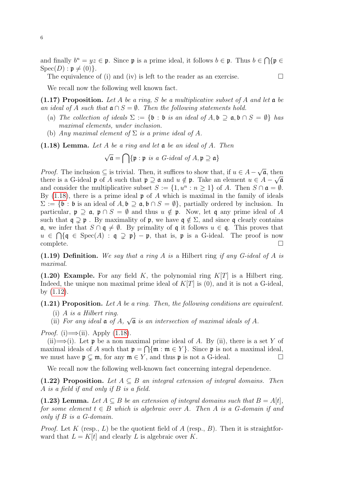and finally  $b^n = yz \in \mathfrak{p}$ . Since  $\mathfrak{p}$  is a prime ideal, it follows  $b \in \mathfrak{p}$ . Thus  $b \in \bigcap \{\mathfrak{p} \in \mathfrak{p}\}$  $Spec(D): \mathfrak{p} \neq (0)\}.$ 

The equivalence of (i) and (iv) is left to the reader as an exercise.  $\Box$ 

We recall now the following well known fact.

(1.17) Proposition. Let A be a ring, S be a multiplicative subset of A and let  $\mathfrak a$  be an ideal of A such that  $\mathfrak{a} \cap S = \emptyset$ . Then the following statements hold.

- (a) The collection of ideals  $\Sigma := \{\mathfrak{b} : \mathfrak{b} \text{ is an ideal of } A, \mathfrak{b} \supseteq \mathfrak{a}, \mathfrak{b} \cap S = \emptyset \}$  has maximal elements, under inclusion.
- (b) Any maximal element of  $\Sigma$  is a prime ideal of A.

<span id="page-5-0"></span> $(1.18)$  Lemma. Let A be a ring and let a be an ideal of A. Then

$$
\sqrt{\mathfrak{a}} = \bigcap \{\mathfrak{p} : \mathfrak{p} \text{ is a } G\text{-ideal of } A, \mathfrak{p} \supseteq \mathfrak{a}\}
$$

*Proof.* The inclusion  $\subseteq$  is trivial. Then, it suffices to show that, if  $u \in A -$ √  $\overline{\mathfrak{a}},$  then there is a G-ideal p of A such that  $\mathfrak{p} \supseteq \mathfrak{a}$  and  $u \notin \mathfrak{p}$ . Take an element  $u \in A - \sqrt{\mathfrak{a}}$ and consider the multiplicative subset  $S := \{1, u^n : n \ge 1\}$  of A. Then  $S \cap \mathfrak{a} = \emptyset$ . By  $(1.18)$ , there is a prime ideal **p** of A which is maximal in the family of ideals  $\Sigma := \{\mathfrak{b} : \mathfrak{b} \text{ is an ideal of } A, \mathfrak{b} \supseteq \mathfrak{a}, \mathfrak{b} \cap S = \emptyset\},$  partially ordered by inclusion. In particular,  $\mathfrak{p} \supseteq \mathfrak{a}$ ,  $\mathfrak{p} \cap S = \emptyset$  and thus  $u \notin \mathfrak{p}$ . Now, let q any prime ideal of A such that  $\mathfrak{q} \supseteq \mathfrak{p}$ . By maximality of  $\mathfrak{p}$ , we have  $\mathfrak{q} \notin \Sigma$ , and since q clearly contains  $\mathfrak{a}$ , we infer that  $S \cap \mathfrak{q} \neq \emptyset$ . By primality of  $\mathfrak{q}$  it follows  $u \in \mathfrak{q}$ . This proves that  $u \in \bigcap \{q \in \text{Spec}(A) : q \supsetneq p\} - p$ , that is, p is a G-ideal. The proof is now  $\Box$ complete.  $\Box$ 

(1.19) Definition. We say that a ring A is a Hilbert ring if any G-ideal of A is maximal.

<span id="page-5-3"></span>(1.20) Example. For any field K, the polynomial ring  $K[T]$  is a Hilbert ring. Indeed, the unique non maximal prime ideal of  $K[T]$  is (0), and it is not a G-ideal, by [\(1.12\)](#page-3-2).

#### $(1.21)$  Proposition. Let A be a ring. Then, the following conditions are equivalent.

- (i) A is a Hilbert ring.
- (ii) For any ideal  $\mathfrak a$  of  $A$ , √  $\overline{\mathfrak a}$  is an intersection of maximal ideals of A.

*Proof.* (i)  $\Longrightarrow$  (ii). Apply [\(1.18\)](#page-5-0).

(ii)  $\Longrightarrow$  (i). Let p be a non maximal prime ideal of A. By (ii), there is a set Y of maximal ideals of A such that  $\mathfrak{p} = \bigcap \{\mathfrak{m} : \mathfrak{m} \in Y\}$ . Since  $\mathfrak{p}$  is not a maximal ideal, we must have  $\mathfrak{p} \subsetneq \mathfrak{m}$ , for any  $\mathfrak{m} \in Y$ , and thus  $\mathfrak{p}$  is not a G-ideal.

We recall now the following well-known fact concerning integral dependence.

<span id="page-5-1"></span>(1.22) Proposition. Let  $A \subseteq B$  an integral extension of integral domains. Then A is a field if and only if B is a field.

<span id="page-5-2"></span>(1.23) Lemma. Let  $A \subseteq B$  be an extension of integral domains such that  $B = A[t]$ , for some element  $t \in B$  which is algebraic over A. Then A is a G-domain if and only if B is a G-domain.

*Proof.* Let K (resp., L) be the quotient field of A (resp., B). Then it is straightforward that  $L = K[t]$  and clearly L is algebraic over K.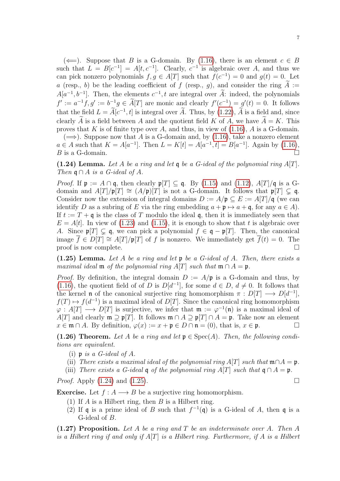$(\Leftarrow)$ . Suppose that B is a G-domain. By [\(1.16\)](#page-4-0), there is an element  $c \in B$ such that  $L = B[c^{-1}] = A[t, c^{-1}]$ . Clearly,  $c^{-1}$  is algebraic over A, and thus we can pick nonzero polynomials  $f, g \in A[T]$  such that  $f(c^{-1}) = 0$  and  $g(t) = 0$ . Let a (resp., b) be the leading coefficient of f (resp., g), and consider the ring  $A :=$  $A[a^{-1}, b^{-1}]$ . Then, the elements  $c^{-1}$ , t are integral over  $\tilde{A}$ : indeed, the polynomials  $f' := a^{-1}f, g' := b^{-1}g \in A[T]$  are monic and clearly  $f'(c^{-1}) = g'(t) = 0$ . It follows that the field  $L = A[c^{-1}, t]$  is integral over A. Thus, by [\(1.22\)](#page-5-1), A is a field and, since clearly A is a field between A and the quotient field K of A, we have  $A = K$ . This

proves that K is of finite type over A, and thus, in view of  $(1.16)$ , A is a G-domain.  $(\Longrightarrow)$ . Suppose now that A is a G-domain and, by [\(1.16\)](#page-4-0), take a nonzero element  $a \in A$  such that  $K = A[a^{-1}]$ . Then  $L = K[t] = A[a^{-1}, t] = B[a^{-1}]$ . Again by [\(1.16\)](#page-4-0),  $B$  is a G-domain.

<span id="page-6-0"></span>(1.24) Lemma. Let A be a ring and let  $\frak{q}$  be a G-ideal of the polynomial ring A[T]. Then  $\mathfrak{q} \cap A$  is a G-ideal of A.

*Proof.* If  $\mathfrak{p} := A \cap \mathfrak{q}$ , then clearly  $\mathfrak{p}[T] \subseteq \mathfrak{q}$ . By [\(1.15\)](#page-4-1) and [\(1.12\)](#page-3-2),  $A[T]/\mathfrak{q}$  is a Gdomain and  $A[T/\mathfrak{p}[T] \cong (A/\mathfrak{p})[T]$  is not a G-domain. It follows that  $\mathfrak{p}[T] \subsetneq \mathfrak{q}$ . Consider now the extension of integral domains  $D := A/\mathfrak{p} \subseteq E := A[T]/\mathfrak{q}$  (we can identify D as a subring of E via the ring embedding  $a + \mathfrak{p} \mapsto a + \mathfrak{q}$ , for any  $a \in A$ ). If  $t := T + \mathfrak{q}$  is the class of T modulo the ideal  $\mathfrak{q}$ , then it is immediately seen that  $E = A[t]$ . In view of [\(1.23\)](#page-5-2) and [\(1.15\)](#page-4-1), it is enough to show that t is algebraic over A. Since  $\mathfrak{p}[T] \subsetneq \mathfrak{q}$ , we can pick a polynomial  $f \in \mathfrak{q} - \mathfrak{p}[T]$ . Then, the canonical image  $\overline{f} \in D[T] \cong A[T]/\mathfrak{p}[T]$  of f is nonzero. We immediately get  $\overline{f}(t) = 0$ . The  $\Box$  proof is now complete.

<span id="page-6-1"></span>(1.25) Lemma. Let A be a ring and let  $\mathfrak p$  be a G-ideal of A. Then, there exists a maximal ideal **m** of the polynomial ring A[T] such that  $\mathfrak{m} \cap A = \mathfrak{p}$ .

*Proof.* By definition, the integral domain  $D := A/\mathfrak{p}$  is a G-domain and thus, by [\(1.16\)](#page-4-0), the quotient field of of D is  $D[d^{-1}]$ , for some  $d \in D$ ,  $d \neq 0$ . It follows that the kernel **n** of the canonical surjective ring homomorphism  $\pi : D[T] \longrightarrow D[d^{-1}]$ ,  $f(T) \mapsto f(d^{-1})$  is a maximal ideal of  $D[T]$ . Since the canonical ring homomorphism  $\varphi: A[T] \longrightarrow D[T]$  is surjective, we infer that  $\mathfrak{m} := \varphi^{-1}(\mathfrak{n})$  is a maximal ideal of A[T] and clearly  $\mathfrak{m} \supseteq \mathfrak{p}[T]$ . It follows  $\mathfrak{m} \cap A \supseteq \mathfrak{p}[T] \cap A = \mathfrak{p}$ . Take now an element  $x \in \mathfrak{m} \cap A$ . By definition,  $\varphi(x) := x + \mathfrak{p} \in D \cap \mathfrak{n} = (0)$ , that is,  $x \in \mathfrak{p}$ .

(1.26) Theorem. Let A be a ring and let  $\mathfrak{p} \in \text{Spec}(A)$ . Then, the following conditions are equivalent.

- (i)  $\mathfrak p$  is a G-ideal of A.
- (ii) There exists a maximal ideal of the polynomial ring  $A[T]$  such that  $\mathfrak{m} \cap A = \mathfrak{p}$ .
- (iii) There exists a G-ideal q of the polynomial ring A[T] such that  $\mathfrak{q} \cap A = \mathfrak{p}$ .

*Proof.* Apply  $(1.24)$  and  $(1.25)$ .

**Exercise.** Let  $f : A \longrightarrow B$  be a surjective ring homomorphism.

- (1) If  $A$  is a Hilbert ring, then  $B$  is a Hilbert ring.
- (2) If q is a prime ideal of B such that  $f^{-1}(\mathfrak{q})$  is a G-ideal of A, then q is a G-ideal of B.

<span id="page-6-2"></span> $(1.27)$  Proposition. Let A be a ring and T be an indeterminate over A. Then A is a Hilbert ring if and only if  $A[T]$  is a Hilbert ring. Furthermore, if A is a Hilbert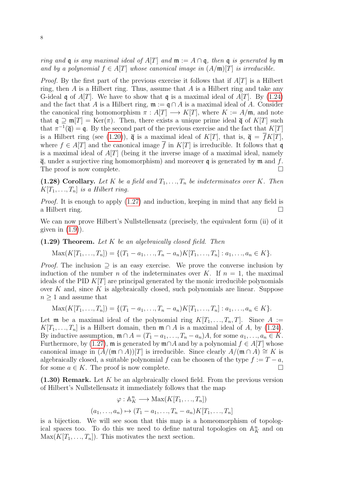ring and q is any maximal ideal of A[T] and  $\mathfrak{m} := A \cap \mathfrak{q}$ , then q is generated by  $\mathfrak{m}$ and by a polynomial  $f \in A[T]$  whose canonical image in  $(A/m)[T]$  is irreducible.

*Proof.* By the first part of the previous exercise it follows that if  $A[T]$  is a Hilbert ring, then  $A$  is a Hilbert ring. Thus, assume that  $A$  is a Hilbert ring and take any G-ideal q of  $A[T]$ . We have to show that q is a maximal ideal of  $A[T]$ . By [\(1.24\)](#page-6-0) and the fact that A is a Hilbert ring,  $\mathfrak{m} := \mathfrak{q} \cap A$  is a maximal ideal of A. Consider the canonical ring homomorphism  $\pi : A[T] \longrightarrow K[T]$ , where  $K := A/\mathfrak{m}$ , and note that  $\mathfrak{q} \supseteq \mathfrak{m}[T] = \text{Ker}(\pi)$ . Then, there exists a unique prime ideal  $\bar{\mathfrak{q}}$  of  $K[T]$  such that  $\pi^{-1}(\bar{\mathfrak{q}}) = \mathfrak{q}$ . By the second part of the previous exercise and the fact that  $K[T]$ is a Hilbert ring (see [\(1.20\)](#page-5-3)),  $\overline{q}$  is a maximal ideal of K[T], that is,  $\overline{q} = \overline{f}K[T]$ , where  $f \in A[T]$  and the canonical image  $\overline{f}$  in  $K[T]$  is irreducible. It follows that q is a maximal ideal of  $A[T]$  (being it the inverse image of a maximal ideal, namely  $\overline{q}$ , under a surjective ring homomorphism) and moreover q is generated by  $\mathfrak{m}$  and f. The proof is now complete.

(1.28) Corollary. Let K be a field and  $T_1, \ldots, T_n$  be indeterminates over K. Then  $K[T_1, \ldots, T_n]$  is a Hilbert ring.

*Proof.* It is enough to apply  $(1.27)$  and induction, keeping in mind that any field is a Hilbert ring.

We can now prove Hilbert's Nullstellensatz (precisely, the equivalent form (ii) of it given in  $(1.9)$ ).

 $(1.29)$  Theorem. Let K be an algebraically closed field. Then

$$
Max(K[T_1, ..., T_n]) = \{(T_1 - a_1, ..., T_n - a_n)K[T_1, ..., T_n] : a_1, ..., a_n \in K\}.
$$

*Proof.* The inclusion  $\supseteq$  is an easy exercise. We prove the converse inclusion by induction of the number n of the indeterminates over K. If  $n = 1$ , the maximal ideals of the PID  $K[T]$  are principal generated by the monic irreducible polynomials over  $K$  and, since  $K$  is algebraically closed, such polynomials are linear. Suppose  $n \geq 1$  and assume that

$$
Max(K[T_1, ..., T_n]) = \{(T_1 - a_1, ..., T_n - a_n)K[T_1, ..., T_n] : a_1, ..., a_n \in K\}.
$$

Let **m** be a maximal ideal of the polynomial ring  $K[T_1, \ldots, T_n, T]$ . Since  $A :=$  $K[T_1, \ldots, T_n]$  is a Hilbert domain, then  $\mathfrak{m} \cap A$  is a maximal ideal of A, by [\(1.24\)](#page-6-0). By inductive assumption,  $\mathfrak{m} \cap A = (T_1 - a_1, \ldots, T_n - a_n)A$ , for some  $a_1, \ldots, a_n \in K$ . Furthermore, by [\(1.27\)](#page-6-2),  $\mathfrak{m}$  is generated by  $\mathfrak{m} \cap A$  and by a polynomial  $f \in A[T]$  whose canonical image in  $(A/(\mathfrak{m} \cap A))[T]$  is irreducible. Since clearly  $A/(\mathfrak{m} \cap A) \cong K$  is algebraically closed, a suitable polynomial f can be choosen of the type  $f := T - a$ , for some  $a \in K$ . The proof is now complete.

<span id="page-7-0"></span> $(1.30)$  Remark. Let K be an algebraically closed field. From the previous version of Hilbert's Nullstellensatz it immediately follows that the map

$$
\varphi : \mathbb{A}_{K}^{n} \longrightarrow \text{Max}(K[T_{1},...,T_{n}])
$$

$$
(a_{1},...,a_{n}) \mapsto (T_{1}-a_{1},...,T_{n}-a_{n})K[T_{1},...,T_{n}]
$$

is a bijection. We will see soon that this map is a homeomorphism of topological spaces too. To do this we need to define natural topologies on  $\mathbb{A}_K^n$  and on  $\text{Max}(K[T_1, \ldots, T_n])$ . This motivates the next section.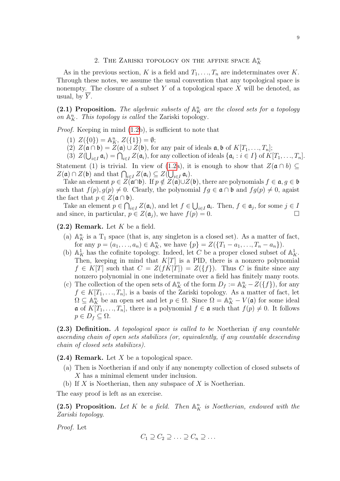# 2. THE ZARISKI TOPOLOGY ON THE AFFINE SPACE  $\mathbb{A}_K^n$

<span id="page-8-0"></span>As in the previous section, K is a field and  $T_1, \ldots, T_n$  are indeterminates over K. Through these notes, we assume the usual convention that any topological space is nonempty. The closure of a subset Y of a topological space  $X$  will be denoted, as usual, by  $Y$ .

<span id="page-8-3"></span>(2.1) Proposition. The algebraic subsets of  $\mathbb{A}^n$  are the closed sets for a topology on  $\mathbb{A}_K^n$ . This topology is called the Zariski topology.

Proof. Keeping in mind [\(1.2b](#page-1-1)), is sufficient to note that

- (1)  $Z({0}) = \mathbb{A}_{K}^{n}, Z({1}) = \emptyset;$
- (2)  $Z(\mathfrak{a} \cap \mathfrak{b}) = Z(\mathfrak{a}) \cup Z(\mathfrak{b})$ , for any pair of ideals  $\mathfrak{a}, \mathfrak{b}$  of  $K[T_1, ..., T_n]$ ;
- (3)  $Z(\bigcup_{i\in I} \mathfrak{a}_i) = \bigcap_{i\in I} Z(\mathfrak{a}_i)$ , for any collection of ideals  $\{\mathfrak{a}_i : i\in I\}$  of  $K[T_1, \ldots, T_n]$ .

Statement (1) is trivial. In view of [\(1.2a](#page-1-1)), it is enough to show that  $Z(\mathfrak{a} \cap b) \subseteq$  $Z(\mathfrak{a}) \cap Z(\mathfrak{b})$  and that  $\bigcap_{i \in I} Z(\mathfrak{a}_i) \subseteq Z(\bigcup_{i \in I} \mathfrak{a}_i).$ 

Take an element  $p \in Z(\widehat{\mathfrak{a}} \cap \mathfrak{b})$ . If  $p \notin Z(\widehat{\mathfrak{a}}) \cup Z(\mathfrak{b})$ , there are polynomials  $f \in \mathfrak{a}, g \in \mathfrak{b}$ such that  $f(p), g(p) \neq 0$ . Clearly, the polynomial  $fg \in \mathfrak{a} \cap \mathfrak{b}$  and  $fg(p) \neq 0$ , agaist the fact that  $p \in Z(\mathfrak{a} \cap \mathfrak{b}).$ 

Take an element  $p \in \bigcap_{i \in I} Z(\mathfrak{a}_i)$ , and let  $f \in \bigcup_{i \in I} \mathfrak{a}_i$ . Then,  $f \in \mathfrak{a}_j$ , for some  $j \in I$ and since, in particular,  $p \in Z(\mathfrak{a}_i)$ , we have  $f(p) = 0$ .

<span id="page-8-2"></span> $(2.2)$  Remark. Let K be a field.

- (a)  $\mathbb{A}_{K}^{n}$  is a T<sub>1</sub> space (that is, any singleton is a closed set). As a matter of fact, for any  $p = (a_1, ..., a_n) \in \mathbb{A}_{K}^{n}$ , we have  $\{p\} = Z(\{T_1 - a_1, ..., T_n - a_n\})$ .
- (b)  $\mathbb{A}_{K}^{1}$  has the cofinite topology. Indeed, let C be a proper closed subset of  $\mathbb{A}_{K}^{1}$ . Then, keeping in mind that  $K[T]$  is a PID, there is a nonzero polynomial  $f \in K[T]$  such that  $C = Z(fK[T]) = Z({f})$ . Thus C is finite since any nonzero polynomial in one indeterminate over a field has finitely many roots.
- (c) The collection of the open sets of  $\mathbb{A}_{K}^{n}$  of the form  $D_{f} := \mathbb{A}_{K}^{n} Z(\lbrace f \rbrace)$ , for any  $f \in K[T_1, \ldots, T_n]$ , is a basis of the Zariski topology. As a matter of fact, let  $\Omega \subseteq \mathbb{A}_{K}^{n}$  be an open set and let  $p \in \Omega$ . Since  $\Omega = \mathbb{A}_{K}^{n} - V(\mathfrak{a})$  for some ideal  $\mathfrak{a}$  of  $K[T_1, \ldots, T_n]$ , there is a polynomial  $f \in \mathfrak{a}$  such that  $f(p) \neq 0$ . It follows  $p \in D_f \subseteq \Omega$ .

(2.3) Definition. A topological space is called to be Noetherian if any countable ascending chain of open sets stabilizes (or, equivalently, if any countable descending chain of closed sets stabilizes).

<span id="page-8-1"></span> $(2.4)$  Remark. Let X be a topological space.

- (a) Then is Noetherian if and only if any nonempty collection of closed subsets of X has a minimal element under inclusion.
- (b) If  $X$  is Noetherian, then any subspace of  $X$  is Noetherian.

The easy proof is left as an exercise.

(2.5) Proposition. Let K be a field. Then  $\mathbb{A}_{K}^{n}$  is Noetherian, endowed with the Zariski topology.

Proof. Let

$$
C_1 \supseteq C_2 \supseteq \ldots \supseteq C_n \supseteq \ldots
$$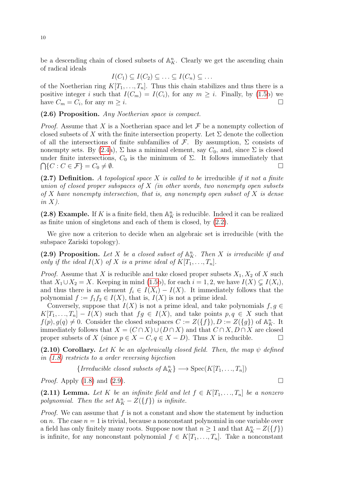be a descending chain of closed subsets of  $\mathbb{A}^n$ . Clearly we get the ascending chain of radical ideals

$$
I(C_1) \subseteq I(C_2) \subseteq \ldots \subseteq I(C_n) \subseteq \ldots
$$

of the Noetherian ring  $K[T_1, \ldots, T_n]$ . Thus this chain stabilizes and thus there is a positive integer i such that  $I(C_m) = I(C_i)$ , for any  $m \geq i$ . Finally, by [\(1.5b](#page-1-3)) we have  $C_m = C_i$ , for any  $m \geq i$ .

## (2.6) Proposition. Any Noetherian space is compact.

*Proof.* Assume that X is a Noetherian space and let  $\mathcal F$  be a nonempty collection of closed subsets of X with the finite intersection property. Let  $\Sigma$  denote the collection of all the intersections of finite subfamilies of  $\mathcal{F}$ . By assumption,  $\Sigma$  consists of nonempty sets. By [\(2.4a](#page-8-1)),  $\Sigma$  has a minimal element, say  $C_0$ , and, since  $\Sigma$  is closed under finite intersections,  $C_0$  is the minimum of  $\Sigma$ . It follows immediately that  $\bigcap \{C : C \in \mathcal{F}\} = C_0 \neq \emptyset.$ 

(2.7) Definition. A topological space X is called to be irreducible if it not a finite union of closed proper subspaces of  $X$  (in other words, two nonempty open subsets of X have nonempty intersection, that is, any nonempty open subset of X is dense in  $X$ ).

(2.8) Example. If K is a finite field, then  $\mathbb{A}_K^n$  is reducible. Indeed it can be realized as finite union of singletons and each of them is closed, by [\(2.2\)](#page-8-2).

We give now a criterion to decide when an algebraic set is irreducible (with the subspace Zariski topology).

<span id="page-9-0"></span>(2.9) Proposition. Let X be a closed subset of  $\mathbb{A}_{K}^{n}$ . Then X is irreducible if and only if the ideal  $I(X)$  of X is a prime ideal of  $K[T_1, \ldots, T_n]$ .

*Proof.* Assume that X is reducible and take closed proper subsets  $X_1, X_2$  of X such that  $X_1 \cup X_2 = X$ . Keeping in mind [\(1.5b](#page-1-3)), for each  $i = 1, 2$ , we have  $I(X) \subsetneq I(X_i)$ , and thus there is an element  $f_i \in I(X_i) - I(X)$ . It immediately follows that the polynomial  $f := f_1 f_2 \in I(X)$ , that is,  $I(X)$  is not a prime ideal.

Conversely, suppose that  $I(X)$  is not a prime ideal, and take polynomials  $f, g \in$  $K[T_1, ..., T_n] - I(X)$  such that  $fg \in I(X)$ , and take points  $p, q \in X$  such that  $f(p), g(q) \neq 0$ . Consider the closed subspaces  $C := Z(\lbrace f \rbrace), D := Z(\lbrace g \rbrace)$  of  $\mathbb{A}_{K}^{n}$ . It immediately follows that  $X = (C \cap X) \cup (D \cap X)$  and that  $C \cap X, D \cap X$  are closed proper subsets of X (since  $p \in X - C, q \in X - D$ ). Thus X is reducible.

<span id="page-9-2"></span>(2.10) Corollary. Let K be an algebraically closed field. Then, the map  $\psi$  defined in [\(1.8\)](#page-2-2) restricts to a order reversing bijection

{*Irreducible closed subsets of* 
$$
\mathbb{A}_K^n
$$
}  $\longrightarrow$   $\text{Spec}(K[T_1, ..., T_n])$ 

*Proof.* Apply  $(1.8)$  and  $(2.9)$ .

<span id="page-9-1"></span>(2.11) Lemma. Let K be an infinite field and let  $f \in K[T_1, \ldots, T_n]$  be a nonzero polynomial. Then the set  $\mathbb{A}^n_K - Z(\lbrace f \rbrace)$  is infinite.

*Proof.* We can assume that  $f$  is not a constant and show the statement by induction on n. The case  $n = 1$  is trivial, because a nonconstant polynomial in one variable over a field has only finitely many roots. Suppose now that  $n \geq 1$  and that  $\mathbb{A}_{K}^{n} - Z(\lbrace f \rbrace)$ is infinite, for any nonconstant polynomial  $f \in K[T_1, ..., T_n]$ . Take a nonconstant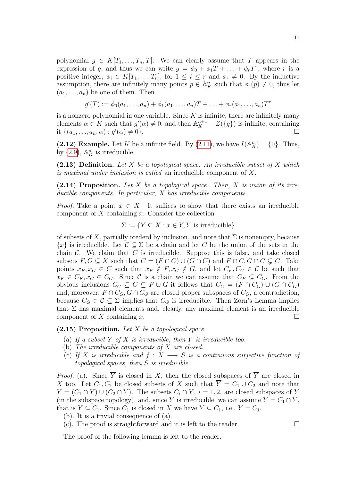11

polynomial  $g \in K[T_1, ..., T_n, T]$ . We can clearly assume that T appears in the expression of g, and thus we can write  $g = \phi_0 + \phi_1 T + \ldots + \phi_r T^r$ , where r is a positive integer,  $\phi_i \in K[T_1, ..., T_n]$ , for  $1 \leq i \leq r$  and  $\phi_r \neq 0$ . By the inductive assumption, there are infinitely many points  $p \in \mathbb{A}^n$  such that  $\phi_r(p) \neq 0$ , thus let  $(a_1, \ldots, a_n)$  be one of them. Then

$$
g'(T) := \phi_0(a_1, ..., a_n) + \phi_1(a_1, ..., a_n)T + ... + \phi_r(a_1, ..., a_n)T^r
$$

is a nonzero polynomial in one variable. Since  $K$  is infinite, there are infinitely many elements  $\alpha \in K$  such that  $g'(\alpha) \neq 0$ , and then  $\mathbb{A}_K^{n+1} - Z(\lbrace g \rbrace)$  is infinite, containing it  $\{(a_1, ..., a_n, \alpha) : g'(\alpha) \neq 0\}.$ 

<span id="page-10-1"></span>(2.12) Example. Let K be a infinite field. By [\(2.11\)](#page-9-1), we have  $I(\mathbb{A}_{K}^{n}) = \{0\}$ . Thus, by  $(2.9)$ ,  $\mathbb{A}^n$  is irreducible.

(2.13) Definition. Let X be a topological space. An irreducible subset of X which is maximal under inclusion is called an irreducible component of X.

(2.14) Proposition. Let X be a topological space. Then, X is union of its irreducible components. In particular, X has irreducible components.

*Proof.* Take a point  $x \in X$ . It suffices to show that there exists an irreducible component of  $X$  containing  $x$ . Consider the collection

$$
\Sigma := \{ Y \subseteq X : x \in Y, Y \text{ is irreducible} \}
$$

of subsets of X, partially orederd by inclusion, and note that  $\Sigma$  is nonempty, because  ${x}$  is irreducible. Let  $C \subseteq \Sigma$  be a chain and let C be the union of the sets in the chain  $\mathcal{C}$ . We claim that  $C$  is irreducible. Suppose this is false, and take closed subsets  $F, G \subseteq X$  such that  $C = (F \cap C) \cup (G \cap C)$  and  $F \cap C, G \cap C \subsetneq C$ . Take points  $x_F, x_G \in C$  such that  $x_F \notin F, x_G \notin G$ , and let  $C_F, C_G \in C$  be such that  $x_F \in C_F, x_G \in C_G$ . Since C is a chain we can assume that  $C_F \subseteq C_G$ . From the obvious inclusions  $C_G \subseteq C \subseteq F \cup G$  it follows that  $C_G = (F \cap C_G) \cup (G \cap C_G)$ and, moreover,  $F \cap C_G$ ,  $G \cap C_G$  are closed proper subspaces of  $C_G$ , a contradiction, because  $C_G \in \mathcal{C} \subseteq \Sigma$  implies that  $C_G$  is irreducible. Then Zorn's Lemma implies that  $\Sigma$  has maximal elements and, clearly, any maximal element is an irreducible component of X containing x.  $\square$ 

# <span id="page-10-0"></span> $(2.15)$  Proposition. Let X be a topological space.

- (a) If a subset Y of X is irreducible, then  $\overline{Y}$  is irreducible too.
- (b) The irreducible components of X are closed.
- (c) If X is irreducible and  $f: X \longrightarrow S$  is a continuous surjective function of topological spaces, then S is irreducible.

*Proof.* (a). Since  $\overline{Y}$  is closed in X, then the closed subspaces of  $\overline{Y}$  are closed in X too. Let  $C_1, C_2$  be closed subsets of X such that  $\overline{Y} = C_1 \cup C_2$  and note that  $Y = (C_1 \cap Y) \cup (C_2 \cap Y)$ . The subsets  $C_i \cap Y$ ,  $i = 1, 2$ , are closed subspaces of Y (in the subspace topology), and, since Y is irreducible, we can assume  $Y = C_1 \cap Y$ , that is  $Y \subseteq C_1$ . Since  $C_1$  is closed in X we have  $\overline{Y} \subseteq C_1$ , i.e.,  $\overline{Y} = C_1$ .

- (b). It is a trivial consequence of (a).
- (c). The proof is straightforward and it is left to the reader.  $\Box$

The proof of the following lemma is left to the reader.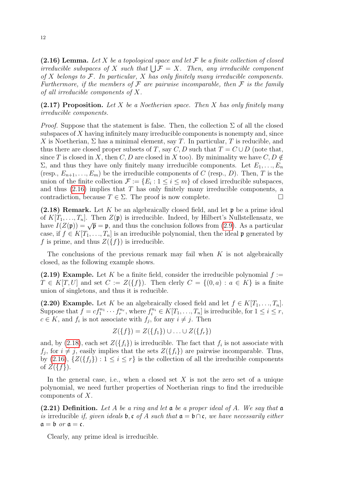<span id="page-11-0"></span>(2.16) Lemma. Let X be a topological space and let  $\mathcal F$  be a finite collection of closed irreducible subspaces of X such that  $\bigcup \mathcal{F} = X$ . Then, any irreducible component of  $X$  belongs to  $\mathcal{F}$ . In particular,  $X$  has only finitely many irreducible components. Furthermore, if the members of  $\mathcal F$  are pairwise incomparable, then  $\mathcal F$  is the family of all irreducible components of X.

 $(2.17)$  Proposition. Let X be a Noetherian space. Then X has only finitely many irreducible components.

*Proof.* Suppose that the statement is false. Then, the collection  $\Sigma$  of all the closed subspaces of  $X$  having infinitely many irreducible components is nonempty and, since X is Noetherian,  $\Sigma$  has a minimal element, say T. In particular, T is reducible, and thus there are closed proper subsets of T, say C, D such that  $T = C \cup D$  (note that, since T is closed in X, then C, D are closed in X too). By minimality we have  $C, D \notin$  $\Sigma$ , and thus they have only finitely many irreducible components. Let  $E_1, \ldots, E_n$ (resp.,  $E_{n+1},...,E_m$ ) be the irreducible components of C (resp., D). Then, T is the union of the finite collection  $\mathcal{F} := \{E_i : 1 \leq i \leq m\}$  of closed irreducible subspaces, and thus  $(2.16)$  implies that T has only finitely many irreducible components, a contradiction, because  $T \in \Sigma$ . The proof is now complete.

<span id="page-11-1"></span>(2.18) Remark. Let K be an algebraically closed field, and let  $\mathfrak p$  be a prime ideal of  $K[T_1, \ldots, T_n]$ . Then  $Z(\mathfrak{p})$  is irreducible. Indeed, by Hilbert's Nullstellensatz, we or  $K[T_1, ..., T_n]$ . Then  $Z(\mathfrak{p})$  is irreducible. Indeed, by Thibert's Nunsterlensary, we<br>have  $I(Z(\mathfrak{p})) = \sqrt{\mathfrak{p}} = \mathfrak{p}$ , and thus the conclusion follows from [\(2.9\)](#page-9-0). As a particular case, if  $f \in K[T_1, \ldots, T_n]$  is an irreducible polynomial, then the ideal p generated by f is prime, and thus  $Z({f})$  is irreducible.

The conclusions of the previous remark may fail when  $K$  is not algebraically closed, as the following example shows.

(2.19) Example. Let K be a finite field, consider the irreducible polynomial  $f :=$  $T \in K[T, U]$  and set  $C := Z({f})$ . Then clerly  $C = \{(0, a) : a \in K\}$  is a finite union of singletons, and thus it is reducible.

(2.20) Example. Let K be an algebraically closed field and let  $f \in K[T_1, \ldots, T_n]$ . Suppose that  $\bar{f} = cf_1^{n_1} \cdots f_r^{n_r}$ , where  $f_i^{n_i} \in K[T_1, \ldots, T_n]$  is irreducible, for  $1 \leq i \leq r$ ,  $c \in K$ , and  $f_i$  is not associate with  $f_j$ , for any  $i \neq j$ . Then

$$
Z({f}) = Z({f_1}) \cup ... \cup Z({f_r})
$$

and, by [\(2.18\)](#page-11-1), each set  $Z(\lbrace f_i \rbrace)$  is irreducible. The fact that  $f_i$  is not associate with  $f_j$ , for  $i \neq j$ , easily implies that the sets  $Z(\lbrace f_i \rbrace)$  are pairwise incomparable. Thus, by [\(2.16\)](#page-11-0),  $\{Z(\{f_j\}): 1 \leq i \leq r\}$  is the collection of all the irreducible components of  $Z({f}).$ 

In the general case, i.e., when a closed set  $X$  is not the zero set of a unique polynomial, we need further properties of Noetherian rings to find the irreducible components of X.

(2.21) Definition. Let A be a ring and let  $\mathfrak a$  be a proper ideal of A. We say that  $\mathfrak a$ is irreducible if, given ideals **b**, c of A such that  $a = b \cap c$ , we have necessarily either  $a = b$  or  $a = c$ .

Clearly, any prime ideal is irreducible.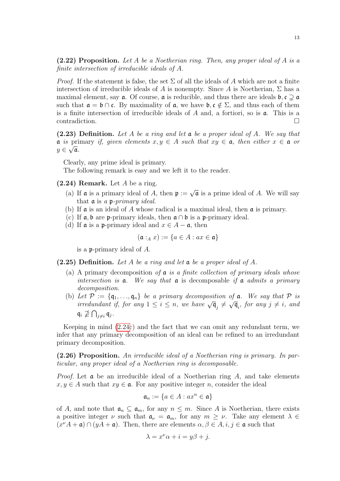<span id="page-12-1"></span>(2.22) Proposition. Let A be a Noetherian ring. Then, any proper ideal of A is a finite intersection of irreducible ideals of A.

*Proof.* If the statement is false, the set  $\Sigma$  of all the ideals of A which are not a finite intersection of irreducible ideals of A is nonempty. Since A is Noetherian,  $\Sigma$  has a maximal element, say  $\alpha$ . Of course,  $\alpha$  is reducible, and thus there are ideals  $\beta$ ,  $\zeta \supseteq \alpha$ such that  $\mathfrak{a} = \mathfrak{b} \cap \mathfrak{c}$ . By maximality of  $\mathfrak{a}$ , we have  $\mathfrak{b}, \mathfrak{c} \notin \Sigma$ , and thus each of them is a finite intersection of irreducible ideals of  $A$  and, a fortiori, so is  $a$ . This is a contradiction.

(2.23) Definition. Let A be a ring and let  $\mathfrak a$  be a proper ideal of A. We say that  $a$  is primary if, given elements  $x, y \in A$  such that  $xy \in a$ , then either  $x \in a$  or  $y\in\sqrt{\mathfrak{a}}$ .

Clearly, any prime ideal is primary.

The following remark is easy and we left it to the reader.

- <span id="page-12-0"></span> $(2.24)$  Remark. Let A be a ring.
	- (a) If  $\mathfrak a$  is a primary ideal of A, then  $\mathfrak p := \sqrt{\mathfrak a}$  is a prime ideal of A. We will say that  $\mathfrak a$  is a p-primary ideal.
	- (b) If  $\alpha$  is an ideal of A whose radical is a maximal ideal, then  $\alpha$  is primary.
	- (c) If  $a, b$  are p-primary ideals, then  $a \cap b$  is a p-primary ideal.
	- (d) If  $\mathfrak a$  is a p-primary ideal and  $x \in A \mathfrak a$ , then

$$
(\mathfrak{a}:_Ax):=\{a\in A: ax\in\mathfrak{a}\}
$$

is a p-primary ideal of A.

(2.25) Definition. Let A be a ring and let  $\mathfrak a$  be a proper ideal of A.

- (a) A primary decomposition of  $\alpha$  is a finite collection of primary ideals whose intersection is  $a$ . We say that  $a$  is decomposable if  $a$  admits a primary decomposition.
- (b) Let  $\mathcal{P} := \{\mathfrak{q}_1, \ldots, \mathfrak{q}_n\}$  be a primary decomposition of  $\mathfrak{a}$ . We say that  $\mathcal{P}$  is Let  $\mathcal{F} := \{ \mathbf{q}_1, \ldots, \mathbf{q}_n \}$  be a primary decomposition by  $\mathfrak{a}$ . We say that  $\mathcal{F}$  is<br>irredundant if, for any  $1 \leq i \leq n$ , we have  $\sqrt{\mathfrak{q}}_j \neq \sqrt{\mathfrak{q}}_i$ , for any  $j \neq i$ , and  $\mathfrak{q}_i \not\supseteq \bigcap_{j \neq i} \mathfrak{q}_j$ .

Keeping in mind [\(2.24c](#page-12-0)) and the fact that we can omit any redundant term, we infer that any primary decomposition of an ideal can be refined to an irredundant primary decomposition.

(2.26) Proposition. An irreducible ideal of a Noetherian ring is primary. In particular, any proper ideal of a Noetherian ring is decomposable.

*Proof.* Let  $\boldsymbol{\alpha}$  be an irreducible ideal of a Noetherian ring A, and take elements  $x, y \in A$  such that  $xy \in \mathfrak{a}$ . For any positive integer n, consider the ideal

$$
\mathfrak{a}_n := \{ a \in A : ax^n \in \mathfrak{a} \}
$$

of A, and note that  $\mathfrak{a}_n \subseteq \mathfrak{a}_m$ , for any  $n \leq m$ . Since A is Noetherian, there exists a positive integer  $\nu$  such that  $\mathfrak{a}_{\nu} = \mathfrak{a}_m$ , for any  $m \geq \nu$ . Take any element  $\lambda \in$  $(x^{\nu}A + \mathfrak{a}) \cap (yA + \mathfrak{a})$ . Then, there are elements  $\alpha, \beta \in A, i, j \in \mathfrak{a}$  such that

$$
\lambda = x^{\nu} \alpha + i = y \beta + j.
$$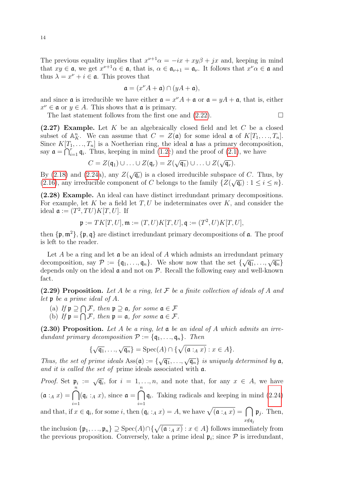The previous equality implies that  $x^{\nu+1}\alpha = -ix + xy\beta + jx$  and, keeping in mind that  $xy \in \mathfrak{a}$ , we get  $x^{\nu+1}\alpha \in \mathfrak{a}$ , that is,  $\alpha \in \mathfrak{a}_{\nu+1} = \mathfrak{a}_{\nu}$ . It follows that  $x^{\nu}\alpha \in \mathfrak{a}$  and thus  $\lambda = x^{\nu} + i \in \mathfrak{a}$ . This proves that

$$
\mathfrak{a} = (x^{\nu}A + \mathfrak{a}) \cap (yA + \mathfrak{a}),
$$

and since **a** is irreducible we have either  $\mathbf{a} = x^{\nu}A + \mathbf{a}$  or  $\mathbf{a} = yA + \mathbf{a}$ , that is, either  $x^{\nu} \in \mathfrak{a}$  or  $y \in A$ . This shows that  $\mathfrak{a}$  is primary.

The last statement follows from the first one and  $(2.22)$ .

<span id="page-13-1"></span> $(2.27)$  Example. Let K be an algebraically closed field and let C be a closed subset of  $\mathbb{A}_{K}^{n}$ . We can assume that  $C = Z(\mathfrak{a})$  for some ideal  $\mathfrak{a}$  of  $K[T_1, ..., T_n]$ . Since  $K[T_1, \ldots, T_n]$  is a Noetherian ring, the ideal  $\alpha$  has a primary decomposition, say  $\mathfrak{a} = \bigcap_{i=1}^r \mathfrak{q}_i$ . Thus, keeping in mind [\(1.2c](#page-1-1)) and the proof of [\(2.1\)](#page-8-3), we have

$$
C = Z(\mathfrak{q}_1) \cup \ldots \cup Z(\mathfrak{q}_r) = Z(\sqrt{\mathfrak{q}_1}) \cup \ldots \cup Z(\sqrt{\mathfrak{q}_r}).
$$

By [\(2.18\)](#page-11-1) and [\(2.24a](#page-12-0)), any  $Z(\sqrt{\mathfrak{q}_i})$  is a closed irreducible subspace of C. Thus, by [\(2.16\)](#page-11-0), any irreducible component of C belongs to the family  $\{Z(\sqrt{\mathfrak{q}_i}) : 1 \leq i \leq n\}.$ 

(2.28) Example. An ideal can have distinct irredundant primary decompositions. For example, let  $K$  be a field let  $T, U$  be indeterminates over  $K$ , and consider the ideal  $\mathfrak{a} := (T^2, TU)K[T, U]$ . If

$$
\mathfrak{p} := TK[T,U], \mathfrak{m} := (T,U)K[T,U], \mathfrak{q} := (T^2,U)K[T,U],
$$

then  $\{\mathfrak{p}, \mathfrak{m}^2\}$ ,  $\{\mathfrak{p}, \mathfrak{q}\}\$  are distinct irredundant primary decompositions of  $\mathfrak{a}$ . The proof is left to the reader.

Let A be a ring and let  $\mathfrak a$  be an ideal of A which admists an irredundant primary Let A be a ring and let  $\mathfrak{u}$  be an ideal of A which admisss an irreductually primary<br>decomposition, say  $\mathcal{P} := \{\mathfrak{q}_1, ..., \mathfrak{q}_n\}$ . We show now that the set  $\{\sqrt{\mathfrak{q}_1}, ..., \sqrt{\mathfrak{q}_n}\}$ depends only on the ideal  $\alpha$  and not on  $\mathcal{P}$ . Recall the following easy and well-known fact.

<span id="page-13-0"></span>(2.29) Proposition. Let A be a ring, let  $\mathcal F$  be a finite collection of ideals of A and let p be a prime ideal of A.

- (a) If  $\mathfrak{p} \supseteq \bigcap \mathcal{F}$ , then  $\mathfrak{p} \supseteq \mathfrak{a}$ , for some  $\mathfrak{a} \in \mathcal{F}$
- (b) If  $\mathfrak{p} = \bigcap \mathcal{F}$ , then  $\mathfrak{p} = \mathfrak{a}$ , for some  $\mathfrak{a} \in \mathcal{F}$ .

(2.30) Proposition. Let A be a ring, let  $\mathfrak a$  be an ideal of A which admits an irredundant primary decomposition  $\mathcal{P} := \{\mathfrak{q}_1, \ldots, \mathfrak{q}_n\}$ . Then

$$
\{\sqrt{\mathfrak{q}_1}, \ldots, \sqrt{\mathfrak{q}_n}\} = \operatorname{Spec}(A) \cap \{\sqrt{(\mathfrak{a} :_A x)} : x \in A\}.
$$

Thus, the set of prime ideals  $\text{Ass}(\mathfrak{a}) := \{ \sqrt{\mathfrak{q}_1}, \ldots, \sqrt{\mathfrak{q}_n} \}$  is uniquely determined by  $\mathfrak{a}$ , and it is called the set of prime ideals associated with  $a$ .

*Proof.* Set  $\mathfrak{p}_i := \sqrt{\mathfrak{q}_i}$ , for  $i = 1, ..., n$ , and note that, for any  $x \in A$ , we have  $(\mathfrak{a} :_A x) = \bigcap^{n}$  $i=1$  $(\mathfrak{q}_i :_A x),$  since  $\mathfrak{a} = \bigcap^{n}$  $i=1$  $q_i$ . Taking radicals and keeping in mind  $(2.24)$ 

and that, if  $x \in \mathfrak{q}_i$ , for some i, then  $(\mathfrak{q}_i :_A x) = A$ , we have  $\sqrt{(\mathfrak{a} :_A x)} = \bigcap$  $x{\notin}\frak{q}_j$  $\mathfrak{p}_j$ . Then,

the inclusion  $\{\mathfrak{p}_1,\ldots,\mathfrak{p}_n\}\supseteq \mathrm{Spec}(A)\cap \{\sqrt{(\mathfrak{a}:_A x)}: x\in A\}$  follows immediately from the previous proposition. Conversely, take a prime ideal  $\mathfrak{p}_i$ ; since  $P$  is irredundant,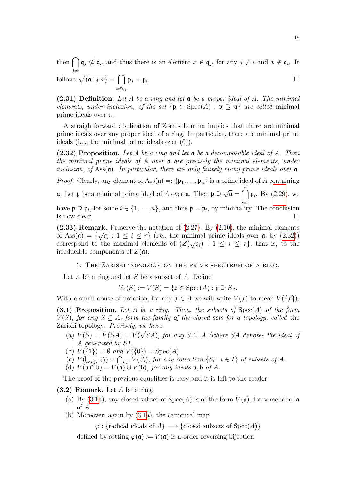then  $\bigcap q_j \nsubseteq q_i$ , and thus there is an element  $x \in q_j$ , for any  $j \neq i$  and  $x \notin q_i$ . It j $\neq i$ 

follows 
$$
\sqrt{(\mathfrak{a} :_A x)} = \bigcap_{x \notin \mathfrak{q}_j} \mathfrak{p}_j = \mathfrak{p}_i
$$
.

(2.31) Definition. Let A be a ring and let  $\mathfrak a$  be a proper ideal of A. The minimal elements, under inclusion, of the set  $\{p \in \text{Spec}(A) : p \supset \mathfrak{a}\}\$  are called minimal prime ideals over a .

A straightforward application of Zorn's Lemma implies that there are minimal prime ideals over any proper ideal of a ring. In particular, there are minimal prime ideals (i.e., the minimal prime ideals over (0)).

<span id="page-14-1"></span>(2.32) Proposition. Let A be a ring and let  $\mathfrak a$  be a decomposable ideal of A. Then the minimal prime ideals of A over  $a$  are precisely the minimal elements, under inclusion, of  $\text{Ass}(\mathfrak{a})$ . In particular, there are only finitely many prime ideals over  $\mathfrak{a}$ .

*Proof.* Clearly, any element of Ass $(\mathfrak{a}) = \{\mathfrak{p}_1, \ldots, \mathfrak{p}_n\}$  is a prime ideal of A containing

**a**. Let **p** be a minimal prime ideal of A over **a**. Then  $\mathfrak{p} \supseteq$ √  $\mathbf{a} = \bigcap_{i=1}^{n} \mathbf{\mathfrak{p}}_i$ . By [\(2.29\)](#page-13-0), we have  $\mathfrak{p} \supseteq \mathfrak{p}_i$ , for some  $i \in \{1, ..., n\}$ , and thus  $\mathfrak{p} = \mathfrak{p}_i$ , by minimality. The conclusion

is now clear.  $\Box$ 

(2.33) Remark. Preserve the notation of  $(2.27)$ . By  $(2.10)$ , the minimal elements of Ass( $\mathfrak{a}$ ) = { $\sqrt{\mathfrak{q}_i}$  :  $1 \leq i \leq r$ } (i.e., the minimal prime ideals over  $\mathfrak{a}$ , by [\(2.32\)](#page-14-1)) correspond to the maximal elements of  $\{Z(\sqrt{\mathfrak{q}_i}) : 1 \leq i \leq r\}$ , that is, to the irreducible components of  $Z(\mathfrak{a})$ .

#### 3. The Zariski topology on the prime spectrum of a ring.

<span id="page-14-0"></span>Let  $A$  be a ring and let  $S$  be a subset of  $A$ . Define

 $V_A(S) := V(S) = {\mathfrak{p} \in \text{Spec}(A) : \mathfrak{p} \supseteq S}.$ 

With a small abuse of notation, for any  $f \in A$  we will write  $V(f)$  to mean  $V(\{f\})$ .

<span id="page-14-2"></span>(3.1) Proposition. Let A be a ring. Then, the subsets of  $Spec(A)$  of the form  $V(S)$ , for any  $S \subseteq A$ , form the family of the closed sets for a topology, called the Zariski topology. Precisely, we have √

- (a)  $V(S) = V(SA) = V(\sqrt{SA})$ , for any  $S \subseteq A$  (where SA denotes the ideal of A generated by S).
- (b)  $V({1}) = \emptyset$  and  $V({0}) = Spec(A)$ .
- (c)  $V(\bigcup_{i\in I} S_i) = \bigcap_{i\in I} V(S_i)$ , for any collection  $\{S_i : i \in I\}$  of subsets of A.
- (d)  $V(\mathfrak{a} \cap \mathfrak{b}) = V(\mathfrak{a}) \cup V(\mathfrak{b})$ , for any ideals  $\mathfrak{a}, \mathfrak{b}$  of A.

The proof of the previous equalities is easy and it is left to the reader.

- <span id="page-14-3"></span> $(3.2)$  Remark. Let A be a ring.
	- (a) By [\(3.1a](#page-14-2)), any closed subset of  $Spec(A)$  is of the form  $V(\mathfrak{a})$ , for some ideal  $\mathfrak{a}$ of A.
	- (b) Moreover, again by [\(3.1a](#page-14-2)), the canonical map

 $\varphi:$  {radical ideals of  $A$ }  $\longrightarrow$  {closed subsets of Spec(A)}

defined by setting  $\varphi(\mathfrak{a}) := V(\mathfrak{a})$  is a order reversing bijection.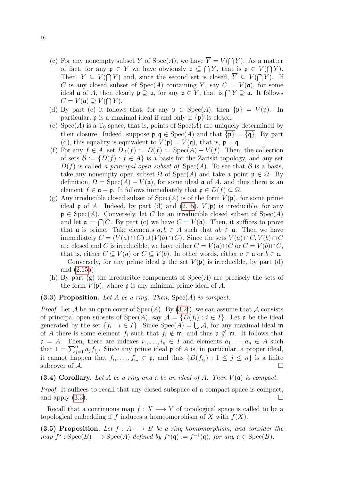- (c) For any nonempty subset Y of Spec(A), we have  $Y = V(\bigcap Y)$ . As a matter of fact, for any  $\mathfrak{p} \in Y$  we have obviously  $\mathfrak{p} \subseteq \bigcap Y$ , that is  $\mathfrak{p} \in V(\bigcap Y)$ . Then,  $Y \subseteq V(\bigcap Y)$  and, since the second set is closed,  $Y \subseteq V(\bigcap Y)$ . If C is any closed subset of  $Spec(A)$  containing Y, say  $C = V(\mathfrak{a})$ , for some ideal  $\mathfrak a$  of A, then clearly  $\mathfrak p \supseteq \mathfrak a$ , for any  $\mathfrak p \in Y$ , that is  $\bigcap Y \supseteq \mathfrak a$ . It follows  $C = V(\mathfrak{a}) \supseteq V(\bigcap Y).$
- (d) By part (c) it follows that, for any  $\mathfrak{p} \in \text{Spec}(A)$ , then  ${\{\mathfrak{p}\}} = V(\mathfrak{p})$ . In particular,  $\mathfrak p$  is a maximal ideal if and only if  $\{\mathfrak p\}$  is closed.
- (e)  $Spec(A)$  is a  $T_0$  space, that is, points of  $Spec(A)$  are uniquely determined by their closure. Indeed, suppose  $\mathfrak{p}, \mathfrak{q} \in \text{Spec}(A)$  and that  ${\{\mathfrak{p}\}} = {\{\mathfrak{q}\}}$ . By part (d), this equality is equivalent to  $V(\mathfrak{p}) = V(\mathfrak{q})$ , that is,  $\mathfrak{p} = \mathfrak{q}$ .
- (f) For any  $f \in A$ , set  $D_A(f) := D(f) := \text{Spec}(A) V(f)$ . Then, the collection of sets  $\mathcal{B} := \{D(f) : f \in A\}$  is a basis for the Zariski topology, and any set  $D(f)$  is called a principal open subset of  $Spec(A)$ . To see that B is a basis, take any nonempty open subset  $\Omega$  of  $Spec(A)$  and take a point  $\mathfrak{p} \in \Omega$ . By definition,  $\Omega = \text{Spec}(A) - V(\mathfrak{a})$ , for some ideal  $\mathfrak{a}$  of A, and thus there is an element  $f \in \mathfrak{a} - \mathfrak{p}$ . It follows immediately that  $\mathfrak{p} \in D(f) \subset \Omega$ .
- (g) Any irreducible closed subset of  $Spec(A)$  is of the form  $V(\mathfrak{p})$ , for some prime ideal **p** of A. Indeed, by part (d) and [\(2.15\)](#page-10-0),  $V(\mathfrak{p})$  is irreducible, for any  $\mathfrak{p} \in \text{Spec}(A)$ . Conversely, let C be an irreducible closed subset of  $\text{Spec}(A)$ and let  $\mathfrak{a} := \bigcap C$ . By part (c) we have  $C = V(\mathfrak{a})$ . Then, it suffices to prove that **a** is prime. Take elements  $a, b \in A$  such that  $ab \in \mathfrak{a}$ . Then we have immediately  $C = (V(a) \cap C) \cup (V(b) \cap C)$ . Since the sets  $V(a) \cap C, V(b) \cap C$ are closed and C is irreducible, we have either  $C = V(a) \cap C$  or  $C = V(b) \cap C$ , that is, either  $C \subseteq V(a)$  or  $C \subseteq V(b)$ . In other words, either  $a \in \mathfrak{a}$  or  $b \in \mathfrak{a}$ . Conversely, for any prime ideal **p** the set  $V(\mathfrak{p})$  is irreducible, by part (d) and [\(2.15a](#page-10-0)).
- (h) By part (g) the irreducible components of  $Spec(A)$  are precisely the sets of the form  $V(\mathfrak{p})$ , where  $\mathfrak{p}$  is any minimal prime ideal of A.

### <span id="page-15-0"></span>(3.3) Proposition. Let A be a ring. Then,  $Spec(A)$  is compact.

*Proof.* Let A be an open cover of  $Spec(A)$ . By  $(3.2f)$ , we can assume that A consists of principal open subsets of  $Spec(A)$ , say  $A = \{D(f_i) : i \in I\}$ . Let a be the ideal generated by the set  $\{f_i : i \in I\}$ . Since  $Spec(A) = \bigcup A$ , for any maximal ideal m of A there is some element  $f_i$  such that  $f_i \notin \mathfrak{m}$ , and thus  $\mathfrak{a} \nsubseteq \mathfrak{m}$ . It follows that  $a = A$ . Then, there are indexes  $i_1, \ldots, i_n \in I$  and elements  $a_1, \ldots, a_n \in A$  such that  $1 = \sum_{j=1}^{n} a_j f_{i_j}$ . Since any prime ideal  $\mathfrak p$  of A is, in particular, a proper ideal, it cannot happen that  $f_{i_1},...,f_{i_n} \in \mathfrak{p}$ , and thus  $\{D(f_{i_j}) : 1 \leq j \leq n\}$  is a finite subcover of  $\mathcal{A}$ .

## (3.4) Corollary. Let A be a ring and  $\mathfrak a$  be an ideal of A. Then  $V(\mathfrak a)$  is compact.

Proof. It suffices to recall that any closed subspace of a compact space is compact, and apply  $(3.3)$ .

Recall that a continuous map  $f: X \longrightarrow Y$  of topological space is called to be a topological embedding if f induces a homeomorphism of X with  $f(X)$ .

<span id="page-15-1"></span>(3.5) Proposition. Let  $f : A \longrightarrow B$  be a ring homomorphism, and consider the  $map f^* : \text{Spec}(B) \longrightarrow \text{Spec}(A)$  defined by  $f^*(\mathfrak{q}) := f^{-1}(\mathfrak{q})$ , for any  $\mathfrak{q} \in \text{Spec}(B)$ .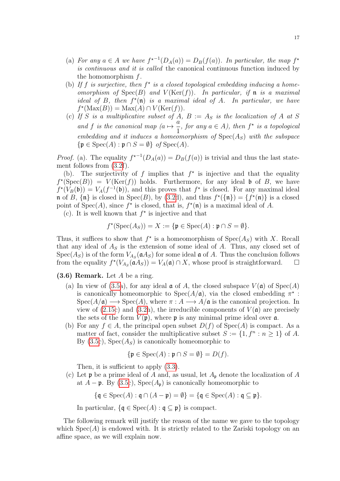- (a) For any  $a \in A$  we have  $f^{\star-1}(D_A(a)) = D_B(f(a))$ . In particular, the map  $f^{\star}$ is continuous and it is called the canonical continuous function induced by the homomorphism  $f$ .
- (b) If f is surjective, then  $f^*$  is a closed topological embedding inducing a homeomorphism of  $Spec(B)$  and  $V(Ker(f))$ . In particular, if **n** is a maximal ideal of B, then  $f^*(\mathfrak{n})$  is a maximal ideal of A. In particular, we have  $f^*(\text{Max}(B)) = \text{Max}(A) \cap V(\text{Ker}(f)).$
- (c) If S is a multiplicative subset of A,  $B := A_S$  is the localization of A at S and f is the canonical map  $(a \mapsto \frac{a}{1})$ 1 , for any  $a \in A$ ), then  $f^*$  is a topological embedding and it induces a homeomorphism of  $Spec(A_S)$  with the subspace  $\{\mathfrak{p} \in \text{Spec}(A) : \mathfrak{p} \cap S = \emptyset\}$  of  $\text{Spec}(A)$ .

*Proof.* (a). The equality  $f^{\star-1}(D_A(a)) = D_B(f(a))$  is trivial and thus the last statement follows from [\(3.2f](#page-14-3)).

(b). The surjectivity of f implies that  $f^*$  is injective and that the equality  $f^*(Spec(B)) = V(Ker(f))$  holds. Furthermore, for any ideal b of B, we have  $f^*(V_B(\mathfrak{b})) = V_A(f^{-1}(\mathfrak{b}))$ , and this proves that  $f^*$  is closed. For any maximal ideal  $\mathfrak n$  of B,  $\{\mathfrak n\}$  is closed in Spec(B), by [\(3.2d](#page-14-3)), and thus  $f^*(\{\mathfrak n\}) = \{f^*(\mathfrak n)\}\$ is a closed point of  $Spec(A)$ , since  $f^*$  is closed, that is,  $f^*(n)$  is a maximal ideal of A.

(c). It is well known that  $f^*$  is injective and that

$$
f^*(\operatorname{Spec}(A_S)) = X := \{ \mathfrak{p} \in \operatorname{Spec}(A) : \mathfrak{p} \cap S = \emptyset \}.
$$

Thus, it suffices to show that  $f^*$  is a homeomorphism of  $Spec(A_S)$  with X. Recall that any ideal of  $A<sub>S</sub>$  is the extension of some ideal of  $A$ . Thus, any closed set of  $Spec(A_S)$  is of the form  $V_{A_S}(\mathfrak{a} A_S)$  for some ideal  $\mathfrak{a}$  of A. Thus the conclusion follows from the equality  $f^*(V_{A_S}(\mathfrak{a} A_S)) = V_A(\mathfrak{a}) \cap X$ , whose proof is straightforward.  $\square$ 

### <span id="page-16-0"></span> $(3.6)$  Remark. Let A be a ring.

- (a) In view of [\(3.5a](#page-15-1)), for any ideal  $\mathfrak a$  of A, the closed subspace  $V(\mathfrak a)$  of  $Spec(A)$ is canonically homeomorphic to  $Spec(A/\mathfrak{a})$ , via the closed embedding  $\pi^*$ :  $Spec(A/\mathfrak{a}) \longrightarrow Spec(A)$ , where  $\pi : A \longrightarrow A/\mathfrak{a}$  is the canonical projection. In view of [\(2.15c](#page-10-0)) and [\(3.2h](#page-14-3)), the irreducible components of  $V(\mathfrak{a})$  are precisely the sets of the form  $V(\mathfrak{p})$ , where  $\mathfrak{p}$  is any minimal prime ideal over  $\mathfrak{a}$ .
- (b) For any  $f \in A$ , the principal open subset  $D(f)$  of  $Spec(A)$  is compact. As a matter of fact, consider the multiplicative subset  $S := \{1, f^n : n \ge 1\}$  of A. By  $(3.5c)$ , Spec $(A<sub>S</sub>)$  is canonically homeomorphic to

$$
\{\mathfrak{p} \in \text{Spec}(A) : \mathfrak{p} \cap S = \emptyset\} = D(f).
$$

Then, it is sufficient to apply [\(3.3\)](#page-15-0).

(c) Let  $\mathfrak p$  be a prime ideal of A and, as usual, let  $A_{\mathfrak p}$  denote the localization of A at  $A - \mathfrak{p}$ . By [\(3.5c](#page-15-1)), Spec( $A_{\mathfrak{p}}$ ) is canonically homeomorphic to

$$
\{\mathfrak{q} \in \text{Spec}(A) : \mathfrak{q} \cap (A - \mathfrak{p}) = \emptyset\} = \{\mathfrak{q} \in \text{Spec}(A) : \mathfrak{q} \subseteq \mathfrak{p}\}.
$$

In particular,  $\{ \mathfrak{q} \in \text{Spec}(A) : \mathfrak{q} \subseteq \mathfrak{p} \}$  is compact.

The following remark will justify the reason of the name we gave to the topology which  $Spec(A)$  is endowed with. It is strictly related to the Zariski topology on an affine space, as we will explain now.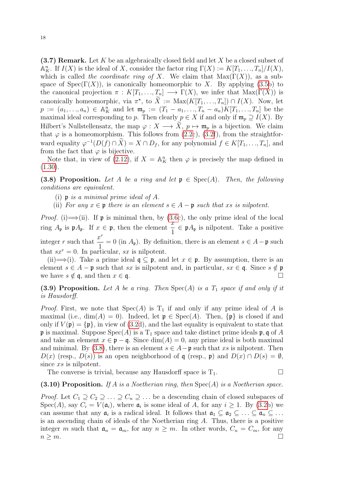$(3.7)$  Remark. Let K be an algebraically closed field and let X be a closed subset of  $\mathbb{A}_{K}^{n}$ . If  $I(X)$  is the ideal of X, consider the factor ring  $\Gamma(X) := K[T_1, \ldots, T_n]/I(X)$ , which is called the coordinate ring of X. We claim that  $Max(\Gamma(X))$ , as a subspace of  $Spec(\Gamma(X))$ , is canonically homeomorphic to X. By applying [\(3.5b](#page-15-1)) to the canonical projection  $\pi : K[T_1, ..., T_n] \longrightarrow \Gamma(X)$ , we infer that  $Max(\Gamma(X))$  is canonically homeomorphic, via  $\pi^*$ , to  $\overline{X} := \text{Max}(K[T_1, ..., T_n]) \cap I(X)$ . Now, let  $p := (a_1, ..., a_n) \in \mathbb{A}_{K}^{n}$  and let  $\mathfrak{m}_p := (T_1 - a_1, ..., T_n - a_n)K[T_1, ..., T_n]$  be the maximal ideal corresponding to p. Then clearly  $p \in X$  if and only if  $\mathfrak{m}_p \supseteq I(X)$ . By Hilbert's Nullstellensatz, the map  $\varphi: X \longrightarrow \tilde{X}, p \mapsto \mathfrak{m}_p$  is a bijection. We claim that  $\varphi$  is a homeomorphism. This follows from [\(2.2c](#page-8-2)), [\(3.2f](#page-14-3)), from the straightforward equality  $\varphi^{-1}(D(f) \cap \tilde{X}) = X \cap D_f$ , for any polynomial  $f \in K[T_1, \ldots, T_n]$ , and from the fact that  $\varphi$  is bijective.

Note that, in view of [\(2.12\)](#page-10-1), if  $X = \mathbb{A}^n$  then  $\varphi$  is precisely the map defined in  $(1.30).$  $(1.30).$ 

<span id="page-17-0"></span>(3.8) Proposition. Let A be a ring and let  $\mathfrak{p} \in \text{Spec}(A)$ . Then, the following conditions are equivalent.

- (i)  $\mathfrak p$  is a minimal prime ideal of A.
- (ii) For any  $x \in \mathfrak{p}$  there is an element  $s \in A \mathfrak{p}$  such that xs is nilpotent.

*Proof.* (i)  $\Longrightarrow$  (ii). If **p** is minimal then, by [\(3.6c](#page-16-0)), the only prime ideal of the local ring  $A_p$  is  $pA_p$ . If  $x \in p$ , then the element  $\frac{x}{1} \in pA_p$  is nilpotent. Take a positive integer r such that  $\frac{x^r}{1}$  $\frac{1}{1} = 0$  (in  $A_p$ ). By definition, there is an element  $s \in A - \mathfrak{p}$  such that  $sx^r = 0$ . In particular, sx is nilpotent.

(ii)  $\implies$  (i). Take a prime ideal  $\mathfrak{q} \subseteq \mathfrak{p}$ , and let  $x \in \mathfrak{p}$ . By assumption, there is an element  $s \in A - \mathfrak{p}$  such that sx is nilpotent and, in particular,  $sx \in \mathfrak{q}$ . Since  $s \notin \mathfrak{p}$ we have  $s \notin \mathfrak{q}$ , and then  $x \in \mathfrak{q}$ .

<span id="page-17-1"></span>(3.9) Proposition. Let A be a ring. Then  $Spec(A)$  is a  $T_1$  space if and only if it is Hausdorff.

*Proof.* First, we note that  $Spec(A)$  is  $T_1$  if and only if any prime ideal of A is maximal (i.e., dim(A) = 0). Indeed, let  $\mathfrak{p} \in \text{Spec}(A)$ . Then,  $\{\mathfrak{p}\}\$ is closed if and only if  $V(\mathfrak{p}) = {\mathfrak{p}}$ , in view of [\(3.2d](#page-14-3)), and the last equality is equivalent to state that **p** is maximal. Suppose  $Spec(A)$  is a  $T_1$  space and take distinct prime ideals **p**, q of A and take an element  $x \in \mathfrak{p} - \mathfrak{q}$ . Since  $\dim(A) = 0$ , any prime ideal is both maximal and minimal. By [\(3.8\)](#page-17-0), there is an element  $s \in A - \mathfrak{p}$  such that xs is nilpotent. Then  $D(x)$  (resp.,  $D(s)$ ) is an open neighborhood of q (resp., p) and  $D(x) \cap D(s) = \emptyset$ , since xs is nilpotent.

The converse is trivial, because any Hausdorff space is  $T_1$ .

#### (3.10) Proposition. If A is a Noetherian ring, then  $Spec(A)$  is a Noetherian space.

*Proof.* Let  $C_1 \supseteq C_2 \supseteq \ldots \supseteq C_n \supseteq \ldots$  be a descending chain of closed subspaces of  $Spec(A)$ , say  $C_i = V(\mathfrak{a}_i)$ , where  $\mathfrak{a}_i$  is some ideal of A, for any  $i \geq 1$ . By  $(3.2b)$  we can assume that any  $\mathfrak{a}_i$  is a radical ideal. It follows that  $\mathfrak{a}_1 \subseteq \mathfrak{a}_2 \subseteq \ldots \subseteq \mathfrak{a}_n \subseteq \ldots$ is an ascending chain of ideals of the Noetherian ring A. Thus, there is a positive integer m such that  $\mathfrak{a}_n = \mathfrak{a}_m$ , for any  $n \geq m$ . In other words,  $C_n = C_m$ , for any  $n \geq m$ .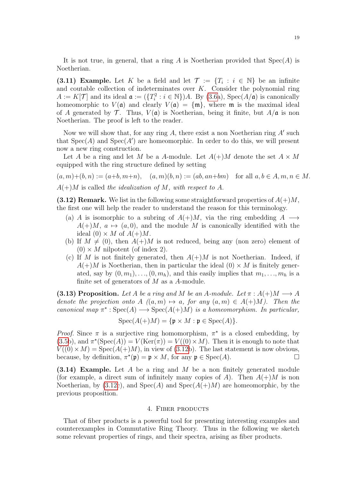It is not true, in general, that a ring A is Noetherian provided that  $Spec(A)$  is Noetherian.

(3.11) Example. Let K be a field and let  $\mathcal{T} := \{T_i : i \in \mathbb{N}\}\$ be an infinite and coutable collection of indeterminates over  $K$ . Consider the polynomial ring  $A := K[\mathcal{T}]$  and its ideal  $\mathfrak{a} := (\{T_i^2 : i \in \mathbb{N}\})A$ . By [\(3.6a](#page-16-0)), Spec $(A/\mathfrak{a})$  is canonically homeomorphic to  $V(\mathfrak{a})$  and clearly  $V(\mathfrak{a}) = {\mathfrak{m}}$ , where  $\mathfrak{m}$  is the maximal ideal of A generated by  $\mathcal T$ . Thus,  $V(\mathfrak a)$  is Noetherian, being it finite, but  $A/\mathfrak a$  is non Noetherian. The proof is left to the reader.

Now we will show that, for any ring  $A$ , there exist a non Noetherian ring  $A'$  such that  $Spec(A)$  and  $Spec(A')$  are homeomorphic. In order to do this, we will present now a new ring construction.

Let A be a ring and let M be a A-module. Let  $A(+)M$  denote the set  $A \times M$ equipped with the ring structure defined by setting

 $(a, m) + (b, n) := (a+b, m+n), (a, m)(b, n) := (ab, an+bm)$  for all  $a, b \in A, m, n \in M$ .  $A(+)M$  is called the idealization of M, with respect to A.

<span id="page-18-1"></span>(3.12) Remark. We list in the following some straightforward properties of  $A(+)M$ . the first one will help the reader to understand the reason for this terminology.

- (a) A is isomorphic to a subring of  $A(+)M$ , via the ring embedding  $A \longrightarrow$  $A(+)M, a \mapsto (a, 0)$ , and the module M is canonically identified with the ideal  $(0) \times M$  of  $A(+)M$ .
- (b) If  $M \neq (0)$ , then  $A(+)M$  is not reduced, being any (non zero) element of  $(0) \times M$  nilpotent (of index 2).
- (c) If M is not finitely generated, then  $A(+)M$  is not Noetherian. Indeed, if  $A(+)M$  is Noetherian, then in particular the ideal  $(0) \times M$  is finitely generated, say by  $(0, m_1), \ldots, (0, m_h)$ , and this easily implies that  $m_1, \ldots, m_h$  is a finite set of generators of  $M$  as a  $A$ -module.

(3.13) Proposition. Let A be a ring and M be an A-module. Let  $\pi : A(+)M \longrightarrow A$ denote the projection onto A  $((a, m) \mapsto a$ , for any  $(a, m) \in A(+)M$ ). Then the canonical map  $\pi^* : \text{Spec}(A) \longrightarrow \text{Spec}(A(+)M)$  is a homeomorphism. In particular,

$$
\operatorname{Spec}(A(+)M) = \{ \mathfrak{p} \times M : \mathfrak{p} \in \operatorname{Spec}(A) \}.
$$

*Proof.* Since  $\pi$  is a surjective ring homomorphism,  $\pi^*$  is a closed embedding, by  $(3.5b)$  $(3.5b)$ , and  $\pi^*(Spec(A)) = V(Ker(\pi)) = V((0) \times M)$ . Then it is enough to note that  $V((0) \times M) = \text{Spec}(A(+)M)$ , in view of [\(3.12b](#page-18-1)). The last statement is now obvious, because, by definition,  $\pi^*(\mathfrak{p}) = \mathfrak{p} \times M$ , for any  $\mathfrak{p} \in \text{Spec}(A)$ .

 $(3.14)$  Example. Let A be a ring and M be a non finitely generated module (for example, a direct sum of infinitely many copies of A). Then  $A(+)M$  is non Noetherian, by [\(3.12c](#page-18-1)), and  $Spec(A)$  and  $Spec(A(+)M)$  are homeomorphic, by the previous proposition.

## 4. Fiber products

<span id="page-18-0"></span>That of fiber products is a powerful tool for presenting interesting examples and counterexamples in Commutative Ring Theory. Thus in the following we sketch some relevant properties of rings, and their spectra, arising as fiber products.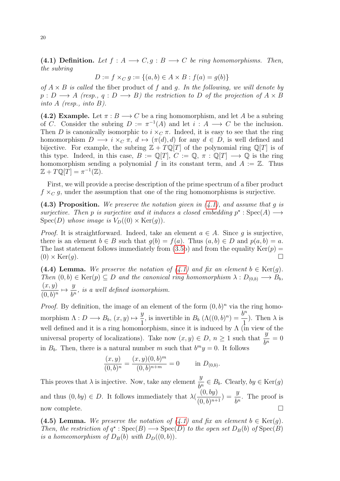<span id="page-19-0"></span>(4.1) Definition. Let  $f : A \longrightarrow C, g : B \longrightarrow C$  be ring homomorphisms. Then, the subring

$$
D := f \times_C g := \{(a, b) \in A \times B : f(a) = g(b)\}
$$

of  $A \times B$  is called the fiber product of f and g. In the following, we will denote by  $p: D \longrightarrow A$  (resp., q : D  $\longrightarrow B$ ) the restriction to D of the projection of  $A \times B$ into A (resp., into  $B$ ).

<span id="page-19-4"></span>(4.2) Example. Let  $\pi : B \longrightarrow C$  be a ring homomorphism, and let A be a subring of C. Consider the subring  $D := \pi^{-1}(A)$  and let  $i : A \longrightarrow C$  be the inclusion. Then D is canonically isomorphic to  $i \times_C \pi$ . Indeed, it is easy to see that the ring homomorphism  $D \longrightarrow i \times_C \pi$ ,  $d \mapsto (\pi(d), d)$  for any  $d \in D$ , is well defined and bijective. For example, the subring  $\mathbb{Z} + T\mathbb{Q}[T]$  of the polynomial ring  $\mathbb{Q}[T]$  is of this type. Indeed, in this case,  $B := \mathbb{Q}[T], C := \mathbb{Q}, \pi : \mathbb{Q}[T] \longrightarrow \mathbb{Q}$  is the ring homomorphism sending a polynomial f in its constant term, and  $A := \mathbb{Z}$ . Thus  $\mathbb{Z} + T \mathbb{Q}[T] = \pi^{-1}(\mathbb{Z}).$ 

First, we will provide a precise description of the prime spectrum of a fiber product  $f \times_C g$ , under the assumption that one of the ring homomorphisms is surjective.

<span id="page-19-3"></span>(4.3) Proposition. We preserve the notation given in  $(4.1)$ , and assume that g is surjective. Then p is surjective and it induces a closed embedding  $p^* : Spec(A) \longrightarrow$  $Spec(D)$  whose image is  $V_D((0) \times Ker(g))$ .

*Proof.* It is straightforward. Indeed, take an element  $a \in A$ . Since q is surjective, there is an element  $b \in B$  such that  $g(b) = f(a)$ . Thus  $(a, b) \in D$  and  $p(a, b) = a$ . The last statement follows immediately from  $(3.5b)$  and from the equality  $Ker(p)$  $(0) \times \text{Ker}(q)$ .

<span id="page-19-1"></span>(4.4) Lemma. We preserve the notation of  $(4.1)$  and fix an element  $b \in \text{Ker}(q)$ . Then  $(0, b) \in \text{Ker}(p) \subseteq D$  and the canonical ring homomorphism  $\lambda : D_{(0,b)} \longrightarrow B_b$ ,  $(x, y)$  $\frac{(x,y)}{(0,b)^n} \mapsto \frac{y}{b^n}$  $\frac{g}{b^n}$ , is a well defined isomorphism.

*Proof.* By definition, the image of an element of the form  $(0, b)^n$  via the ring homomorphism  $\Lambda: D \longrightarrow B_b, (x, y) \mapsto \frac{y}{1}$  $\frac{y}{1}$ , is invertible in  $B_b(\Lambda((0, b)^n)) = \frac{b^n}{1}$ 1 ). Then  $\lambda$  is well defined and it is a ring homomorphism, since it is induced by  $\Lambda$  (in view of the universal property of localizations). Take now  $(x, y) \in D$ ,  $n \ge 1$  such that  $\frac{y}{y}$  $\frac{g}{b^n} = 0$ in  $B_b$ . Then, there is a natural number m such that  $b^m y = 0$ . It follows

$$
\frac{(x,y)}{(0,b)^n} = \frac{(x,y)(0,b)^m}{(0,b)^{n+m}} = 0 \quad \text{in } D_{(0,b)}
$$

.

This proves that  $\lambda$  is injective. Now, take any element  $\frac{y}{l}$  $\frac{g}{b^n} \in B_b$ . Clearly,  $by \in \text{Ker}(g)$ and thus  $(0, by) \in D$ . It follows immediately that  $\lambda(\frac{(0, by)}{(0, b)})$  $\frac{(0, by)}{(0, b)^{n+1}}$  =  $\frac{y}{b^n}$ . The proof is now complete.

<span id="page-19-2"></span>(4.5) Lemma. We preserve the notation of  $(4.1)$  and fix an element  $b \in \text{Ker}(q)$ . Then, the restriction of  $q^* : Spec(B) \longrightarrow Spec(D)$  to the open set  $D_B(b)$  of  $Spec(B)$ is a homeomorphism of  $D_B(b)$  with  $D_D((0, b))$ .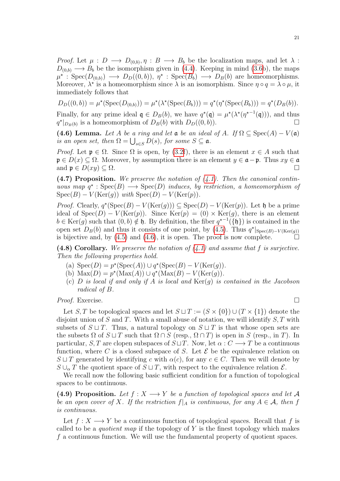*Proof.* Let  $\mu : D \longrightarrow D_{(0,b)}, \eta : B \longrightarrow B_b$  be the localization maps, and let  $\lambda$ :  $D_{(0,b)} \longrightarrow B_b$  be the isomorphism given in [\(4.4\)](#page-19-1). Keeping in mind [\(3.6b](#page-16-0)), the maps  $\mu^* : \text{Spec}(D_{(0,b)}) \longrightarrow D_D((0,b)), \eta^* : \text{Spec}(B_b) \longrightarrow D_B(b)$  are homeomorphisms. Moreover,  $\lambda^*$  is a homeomorphism since  $\lambda$  is an isomorphism. Since  $\eta \circ q = \lambda \circ \mu$ , it immediately follows that

$$
D_D((0, b)) = \mu^*(Spec(D_{(0,b)})) = \mu^*(\lambda^*(Spec(B_b))) = q^*(\eta^*(Spec(B_b))) = q^*(D_B(b)).
$$

Finally, for any prime ideal  $\mathfrak{q} \in D_B(b)$ , we have  $q^*(\mathfrak{q}) = \mu^*(\lambda^*(\eta^{*-1}(\mathfrak{q})))$ , and thus  $q^*|_{D_B(b)}$  is a homeomorphism of  $D_B(b)$  with  $D_D((0, b))$ .

<span id="page-20-0"></span>(4.6) Lemma. Let A be a ring and let  $\mathfrak a$  be an ideal of A. If  $\Omega \subseteq \text{Spec}(A) - V(\mathfrak a)$ is an open set, then  $\Omega = \bigcup_{s \in S} D(s)$ , for some  $S \subseteq \mathfrak{a}$ .

*Proof.* Let  $\mathfrak{p} \in \Omega$ . Since  $\Omega$  is open, by [\(3.2f](#page-14-3)), there is an element  $x \in A$  such that  $\mathfrak{p} \in D(x) \subseteq \Omega$ . Moreover, by assumption there is an element  $y \in \mathfrak{a} - \mathfrak{p}$ . Thus  $xy \in \mathfrak{a}$ and  $\mathfrak{p} \in D(xy) \subseteq \Omega$ .

<span id="page-20-3"></span> $(4.7)$  Proposition. We preserve the notation of  $(4.1)$ . Then the canonical continuous map  $q^* : Spec(B) \longrightarrow Spec(D)$  induces, by restriction, a homeomorphism of  $Spec(B) - V(Ker(g))$  with  $Spec(D) - V(Ker(g))$ .

*Proof.* Clearly,  $q^*(Spec(B) - V(Ker(g))) \subseteq Spec(D) - V(Ker(p))$ . Let h be a prime ideal of  $Spec(D) - V(Ker(p))$ . Since  $Ker(p) = (0) \times Ker(q)$ , there is an element  $b \in \text{Ker}(g)$  such that  $(0, b) \notin \mathfrak{h}$ . By definition, the fiber  $q^{t-1}(\{\mathfrak{h}\})$  is contained in the open set  $D_B(b)$  and thus it consists of one point, by [\(4.5\)](#page-19-2). Thus  $q^*|_{Spec(B)-V(Ker(g))}$ is bijective and, by  $(4.5)$  and  $(4.6)$ , it is open. The proof is now complete.  $\Box$ 

<span id="page-20-2"></span>(4.8) Corollary. We preserve the notation of  $(4.1)$  and assume that f is surjective. Then the following properties hold.

- (a)  $Spec(D) = p^*(Spec(A)) \cup q^*(Spec(B) V(Ker(g)).$
- (b)  $\text{Max}(D) = p^*(\text{Max}(A)) \cup q^*(\text{Max}(B) V(\text{Ker}(g)).$
- (c)  $D$  is local if and only if  $A$  is local and  $\text{Ker}(g)$  is contained in the Jacobson radical of B.

Proof. Exercise. □

Let S, T be topological spaces and let  $S \sqcup T := (S \times \{0\}) \cup (T \times \{1\})$  denote the disjoint union of S and T. With a small abuse of notation, we will identify  $S, T$  with subsets of  $S \sqcup T$ . Thus, a natural topology on  $S \sqcup T$  is that whose open sets are the subsets  $\Omega$  of  $S \sqcup T$  such that  $\Omega \cap S$  (resp.,  $\Omega \cap T$ ) is open in S (resp., in T). In particular, S, T are clopen subspaces of  $S \sqcup T$ . Now, let  $\alpha : C \longrightarrow T$  be a continuous function, where C is a closed subspace of S. Let  $\mathcal E$  be the equivalence relation on  $S \sqcup T$  generated by identifying c with  $\alpha(c)$ , for any  $c \in C$ . Then we will denote by  $S \cup_{\alpha} T$  the quotient space of  $S \sqcup T$ , with respect to the equivalence relation  $\mathcal{E}$ .

We recall now the following basic sufficient condition for a function of topological spaces to be continuous.

<span id="page-20-1"></span>(4.9) Proposition. Let  $f: X \longrightarrow Y$  be a function of topological spaces and let A be an open cover of X. If the restriction  $f|_A$  is continuous, for any  $A \in \mathcal{A}$ , then f is continuous.

Let  $f: X \longrightarrow Y$  be a continuous function of topological spaces. Recall that f is called to be a *quotient map* if the topology of Y is the finest topology which makes f a continuous function. We will use the fundamental property of quotient spaces.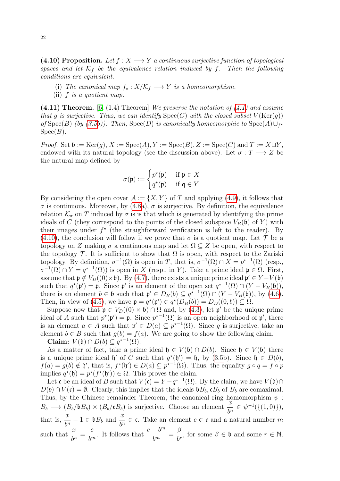<span id="page-21-0"></span>(4.10) Proposition. Let  $f: X \longrightarrow Y$  a continuous surjective function of topological spaces and let  $K_f$  be the equivalence relation induced by f. Then the following conditions are equivalent.

- (i) The canonical map  $f_{\star}: X/\mathcal{K}_f \longrightarrow Y$  is a homeomorphism.
- (ii)  $f$  is a quotient map.

(4.11) Theorem. [\[6,](#page-77-1) (1.4) Theorem] We preserve the notation of  $(4.1)$  and assume that g is surjective. Thus, we can identify  $Spec(C)$  with the closed subset  $V(Ker(g))$ of Spec(B) (by [\(3.5b](#page-15-1))). Then, Spec(D) is canonically homeomorphic to Spec(A) $\bigcup_{f^*}$  $Spec(B)$ .

*Proof.* Set  $\mathfrak{b} := \text{Ker}(g), X := \text{Spec}(A), Y := \text{Spec}(B), Z := \text{Spec}(C)$  and  $T := X \sqcup Y$ , endowed with its natural topology (see the discussion above). Let  $\sigma : T \longrightarrow Z$  be the natural map defined by

$$
\sigma(\mathfrak{p}) := \begin{cases} p^{\star}(\mathfrak{p}) & \text{if } \mathfrak{p} \in X \\ q^{\star}(\mathfrak{p}) & \text{if } \mathfrak{q} \in Y \end{cases}
$$

By considering the open cover  $\mathcal{A} := \{X, Y\}$  of T and applying [\(4.9\)](#page-20-1), it follows that  $\sigma$  is continuous. Moreover, by [\(4.8a](#page-20-2)),  $\sigma$  is surjective. By definition, the equivalence relation  $\mathcal{K}_{\sigma}$  on T induced by  $\sigma$  is is that which is generated by identifying the prime ideals of C (they correspond to the points of the closed subspace  $V_B(\mathfrak{b})$  of Y) with their images under  $f^*$  (the straighforward verification is left to the reader). By [\(4.10\)](#page-21-0), the conclusion will follow if we prove that  $\sigma$  is a quotient map. Let  $\mathcal T$  be a topology on Z making  $\sigma$  a continuous map and let  $\Omega \subseteq Z$  be open, with respect to the topology  $\mathcal T$ . It is sufficient to show that  $\Omega$  is open, with respect to the Zariski topology. By definition,  $\sigma^{-1}(\Omega)$  is open in T, that is,  $\sigma^{-1}(\Omega) \cap X = p^{*-1}(\Omega)$  (resp.,  $\sigma^{-1}(\Omega) \cap Y = q^{\star -1}(\Omega)$  is open in X (resp., in Y). Take a prime ideal  $\mathfrak{p} \in \Omega$ . First, assume that  $\mathfrak{p} \notin V_D((0) \times \mathfrak{b})$ . By [\(4.7\)](#page-20-3), there exists a unique prime ideal  $\mathfrak{p}' \in Y - V(\mathfrak{b})$ such that  $q^*(\mathfrak{p}') = \mathfrak{p}$ . Since  $\mathfrak{p}'$  is an element of the open set  $q^{*-1}(\Omega) \cap (Y - V_B(\mathfrak{b})),$ there is an element  $b \in \mathfrak{b}$  such that  $\mathfrak{p}' \in D_B(b) \subseteq q^{*-1}(\Omega) \cap (Y - V_B(\mathfrak{b}))$ , by [\(4.6\)](#page-20-0). Then, in view of [\(4.5\)](#page-19-2), we have  $\mathfrak{p} = q^*(\mathfrak{p}') \in q^*(D_B(b)) = D_D((0, b)) \subseteq \Omega$ .

Suppose now that  $\mathfrak{p} \in V_D((0) \times \mathfrak{b}) \cap \Omega$  and, by [\(4.3\)](#page-19-3), let  $\mathfrak{p}'$  be the unique prime ideal of A such that  $p^*(p') = p$ . Since  $p^{*-1}(\Omega)$  is an open neighborhood of p', there is an element  $a \in A$  such that  $\mathfrak{p}' \in D(a) \subseteq p^{*-1}(\Omega)$ . Since g is surjective, take an element  $b \in B$  such that  $g(b) = f(a)$ . We are going to show the following claim. Claim:  $V(\mathfrak{b}) \cap D(b) \subseteq q^{\star-1}(\Omega)$ .

As a matter of fact, take a prime ideal  $\mathfrak{h} \in V(\mathfrak{b}) \cap D(b)$ . Since  $\mathfrak{h} \in V(\mathfrak{b})$  there is a unique prime ideal  $\mathfrak{h}'$  of C such that  $g^*(\mathfrak{h}') = \mathfrak{h}$ , by [\(3.5b](#page-15-1)). Since  $\mathfrak{h} \in D(b)$ ,  $f(a) = g(b) \notin \mathfrak{h}'$ , that is,  $f^*(\mathfrak{h}') \in D(a) \subseteq p^{*-1}(\Omega)$ . Thus, the equality  $g \circ q = f \circ p$ implies  $q^*(\mathfrak{h}) = p^*(f^*(\mathfrak{h}')) \in \Omega$ . This proves the claim.

Let c be an ideal of B such that  $V(\mathfrak{c}) = Y - q^{*-1}(\Omega)$ . By the claim, we have  $V(\mathfrak{b}) \cap$  $D(b) \cap V(c) = \emptyset$ . Clearly, this implies that the ideals  $\mathfrak{b}B_b$ ,  $\mathfrak{c}B_b$  of  $B_b$  are comaximal. Thus, by the Chinese remainder Theorem, the canonical ring homomorphism  $\psi$ :  $B_b \longrightarrow (B_b/bB_b) \times (B_b/cB_b)$  is surjective. Choose an element  $\frac{x}{b^n} \in \psi^{-1}(\{(1,0)\})$ , that is,  $\frac{x}{1}$  $\frac{x}{b^n} - 1 \in \mathfrak{b}B_b$  and  $\frac{x}{b^n} \in \mathfrak{c}$ . Take an element  $c \in \mathfrak{c}$  and a natural number m such that  $\frac{x}{1}$  $rac{w}{b^n}$  = c  $b^m$ . It follows that  $\frac{c - b^m}{l^m}$  $\frac{6}{b^m}$  = β  $\frac{\beta}{b^r}$ , for some  $\beta \in \mathfrak{b}$  and some  $r \in \mathbb{N}$ .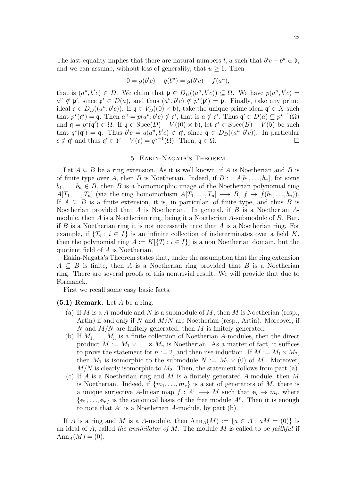The last equality implies that there are natural numbers  $t, u$  such that  $b^t c - b^u \in \mathfrak{b}$ , and we can assume, without loss of generality, that  $u \geq 1$ . Then

$$
0 = g(btc) - g(bu) = g(btc) - f(au),
$$

that is  $(a^u, b^t c) \in D$ . We claim that  $\mathfrak{p} \in D_D((a^u, b^t c)) \subseteq \Omega$ . We have  $p(a^u, b^t c) =$  $a^u \notin \mathfrak{p}'$ , since  $\mathfrak{p}' \in D(a)$ , and thus  $(a^u, b^t c) \notin p^*(\mathfrak{p}') = \mathfrak{p}$ . Finally, take any prime ideal  $\mathfrak{q} \in D_D((a^u, b^t c))$ . If  $\mathfrak{q} \in V_D((0) \times \mathfrak{b})$ , take the unique prime ideal  $\mathfrak{q}' \in X$  such that  $p^*(\mathfrak{q}') = \mathfrak{q}$ . Then  $a^u = p(a^u, b^t c) \notin \mathfrak{q}'$ , that is  $a \notin \mathfrak{q}'$ . Thus  $\mathfrak{q}' \in D(a) \subseteq p^{*-1}(\Omega)$ and  $\mathfrak{q} = p^*(\mathfrak{q}') \in \Omega$ . If  $\mathfrak{q} \in \text{Spec}(D) - V((0) \times \mathfrak{b})$ , let  $\mathfrak{q}' \in \text{Spec}(B) - V(\mathfrak{b})$  be such that  $q^*(\mathfrak{q}') = \mathfrak{q}$ . Thus  $b^t c = q(a^u, b^t c) \notin \mathfrak{q}'$ , since  $\mathfrak{q} \in D_D((a^u, b^t c))$ . In particular  $c \notin \mathfrak{q}'$  and thus  $\mathfrak{q}' \in Y - V(\mathfrak{c}) = q^{\star -1}(\Omega)$ . Then,  $\mathfrak{q} \in \Omega$ .

#### 5. Eakin-Nagata's Theorem

<span id="page-22-0"></span>Let  $A \subseteq B$  be a ring extension. As it is well known, if A is Noetherian and B is of finite type over A, then B is Noetherian. Indeed, if  $B := A[b_1, \ldots, b_n]$ , for some  $b_1, \ldots, b_n \in B$ , then B is a homomorphic image of the Noetherian polynomial ring  $A[T_1, \ldots, T_n]$  (via the ring homomorhism  $A[T_1, \ldots, T_n] \longrightarrow B, f \mapsto f(b_1, \ldots, b_n)$ ). If  $A \subseteq B$  is a finite extension, it is, in particular, of finite type, and thus B is Noetherian provided that  $A$  is Noetherian. In general, if  $B$  is a Noetherian  $A$ module, then A is a Noetherian ring, being it a Noetherian A-submodule of B. But, if  $B$  is a Noetherian ring it is not necessarily true that  $A$  is a Noetherian ring. For example, if  $\{T_i : i \in I\}$  is an infinite collection of indeterminates over a field K, then the polynomial ring  $A := K[\{T_i : i \in I\}]$  is a non Noetherian domain, but the quotient field of A is Noetherian.

Eakin-Nagata's Theorem states that, under the assumption that the ring extension  $A \subseteq B$  is finite, then A is a Noetherian ring provided that B is a Noetherian ring. There are several proofs of this nontrivial result. We will provide that due to Formanek.

First we recall some easy basic facts.

#### <span id="page-22-1"></span> $(5.1)$  Remark. Let A be a ring.

- (a) If M is a A-module and N is a submodule of M, then M is Noetherian (resp., Artin) if and only if N and  $M/N$  are Noetherian (resp., Artin). Moreover, if N and  $M/N$  are finitely generated, then M is finitely generated.
- (b) If  $M_1, \ldots, M_n$  is a finite collection of Noetherian A-modules, then the direct product  $M := M_1 \times \ldots \times M_n$  is Noetherian. As a matter of fact, it suffices to prove the statement for  $n := 2$ , and then use induction. If  $M := M_1 \times M_2$ , then  $M_1$  is isomorphic to the submodule  $N := M_1 \times (0)$  of M. Moreover,  $M/N$  is clearly isomorphic to  $M_2$ . Then, the statement follows from part (a).
- (c) If A is a Noetherian ring and M is a finitely generated A-module, then M is Noetherian. Indeed, if  $\{m_1, \ldots, m_r\}$  is a set of generators of M, there is a unique surjective A-linear map  $f: A^r \longrightarrow M$  such that  $e_i \mapsto m_i$ , where  $\{\mathbf e_1,\ldots,\mathbf e_r\}$  is the canonical basis of the free module  $A^r$ . Then it is enough to note that  $A<sup>r</sup>$  is a Noetherian A-module, by part (b).

If A is a ring and M is a A-module, then  $\text{Ann}_A(M) := \{a \in A : aM = (0)\}\$ is an ideal of A, called the annihilator of M. The module  $M$  is called to be faithful if  $Ann_A(M) = (0).$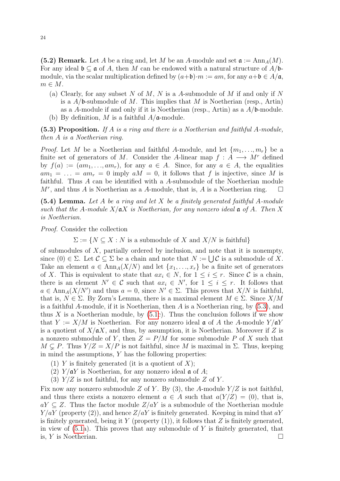<span id="page-23-1"></span>(5.2) Remark. Let A be a ring and, let M be an A-module and set  $\mathfrak{a} := \text{Ann}_A(M)$ . For any ideal  $\mathfrak{b} \subseteq \mathfrak{a}$  of A, then M can be endowed with a natural structure of  $A/\mathfrak{b}$ module, via the scalar multiplication defined by  $(a+b)\cdot m := am$ , for any  $a+b \in A/\mathfrak{a}$ ,  $m \in M$ .

(a) Clearly, for any subset N of M, N is a A-submodule of M if and only if N is a  $A/b$ -submodule of M. This implies that M is Noetherian (resp., Artin) as a A-module if and only if it is Noetherian (resp., Artin) as a  $A/b$ -module. (b) By definition, M is a faithful  $A/\mathfrak{a}$ -module.

<span id="page-23-0"></span> $(5.3)$  Proposition. If A is a ring and there is a Noetherian and faithful A-module, then A is a Noetherian ring.

*Proof.* Let M be a Noetherian and faithful A-module, and let  $\{m_1, \ldots, m_r\}$  be a finite set of generators of M. Consider the A-linear map  $f : A \longrightarrow M^r$  defined by  $f(a) := (am_1, \ldots, am_r)$ , for any  $a \in A$ . Since, for any  $a \in A$ , the equalities  $am_1 = \ldots = am_r = 0$  imply  $aM = 0$ , it follows that f is injective, since M is faithful. Thus A can be identified with a A-submodule of the Noetherian module  $M^r$ , and thus A is Noetherian as a A-module, that is, A is a Noetherian ring.  $\square$ 

<span id="page-23-2"></span> $(5.4)$  Lemma. Let A be a ring and let X be a finitely generated faithful A-module such that the A-module  $X/\mathfrak{a}X$  is Noetherian, for any nonzero ideal  $\mathfrak{a}$  of A. Then X is Noetherian.

Proof. Consider the collection

 $\Sigma := \{ N \subseteq X : N \text{ is a submodule of } X \text{ and } X/N \text{ is faithful} \}$ 

of submodules of  $X$ , partially ordered by inclusion, and note that it is nonempty, since  $(0) \in \Sigma$ . Let  $\mathcal{C} \subseteq \Sigma$  be a chain and note that  $N := \bigcup \mathcal{C}$  is a submodule of X. Take an element  $a \in Ann_A(X/N)$  and let  $\{x_1, \ldots, x_r\}$  be a finite set of generators of X. This is equivalent to state that  $ax_i \in N$ , for  $1 \leq i \leq r$ . Since C is a chain, there is an element  $N' \in \mathcal{C}$  such that  $ax_i \in N'$ , for  $1 \leq i \leq r$ . It follows that  $a \in \text{Ann}_{A}(X/N')$  and thus  $a = 0$ , since  $N' \in \Sigma$ . This proves that  $X/N$  is faithful, that is,  $N \in \Sigma$ . By Zorn's Lemma, there is a maximal element  $M \in \Sigma$ . Since  $X/M$ is a faithful A-module, if it is Noetherian, then A is a Noetherian ring, by [\(5.3\)](#page-23-0), and thus X is a Noetherian module, by  $(5.1c)$ . Thus the conclusion follows if we show that  $Y := X/M$  is Noetherian. For any nonzero ideal  $\mathfrak{a}$  of A the A-module  $Y/\mathfrak{a}Y$ is a quotient of  $X/\mathfrak{a}X$ , and thus, by assumption, it is Noetherian. Moreover if Z is a nonzero submodule of Y, then  $Z = P/M$  for some submodule P of X such that  $M \subseteq P$ . Thus  $Y/Z = X/P$  is not faithful, since M is maximal in  $\Sigma$ . Thus, keeping in mind the assumptions,  $Y$  has the following properties:

- (1) Y is finitely generated (it is a quotient of X);
- (2)  $Y/\mathfrak{a}Y$  is Noetherian, for any nonzero ideal  $\mathfrak{a}$  of A;
- (3)  $Y/Z$  is not faithful, for any nonzero submodule Z of Y.

Fix now any nonzero submodule Z of Y. By  $(3)$ , the A-module  $Y/Z$  is not faithful, and thus there exists a nonzero element  $a \in A$  such that  $a(Y/Z) = (0)$ , that is,  $aY \subseteq Z$ . Thus the factor module  $Z/aY$  is a submodule of the Noetherian module  $Y/aY$  (property (2)), and hence  $Z/aY$  is finitely generated. Keeping in mind that  $aY$ is finitely generated, being it Y (property  $(1)$ ), it follows that Z is finitely generated, in view of  $(5.1a)$ . This proves that any submodule of Y is finitely generated, that is, Y is Noetherian.  $\square$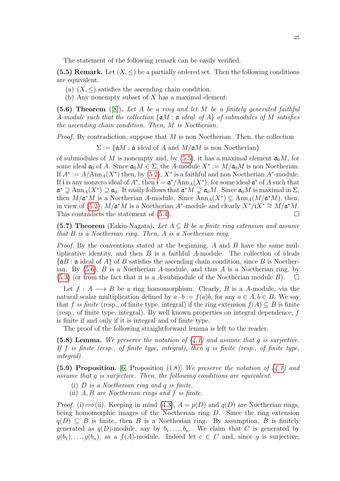The statement of the following remark can be easily verified.

<span id="page-24-0"></span>(5.5) Remark. Let  $(X, \leq)$  be a partially ordered set. Then the following conditions are equivalent.

- (a)  $(X, \leq)$  satisfies the ascending chain condition.
- (b) Any nonempty subset of  $X$  has a maximal element.

<span id="page-24-1"></span>(5.6) Theorem  $([8])$  $([8])$  $([8])$ . Let A be a ring and let M be a finitely generated faithful A-module such that the collection  $\{aM : a \text{ ideal of } A\}$  of submodules of M satisfies the ascending chain condition. Then, M is Noetherian.

*Proof.* By contradiction, suppose that  $M$  is non Noetherian. Then, the collection

 $\Sigma := \{ \mathfrak{a}M : \mathfrak{a} \text{ ideal of } A \text{ and } M/\mathfrak{a}M \text{ is non Noetherian} \}$ 

of submodules of M is nonempty and, by  $(5.5)$ , it has a maximal element  $\mathfrak{a}_0M$ , for some ideal  $\mathfrak{a}_0$  of A. Since  $\mathfrak{a}_0 M \in \Sigma$ , the A-module  $X^* := M/\mathfrak{a}_0 M$  is non Noetherian. If  $A^* := A/\text{Ann}_A(X^*)$  then, by [\(5.2\)](#page-23-1),  $X^*$  is a faithful and non Noetherian  $A^*$ -module. If i is any nonzero ideal of  $A^*$ , then  $\mathfrak{i} = \mathfrak{a}^*/\text{Ann}_A(X^*)$ , for some ideal  $\mathfrak{a}^*$  of A such that  $\mathfrak{a}^* \supsetneq \text{Ann}_A(X^*) \supseteq \mathfrak{a}_0$ . It easily follows that  $\mathfrak{a}^*M \supsetneq \mathfrak{a}_0M$ . Since  $\mathfrak{a}_0M$  is maximal in  $\Sigma$ , then  $M/\mathfrak{a}^*M$  is a Noetherian A-module. Since  $\text{Ann}_A(X^*)\subseteq \text{Ann}_A(M/\mathfrak{a}^*M)$ , then, in view of [\(5.2\)](#page-23-1),  $M/\mathfrak{a}^*M$  is a Noetherian A<sup>\*</sup>-module and clearly  $X^*/iX^* \cong M/\mathfrak{a}^*M$ . This contradicts the statement of  $(5.4)$ .

(5.7) Theorem (Eakin-Nagata). Let  $A \subseteq B$  be a finite ring extension and assume that B is a Noetherian ring. Then, A is a Noetherian ring.

*Proof.* By the conventions stated at the beginning,  $A$  and  $B$  have the same multiplicative identity, and then  $B$  is a faithful  $A$ -module. The collection of ideals  $\{\mathfrak{a}B : \mathfrak{a} \text{ ideal of } A\}$  of B satisfies the ascending chain condition, since B is Noetherian. By  $(5.6)$ , B is a Noetherian A-module, and thus A is a Noetherian ring, by  $(5.3)$  (or from the fact that it is a A-submodule of the Noetherian module B).  $\Box$ 

Let  $f: A \longrightarrow B$  be a ring homomorphism. Clearly, B is a A-module, via the natural scalar multiplication defined by  $a \cdot b := f(a)b$ , for any  $a \in A, b \in B$ . We say that f is finite (resp., of finite type, integral) if the ring extension  $f(A) \subseteq B$  is finite (resp., of finite type, integral). By well known properties on integral dependence, f is finite if and only if it is integral and of finite type.

The proof of the following straightforward lemma is left to the reader.

<span id="page-24-2"></span>(5.8) Lemma. We preserve the notation of  $(4.1)$  and assume that g is surjective. If f is finite (resp., of finite type, integral), then q is finite (resp., of finite type, integral).

<span id="page-24-3"></span>(5.9) Proposition. [\[6,](#page-77-1) Proposition  $(1.8)$ ] We preserve the notation of  $(4.1)$  and assume that g is surjective. Then, the following conditions are equivalent.

- (i) D is a Noetherian ring and q is finite.
- (ii) A, B are Noetherian rings and f is finite.

*Proof.* (i)  $\Longrightarrow$  (ii). Keeping in mind [\(4.3\)](#page-19-3),  $A = p(D)$  and  $q(D)$  are Noetherian rings, being homomorphic images of the Noetherian ring D. Since the ring extension  $q(D) \subseteq B$  is finite, then B is a Noetherian ring. By assumption, B is finitely generated as  $q(D)$ -module, say by  $b_1, \ldots, b_n$ . We claim that C is generated by  $g(b_1), \ldots, g(b_n)$ , as a  $f(A)$ -module. Indeed let  $c \in C$  and, since g is surjective,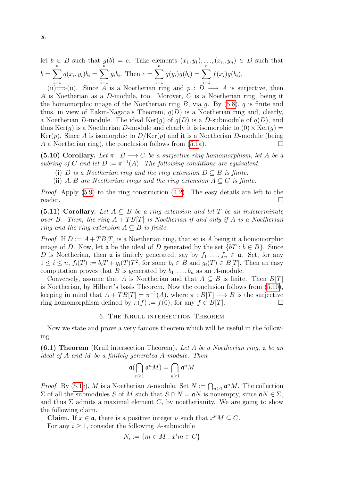let  $b \in B$  such that  $g(b) = c$ . Take elements  $(x_1, y_1), \ldots, (x_n, y_n) \in D$  such that  $b = \sum_{n=1}^{n}$  $i=1$  $q(x_i, y_i) b_i = \sum^{n}$  $i=1$  $y_i b_i$ . Then  $c = \sum^n$  $i=1$  $g(y_i)g(b_i) = \sum^{n}$  $i=1$  $f(x_i)g(b_i).$ 

(ii)  $\Longrightarrow$  (ii). Since A is a Noetherian ring and p :  $\overline{D} \longrightarrow A$  is surjective, then A is Noetherian as a D-module, too. Morover, C is a Noetherian ring, being it the homomorphic image of the Noetherian ring  $B$ , via  $g$ . By [\(5.8\)](#page-24-2),  $q$  is finite and thus, in view of Eakin-Nagata's Theorem,  $q(D)$  is a Noetherian ring and, clearly, a Noetherian D-module. The ideal  $\text{Ker}(q)$  of  $q(D)$  is a D-submodule of  $q(D)$ , and thus  $Ker(g)$  is a Noetherian D-module and clearly it is isomorphic to  $(0) \times Ker(g) =$  $Ker(p)$ . Since A is isomorphic to  $D/Ker(p)$  and it is a Noetherian D-module (being A a Noetherian ring), the conclusion follows from  $(5.1a)$ .

<span id="page-25-1"></span>(5.10) Corollary. Let  $\pi : B \longrightarrow C$  be a surjective ring homomorphism, let A be a subring of C and let  $D := \pi^{-1}(A)$ . The following conditions are equivalent.

- (i) D is a Noetherian ring and the ring extension  $D \subseteq B$  is finite.
- (ii) A, B are Noetherian rings and the ring extension  $A \subseteq C$  is finite.

Proof. Apply [\(5.9\)](#page-24-3) to the ring construction [\(4.2\)](#page-19-4). The easy details are left to the reader.

(5.11) Corollary. Let  $A \subseteq B$  be a ring extension and let T be an indeterminate over B. Then, the ring  $A + TB[T]$  is Noetherian if and only if A is a Noetherian ring and the ring extension  $A \subseteq B$  is finite.

*Proof.* If  $D := A + TB[T]$  is a Noetherian ring, that so is A being it a homomorphic image of D. Now, let  $\mathfrak a$  be the ideal of D generated by the set  $\{bT : b \in B\}$ . Since D is Noetherian, then  $\mathfrak a$  is finitely generated, say by  $f_1, \ldots, f_n \in \mathfrak a$ . Set, for any  $1 \leq i \leq n$ ,  $f_i(T) := b_i T + g_i(T)T^2$ , for some  $b_i \in B$  and  $g_i(T) \in B[T]$ . Then an easy computation proves that B is generated by  $b_1, \ldots, b_n$  as an A-module.

Conversely, assume that A is Noetherian and that  $A \subseteq B$  is finite. Then  $B[T]$ is Noetherian, by Hilbert's basis Theorem. Now the conclusion follows from [\(5.10\)](#page-25-1), keeping in mind that  $A + TB[T] = \pi^{-1}(A)$ , where  $\pi : B[T] \longrightarrow B$  is the surjective ring homomorphism defined by  $\pi(f) := f(0)$ , for any  $f \in B[T]$ .

#### 6. The Krull intersection Theorem

<span id="page-25-0"></span>Now we state and prove a very famous theorem which will be useful in the following.

**(6.1) Theorem** (Krull intersection Theorem). Let A be a Noetherian ring,  $\mathfrak{a}$  be an ideal of A and M be a finitely generated A-module. Then

$$
\mathfrak{a}(\bigcap_{n\geq 1}\mathfrak{a}^nM)=\bigcap_{n\geq 1}\mathfrak{a}^nM
$$

*Proof.* By [\(5.1c](#page-22-1)), M is a Noetherian A-module. Set  $N := \bigcap_{n \geq 1} \mathfrak{a}^n M$ . The collection  $\Sigma$  of all the submodules S of M such that  $S \cap N = aN$  is nonempty, since  $aN \in \Sigma$ , and thus  $\Sigma$  admits a maximal element C, by noetherianity. We are going to show the following claim.

**Claim.** If  $x \in \mathfrak{a}$ , there is a positive integer  $\nu$  such that  $x^{\nu}M \subseteq C$ . For any  $i \geq 1$ , consider the following A-submodule

$$
N_i := \{ m \in M : x^i m \in C \}
$$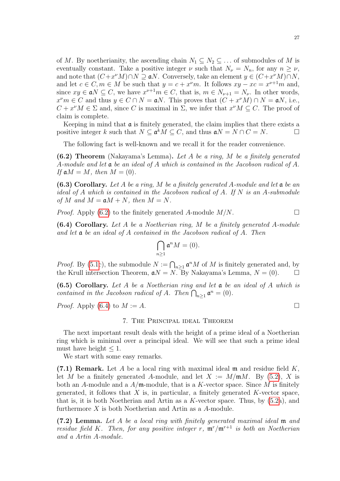of M. By noetherianity, the ascending chain  $N_1 \subseteq N_2 \subseteq \ldots$  of submodules of M is eventually constant. Take a positive integer  $\nu$  such that  $N_{\nu} = N_n$ , for any  $n \geq \nu$ , and note that  $(C+x^{\nu}M)\cap N\supseteq aN$ . Conversely, take an element  $y\in (C+x^{\nu}M)\cap N$ , and let  $c \in C, m \in M$  be such that  $y = c + x^{\nu}m$ . It follows  $xy - xc = x^{\nu+1}m$  and, since  $xy \in aN \subseteq C$ , we have  $x^{\nu+1}m \in C$ , that is,  $m \in N_{\nu+1} = N_{\nu}$ . In other words,  $x^{\nu}m \in C$  and thus  $y \in C \cap N = aN$ . This proves that  $(C + x^{\nu}M) \cap N = aN$ , i.e.,  $C + x^{\nu}M \in \Sigma$  and, since C is maximal in  $\Sigma$ , we infer that  $x^{\nu}M \subseteq C$ . The proof of claim is complete.

Keeping in mind that  $\alpha$  is finitely generated, the claim implies that there exists a positive integer k such that  $N \subseteq \mathfrak{a}^k M \subseteq C$ , and thus  $\mathfrak{a} N = N \cap C = N$ .

The following fact is well-known and we recall it for the reader convenience.

<span id="page-26-1"></span> $(6.2)$  Theorem (Nakayama's Lemma). Let A be a ring, M be a finitely generated A-module and let a be an ideal of A which is contained in the Jacobson radical of A. If  $\mathfrak{a}M = M$ , then  $M = (0)$ .

<span id="page-26-5"></span> $(6.3)$  Corollary. Let A be a ring, M be a finitely generated A-module and let  $\mathfrak a$  be an ideal of  $A$  which is contained in the Jacobson radical of  $A$ . If  $N$  is an  $A$ -submodule of M and  $M = aM + N$ , then  $M = N$ .

*Proof.* Apply [\(6.2\)](#page-26-1) to the finitely generated A-module  $M/N$ .

<span id="page-26-2"></span>(6.4) Corollary. Let A be a Noetherian ring, M be a finitely generated A-module and let a be an ideal of A contained in the Jacobson radical of A. Then

$$
\bigcap_{n\geq 1} \mathfrak{a}^n M = (0).
$$

*Proof.* By [\(5.1c](#page-22-1)), the submodule  $N := \bigcap_{n \geq 1} \mathfrak{a}^n M$  of M is finitely generated and, by the Krull intersection Theorem,  $\mathfrak{a}N = N$ . By Nakayama's Lemma,  $N = (0)$ .  $\Box$ 

<span id="page-26-6"></span>(6.5) Corollary. Let A be a Noetherian ring and let  $a$  be an ideal of A which is contained in the Jacobson radical of A. Then  $\bigcap_{n\geq 1} \mathfrak{a}^n = (0)$ .

<span id="page-26-0"></span>*Proof.* Apply  $(6.4)$  to  $M := A$ .

## 7. The Principal ideal Theorem

The next important result deals with the height of a prime ideal of a Noetherian ring which is minimal over a principal ideal. We will see that such a prime ideal must have height  $\leq 1$ .

We start with some easy remarks.

<span id="page-26-3"></span>(7.1) Remark. Let A be a local ring with maximal ideal  $\mathfrak m$  and residue field K, let M be a finitely generated A-module, and let  $X := M/\mathfrak{m}M$ . By [\(5.2\)](#page-23-1), X is both an A-module and a  $A/\mathfrak{m}$ -module, that is a K-vector space. Since M is finitely generated, it follows that  $X$  is, in particular, a finitely generated  $K$ -vector space, that is, it is both Noetherian and Artin as a  $K$ -vector space. Thus, by  $(5.2a)$ , and furthermore X is both Noetherian and Artin as a A-module.

<span id="page-26-4"></span>(7.2) Lemma. Let A be a local ring with finitely generated maximal ideal m and residue field K. Then, for any positive integer r,  $\mathfrak{m}^r / \mathfrak{m}^{r+1}$  is both an Noetherian and a Artin A-module.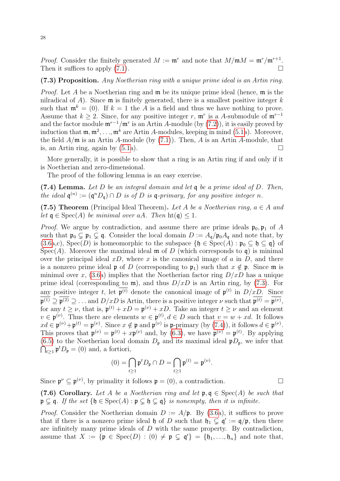*Proof.* Consider the finitely generated  $M := \mathfrak{m}^r$  and note that  $M/\mathfrak{m}M = \mathfrak{m}^r/\mathfrak{m}^{r+1}$ . Then it suffices to apply  $(7.1)$ .

## <span id="page-27-0"></span>(7.3) Proposition. Any Noetherian ring with a unique prime ideal is an Artin ring.

*Proof.* Let A be a Noetherian ring and  $\mathfrak{m}$  be its unique prime ideal (hence,  $\mathfrak{m}$  is the nilradical of A). Since  $\mathfrak m$  is finitely generated, there is a smallest positive integer k such that  $\mathfrak{m}^k = (0)$ . If  $k = 1$  the A is a field and thus we have nothing to prove. Assume that  $k \geq 2$ . Since, for any positive integer r,  $\mathfrak{m}^r$  is a A-submodule of  $\mathfrak{m}^{r-1}$ and the factor module  $\mathfrak{m}^{r-1}/\mathfrak{m}^r$  is an Artin A-module (by [\(7.2\)](#page-26-4)), it is easily proved by induction that  $\mathfrak{m}, \mathfrak{m}^2, \ldots, \mathfrak{m}^k$  are Artin A-modules, keeping in mind [\(5.1a](#page-22-1)). Moreover, the field  $A/\mathfrak{m}$  is an Artin A-module (by [\(7.1\)](#page-26-3)). Then, A is an Artin A-module, that is, an Artin ring, again by  $(5.1a)$ .

More generally, it is possible to show that a ring is an Artin ring if and only if it is Noetherian and zero-dimensional.

The proof of the following lemma is an easy exercise.

<span id="page-27-1"></span>(7.4) Lemma. Let  $D$  be an integral domain and let  $q$  be a prime ideal of  $D$ . Then, the ideal  $\mathfrak{q}^{(n)} := (\mathfrak{q}^n D_{\mathfrak{q}}) \cap D$  is of D is  $\mathfrak{q}$ -primary, for any positive integer n.

(7.5) Theorem (Principal Ideal Theorem). Let A be a Noetherian ring,  $a \in A$  and let  $\mathfrak{q} \in \text{Spec}(A)$  be minimal over aA. Then  $\text{ht}(\mathfrak{q}) \leq 1$ .

*Proof.* We argue by contradiction, and assume there are prime ideals  $\mathfrak{p}_0, \mathfrak{p}_1$  of A such that  $\mathfrak{p}_0 \subsetneq \mathfrak{p}_1 \subsetneq \mathfrak{q}$ . Consider the local domain  $D := A_{\mathfrak{q}}/\mathfrak{p}_0A_{\mathfrak{q}}$  and note that, by [\(3.6a](#page-16-0),c), Spec(D) is homeomorphic to the subspace  $\{\mathfrak{h} \in \text{Spec}(A) : \mathfrak{p}_0 \subseteq \mathfrak{h} \subseteq \mathfrak{q}\}\$  of Spec(A). Moreover the maximal ideal  $\mathfrak m$  of D (which corresponds to  $\mathfrak q$ ) is minimal over the principal ideal  $xD$ , where x is the canonical image of a in D, and there is a nonzero prime ideal **p** of D (corresponding to  $\mathfrak{p}_1$ ) such that  $x \notin \mathfrak{p}$ . Since **m** is minimal over x, [\(3.6a](#page-16-0)) implies that the Noetherian factor ring  $D/xD$  has a unique prime ideal (corresponding to  $\mathfrak{m}$ ), and thus  $D/xD$  is an Artin ring, by [\(7.3\)](#page-27-0). For any positive integer t, let  $\mathfrak{p}^{(t)}$  denote the canonical image of  $\mathfrak{p}^{(t)}$  in  $D/xD$ . Since  $\mathfrak{p}^{(1)} \supseteq \mathfrak{p}^{(2)} \supseteq \ldots$  and  $D/xD$  is Artin, there is a positive integer  $\nu$  such that  $\mathfrak{p}^{(t)} = \mathfrak{p}^{(\nu)}$ , for any  $t \geq \nu$ , that is,  $\mathfrak{p}^{(t)} + xD = \mathfrak{p}^{(\nu)} + xD$ . Take an integer  $t \geq \nu$  and an element  $v \in \mathfrak{p}^{(\nu)}$ . Thus there are elements  $w \in \mathfrak{p}^{(t)}$ ,  $d \in D$  such that  $v = w + xd$ . It follows  $xd \in \mathfrak{p}^{(\nu)} + \mathfrak{p}^{(t)} = \mathfrak{p}^{(\nu)}$ . Since  $x \notin \mathfrak{p}$  and  $\mathfrak{p}^{(\nu)}$  is  $\mathfrak{p}$ -primary (by [\(7.4\)](#page-27-1)), it follows  $d \in \mathfrak{p}^{(\nu)}$ . This proves that  $\mathfrak{p}^{(\nu)} = \mathfrak{p}^{(t)} + x\mathfrak{p}^{(\nu)}$  and, by [\(6.3\)](#page-26-5), we have  $\mathfrak{p}^{(\nu)} = \mathfrak{p}^{(t)}$ . By applying  $\bigcap_{t\geq 1} \mathfrak{p}^t D_{\mathfrak{p}} = (0)$  and, a fortiori, [\(6.5\)](#page-26-6) to the Noetherian local domain  $D_{\mathfrak{p}}$  and its maximal ideal  $\mathfrak{p}D_{\mathfrak{p}}$ , we infer that

$$
(0) = \bigcap_{t \ge 1} \mathfrak{p}^t D_{\mathfrak{p}} \cap D = \bigcap_{t \ge 1} \mathfrak{p}^{(t)} = \mathfrak{p}^{(\nu)}.
$$

Since  $\mathfrak{p}^{\nu} \subseteq \mathfrak{p}^{(\nu)}$ , by primality it follows  $\mathfrak{p} = (0)$ , a contradiction.

<span id="page-27-2"></span>(7.6) Corollary. Let A be a Noetherian ring and let  $\mathfrak{p}, \mathfrak{q} \in \text{Spec}(A)$  be such that  $\mathfrak{p} \subsetneq \mathfrak{q}$ . If the set  $\{\mathfrak{h} \in \text{Spec}(A) : \mathfrak{p} \subsetneq \mathfrak{h} \subsetneq \mathfrak{q}\}$  is nonempty, then it is infinite.

*Proof.* Consider the Noetherian domain  $D := A/\mathfrak{p}$ . By [\(3.6a](#page-16-0)), it suffices to prove that if there is a nonzero prime ideal  $\mathfrak h$  of D such that  $\mathfrak h_1 \subsetneq \mathfrak q' := \mathfrak q/\mathfrak p$ , then there are infinitely many prime ideals of  $D$  with the same property. By contradiction, assume that  $X := \{ \mathfrak{p} \in \text{Spec}(D) : (0) \neq \mathfrak{p} \subsetneq \mathfrak{q}' \} = \{ \mathfrak{h}_1, \ldots, \mathfrak{h}_n \}$  and note that,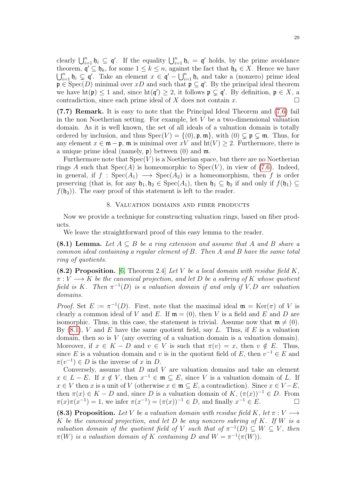clearly  $\bigcup_{i=1}^n \mathfrak{h}_i \subseteq \mathfrak{q}'$ . If the equality  $\bigcup_{i=1}^n \mathfrak{h}_i = \mathfrak{q}'$  holds, by the prime avoidance theorem,  $\mathfrak{q}' \subseteq \mathfrak{h}_k$ , for some  $1 \leq k \leq n$ , against the fact that  $\mathfrak{h}_k \in X$ . Hence we have  $\bigcup_{i=1}^n \mathfrak{h}_i \subsetneq \mathfrak{q}'$ . Take an element  $x \in \mathfrak{q}' - \bigcup_{i=1}^n \mathfrak{h}_i$  and take a (nonzero) prime ideal  $\mathfrak{p} \in \text{Spec}(D)$  minimal over xD and such that  $\mathfrak{p} \subseteq \mathfrak{q}'$ . By the principal ideal theorem we have  $\text{ht}(\mathfrak{p}) \leq 1$  and, since  $\text{ht}(\mathfrak{q}') \geq 2$ , it follows  $\mathfrak{p} \subsetneq \mathfrak{q}'$ . By definition,  $\mathfrak{p} \in X$ , a contradiction, since each prime ideal of X does not contain  $x$ .

(7.7) Remark. It is easy to note that the Principal Ideal Theorem and [\(7.6\)](#page-27-2) fail in the non Noetherian setting. For example, let  $V$  be a two-dimensional valuation domain. As it is well known, the set of all ideals of a valuation domain is totally ordered by inclusion, and thus  $Spec(V) = \{(0), \mathfrak{p}, \mathfrak{m}\}\,$ , with  $(0) \subsetneq \mathfrak{p} \subsetneq \mathfrak{m}$ . Thus, for any element  $x \in \mathfrak{m} - \mathfrak{p}$ ,  $\mathfrak{m}$  is minimal over  $xV$  and  $\text{ht}(V) \geq 2$ . Furthermore, there is a unique prime ideal (namely,  $\mathfrak{p}$ ) between (0) and  $\mathfrak{m}$ .

Furthermore note that  $Spec(V)$  is a Noetherian space, but there are no Noetherian rings A such that  $Spec(A)$  is homeomorphic to  $Spec(V)$ , in view of [\(7.6\)](#page-27-2). Indeed, in general, if  $f : \text{Spec}(A_1) \longrightarrow \text{Spec}(A_2)$  is a homeomorphism, then f is order preserving (that is, for any  $\mathfrak{h}_1, \mathfrak{h}_2 \in \text{Spec}(A_1)$ , then  $\mathfrak{h}_1 \subseteq \mathfrak{h}_2$  if and only if  $f(\mathfrak{h}_1) \subseteq$  $f(\mathfrak{h}_2)$ . The easy proof of this statement is left to the reader.

#### 8. Valuation domains and fiber products

<span id="page-28-0"></span>Now we provide a technique for constructing valuation rings, based on fiber products.

We leave the straightforward proof of this easy lemma to the reader.

<span id="page-28-1"></span>(8.1) Lemma. Let  $A \subseteq B$  be a ring extension and assume that A and B share a common ideal containing a regular element of B. Then A and B have the same total ring of quotients.

<span id="page-28-2"></span>(8.2) Proposition. [\[6,](#page-77-1) Theorem 2.4] Let V be a local domain with residue field  $K$ ,  $\pi: V \longrightarrow K$  be the canonical projection, and let D be a subring of K whose quotient field is K. Then  $\pi^{-1}(D)$  is a valuation domain if and only if V, D are valuation domains.

*Proof.* Set  $E := \pi^{-1}(D)$ . First, note that the maximal ideal  $\mathfrak{m} = \text{Ker}(\pi)$  of V is clearly a common ideal of V and E. If  $\mathfrak{m} = (0)$ , then V is a field and E and D are isomorphic. Thus, in this case, the statement is trivial. Assume now that  $\mathfrak{m} \neq (0)$ . By  $(8.1)$ , V and E have the same quotient field, say L. Thus, if E is a valuation domain, then so is  $V$  (any overring of a valuation domain is a valuation domain). Moreover, if  $x \in K - D$  and  $v \in V$  is such that  $\pi(v) = x$ , then  $v \notin E$ . Thus, since E is a valuation domain and v is in the quotient field of E, then  $v^{-1} \in E$  and  $\pi(v^{-1}) \in D$  is the inverse of x in D.

Conversely, assume that  $D$  and  $V$  are valuation domains and take an element  $x \in L - E$ . If  $x \notin V$ , then  $x^{-1} \in \mathfrak{m} \subseteq E$ , since V is a valuation domain of L. If  $x \in V$  then x is a unit of V (otherwise  $x \in \mathfrak{m} \subseteq E$ , a contradiction). Since  $x \in V - E$ , then  $\pi(x) \in K - D$  and, since D is a valuation domain of K,  $(\pi(x))^{-1} \in D$ . From  $\pi(x)\pi(x^{-1}) = 1$ , we infer  $\pi(x^{-1}) = (\pi(x))^{-1} \in D$ , and finally  $x^{-1} \in E$ .

(8.3) Proposition. Let V be a valuation domain with residue field K, let  $\pi: V \longrightarrow$ K be the canonical projection, and let  $D$  be any nonzero subring of  $K$ . If  $W$  is a valuation domain of the quotient field of V such that of  $\pi^{-1}(D) \subseteq W \subseteq V$ , then  $\pi(W)$  is a valuation domain of K containing D and  $W = \pi^{-1}(\pi(W))$ .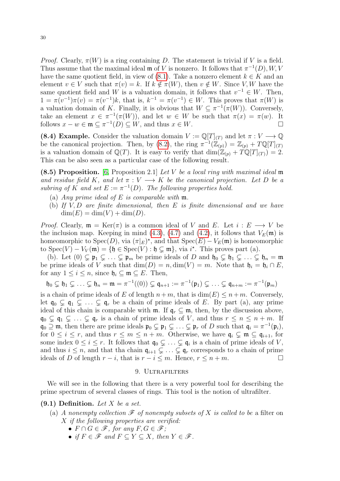Proof. Clearly,  $\pi(W)$  is a ring containing D. The statement is trivial if V is a field. Thus assume that the maximal ideal  $\mathfrak{m}$  of V is nonzero. It follows that  $\pi^{-1}(D), W, V$ have the same quotient field, in view of [\(8.1\)](#page-28-1). Take a nonzero element  $k \in K$  and an element  $v \in V$  such that  $\pi(v) = k$ . If  $k \notin \pi(W)$ , then  $v \notin W$ . Since V, W have the same quotient field and W is a valuation domain, it follows that  $v^{-1} \in W$ . Then,  $1 = \pi(v^{-1})\pi(v) = \pi(v^{-1})k$ , that is,  $k^{-1} = \pi(v^{-1}) \in W$ . This proves that  $\pi(W)$  is a valuation domain of K. Finally, it is obvious that  $W \subseteq \pi^{-1}(\pi(W))$ . Conversely, take an element  $x \in \pi^{-1}(\pi(W))$ , and let  $w \in W$  be such that  $\pi(x) = \pi(w)$ . It follows  $x - w \in \mathfrak{m}$  ⊆  $\pi^{-1}(D)$  ⊆ W, and thus  $x \in W$ .

(8.4) Example. Consider the valuation domain  $V := \mathbb{Q}[T]_{(T)}$  and let  $\pi : V \longrightarrow \mathbb{Q}$ be the canonical projection. Then, by [\(8.2\)](#page-28-2), the ring  $\pi^{-1}(\mathbb{Z}_{(p)}) = \mathbb{Z}_{(p)} + T\mathbb{Q}[T]_{(T)}$ is a valuation domain of  $\mathbb{Q}(T)$ . It is easy to verify that  $\dim(\mathbb{Z}_{(p)} + T\mathbb{Q}[T]_{(T)}) = 2$ . This can be also seen as a particular case of the following result.

(8.5) Proposition. [\[6,](#page-77-1) Proposition 2.1] Let  $V$  be a local ring with maximal ideal  $\mathfrak m$ and residue field K, and let  $\pi : V \longrightarrow K$  be the canonical projection. Let D be a subring of K and set  $E := \pi^{-1}(D)$ . The following properties hold.

- (a) Any prime ideal of E is comparable with  $\mathfrak{m}$ .
- (b) If  $V, D$  are finite dimensional, then  $E$  is finite dimensional and we have  $\dim(E) = \dim(V) + \dim(D).$

*Proof.* Clearly,  $\mathfrak{m} = \text{Ker}(\pi)$  is a common ideal of V and E. Let  $i : E \longrightarrow V$  be the inclusion map. Keeping in mind [\(4.3\)](#page-19-3), [\(4.7\)](#page-20-3) and [\(4.2\)](#page-19-4), it follows that  $V_E(\mathfrak{m})$  is homeomorphic to  $Spec(D)$ , via  $(\pi|_E)^*$ , and that  $Spec(E) - V_E(\mathfrak{m})$  is homeomorphic to  $Spec(V) - V_V(\mathfrak{m}) = \{\mathfrak{h} \in Spec(V) : \mathfrak{h} \subsetneq \mathfrak{m}\},$  via  $i^*$ . This proves part (a).

(b). Let  $(0) \subsetneq \mathfrak{p}_1 \subsetneq \ldots \subsetneq \mathfrak{p}_m$  be prime ideals of D and  $\mathfrak{h}_0 \subsetneq \mathfrak{h}_1 \subsetneq \ldots \subsetneq \mathfrak{h}_n = \mathfrak{m}$ be prime ideals of V such that  $\dim(D) = n, \dim(V) = m$ . Note that  $\mathfrak{h}_i = \mathfrak{h}_i \cap E$ , for any  $1 \leq i \leq n$ , since  $\mathfrak{h}_i \subseteq \mathfrak{m} \subseteq E$ . Then,

$$
\mathfrak{h}_0 \subsetneq \mathfrak{h}_1 \subsetneq \ldots \subsetneq \mathfrak{h}_n = \mathfrak{m} = \pi^{-1}((0)) \subsetneq \mathfrak{q}_{n+1} := \pi^{-1}(\mathfrak{p}_1) \subsetneq \ldots \subsetneq \mathfrak{q}_{n+m} := \pi^{-1}(\mathfrak{p}_m)
$$

is a chain of prime ideals of E of length  $n+m$ , that is  $dim(E) \leq n+m$ . Conversely, let  $\mathfrak{q}_0 \subsetneq \mathfrak{q}_1 \subsetneq \ldots \subsetneq \mathfrak{q}_r$  be a chain of prime ideals of E. By part (a), any prime ideal of this chain is comparable with  $\mathfrak{m}$ . If  $\mathfrak{q}_r \subseteq \mathfrak{m}$ , then, by the discussion above,  $\mathfrak{q}_0 \subsetneq \mathfrak{q}_1 \subsetneq \ldots \subsetneq \mathfrak{q}_r$  is a chain of prime ideals of V, and thus  $r \leq n \leq n+m$ . If  $\mathfrak{q}_0 \supseteq \mathfrak{m}$ , then there are prime ideals  $\mathfrak{p}_0 \subsetneq \mathfrak{p}_1 \subsetneq \ldots \subsetneq \mathfrak{p}_r$  of D such that  $\mathfrak{q}_i = \pi^{-1}(\mathfrak{p}_i)$ , for  $0 \leq i \leq r$ , and thus  $r \leq m \leq n+m$ . Otherwise, we have  $\mathfrak{q}_i \subsetneq \mathfrak{m} \subseteq \mathfrak{q}_{i+1}$ , for some index  $0 \leq i \leq r$ . It follows that  $\mathfrak{q}_0 \subsetneq \ldots \subsetneq \mathfrak{q}_i$  is a chain of prime ideals of V, and thus  $i \leq n$ , and that tha chain  $\mathfrak{q}_{i+1} \subsetneq \ldots \subsetneq \mathfrak{q}_r$  corresponds to a chain of prime ideals of D of length  $r - i$ , that is  $r - i \leq m$ . Hence,  $r \leq n + m$ .

#### 9. ULTRAFILTERS

<span id="page-29-0"></span>We will see in the following that there is a very powerful tool for describing the prime spectrum of several classes of rings. This tool is the notion of ultrafilter.

#### $(9.1)$  Definition. Let X be a set.

- (a) A nonempty collection  $\mathscr F$  of nonempty subsets of X is called to be a filter on X if the following properties are verified:
	- $F \cap G \in \mathscr{F}$ , for any  $F, G \in \mathscr{F}$ ;
	- if  $F \in \mathscr{F}$  and  $F \subseteq Y \subseteq X$ , then  $Y \in \mathscr{F}$ .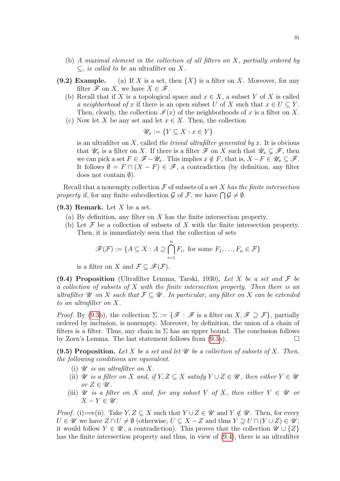- (b) A maximal element in the collection of all filters on X, partially ordered by  $\subseteq$ , *is called to be* an ultrafilter on X.
- (9.2) Example. (a) If X is a set, then  $\{X\}$  is a filter on X. Moreover, for any filter  $\mathscr F$  on X, we have  $X \in \mathscr F$ .
	- (b) Recall that if X is a topological space and  $x \in X$ , a subset Y of X is called a neighborhood of x if there is an open subset U of X such that  $x \in U \subseteq Y$ . Then, clearly, the collection  $\mathcal{I}(x)$  of the neighborhoods of x is a filter on X.
	- (c) Now let X be any set and let  $x \in X$ . Then, the collection

$$
\mathscr{U}_x := \{ Y \subseteq X : x \in Y \}
$$

is an ultrafilter on  $X$ , called the trivial ultrafilter generated by  $x$ . It is obvious that  $\mathscr{U}_x$  is a filter on X. If there is a filter  $\mathscr{F}$  on X such that  $\mathscr{U}_x \subsetneq \mathscr{F}$ , then we can pick a set  $F \in \mathscr{F} - \mathscr{U}_x$ . This implies  $x \notin F$ , that is,  $X - F \in \mathscr{U}_x \subseteq \mathscr{F}$ . It follows  $\emptyset = F \cap (X - F) \in \mathscr{F}$ , a contradiction (by definition, any filter does not contain  $\emptyset$ ).

Recall that a nonempty collection  $\mathcal F$  of subsets of a set X has the finite intersection property if, for any finite subcollection  $\mathcal G$  of  $\mathcal F$ , we have  $\bigcap \mathcal G \neq \emptyset$ .

- <span id="page-30-0"></span> $(9.3)$  Remark. Let X be a set.
	- (a) By definition, any filter on  $X$  has the finite intersection property.
	- (b) Let  $\mathcal F$  be a collection of subsets of X with the finite intersection property. Then, it is immediately seen that the collection of sets

$$
\mathscr{F}(\mathcal{F}) := \{ A \subseteq X : A \supseteq \bigcap_{i=1}^{n} F_i, \text{ for some } F_1, \dots, F_n \in \mathcal{F} \}
$$

is a filter on X and  $\mathcal{F} \subset \mathscr{F}(\mathcal{F})$ .

<span id="page-30-1"></span>(9.4) Proposition (Ultrafilter Lemma, Tarski, 1930). Let X be a set and  $\mathcal F$  be a collection of subsets of X with the finite intersection property. Then there is an ultrafilter U on X such that  $\mathcal{F} \subseteq \mathcal{U}$ . In particular, any filter on X can be extended to an ultrafilter on X.

*Proof.* By [\(9.3b](#page-30-0)), the collection  $\Sigma := \{ \mathscr{F} : \mathscr{F}$  is a filter on  $X, \mathscr{F} \supseteq \mathcal{F} \}$ , partially ordered by inclusion, is nonempty. Moreover, by definition, the union of a chain of filters is a filter. Thus, any chain in  $\Sigma$  has an upper bound. The conclusion follows by Zorn's Lemma. The last statement follows from [\(9.3a](#page-30-0)).

<span id="page-30-2"></span>(9.5) Proposition. Let X be a set and let  $\mathscr U$  be a collection of subsets of X. Then, the following conditions are equivalent.

- (i)  $\mathscr U$  is an ultrafilter on X.
- (ii)  $\mathscr U$  is a filter on X and, if  $Y, Z \subseteq X$  satisfy  $Y \cup Z \in \mathscr U$ , then either  $Y \in \mathscr U$ or  $Z \in \mathscr{U}$ .
- (iii)  $\mathscr U$  is a filter on X and, for any subset Y of X, then either  $Y \in \mathscr U$  or  $X - Y \in \mathscr{U}$ .

*Proof.* (i)  $\Longrightarrow$  (ii). Take  $Y, Z \subseteq X$  such that  $Y \cup Z \in \mathcal{U}$  and  $Y \notin \mathcal{U}$ . Then, for every  $U \in \mathscr{U}$  we have  $Z \cap U \neq \emptyset$  (otherwise,  $U \subseteq X - Z$  and thus  $Y \supset U \cap (Y \cup Z) \in \mathscr{U}$ ; it would follow  $Y \in \mathscr{U}$ , a contradiction). This proves that the collection  $\mathscr{U} \cup \{Z\}$ has the finite intersection property and thus, in view of [\(9.4\)](#page-30-1), there is an ultrafilter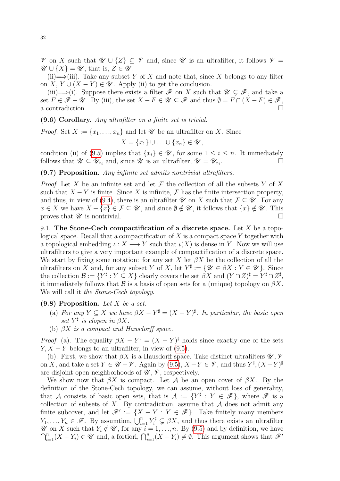$\mathscr V$  on X such that  $\mathscr U \cup \{Z\} \subseteq \mathscr V$  and, since  $\mathscr U$  is an ultrafilter, it follows  $\mathscr V =$  $\mathscr{U} \cup \{X\} = \mathscr{U}$ , that is,  $Z \in \mathscr{U}$ .

(ii)  $\Longrightarrow$  (iii). Take any subset Y of X and note that, since X belongs to any filter on X,  $Y \cup (X - Y) \in \mathscr{U}$ . Apply (ii) to get the conclusion.

(iii)  $\Longrightarrow$  (i). Suppose there exists a filter  $\mathscr F$  on X such that  $\mathscr U \subsetneq \mathscr F$ , and take a set  $F \in \mathscr{F} - \mathscr{U}$ . By (iii), the set  $X - F \in \mathscr{U} \subseteq \mathscr{F}$  and thus  $\emptyset = F \cap (X - F) \in \mathscr{F}$ , a contradiction.

(9.6) Corollary. Any ultrafilter on a finite set is trivial.

*Proof.* Set  $X := \{x_1, \ldots, x_n\}$  and let  $\mathscr U$  be an ultrafilter on X. Since

$$
X = \{x_1\} \cup \ldots \cup \{x_n\} \in \mathscr{U},
$$

condition (ii) of [\(9.5\)](#page-30-2) implies that  $\{x_i\} \in \mathscr{U}$ , for some  $1 \leq i \leq n$ . It immediately follows that  $\mathscr{U} \subseteq \mathscr{U}_{x_i}$  and, since  $\mathscr{U}$  is an ultrafilter,  $\mathscr{U} = \mathscr{U}_{x_i}$ .  $\Box$ 

## (9.7) Proposition. Any infinite set admits nontrivial ultrafilters.

*Proof.* Let X be an infinite set and let  $\mathcal F$  the collection of all the subsets Y of X such that  $X - Y$  is finite. Since X is infinite, F has the finite intersection property, and thus, in view of [\(9.4\)](#page-30-1), there is an ultrafilter  $\mathscr U$  on X such that  $\mathcal F \subseteq \mathscr U$ . For any  $x \in X$  we have  $X - \{x\} \in \mathcal{F} \subseteq \mathcal{U}$ , and since  $\emptyset \notin \mathcal{U}$ , it follows that  $\{x\} \notin \mathcal{U}$ . This proves that  $\mathscr U$  is nontrivial.

<span id="page-31-0"></span>9.1. The Stone-Cech compactification of a discrete space. Let  $X$  be a topological space. Recall that a compactification of  $X$  is a compact space Y together with a topological embedding  $\iota: X \longrightarrow Y$  such that  $\iota(X)$  is dense in Y. Now we will use ultrafilters to give a very important example of compactification of a discrete space. We start by fixing some notation: for any set X let  $\beta X$  be the collection of all the ultrafilters on X and, for any subset Y of X, let  $Y^{\sharp} := \{ \mathscr{U} \in \beta X : Y \in \mathscr{U} \}$ . Since the collection  $\mathcal{B} := \{ Y^{\sharp} : Y \subseteq X \}$  clearly covers the set  $\beta X$  and  $(Y \cap Z)^{\sharp} = Y^{\sharp} \cap Z^{\sharp}$ , it immediately follows that  $\mathcal B$  is a basis of open sets for a (unique) topology on  $\beta X$ . We will call it the Stone-Cech topology.

## <span id="page-31-1"></span> $(9.8)$  Proposition. Let X be a set.

- (a) For any  $Y \subseteq X$  we have  $\beta X Y^{\sharp} = (X Y)^{\sharp}$ . In particular, the basic open set  $Y^{\sharp}$  is clopen in  $\beta X$ .
- (b)  $\beta X$  is a compact and Hausdorff space.

*Proof.* (a). The equality  $\beta X - Y^{\sharp} = (X - Y)^{\sharp}$  holds since exactly one of the sets  $Y, X - Y$  belongs to an ultrafilter, in view of [\(9.5\)](#page-30-2).

(b). First, we show that  $\beta X$  is a Hausdorff space. Take distinct ultrafilters  $\mathscr{U}, \mathscr{V}$ on X, and take a set  $Y \in \mathscr{U} - \mathscr{V}$ . Again by [\(9.5\)](#page-30-2),  $X - Y \in \mathscr{V}$ , and thus  $Y^{\sharp}, (X - Y)^{\sharp}$ are disjoint open neighborhoods of  $\mathscr{U}, \mathscr{V}$ , respectively.

We show now that  $\beta X$  is compact. Let A be an open cover of  $\beta X$ . By the definition of the Stone-Cech topology, we can assume, without loss of generality, that A consists of basic open sets, that is  $A := \{Y^{\sharp} : Y \in \mathscr{F}\}\$ , where  $\mathscr{F}$  is a collection of subsets of X. By contradiction, assume that  $A$  does not admit any finite subcover, and let  $\mathscr{F}' := \{X - Y : Y \in \mathscr{F}\}\$ . Take finitely many members  $Y_1, \ldots, Y_n \in \mathscr{F}$ . By assumtion,  $\bigcup_{i=1}^n Y_i^{\sharp} \subsetneq \beta X$ , and thus there exists an ultrafilter  $\cap$  $\mathscr U$  on X such that  $Y_i \notin \mathscr U$ , for any  $i = 1, ..., n$ . By [\(9.5\)](#page-30-2) and by definition, we have  $\bigcap_{i=1}^n (X - Y_i) \in \mathscr U$  and, a fortiori,  $\bigcap_{i=1}^n (X - Y_i) \neq \emptyset$ . This argument shows that  $\mathscr F'$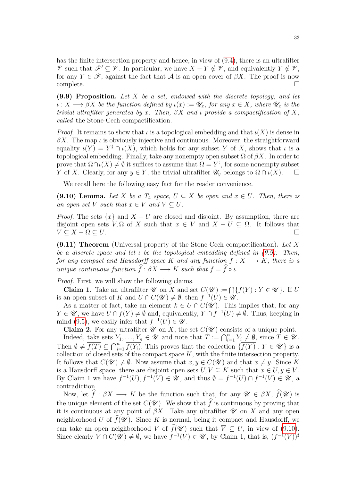has the finite intersection property and hence, in view of [\(9.4\)](#page-30-1), there is an ultrafilter  $\mathscr V$  such that  $\mathscr F' \subseteq \mathscr V$ . In particular, we have  $X - Y \notin \mathscr V$ , and equivalently  $Y \notin \mathscr V$ , for any  $Y \in \mathscr{F}$ , against the fact that A is an open cover of  $\beta X$ . The proof is now  $\Box$ complete.  $\Box$ 

<span id="page-32-0"></span> $(9.9)$  Proposition. Let X be a set, endowed with the discrete topology, and let  $\iota: X \longrightarrow \beta X$  be the function defined by  $\iota(x) := \mathscr{U}_x$ , for any  $x \in X$ , where  $\mathscr{U}_x$  is the trivial ultrafilter generated by x. Then,  $\beta X$  and  $\iota$  provide a compactification of X, called the Stone-Cech compactification.

*Proof.* It remains to show that  $\iota$  is a topological embedding and that  $\iota(X)$  is dense in  $\beta X$ . The map *ι* is obviously injective and continuous. Moreover, the straightforward equality  $\iota(Y) = Y^{\sharp} \cap \iota(X)$ , which holds for any subset Y of X, shows that  $\iota$  is a topological embedding. Finally, take any nonempty open subset  $\Omega$  of  $\beta X$ . In order to prove that  $\Omega \cap \iota(X) \neq \emptyset$  it suffices to assume that  $\Omega = Y^{\sharp}$ , for some nonempty subset Y of X. Clearly, for any  $y \in Y$ , the trivial ultrafilter  $\mathscr{U}_y$  belongs to  $\Omega \cap \iota(X)$ .  $\Box$ 

We recall here the following easy fact for the reader convenience.

<span id="page-32-1"></span>(9.10) Lemma. Let X be a  $T_4$  space,  $U \subseteq X$  be open and  $x \in U$ . Then, there is an open set V such that  $x \in V$  and  $\overline{V} \subset U$ .

*Proof.* The sets  $\{x\}$  and  $X - U$  are closed and disjoint. By assumption, there are disjoint open sets V,  $\Omega$  of X such that  $x \in V$  and  $X - U \subseteq \Omega$ . It follows that  $V \subseteq X - \Omega \subseteq U$ .

 $(9.11)$  Theorem (Universal property of the Stone-Cech compactification). Let X be a discrete space and let  $\iota$  be the topological embedding defined in [\(9.9\)](#page-32-0). Then, for any compact and Hausdorff space K and any function  $f: X \longrightarrow K$ , there is a unique continuous function  $\widehat{f}: \beta X \longrightarrow K$  such that  $f = \widehat{f} \circ \iota$ .

Proof. First, we will show the following claims.

**Claim 1.** Take an ultrafilter  $\mathcal{U}$  on X and set  $C(\mathcal{U}) := \bigcap \{f(Y) : Y \in \mathcal{U}\}\.$  If U is an open subset of K and  $U \cap C(\mathcal{U}) \neq \emptyset$ , then  $f^{-1}(U) \in \mathcal{U}$ .

As a matter of fact, take an element  $k \in U \cap C(\mathcal{U})$ . This implies that, for any  $Y \in \mathscr{U}$ , we have  $U \cap f(Y) \neq \emptyset$  and, equivalently,  $Y \cap f^{-1}(U) \neq \emptyset$ . Thus, keeping in mind [\(9.5\)](#page-30-2), we easily infer that  $f^{-1}(U) \in \mathscr{U}$ .

**Claim 2.** For any ultrafilter  $\mathcal{U}$  on X, the set  $C(\mathcal{U})$  consists of a unique point.

Indeed, take sets  $Y_1, ..., Y_n \in \mathcal{U}$  and note that  $T := \bigcap_{i=1}^n Y_i \neq \emptyset$ , since  $T \in \mathcal{U}$ . Then  $\emptyset \neq \overline{f(T)} \subseteq \bigcap_{i=1}^n \overline{f(Y_i)}$ . This proves that the collection  $\{\overline{f(Y)} : Y \in \mathscr{U}\}\$ is a collection of closed sets of the compact space  $K$ , with the finite intersection property. It follows that  $C(\mathcal{U}) \neq \emptyset$ . Now assume that  $x, y \in C(\mathcal{U})$  and that  $x \neq y$ . Since K is a Hausdorff space, there are disjoint open sets  $U, V \subseteq K$  such that  $x \in U, y \in V$ . By Claim 1 we have  $f^{-1}(U), f^{-1}(V) \in \mathscr{U}$ , and thus  $\emptyset = f^{-1}(U) \cap f^{-1}(V) \in \mathscr{U}$ , a contradiction.

Now, let  $\hat{f}: \beta X \longrightarrow K$  be the function such that, for any  $\mathscr{U} \in \beta X$ ,  $\hat{f}(\mathscr{U})$  is the unique element of the set  $C(\mathscr{U})$ . We show that  $\hat{f}$  is continuous by proving that it is continuous at any point of  $\beta X$ . Take any ultrafilter  $\mathscr U$  on X and any open neighborhood U of  $\widehat{f}(\mathscr{U})$ . Since K is normal, being it compact and Hausdorff, we can take an open neighborhood V of  $\widehat{f}(\mathscr{U})$  such that  $\overline{V} \subseteq U$ , in view of [\(9.10\)](#page-32-1). Since clearly  $V \cap C(\mathcal{U}) \neq \emptyset$ , we have  $f^{-1}(V) \in \mathcal{U}$ , by Claim 1, that is,  $(f^{-1}(V))^{\sharp}$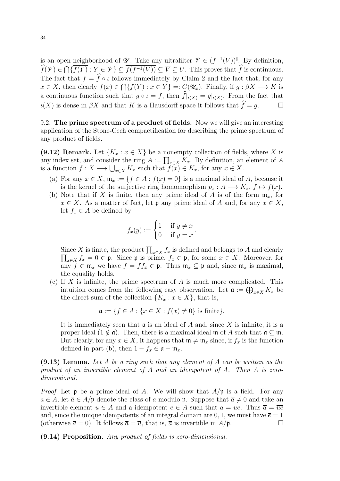is an open neighborhood of  $\mathscr{U}$ . Take any ultrafilter  $\mathscr{V} \in (f^{-1}(V))^{\sharp}$ . By definition,  $f(\mathscr{V}) \in \bigcap \{f(Y) : Y \in \mathscr{V}\} \subseteq f(f^{-1}(V)) \subseteq \overline{V} \subseteq U$ . This proves that f is continuous. The fact that  $f = \hat{f} \circ \iota$  follows immediately by Claim 2 and the fact that, for any  $x \in X$ , then clearly  $f(x) \in \bigcap \{f(Y) : x \in Y\} =: C(\mathscr{U}_x)$ . Finally, if  $g : \beta X \longrightarrow K$  is a continuous function such that  $g \circ \iota = f$ , then  $f|_{\iota(X)} = g|_{\iota(X)}$ . From the fact that  $\iota(X)$  is dense in  $\beta X$  and that K is a Hausdorff space it follows that  $\widehat{f}=q$ .

<span id="page-33-0"></span>9.2. The prime spectrum of a product of fields. Now we will give an interesting application of the Stone-Cech compactification for describing the prime spectrum of any product of fields.

<span id="page-33-2"></span>(9.12) Remark. Let  $\{K_x : x \in X\}$  be a nonempty collection of fields, where X is any index set, and consider the ring  $A := \prod_{x \in X} K_x$ . By definition, an element of A is a function  $f: X \longrightarrow \bigcup_{x \in X} K_x$  such that  $f(x) \in K_x$ , for any  $x \in X$ .

- (a) For any  $x \in X$ ,  $\mathfrak{m}_x := \{f \in A : f(x) = 0\}$  is a maximal ideal of A, because it is the kernel of the surjective ring homomorphism  $p_x : A \longrightarrow K_x, f \mapsto f(x)$ .
- (b) Note that if X is finite, then any prime ideal of A is of the form  $\mathfrak{m}_x$ , for  $x \in X$ . As a matter of fact, let **p** any prime ideal of A and, for any  $x \in X$ , let  $f_x \in A$  be defined by

$$
f_x(y) := \begin{cases} 1 & \text{if } y \neq x \\ 0 & \text{if } y = x \end{cases}.
$$

Since X is finite, the product  $\prod_{x \in X} f_x$  is defined and belongs to A and clearly  $\prod_{x\in X} f_x = 0 \in \mathfrak{p}$ . Since  $\mathfrak{p}$  is prime,  $f_x \in \mathfrak{p}$ , for some  $x \in X$ . Moreover, for any  $f \in \mathfrak{m}_x$  we have  $f = ff_x \in \mathfrak{p}$ . Thus  $\mathfrak{m}_x \subseteq \mathfrak{p}$  and, since  $\mathfrak{m}_x$  is maximal, the equality holds.

(c) If X is infinite, the prime spectrum of A is much more complicated. This intuition comes from the following easy observation. Let  $\mathfrak{a} := \bigoplus_{x \in X} K_x$  be the direct sum of the collection  $\{K_x : x \in X\}$ , that is,

$$
\mathfrak{a} := \{ f \in A : \{ x \in X : f(x) \neq 0 \} \text{ is finite} \}.
$$

It is immediately seen that  $\mathfrak a$  is an ideal of A and, since X is infinite, it is a proper ideal  $(1 \notin \mathfrak{a})$ . Then, there is a maximal ideal m of A such that  $\mathfrak{a} \subseteq \mathfrak{m}$ . But clearly, for any  $x \in X$ , it happens that  $\mathfrak{m} \neq \mathfrak{m}_x$  since, if  $f_x$  is the function defined in part (b), then  $1 - f_x \in \mathfrak{a} - \mathfrak{m}_x$ .

<span id="page-33-1"></span> $(9.13)$  Lemma. Let A be a ring such that any element of A can be written as the product of an invertible element of A and an idempotent of A. Then A is zerodimensional.

*Proof.* Let  $\mathfrak p$  be a prime ideal of A. We will show that  $A/\mathfrak p$  is a field. For any  $a \in A$ , let  $\overline{a} \in A/\mathfrak{p}$  denote the class of a modulo  $\mathfrak{p}$ . Suppose that  $\overline{a} \neq 0$  and take an invertible element  $u \in A$  and a idempotent  $e \in A$  such that  $a = ue$ . Thus  $\overline{a} = \overline{ue}$ and, since the unique idempotents of an integral domain are 0, 1, we must have  $\bar{e} = 1$ (otherwise  $\bar{a} = 0$ ). It follows  $\bar{a} = \bar{u}$ , that is,  $\bar{a}$  is invertible in  $A/\mathfrak{p}$ .

<span id="page-33-3"></span>(9.14) Proposition. Any product of fields is zero-dimensional.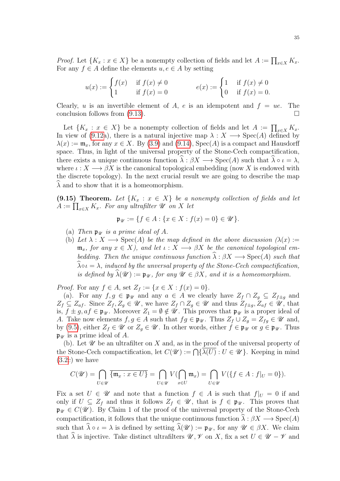*Proof.* Let  $\{K_x : x \in X\}$  be a nonempty collection of fields and let  $A := \prod_{x \in X} K_x$ . For any  $f \in A$  define the elements  $u, e \in A$  by setting

$$
u(x) := \begin{cases} f(x) & \text{if } f(x) \neq 0 \\ 1 & \text{if } f(x) = 0 \end{cases} \qquad e(x) := \begin{cases} 1 & \text{if } f(x) \neq 0 \\ 0 & \text{if } f(x) = 0. \end{cases}
$$

Clearly, u is an invertible element of A, e is an idempotent and  $f = ue$ . The conclusion follows from  $(9.13)$ .

Let  $\{K_x : x \in X\}$  be a nonempty collection of fields and let  $A := \prod_{x \in X} K_x$ . In view of [\(9.12a](#page-33-2)), there is a natural injective map  $\lambda : X \longrightarrow \text{Spec}(A)$  defined by  $\lambda(x) := \mathfrak{m}_x$ , for any  $x \in X$ . By [\(3.9\)](#page-17-1) and [\(9.14\)](#page-33-3), Spec(A) is a compact and Hausdorff space. Thus, in light of the universal property of the Stone-Cech compactification, there exists a unique continuous function  $\hat{\lambda} : \beta X \longrightarrow \text{Spec}(A)$  such that  $\hat{\lambda} \circ \iota = \lambda$ , where  $\iota: X \longrightarrow \beta X$  is the canonical topological embedding (now X is endowed with the discrete topology). In the next crucial result we are going to describe the map  $\lambda$  and to show that it is a homeomorphism.

(9.15) Theorem. Let  $\{K_x : x \in X\}$  be a nonempty collection of fields and let  $A := \prod_{x \in X} K_x$ . For any ultrafilter  $\mathscr U$  on  $X$  let

$$
\mathfrak{p}_{\mathscr{U}} := \{ f \in A : \{ x \in X : f(x) = 0 \} \in \mathscr{U} \}.
$$

- (a) Then  $\mathfrak{p}_{\mathcal{U}}$  is a prime ideal of A.
- (b) Let  $\lambda : X \longrightarrow \text{Spec}(A)$  be the map defined in the above discussion  $(\lambda(x) :=$  $\mathfrak{m}_x$ , for any  $x \in X$ ), and let  $\iota : X \longrightarrow \beta X$  be the canonical topological embedding. Then the unique continuous function  $\widehat{\lambda}: \beta X \longrightarrow \text{Spec}(A)$  such that  $\widehat{\lambda} \circ \iota = \lambda$ , induced by the unversal property of the Stone-Cech compactification, is defined by  $\widehat{\lambda}(\mathscr{U}) := \mathfrak{p}_{\mathscr{U}}$ , for any  $\mathscr{U} \in \beta X$ , and it is a homeomorphism.

*Proof.* For any  $f \in A$ , set  $Z_f := \{x \in X : f(x) = 0\}.$ 

(a). For any  $f, g \in \mathfrak{p}_{\mathscr{U}}$  and any  $a \in A$  we clearly have  $Z_f \cap Z_g \subseteq Z_{f \pm g}$  and  $Z_f \subseteq Z_{af}$ . Since  $Z_f, Z_g \in \mathscr{U}$ , we have  $Z_f \cap Z_g \in \mathscr{U}$  and thus  $Z_{f\pm g}, Z_{af} \in \mathscr{U}$ , that is,  $f \pm g$ ,  $af \in \mathfrak{p}_{\mathscr{U}}$ . Moreover  $Z_1 = \emptyset \notin \mathscr{U}$ . This proves that  $\mathfrak{p}_{\mathscr{U}}$  is a proper ideal of A. Take now elements  $f, g \in A$  such that  $fg \in \mathfrak{p}_{\mathscr{U}}$ . Thus  $Z_f \cup Z_g = Z_{fg} \in \mathscr{U}$  and, by [\(9.5\)](#page-30-2), either  $Z_f \in \mathscr{U}$  or  $Z_g \in \mathscr{U}$ . In other words, either  $f \in \mathfrak{p}_{\mathscr{U}}$  or  $g \in \mathfrak{p}_{\mathscr{U}}$ . Thus  $\mathfrak{p}_{\mathscr{U}}$  is a prime ideal of A.

(b). Let  $\mathscr U$  be an ultrafilter on X and, as in the proof of the universal property of the Stone-Cech compactification, let  $C(\mathscr{U}) := \bigcap \{ \lambda(U) : U \in \mathscr{U} \}$ . Keeping in mind [\(3.2c](#page-14-3)) we have

$$
C(\mathscr{U}) = \bigcap_{U \in \mathscr{U}} \overline{\{\mathfrak{m}_x : x \in U\}} = \bigcap_{U \in \mathscr{U}} V(\bigcap_{x \in U} \mathfrak{m}_x) = \bigcap_{U \in \mathscr{U}} V(\{f \in A : f|_U = 0\}).
$$

Fix a set  $U \in \mathscr{U}$  and note that a function  $f \in A$  is such that  $f|_{U} = 0$  if and only if  $U \subseteq Z_f$  and thus it follows  $Z_f \in \mathscr{U}$ , that is  $f \in \mathfrak{p}_{\mathscr{U}}$ . This proves that  $\mathfrak{p}_{\mathscr{U}} \in C(\mathscr{U})$ . By Claim 1 of the proof of the universal property of the Stone-Cech compactification, it follows that the unique continuous function  $\lambda : \beta X \longrightarrow \text{Spec}(A)$ such that  $\widehat{\lambda} \circ \iota = \lambda$  is defined by setting  $\widehat{\lambda}(\mathscr{U}) := \mathfrak{p}_{\mathscr{U}}$ , for any  $\mathscr{U} \in \beta X$ . We claim that  $\lambda$  is injective. Take distinct ultrafilters  $\mathscr{U}, \mathscr{V}$  on X, fix a set  $U \in \mathscr{U} - \mathscr{V}$  and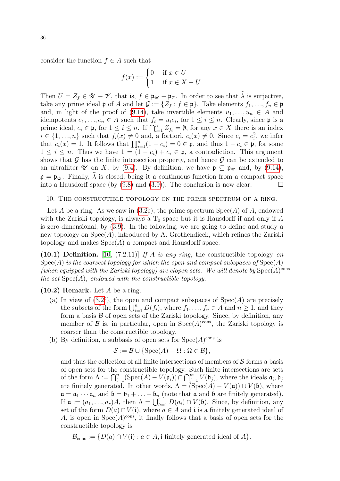consider the function  $f \in A$  such that

$$
f(x) := \begin{cases} 0 & \text{if } x \in U \\ 1 & \text{if } x \in X - U. \end{cases}
$$

Then  $U = Z_f \in \mathscr{U} - \mathscr{V}$ , that is,  $f \in \mathfrak{p}_{\mathscr{U}} - \mathfrak{p}_{\mathscr{V}}$ . In order to see that  $\widehat{\lambda}$  is surjective, take any prime ideal  $\mathfrak p$  of A and let  $\mathcal G := \{Z_f : f \in \mathfrak p\}$ . Take elements  $f_1, \ldots, f_n \in \mathfrak p$ and, in light of the proof of [\(9.14\)](#page-33-3), take invertible elements  $u_1, \ldots, u_n \in A$  and idempotents  $e_1, \ldots, e_n \in A$  such that  $f_i = u_i e_i$ , for  $1 \leq i \leq n$ . Clearly, since  $\mathfrak p$  is a prime ideal,  $e_i \in \mathfrak{p}$ , for  $1 \leq i \leq n$ . If  $\bigcap_{i=1}^n Z_{f_i} = \emptyset$ , for any  $x \in X$  there is an index  $i \in \{1, ..., n\}$  such that  $f_i(x) \neq 0$  and, a fortiori,  $e_i(x) \neq 0$ . Since  $e_i = e_i^2$ , we infer that  $e_i(x) = 1$ . It follows that  $\prod_{i=1}^n (1 - e_i) = 0 \in \mathfrak{p}$ , and thus  $1 - e_i \in \mathfrak{p}$ , for some  $1 \leq i \leq n$ . Thus we have  $1 = (1 - e_i) + e_i \in \mathfrak{p}$ , a contradiction. This argument shows that  $\mathcal G$  has the finite intersection property, and hence  $\mathcal G$  can be extended to an ultrafilter V on X, by [\(9.4\)](#page-30-1). By definition, we have  $\mathfrak{p} \subseteq \mathfrak{p}_{\mathcal{U}}$  and, by [\(9.14\)](#page-33-3),  $\mathfrak{p} = \mathfrak{p}_{\mathcal{U}}$ . Finally,  $\widehat{\lambda}$  is closed, being it a continuous function from a compact space into a Hausdorff space (by (9.8) and (3.9)). The conclusion is now clear. into a Hausdorff space (by [\(9.8\)](#page-31-1) and [\(3.9\)](#page-17-1)). The conclusion is now clear.

<span id="page-35-0"></span>10. The constructible topology on the prime spectrum of a ring.

Let A be a ring. As we saw in  $(3.2e)$ , the prime spectrum  $Spec(A)$  of A, endowed with the Zariski topology, is always a  $T_0$  space but it is Hausdorff if and only if A is zero-dimensional, by [\(3.9\)](#page-17-1). In the following, we are going to define and study a new topology on  $Spec(A)$ , introduced by A. Grothendieck, which refines the Zariski topology and makes  $Spec(A)$  a compact and Hausdorff space.

(10.1) Definition. [\[10,](#page-77-3) (7.2.11)] If A is any ring, the constructible topology on  $Spec(A)$  is the coarsest topology for which the open and compact subspaces of  $Spec(A)$ (when equipped with the Zariski topology) are clopen sets. We will denote by  $Spec(A)^{cons}$ the set  $Spec(A)$ , endowed with the constructible topology.

#### $(10.2)$  Remark. Let A be a ring.

- (a) In view of  $(3.2f)$ , the open and compact subspaces of  $Spec(A)$  are precisely the subsets of the form  $\bigcup_{i=1}^{n} D(f_i)$ , where  $f_1, \ldots, f_n \in A$  and  $n \geq 1$ , and they form a basis  $\beta$  of open sets of the Zariski topology. Since, by definition, any member of  $\mathcal B$  is, in particular, open in Spec $(A)$ <sup>cons</sup>, the Zariski topology is coarser than the constructible topology.
- (b) By definition, a subbasis of open sets for  $Spec(A)^{cons}$  is

$$
\mathcal{S} := \mathcal{B} \cup \{ \text{Spec}(A) - \Omega : \Omega \in \mathcal{B} \},
$$

and thus the collection of all finite intersections of members of  $\mathcal S$  forms a basis of open sets for the constructible topology. Such finite intersections are sets of the form  $\Lambda := \bigcap_{i=1}^n (\text{Spec}(A) - V(\mathfrak{a}_i)) \cap \bigcap_{j=1}^m V(\mathfrak{b}_j)$ , where the ideals  $\mathfrak{a}_i, \mathfrak{b}_j$ are finitely generated. In other words,  $\Lambda = (\text{Spec}(A) - V(\mathfrak{a})) \cup V(\mathfrak{b})$ , where  $\mathfrak{a} = \mathfrak{a}_1 \cdots \mathfrak{a}_n$  and  $\mathfrak{b} = \mathfrak{b}_1 + \ldots + \mathfrak{b}_n$  (note that  $\mathfrak{a}$  and  $\mathfrak{b}$  are finitely generated). If  $\mathfrak{a} := (a_1, \ldots, a_r)A$ , then  $\Lambda = \bigcup_{h=1}^r D(a_i) \cap V(\mathfrak{b})$ . Since, by definition, any set of the form  $D(a) \cap V(i)$ , where  $a \in A$  and i is a finitely generated ideal of A, is open in  $Spec(A)^{cons}$ , it finally follows that a basis of open sets for the constructible topology is

 $\mathcal{B}_{\text{cons}} := \{ D(a) \cap V(i) : a \in A, i \text{ finitely generated ideal of } A \}.$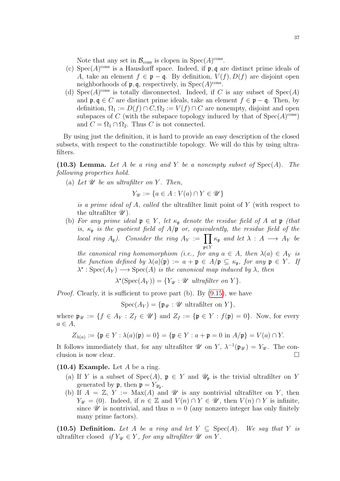Note that any set in  $\mathcal{B}_{\text{cons}}$  is clopen in  $\text{Spec}(A)^{\text{cons}}$ .

- (c) Spec(A)<sup>cons</sup> is a Hausdorff space. Indeed, if  $\mathfrak{p}, \mathfrak{q}$  are distinct prime ideals of A, take an element  $f \in \mathfrak{p} - \mathfrak{q}$ . By definition,  $V(f)$ ,  $D(f)$  are disjoint open neighborhoods of  $\mathfrak{p}, \mathfrak{q}$ , respectively, in  $Spec(A)^{cons}$ .
- (d) Spec $(A)$ <sup>cons</sup> is totally disconnected. Indeed, if C is any subset of Spec $(A)$ and  $\mathfrak{p}, \mathfrak{q} \in C$  are distinct prime ideals, take an element  $f \in \mathfrak{p} - \mathfrak{q}$ . Then, by definition,  $\Omega_1 := D(f) \cap C$ ,  $\Omega_2 := V(f) \cap C$  are nonempty, disjoint and open subspaces of C (with the subspace topology induced by that of  $Spec(A)^{cons}$ ) and  $C = \Omega_1 \cap \Omega_2$ . Thus C is not connected.

By using just the definition, it is hard to provide an easy description of the closed subsets, with respect to the constructible topology. We will do this by using ultrafilters.

<span id="page-36-1"></span>(10.3) Lemma. Let A be a ring and Y be a nonempty subset of  $Spec(A)$ . The following properties hold.

(a) Let  $\mathscr U$  be an ultrafilter on Y. Then,

$$
Y_{\mathscr{U}} := \{ a \in A : V(a) \cap Y \in \mathscr{U} \}
$$

is a prime ideal of A, called the ultrafilter limit point of  $Y$  (with respect to the ultrafilter  $\mathscr{U}$ ).

(b) For any prime ideal  $\mathfrak{p} \in Y$ , let  $\kappa_{\mathfrak{p}}$  denote the residue field of A at  $\mathfrak{p}$  (that is,  $\kappa_{\rm p}$  is the quotient field of  $A/\rm p$  or, equivalently, the residue field of the local ring  $A_{\mathfrak{p}}$ ). Consider the ring  $A_Y := \prod$  $\mathfrak{p} {\in} Y$  $\kappa_{\mathfrak{p}}$  and let  $\lambda : A \longrightarrow A_Y$  be

the canonical ring homomorphism (i.e., for any  $a \in A$ , then  $\lambda(a) \in A_Y$  is the function defined by  $\lambda(a)(\mathfrak{p}) := a + \mathfrak{p} \in A/\mathfrak{p} \subseteq \kappa_{\mathfrak{p}},$  for any  $\mathfrak{p} \in Y$ . If  $\lambda^* : \text{Spec}(A_Y) \longrightarrow \text{Spec}(A)$  is the canonical map induced by  $\lambda$ , then

$$
\lambda^*(\operatorname{Spec}(A_Y)) = \{ Y_{\mathscr{U}} : \mathscr{U} \text{ ultrafilter on } Y \}.
$$

*Proof.* Clearly, it is sufficient to prove part (b). By [\(9.15\)](#page-34-0), we have

$$
Spec(A_Y) = \{ \mathfrak{p}_{\mathcal{U}} : \mathcal{U} \text{ ultrafilter on } Y \},
$$

where  $\mathfrak{p}_{\mathscr{U}} := \{f \in A_Y : Z_f \in \mathscr{U}\}\$ and  $Z_f := \{\mathfrak{p} \in Y : f(\mathfrak{p}) = 0\}$ . Now, for every  $a \in A$ ,

$$
Z_{\lambda(a)} := \{ \mathfrak{p} \in Y : \lambda(a)(\mathfrak{p}) = 0 \} = \{ \mathfrak{p} \in Y : a + \mathfrak{p} = 0 \text{ in } A/\mathfrak{p} \} = V(a) \cap Y.
$$

It follows immediately that, for any ultrafilter  $\mathscr U$  on  $Y$ ,  $\lambda^{-1}(\mathfrak p_{\mathscr U}) = Y_{\mathscr U}$ . The conclusion is now clear.

<span id="page-36-0"></span> $(10.4)$  Example. Let A be a ring.

- (a) If Y is a subset of Spec(A),  $\mathfrak{p} \in Y$  and  $\mathcal{U}_{\mathfrak{p}}$  is the trivial ultrafilter on Y generated by  $\mathfrak{p}$ , then  $\mathfrak{p} = Y_{\mathscr{U}_{\mathfrak{p}}}$ .
- (b) If  $A = \mathbb{Z}$ ,  $Y := Max(A)$  and  $\mathscr U$  is any nontrivial ultrafilter on Y, then  $Y_{\mathscr{U}} = (0)$ . Indeed, if  $n \in \mathbb{Z}$  and  $V(n) \cap Y \in \mathscr{U}$ , then  $V(n) \cap Y$  is infinite, since  $\mathscr U$  is nontrivial, and thus  $n = 0$  (any nonzero integer has only finitely many prime factors).

(10.5) Definition. Let A be a ring and let  $Y \subseteq \text{Spec}(A)$ . We say that Y is ultrafilter closed if  $Y_{\mathcal{U}} \in Y$ , for any ultrafilter  $\mathcal{U}$  on Y.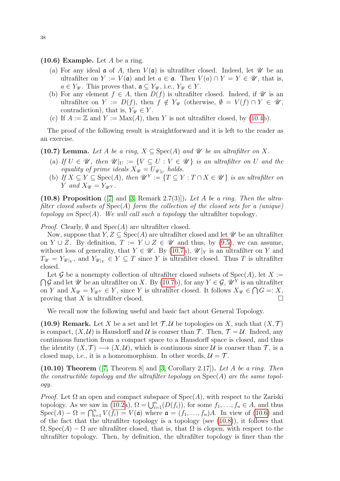## <span id="page-37-1"></span> $(10.6)$  Example. Let A be a ring.

- (a) For any ideal  $\alpha$  of A, then  $V(\alpha)$  is ultrafilter closed. Indeed, let  $\mathscr U$  be an ultrafilter on  $Y := V(\mathfrak{a})$  and let  $a \in \mathfrak{a}$ . Then  $V(a) \cap Y = Y \in \mathscr{U}$ , that is,  $a \in Y_{\mathscr{U}}$ . This proves that,  $\mathfrak{a} \subseteq Y_{\mathscr{U}}$ , i.e.,  $Y_{\mathscr{U}} \in Y$ .
- (b) For any element  $f \in A$ , then  $D(f)$  is ultrafilter closed. Indeed, if  $\mathscr U$  is an ultrafilter on  $Y := D(f)$ , then  $f \notin Y_{\mathscr{U}}$  (otherwise,  $\emptyset = V(f) \cap Y \in \mathscr{U}$ , contradiction), that is,  $Y_{\mathscr{U}} \in Y$ .
- (c) If  $A := \mathbb{Z}$  and  $Y := Max(A)$ , then Y is not ultrafilter closed, by [\(10.4b](#page-36-0)).

The proof of the following result is straightforward and it is left to the reader as an exercise.

<span id="page-37-0"></span>(10.7) Lemma. Let A be a ring,  $X \subseteq \text{Spec}(A)$  and  $\mathscr U$  be an ultrafilter on X.

- (a) If  $U \in \mathscr{U}$ , then  $\mathscr{U}|_U := \{V \subseteq U : V \in \mathscr{U}\}\$ is an ultrafilter on U and the equality of prime ideals  $X_{\mathcal{U}} = U_{\mathcal{U}|_U}$  holds.
- (b) If  $X \subseteq Y \subseteq \text{Spec}(A)$ , then  $\mathscr{U}^Y := \{T \subseteq Y : T \cap X \in \mathscr{U}\}\$ is an ultrafilter on Y and  $X_{\mathscr{U}} = Y_{\mathscr{U}Y}$ .

<span id="page-37-2"></span>(10.8) Proposition ([\[7\]](#page-77-0) and [\[3,](#page-77-1) Remark 2.7(3)]). Let A be a ring. Then the ultrafilter closed subsets of  $Spec(A)$  form the collection of the closed sets for a (unique) topology on  $Spec(A)$ . We will call such a topology the ultrafilter topology.

*Proof.* Clearly,  $\emptyset$  and  $Spec(A)$  are ultrafilter closed.

Now, suppose that  $Y, Z \subseteq \text{Spec}(A)$  are ultrafilter closed and let  $\mathscr U$  be an ultrafilter on  $Y \cup Z$ . By definition,  $T := Y \cup Z \in \mathscr{U}$  and thus, by [\(9.5\)](#page-30-0), we can assume, without loss of generality, that  $Y \in \mathscr{U}$ . By [\(10.7a](#page-37-0)),  $\mathscr{U}|_Y$  is an ultrafilter on Y and  $T_{\mathscr{U}} = Y_{\mathscr{U}|_Y}$ , and  $Y_{\mathscr{U}|_Y} \in Y \subseteq T$  since Y is ultrafilter closed. Thus T is ultrafilter closed.

 $\bigcap \mathcal{G}$  and let  $\mathcal U$  be an ultrafilter on X. By [\(10.7b](#page-37-0)), for any  $Y \in \mathcal G$ ,  $\mathcal U^Y$  is an ultrafilter Let G be a nonempty collection of ultrafilter closed subsets of  $Spec(A)$ , let  $X :=$ on Y and  $X_{\mathcal{U}} = Y_{\mathcal{U}Y} \in Y$ , since Y is ultrafilter closed. It follows  $X_{\mathcal{U}} \in \bigcap G =: X$ , proving that X is ultrafilter clsoed.  $\square$ 

We recall now the following useful and basic fact about General Topology.

<span id="page-37-3"></span>(10.9) Remark. Let X be a set and let  $\mathcal{T}, \mathcal{U}$  be topologies on X, such that  $(X, \mathcal{T})$ is compact,  $(X, \mathcal{U})$  is Hausdorff and  $\mathcal{U}$  is coarser than  $\mathcal{T}$ . Then,  $\mathcal{T} = \mathcal{U}$ . Indeed, any continuous function from a compact space to a Hausdorff space is closed, and thus the identity  $(X, \mathcal{T}) \longrightarrow (X, \mathcal{U})$ , which is continuous since  $\mathcal{U}$  is coarser than  $\mathcal{T}$ , is a closed map, i.e., it is a homeomorphism. In other words,  $\mathcal{U} = \mathcal{T}$ .

<span id="page-37-4"></span>(10.10) Theorem ([\[7,](#page-77-0) Theorem 8] and [\[3,](#page-77-1) Corollary 2.17]). Let A be a ring. Then the constructible topology and the ultrafilter topology on  $Spec(A)$  are the same topology.

*Proof.* Let  $\Omega$  an open and compact subspace of  $Spec(A)$ , with respect to the Zariski topology. As we saw in [\(10.2a](#page-35-0)),  $\Omega = \bigcup_{i=1}^{n} (D(f_i))$ , for some  $f_1, \ldots, f_n \in A$ , and thus  $Spec(A) - \Omega = \bigcap_{i=1}^{n} V(f_i) = V(\mathfrak{a})$  where  $\mathfrak{a} = (f_1, \ldots, f_n)A$ . In view of [\(10.6\)](#page-37-1) and of the fact that the ultrafilter topology is a topology (see [\(10.8\)](#page-37-2)), it follows that  $\Omega$ , Spec(A) –  $\Omega$  are ultrafilter closed, that is, that  $\Omega$  is clopen, with respect to the ultrafilter topology. Then, by definition, the ultrafilter topology is finer than the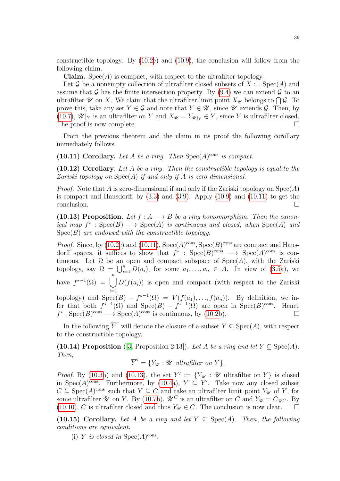constructible topology. By  $(10.2c)$  and  $(10.9)$ , the conclusion will follow from the following claim.

**Claim.** Spec $(A)$  is compact, with respect to the ultrafilter topology.

Let G be a nonempty collection of ultrafilter closed subsets of  $X := \text{Spec}(A)$  and assume that G has the finite intersection property. By [\(9.4\)](#page-30-1) we can extend G to an ultrafilter  $\mathscr U$  on X. We claim that the ultrafilter limit point  $X_{\mathscr U}$  belongs to  $\bigcap \mathcal G$ . To prove this, take any set  $Y \in \mathcal{G}$  and note that  $Y \in \mathcal{U}$ , since  $\mathcal{U}$  extends  $\mathcal{G}$ . Then, by [\(10.7\)](#page-37-0),  $\mathscr{U}|_Y$  is an ultrafilter on Y and  $X_{\mathscr{U}} = Y_{\mathscr{U}|_Y} \in Y$ , since Y is ultrafilter closed. The proof is now complete.

From the previous theorem and the claim in its proof the following corollary immediately follows.

<span id="page-38-0"></span>(10.11) Corollary. Let A be a ring. Then  $Spec(A)^{cons}$  is compact.

 $(10.12)$  Corollary. Let A be a ring. Then the constructible topology is equal to the Zariski topology on  $Spec(A)$  if and only if A is zero-dimensional.

*Proof.* Note that A is zero-dimensional if and only if the Zariski topology on  $Spec(A)$ is compact and Hausdorff, by [\(3.3\)](#page-15-0) and [\(3.9\)](#page-17-0). Apply [\(10.9\)](#page-37-3) and [\(10.11\)](#page-38-0) to get the  $\Box$ conclusion.

<span id="page-38-1"></span>(10.13) Proposition. Let  $f : A \longrightarrow B$  be a ring homomorphism. Then the canonical map  $f^*$ :  $Spec(B) \longrightarrow Spec(A)$  is continuous and closed, when  $Spec(A)$  and  $Spec(B)$  are endowed with the constructible topology.

*Proof.* Since, by [\(10.2c](#page-35-0)) and [\(10.11\)](#page-38-0),  $Spec(A)^{cons}$ ,  $Spec(B)^{cons}$  are compact and Hausdorff spaces, it suffices to show that  $f^*$ : Spec $(B)$ <sup>cons</sup>  $\longrightarrow$  Spec $(A)$ <sup>cons</sup> is continuous. Let  $\Omega$  be an open and compact subspace of  $Spec(A)$ , with the Zariski topology, say  $\Omega = \bigcup_{i=1}^n D(a_i)$ , for some  $a_1, \ldots, a_n \in A$ . In view of [\(3.5a](#page-15-1)), we have  $f^{\star^{-1}}(\Omega) = \begin{bmatrix} n \\ n \end{bmatrix}$  $i=1$  $D(f(a_i))$  is open and compact (with respect to the Zariski topology) and  $Spec(B) - f^{\star-1}(\Omega) = V(f(a_1),...,f(a_n)).$  By definition, we infer that both  $f^{\star-1}(\Omega)$  and  $Spec(B) - f^{\star-1}(\Omega)$  are open in  $Spec(B)^{cons}$ . Hence  $f^* : \text{Spec}(B)_{\text{cons}} \longrightarrow \text{Spec}(A)_{\text{cons}}$  is continuous, by [\(10.2b](#page-35-0)).

In the following  $\overline{Y}^c$  will denote the closure of a subset  $Y \subseteq \text{Spec}(A)$ , with respect to the constructible topology.

<span id="page-38-2"></span>(10.14) Proposition ([\[3,](#page-77-1) Proposition 2.13]). Let A be a ring and let  $Y \subseteq \text{Spec}(A)$ . Then,

 $\overline{Y}^c = \{ Y_{\mathscr{U}} : \mathscr{U} \text{ ultrafilter on } Y \}.$ 

*Proof.* By [\(10.3b](#page-36-1)) and [\(10.13\)](#page-38-1), the set  $Y' := \{Y_{\mathscr{U}} : \mathscr{U}$  ultrafilter on Y is closed in Spec(A)<sup>cons</sup>. Furthermore, by [\(10.4a](#page-36-0)),  $Y \subseteq Y'$ . Take now any closed subset  $C \subseteq \text{Spec}(A)^{\text{cons}}$  such that  $Y \subseteq C$  and take an ultrafilter limit point  $Y_{\mathscr{U}}$  of Y, for some ultrafilter  $\mathscr U$  on Y. By [\(10.7b](#page-37-0)),  $\mathscr U^C$  is an ultrafilter on C and  $Y_{\mathscr U} = C_{\mathscr U}c$ . By [\(10.10\)](#page-37-4), C is ultrafilter closed and thus  $Y_{\mathscr{U}} \in C$ . The conclusion is now clear.

(10.15) Corollary. Let A be a ring and let  $Y \subseteq \text{Spec}(A)$ . Then, the following conditions are equivalent.

(i) Y is closed in  $Spec(A)^{cons}$ .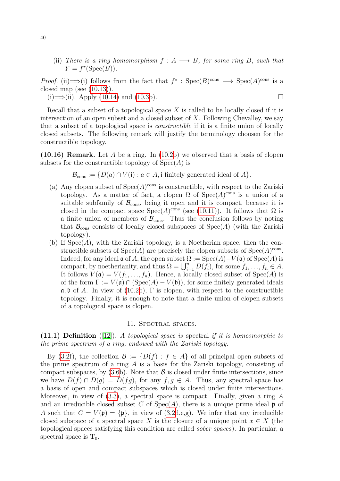(ii) There is a ring homomorphism  $f : A \longrightarrow B$ , for some ring B, such that  $Y = f^*(\text{Spec}(B)).$ 

*Proof.* (ii)  $\Longrightarrow$  (i) follows from the fact that  $f^*$ : Spec $(B)$ <sup>cons</sup>  $\Longrightarrow$  Spec $(A)$ <sup>cons</sup> is a closed map (see  $(10.13)$ ).

 $(i) \Longrightarrow$  (ii). Apply [\(10.14\)](#page-38-2) and [\(10.3b](#page-36-1)).

Recall that a subset of a topological space  $X$  is called to be locally closed if it is intersection of an open subset and a closed subset of  $X$ . Following Chevalley, we say that a subset of a topological space is *constructible* if it is a finite union of locally closed subsets. The following remark will justify the terminology choosen for the constructible topology.

 $(10.16)$  Remark. Let A be a ring. In  $(10.2b)$  we observed that a basis of clopen subsets for the constructible topology of  $Spec(A)$  is

 $\mathcal{B}_{\text{cons}} := \{ D(a) \cap V(i) : a \in A, i \text{ finitely generated ideal of } A \}.$ 

- (a) Any clopen subset of  $Spec(A)^{cons}$  is constructible, with respect to the Zariski topology. As a matter of fact, a clopen  $\Omega$  of  $Spec(A)^{cons}$  is a union of a suitable subfamily of  $\mathcal{B}_{\text{cons}}$ , being it open and it is compact, because it is closed in the compact space  $Spec(A)^{cons}$  (see [\(10.11\)](#page-38-0)). It follows that  $\Omega$  is a finite union of members of  $\mathcal{B}_{\text{cons}}$ . Thus the conclusion follows by noting that  $\mathcal{B}_{\text{cons}}$  consists of locally closed subspaces of  $\text{Spec}(A)$  (with the Zariski topology).
- (b) If  $Spec(A)$ , with the Zariski topology, is a Noetherian space, then the constructible subsets of  $Spec(A)$  are precisely the clopen subsets of  $Spec(A)^{cons}$ . Indeed, for any ideal  $\mathfrak a$  of A, the open subset  $\Omega := \operatorname{Spec}(A) - V(\mathfrak a)$  of  $\operatorname{Spec}(A)$  is compact, by noetherianity, and thus  $\Omega = \bigcup_{i=1}^{n} D(f_i)$ , for some  $f_1, \ldots, f_n \in A$ . It follows  $V(\mathfrak{a}) = V(f_1, \ldots, f_n)$ . Hence, a locally closed subset of  $Spec(A)$  is of the form  $\Gamma := V(\mathfrak{a}) \cap (\text{Spec}(A) - V(\mathfrak{b}))$ , for some finitely generated ideals  $\mathfrak{a}, \mathfrak{b}$  of A. In view of [\(10.2b](#page-35-0)),  $\Gamma$  is clopen, with respect to the constructible topology. Finally, it is enough to note that a finite union of clopen subsets of a topological space is clopen.

## 11. Spectral spaces.

(11.1) Definition ([\[12\]](#page-77-2)). A topological space is spectral if it is homeomorphic to the prime spectrum of a ring, endowed with the Zariski topology.

By [\(3.2f](#page-14-0)), the collection  $\mathcal{B} := \{D(f) : f \in A\}$  of all principal open subsets of the prime spectrum of a ring  $\tilde{A}$  is a basis for the Zariski topology, consisting of compact subspaces, by  $(3.6b)$ . Note that  $\beta$  is closed under finite intersections, since we have  $D(f) \cap D(g) = D(fg)$ , for any  $f, g \in A$ . Thus, any spectral space has a basis of open and compact subspaces which is closed under finite intersections. Moreover, in view of  $(3.3)$ , a spectral space is compact. Finally, given a ring A and an irreducible closed subset C of Spec $(A)$ , there is a unique prime ideal p of A such that  $C = V(\mathfrak{p}) = {\{\mathfrak{p}\}\}\$ , in view of  $(3.2d, e, g)$ . We infer that any irreducible closed subspace of a spectral space X is the closure of a unique point  $x \in X$  (the topological spaces satisfying this condition are called sober spaces). In particular, a spectral space is  $T_0$ .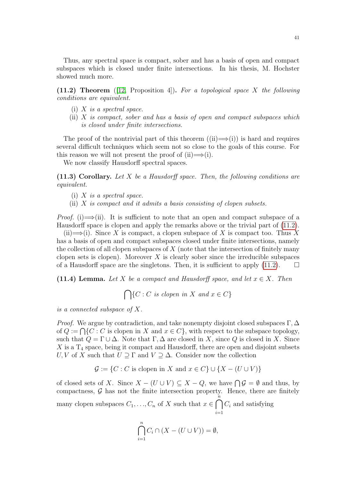Thus, any spectral space is compact, sober and has a basis of open and compact subspaces which is closed under finite intersections. In his thesis, M. Hochster showed much more.

<span id="page-40-0"></span>(11.2) Theorem ([\[12,](#page-77-2) Proposition 4]). For a topological space X the following conditions are equivalent.

- (i)  $X$  is a spectral space.
- (ii)  $X$  is compact, sober and has a basis of open and compact subspaces which is closed under finite intersections.

The proof of the nontrivial part of this theorem  $((ii) \implies (i))$  is hard and requires several difficult techniques which seem not so close to the goals of this course. For this reason we will not present the proof of  $(ii) \implies (i)$ .

We now classify Hausdorff spectral spaces.

<span id="page-40-2"></span> $(11.3)$  Corollary. Let X be a Hausdorff space. Then, the following conditions are equivalent.

- (i)  $X$  is a spectral space.
- (ii)  $X$  is compact and it admits a basis consisting of clopen subsets.

*Proof.* (i)  $\implies$  (ii). It is sufficient to note that an open and compact subspace of a Hausdorff space is clopen and apply the remarks above or the trivial part of [\(11.2\)](#page-40-0).

(ii)  $\Longrightarrow$  (i). Since X is compact, a clopen subspace of X is compact too. Thus X has a basis of open and compact subspaces closed under finite intersections, namely the collection of all clopen subspaces of  $X$  (note that the intersection of finitely many clopen sets is clopen). Moreover  $X$  is clearly sober since the irreducible subspaces of a Hausdorff space are the singletons. Then, it is sufficient to apply  $(11.2)$ .

<span id="page-40-1"></span>(11.4) Lemma. Let X be a compact and Hausdorff space, and let  $x \in X$ . Then

$$
\bigcap \{ C : C \text{ is clopen in } X \text{ and } x \in C \}
$$

is a connected subspace of X.

*Proof.* We argue by contradiction, and take nonempty disjoint closed subspaces  $\Gamma, \Delta$ of  $Q := \bigcap \{C : C$  is clopen in X and  $x \in C\}$ , with respect to the subspace topology, such that  $Q = \Gamma \cup \Delta$ . Note that  $\Gamma, \Delta$  are closed in X, since Q is closed in X. Since  $X$  is a  $T_4$  space, being it compact and Hausdorff, there are open and disjoint subsets U, V of X such that  $U \supseteq \Gamma$  and  $V \supseteq \Delta$ . Consider now the collection

 $\mathcal{G} := \{C : C \text{ is clopen in } X \text{ and } x \in C\} \cup \{X - (U \cup V)\}\$ 

of closed sets of X. Since  $X - (U \cup V) \subseteq X - Q$ , we have  $\bigcap \mathcal{G} = \emptyset$  and thus, by compactness,  $G$  has not the finite intersection property. Hence, there are finitely many clopen subspaces  $C_1, \ldots, C_n$  of X such that  $x \in \bigcap_{n=1}^{\infty}$  $i=1$  $C_i$  and satisfying

$$
\bigcap_{i=1}^{n} C_i \cap (X - (U \cup V)) = \emptyset,
$$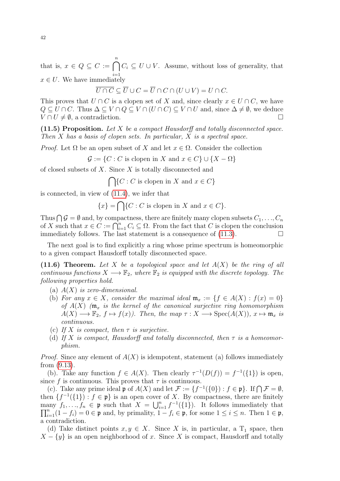that is,  $x \in Q \subseteq C := \bigcap_{i=1}^{n} C_i \subseteq U \cup V$ . Assume, without loss of generality, that  $x \in U$ . We have immediately

$$
\overline{U \cap C} \subseteq \overline{U} \cup C = \overline{U} \cap C \cap (U \cup V) = U \cap C.
$$

This proves that  $U \cap C$  is a clopen set of X and, since clearly  $x \in U \cap C$ , we have  $Q \subseteq U \cap C$ . Thus  $\Delta \subseteq V \cap Q \subseteq V \cap (U \cap C) \subseteq V \cap U$  and, since  $\Delta \neq \emptyset$ , we deduce  $V \cap U \neq \emptyset$ , a contradiction.

<span id="page-41-0"></span>(11.5) Proposition. Let X be a compact Hausdorff and totally disconnected space. Then  $X$  has a basis of clopen sets. In particular,  $X$  is a spectral space.

*Proof.* Let  $\Omega$  be an open subset of X and let  $x \in \Omega$ . Consider the collection

 $\mathcal{G} := \{C : C \text{ is clopen in } X \text{ and } x \in C\} \cup \{X - \Omega\}$ 

of closed subsets of X. Since X is totally disconnected and

 $\bigcap \{C : C \text{ is clopen in } X \text{ and } x \in C\}$ 

is connected, in view of [\(11.4\)](#page-40-1), we infer that

 ${x} = \bigcap {C : C \text{ is clopen in } X \text{ and } x \in C}.$ 

Thus  $\bigcap \mathcal{G} = \emptyset$  and, by compactness, there are finitely many clopen subsets  $C_1, \ldots, C_n$ of X such that  $x \in C := \bigcap_{i=1}^n C_i \subseteq \Omega$ . From the fact that C is clopen the conclusion immediately follows. The last statement is a consequence of  $(11.3)$ .

The next goal is to find explicitly a ring whose prime spectrum is homeomorphic to a given compact Hausdorff totally disconnected space.

(11.6) Theorem. Let X be a topological space and let  $A(X)$  be the ring of all continuous functions  $X \longrightarrow \mathbb{F}_2$ , where  $\mathbb{F}_2$  is equipped with the discrete topology. The following properties hold.

- (a)  $A(X)$  is zero-dimensional.
- (b) For any  $x \in X$ , consider the maximal ideal  $\mathfrak{m}_x := \{f \in A(X) : f(x) = 0\}$ of  $A(X)$  ( $\mathfrak{m}_x$  is the kernel of the canonical surjective ring homomorphism  $A(X) \longrightarrow \mathbb{F}_2$ ,  $f \mapsto f(x)$ . Then, the map  $\tau : X \longrightarrow \text{Spec}(A(X))$ ,  $x \mapsto \mathfrak{m}_x$  is continuous.
- (c) If X is compact, then  $\tau$  is surjective.
- (d) If X is compact, Hausdorff and totally disconnected, then  $\tau$  is a homeomorphism.

*Proof.* Since any element of  $A(X)$  is idempotent, statement (a) follows immediately from [\(9.13\)](#page-33-0).

(b). Take any function  $f \in A(X)$ . Then clearly  $\tau^{-1}(D(f)) = f^{-1}(\{1\})$  is open, since f is continuous. This proves that  $\tau$  is continuous.

(c). Take any prime ideal  $\mathfrak{p}$  of  $A(X)$  and let  $\mathcal{F} := \{f^{-1}(\{0\}) : f \in \mathfrak{p}\}\)$ . If  $\bigcap \mathcal{F} = \emptyset$ , then  $\{f^{-1}(\{1\}): f \in \mathfrak{p}\}\$ is an open cover of X. By compactness, there are finitely many  $f_1, \ldots, f_n \in \mathfrak{p}$  such that  $X = \bigcup_{i=1}^n f^{-1}$  $\overline{\Pi}$ any  $f_1, \ldots, f_n \in \mathfrak{p}$  such that  $X = \bigcup_{i=1}^n f^{-1}(\{1\})$ . It follows immediately that  $\sum_{i=1}^n (1 - f_i) = 0 \in \mathfrak{p}$  and, by primality,  $1 - f_i \in \mathfrak{p}$ , for some  $1 \le i \le n$ . Then  $1 \in \mathfrak{p}$ , a contradiction.

(d) Take distinct points  $x, y \in X$ . Since X is, in particular, a T<sub>1</sub> space, then  $X - \{y\}$  is an open neighborhood of x. Since X is compact, Hausdorff and totally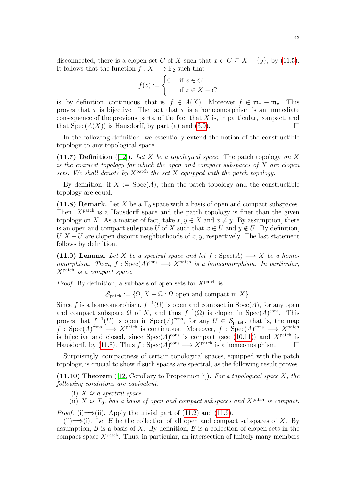disconnected, there is a clopen set C of X such that  $x \in C \subseteq X - \{y\}$ , by [\(11.5\)](#page-41-0). It follows that the function  $f: X \longrightarrow \mathbb{F}_2$  such that

$$
f(z) := \begin{cases} 0 & \text{if } z \in C \\ 1 & \text{if } z \in X - C \end{cases}
$$

is, by definition, continuous, that is,  $f \in A(X)$ . Moreover  $f \in \mathfrak{m}_x - \mathfrak{m}_y$ . This proves that  $\tau$  is bijective. The fact that  $\tau$  is a homeomorphism is an immediate consequence of the previous parts, of the fact that  $X$  is, in particular, compact, and that  $Spec(A(X))$  is Hausdorff, by part (a) and [\(3.9\)](#page-17-0).

In the following definition, we essentially extend the notion of the constructible topology to any topological space.

(11.7) Definition ([\[12\]](#page-77-2)). Let X be a topological space. The patch topology on X is the coarsest topology for which the open and compact subspaces of  $X$  are clopen sets. We shall denote by  $X^{\text{patch}}$  the set X equipped with the patch topology.

By definition, if  $X := \text{Spec}(A)$ , then the patch topology and the constructible topology are equal.

<span id="page-42-0"></span>(11.8) Remark. Let X be a  $T_0$  space with a basis of open and compact subspaces. Then,  $X^{\text{patch}}$  is a Hausdorff space and the patch topology is finer than the given topology on X. As a matter of fact, take  $x, y \in X$  and  $x \neq y$ . By assumption, there is an open and compact subspace U of X such that  $x \in U$  and  $y \notin U$ . By definition,  $U, X-U$  are clopen disjoint neighborhoods of x, y, respectively. The last statement follows by definition.

<span id="page-42-1"></span>(11.9) Lemma. Let X be a spectral space and let  $f : \text{Spec}(A) \longrightarrow X$  be a homeomorphism. Then,  $f : \text{Spec}(A)^{\text{cons}} \longrightarrow X^{\text{patch}}$  is a homeomorphism. In particular,  $X^{\text{patch}}$  is a compact space.

*Proof.* By definition, a subbasis of open sets for  $X^{\text{patch}}$  is

 $\mathcal{S}_{\text{patch}} := \{\Omega, X - \Omega : \Omega \text{ open and compact in } X\}.$ 

Since f is a homeomorphism,  $f^{-1}(\Omega)$  is open and compact in  $Spec(A)$ , for any open and compact subspace  $\Omega$  of X, and thus  $f^{-1}(\Omega)$  is clopen in Spec $(A)$ <sup>cons</sup>. This proves that  $f^{-1}(U)$  is open in  $Spec(A)^{cons}$ , for any  $U \in \mathcal{S}_{patch}$ , that is, the map  $f : \text{Spec}(A)^\text{cons} \longrightarrow X^\text{patch}$  is continuous. Moreover,  $f : \text{Spec}(A)^\text{cons} \longrightarrow X^\text{patch}$ is bijective and closed, since  $Spec(A)^{cons}$  is compact (see [\(10.11\)](#page-38-0)) and  $X^{patch}$  is Hausdorff, by [\(11.8\)](#page-42-0). Thus  $f : \text{Spec}(A)^{\text{cons}} \longrightarrow X^{\text{patch}}$  is a homeomorphism.

Surprisingly, compactness of certain topological spaces, equipped with the patch topology, is crucial to show if such spaces are spectral, as the following result proves.

<span id="page-42-2"></span>(11.10) Theorem ([\[12,](#page-77-2) Corollary to Proposition 7]). For a topological space  $X$ , the following conditions are equivalent.

- (i)  $X$  is a spectral space.
- (ii) X is  $T_0$ , has a basis of open and compact subspaces and  $X^{\text{patch}}$  is compact.

*Proof.* (i)  $\Longrightarrow$  (ii). Apply the trivial part of [\(11.2\)](#page-40-0) and [\(11.9\)](#page-42-1).

(ii)  $\Longrightarrow$  (i). Let B be the collection of all open and compact subspaces of X. By assumption,  $\beta$  is a basis of X. By definition,  $\beta$  is a collection of clopen sets in the compact space  $X^{\text{patch}}$ . Thus, in particular, an intersection of finitely many members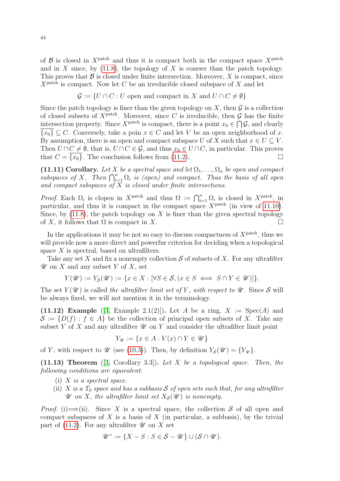of  $\beta$  is closed in X<sup>patch</sup> and thus it is compact both in the compact space X<sup>patch</sup> and in  $X$  since, by [\(11.8\)](#page-42-0), the topology of  $X$  is coarser than the patch topology. This proves that  $\mathcal B$  is closed under finite intersection. Moreover,  $X$  is compact, since  $X^{\text{patch}}$  is compact. Now let C be an irreducible closed subspace of X and let

$$
\mathcal{G} := \{ U \cap C : U \text{ open and compact in } X \text{ and } U \cap C \neq \emptyset \}
$$

Since the patch topology is finer than the given topology on  $X$ , then  $\mathcal G$  is a collection of closed subsets of  $X^{\text{patch}}$ . Moreover, since C is irreducible, then G has the finite intersection property. Since  $X^{\text{patch}}$  is compact, there is a point  $x_0 \in \bigcap \mathcal{G}$ , and clearly  $\overline{\{x_0\}} \subseteq C$ . Conversely, take a poin  $x \in C$  and let V be an open neighborhood of x. By assumption, there is an open and compact subspace U of X such that  $x \in U \subseteq V$ . Then  $U \cap C \neq \emptyset$ , that is,  $U \cap C \in \mathcal{G}$ , and thus  $x_0 \in U \cap C$ , in particular. This proves that  $C = \{x_0\}$ . The conclusion follows from [\(11.2\)](#page-40-0).

<span id="page-43-1"></span>(11.11) Corollary. Let X be a spectral space and let  $\Omega_1, \ldots, \Omega_n$  be open and compact subspaces of X. Then  $\bigcap_{i=1}^n \Omega_i$  is (open) and compact. Thus the basis of all open and compact subspaces of  $X$  is closed under finite intersections.

*Proof.* Each  $\Omega_i$  is clopen in  $X^{\text{patch}}$  and thus  $\Omega := \bigcap_{i=1}^n \Omega_i$  is closed in  $X^{\text{patch}}$ , in particular, and thus it is compact in the compact space  $X<sup>patch</sup>$  (in view of [11.10\)](#page-42-2). Since, by  $(11.8)$ , the patch topology on X is finer than the given spectral topology of X, it follows that  $\Omega$  is compact in X.

In the applications it may be not so easy to discuss compactness of  $X^{\text{patch}}$ , thus we will provide now a more direct and powerfur criterion for deciding when a topological space  $X$  is spectral, based on ultrafilters.

Take any set X and fix a nonempty collection S of subsets of X. For any ultrafilter  $\mathscr U$  on X and any subset Y of X, set

$$
Y(\mathscr{U}) := Y_{\mathcal{S}}(\mathscr{U}) := \{ x \in X : [\forall S \in \mathcal{S}, (x \in S \iff S \cap Y \in \mathscr{U})] \}.
$$

The set  $Y(\mathscr{U})$  is called the ultrafilter limit set of Y, with respect to  $\mathscr{U}$ . Since S will be always fixed, we will not mention it in the terminology.

(11.12) Example ([\[3,](#page-77-1) Example 2.1(2)]). Let A be a ring,  $X := \text{Spec}(A)$  and  $\mathcal{S} := \{D(f) : f \in A\}$  be the collection of principal open subsets of X. Take any subset Y of X and any ultrafilter  $\mathscr U$  on Y and consider the ultrafilter limit point

$$
Y_{\mathscr{U}} := \{ x \in A : V(x) \cap Y \in \mathscr{U} \}
$$

of Y, with respect to  $\mathscr U$  (see [\(10.3\)](#page-36-1)). Then, by definition  $Y_{\mathcal{S}}(\mathscr U) = \{Y_{\mathscr U}\}.$ 

<span id="page-43-0"></span> $(11.13)$  Theorem  $([3, Corollary 3.3])$  $([3, Corollary 3.3])$  $([3, Corollary 3.3])$ . Let X be a topological space. Then, the following conditions are equivalent.

- (i)  $X$  is a spectral space.
- (ii) X is a  $T_0$  space and has a subbasis S of open sets such that, for any ultrafilter  $\mathscr U$  on X, the ultrafilter limit set  $X_{\mathcal S}(\mathscr U)$  is nonempty.

*Proof.* (i)  $\Longrightarrow$  (ii). Since X is a spectral space, the collection S of all open and compact subspaces of  $X$  is a basis of  $X$  (in particular, a subbasis), by the trivial part of [\(11.2\)](#page-40-0). For any ultrafilter  $\mathscr U$  on X set

$$
\mathscr{U}^* := \{ X - S : S \in \mathcal{S} - \mathscr{U} \} \cup (\mathcal{S} \cap \mathscr{U}).
$$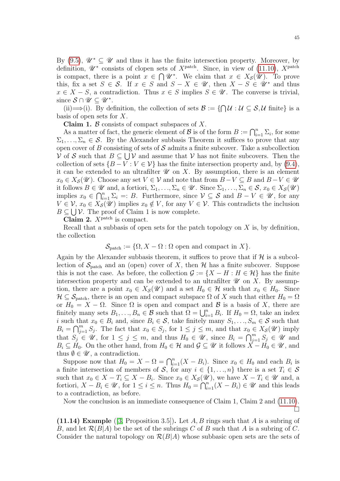By [\(9.5\)](#page-30-0),  $\mathscr{U}^* \subset \mathscr{U}$  and thus it has the finite intersection property. Moreover, by definition,  $\mathscr{U}^*$  consists of clopen sets of  $X^{\text{patch}}$ . Since, in view of [\(11.10\)](#page-42-2),  $X^{\text{patch}}$ is compact, there is a point  $x \in \bigcap \mathscr{U}^*$ . We claim that  $x \in X_{\mathcal{S}}(\mathscr{U})$ . To prove this, fix a set  $S \in \mathcal{S}$ . If  $x \in S$  and  $S - X \in \mathcal{U}$ , then  $X - S \in \mathcal{U}^*$  and thus  $x \in X - S$ , a contradiction. Thus  $x \in S$  implies  $S \in \mathscr{U}$ . The converse is trivial, since  $S \cap \mathscr{U} \subseteq \mathscr{U}^*$ .

(ii)  $\Longrightarrow$  (i). By definition, the collection of sets  $\mathcal{B} := \{ \bigcap \mathcal{U} : \mathcal{U} \subseteq \mathcal{S}, \mathcal{U} \text{ finite} \}$  is a basis of open sets for  $X$ .

**Claim 1.**  $\beta$  consists of compact subspaces of X.

As a matter of fact, the generic element of B is of the form  $B := \bigcap_{i=1}^n \Sigma_i$ , for some  $\Sigma_1, \ldots, \Sigma_n \in \mathcal{S}$ . By the Alexander subbasis Theorem it suffices to prove that any open cover of B consisting of sets of  $S$  admits a finite subcover. Take a subcollection V of S such that  $B \subseteq \bigcup V$  and assume that V has not finite subcovers. Then the collection of sets  $\{B-V: V \in V\}$  has the finite intersection property and, by [\(9.4\)](#page-30-1), it can be extended to an ultrafilter  $\mathscr U$  on X. By assumption, there is an element  $x_0 \in X_{\mathcal{S}}(\mathcal{U})$ . Choose any set  $V \in \mathcal{V}$  and note that from  $B-V \subseteq B$  and  $B-V \in \mathcal{U}$ it follows  $B \in \mathscr{U}$  and, a fortiori,  $\Sigma_1, \ldots, \Sigma_n \in \mathscr{U}$ . Since  $\Sigma_1, \ldots, \Sigma_n \in \mathcal{S}$ ,  $x_0 \in X_{\mathcal{S}}(\mathscr{U})$ implies  $x_0 \in \bigcap_{i=1}^n \Sigma_i =: B$ . Furthermore, since  $\mathcal{V} \subseteq \mathcal{S}$  and  $B - V \in \mathcal{U}$ , for any  $V \in \mathcal{V}$ ,  $x_0 \in X_{\mathcal{S}}(\mathcal{U})$  implies  $x_0 \notin V$ , for any  $V \in \mathcal{V}$ . This contradicts the inclusion  $B \subseteq \bigcup \mathcal{V}$ . The proof of Claim 1 is now complete.

Claim 2.  $X^{\text{patch}}$  is compact.

Recall that a subbasis of open sets for the patch topology on  $X$  is, by definition, the collection

$$
\mathcal{S}_{\text{patch}} := \{ \Omega, X - \Omega : \Omega \text{ open and compact in } X \}.
$$

Again by the Alexander subbasis theorem, it suffices to prove that if  $H$  is a subcollection of  $\mathcal{S}_{\text{patch}}$  and an (open) cover of X, then H has a finite subcover. Suppose this is not the case. As before, the collection  $\mathcal{G} := \{X - H : H \in \mathcal{H}\}\)$  has the finite intersection property and can be extended to an ultrafilter  $\mathscr U$  on X. By assumption, there are a point  $x_0 \in X_{\mathcal{S}}(\mathcal{U})$  and a set  $H_0 \in \mathcal{H}$  such that  $x_0 \in H_0$ . Since  $\mathcal{H} \subseteq \mathcal{S}_{\text{patch}}$ , there is an open and compact subspace  $\Omega$  of X such that either  $H_0 = \Omega$ or  $H_0 = X - \Omega$ . Since  $\Omega$  is open and compact and B is a basis of X, there are finitely many sets  $B_1, \ldots, B_n \in \mathcal{B}$  such that  $\Omega = \bigcup_{i=1}^n B_i$ . If  $H_0 = \Omega$ , take an index i such that  $x_0 \in B_i$  and, since  $B_i \in \mathcal{S}$ , take finitely many  $S_1, \ldots, S_m \in \mathcal{S}$  such that  $B_i = \bigcap_{j=1}^m S_j$ . The fact that  $x_0 \in S_j$ , for  $1 \leq j \leq m$ , and that  $x_0 \in X_{\mathcal{S}}(\mathcal{U})$  imply that  $S_j \in \mathscr{U}$ , for  $1 \leq j \leq m$ , and thus  $H_0 \in \mathscr{U}$ , since  $B_i = \bigcap_{j=1}^m S_j \in \mathscr{U}$  and  $B_i \subseteq H_0$ . On the other hand, from  $H_0 \in \mathcal{H}$  and  $\mathcal{G} \subseteq \mathcal{U}$  it follows  $X - H_0 \in \mathcal{U}$ , and thus  $\emptyset \in \mathscr{U}$ , a contradiction.

Suppose now that  $H_0 = X - \Omega = \bigcap_{i=1}^n (X - B_i)$ . Since  $x_0 \in H_0$  and each  $B_i$  is a finite intersection of members of S, for any  $i \in \{1, ..., n\}$  there is a set  $T_i \in S$ such that  $x_0 \in X - T_i \subseteq X - B_i$ . Since  $x_0 \in X_{\mathcal{S}}(\mathcal{U})$ , we have  $X - T_i \in \mathcal{U}$  and, a fortiori,  $X - B_i \in \mathscr{U}$ , for  $1 \leq i \leq n$ . Thus  $H_0 = \bigcap_{i=1}^{n} (X - B_i) \in \mathscr{U}$  and this leads to a contradiction, as before.

Now the conclusion is an immediate consequence of Claim 1, Claim 2 and [\(11.10\)](#page-42-2).  $\Box$ 

<span id="page-44-0"></span>(11.14) Example ([\[3,](#page-77-1) Proposition 3.5]). Let A, B rings such that A is a subring of B, and let  $\mathcal{R}(B|A)$  be the set of the subrings C of B such that A is a subring of C. Consider the natural topology on  $\mathcal{R}(B|A)$  whose subbasic open sets are the sets of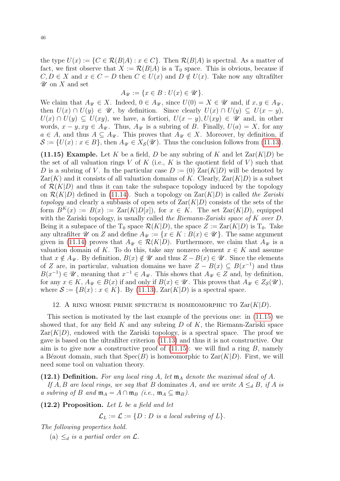the type  $U(x) := \{ C \in \mathcal{R}(B|A) : x \in C \}.$  Then  $\mathcal{R}(B|A)$  is spectral. As a matter of fact, we first observe that  $X := \mathcal{R}(B|A)$  is a  $T_0$  space. This is obvious, because if  $C, D \in X$  and  $x \in C - D$  then  $C \in U(x)$  and  $D \notin U(x)$ . Take now any ultrafilter  $\mathscr U$  on X and set

$$
A_{\mathscr{U}} := \{ x \in B : U(x) \in \mathscr{U} \}.
$$

We claim that  $A_{\mathscr{U}} \in X$ . Indeed,  $0 \in A_{\mathscr{U}}$ , since  $U(0) = X \in \mathscr{U}$  and, if  $x, y \in A_{\mathscr{U}}$ , then  $U(x) \cap U(y) \in \mathscr{U}$ , by definition. Since clearly  $U(x) \cap U(y) \subseteq U(x - y)$ ,  $U(x) \cap U(y) \subseteq U(xy)$ , we have, a fortiori,  $U(x - y)$ ,  $U(xy) \in \mathscr{U}$  and, in other words,  $x - y$ ,  $xy \in A_{\mathscr{U}}$ . Thus,  $A_{\mathscr{U}}$  is a subring of B. Finally,  $U(a) = X$ , for any  $a \in A$ , and thus  $A \subseteq A_{\mathscr{U}}$ . This proves that  $A_{\mathscr{U}} \in X$ . Moreover, by definition, if  $\mathcal{S} := \{U(x) : x \in B\}$ , then  $A_{\mathscr{U}} \in X_{\mathcal{S}}(\mathscr{U})$ . Thus the conclusion follows from [\(11.13\)](#page-43-0).

<span id="page-45-0"></span>(11.15) Example. Let K be a field, D be any subring of K and let  $\text{Zar}(K|D)$  be the set of all valuation rings V of K (i.e., K is the quotient field of V) such that D is a subring of V. In the particular case  $D := (0)$   $\text{Zar}(K|D)$  will be denoted by  $\text{Zar}(K)$  and it consists of all valuation domains of K. Clearly,  $\text{Zar}(K|D)$  is a subset of  $\mathcal{R}(K|D)$  and thus it can take the subspace topology induced by the topology on  $\mathcal{R}(K|D)$  defined in [\(11.14\)](#page-44-0). Such a topology on  $\text{Zar}(K|D)$  is called the Zariski topology and clearly a subbasis of open sets of  $\text{Zar}(K|D)$  consists of the sets of the form  $B^{K}(x) := B(x) := \text{Zar}(K|D[x])$ , for  $x \in K$ . The set  $\text{Zar}(K|D)$ , equipped with the Zariski topology, is usually called the Riemann-Zariski space of K over D. Being it a subspace of the  $T_0$  space  $\mathcal{R}(K|D)$ , the space  $Z := \text{Zar}(K|D)$  is  $T_0$ . Take any ultrafilter  $\mathscr U$  on Z and define  $A_{\mathscr U} := \{x \in K : B(x) \in \mathscr U\}$ . The same argument given in [\(11.14\)](#page-44-0) proves that  $A_{\mathscr{U}} \in \mathcal{R}(K|D)$ . Furthermore, we claim that  $A_{\mathscr{U}}$  is a valuation domain of K. To do this, take any nonzero element  $x \in K$  and assume that  $x \notin A_{\mathcal{U}}$ . By definition,  $B(x) \notin \mathcal{U}$  and thus  $Z - B(x) \in \mathcal{U}$ . Since the elements of Z are, in particular, valuation domains we have  $Z - B(x) \subseteq B(x^{-1})$  and thus  $B(x^{-1}) \in \mathscr{U}$ , meaning that  $x^{-1} \in A_{\mathscr{U}}$ . This shows that  $A_{\mathscr{U}} \in Z$  and, by definition, for any  $x \in K$ ,  $A_{\mathcal{U}} \in B(x)$  if and only if  $B(x) \in \mathcal{U}$ . This proves that  $A_{\mathcal{U}} \in Z_{\mathcal{S}}(\mathcal{U})$ , where  $S := \{B(x) : x \in K\}$ . By [\(11.13\)](#page-43-0),  $\text{Zar}(K|D)$  is a spectral space.

#### 12. A RING WHOSE PRIME SPECTRUM IS HOMEOMORPHIC TO  $\text{Zar}(K|D)$ .

This section is motivated by the last example of the previous one: in [\(11.15\)](#page-45-0) we showed that, for any field K and any subring D of K, the Riemann-Zariski space  $\text{Zar}(K|D)$ , endowed with the Zariski topology, is a spectral space. The proof we gave is based on the ultrafilter criterion [\(11.13\)](#page-43-0) and thus it is not constructive. Our aim is to give now a constructive proof of  $(11.15)$ : we will find a ring B, namely a Bézout domain, such that  $Spec(B)$  is homeomorphic to  $Zar(K|D)$ . First, we will need some tool on valuation theory.

## <span id="page-45-2"></span>(12.1) Definition. For any local ring A, let  $\mathfrak{m}_A$  denote the maximal ideal of A.

If A, B are local rings, we say that B dominates A, and we write  $A \leq_d B$ , if A is a subring of B and  $\mathfrak{m}_A = A \cap \mathfrak{m}_B$  (i.e.,  $\mathfrak{m}_A \subseteq \mathfrak{m}_B$ ).

<span id="page-45-1"></span> $(12.2)$  Proposition. Let L be a field and let

 $\mathcal{L}_L := \mathcal{L} := \{ D : D \text{ is a local subring of } L \}.$ 

The following properties hold.

(a)  $\leq_d$  is a partial order on  $\mathcal{L}$ .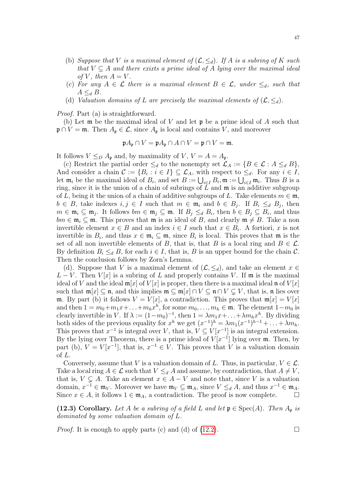- (b) Suppose that V is a maximal element of  $(\mathcal{L}, \leq_d)$ . If A is a subring of K such that  $V \subseteq A$  and there exixts a prime ideal of A lying over the maximal ideal of V, then  $A = V$ .
- (c) For any  $A \in \mathcal{L}$  there is a maximal element  $B \in \mathcal{L}$ , under  $\leq_d$ , such that  $A \leq_d B$ .
- (d) Valuation domains of L are precisely the maximal elements of  $(\mathcal{L}, \leq_d)$ .

Proof. Part (a) is straightforward.

(b) Let  $\mathfrak m$  be the maximal ideal of V and let  $\mathfrak p$  be a prime ideal of A such that  $\mathfrak{p} \cap V = \mathfrak{m}$ . Then  $A_{\mathfrak{p}} \in \mathcal{L}$ , since  $A_{\mathfrak{p}}$  is local and contains V, and moreover

$$
\mathfrak{p}A_{\mathfrak{p}} \cap V = \mathfrak{p}A_{\mathfrak{p}} \cap A \cap V = \mathfrak{p} \cap V = \mathfrak{m}.
$$

It follows  $V \leq_D A_p$  and, by maximality of  $V, V = A = A_p$ .

(c) Restrict the partial order  $\leq_d$  to the nonempty set  $\mathcal{L}_A := \{B \in \mathcal{L} : A \leq_d B\},\$ And consider a chain  $\mathcal{C} := \{B_i : i \in I\} \subseteq \mathcal{L}_A$ , with respect to  $\leq_d$ . For any  $i \in I$ , let  $\mathfrak{m}_i$  be the maximal ideal of  $B_i$ , and set  $B := \bigcup_{i \in I} B_i$ ,  $\mathfrak{m} := \bigcup_{i \in I} \mathfrak{m}_i$ . Thus B is a ring, since it is the union of a chain of subrings of  $\overline{L}$  and  $\mathfrak{m}$  is an additive subgroup of L, being it the union of a chain of additive subgroups of L. Take elements  $m \in \mathfrak{m}$ ,  $b \in B$ , take indexes  $i, j \in I$  such that  $m \in \mathfrak{m}_i$  and  $b \in B_j$ . If  $B_i \leq_d B_j$ , then  $m \in \mathfrak{m}_i \subseteq \mathfrak{m}_j$ . It follows  $bm \in \mathfrak{m}_j \subseteq \mathfrak{m}$ . If  $B_j \le_d B_i$ , then  $b \in B_j \subseteq B_i$ , and thus  $bm \in \mathfrak{m}_i \subseteq \mathfrak{m}$ . This proves that  $\mathfrak{m}$  is an ideal of B, and clearly  $\mathfrak{m} \neq B$ . Take a non invertible element  $x \in B$  and an index  $i \in I$  such that  $x \in B_i$ . A fortiori, x is not invertible in  $B_i$ , and thus  $x \in \mathfrak{m}_i \subseteq \mathfrak{m}$ , since  $B_i$  is local. This proves that  $\mathfrak{m}$  is the set of all non invertible elements of B, that is, that B is a local ring and  $B \in \mathcal{L}$ . By definition  $B_i \leq_d B$ , for each  $i \in I$ , that is, B is an upper bound for the chain C. Then the conclusion follows by Zorn's Lemma.

(d). Suppose that V is a maximal element of  $(\mathcal{L}, \leq_d)$ , and take an element  $x \in$  $L - V$ . Then  $V[x]$  is a subring of L and properly contains V. If m is the maximal ideal of V and the ideal  $\mathfrak{m}[x]$  of  $V[x]$  is proper, then there is a maximal ideal  $\mathfrak{n}$  of  $V[x]$ such that  $\mathfrak{m}[x] \subseteq \mathfrak{n}$ , and this implies  $\mathfrak{m} \subseteq \mathfrak{m}[x] \cap V \subseteq \mathfrak{n} \cap V \subsetneq V$ , that is,  $\mathfrak{n}$  lies over m. By part (b) it follows  $V = V[x]$ , a contradiction. This proves that  $m[x] = V[x]$ and then  $1 = m_0 + m_1x + \ldots + m_hx^h$ , for some  $m_0, \ldots, m_h \in \mathfrak{m}$ . The element  $1 - m_0$  is clearly invertible in V. If  $\lambda := (1 - m_0)^{-1}$ , then  $1 = \lambda m_1 x + \ldots + \lambda m_h x^h$ . By dividing both sides of the previous equality for  $x^h$  we get  $(x^{-1})^h = \lambda m_1(x^{-1})^{h-1} + \ldots + \lambda m_h$ . This proves that  $x^{-1}$  is integral over V, that is,  $V \subseteq V[x^{-1}]$  is an integral extension. By the lying over Theorem, there is a prime ideal of  $V[x^{-1}]$  lying over  $\mathfrak{m}$ . Then, by part (b),  $V = V[x^{-1}]$ , that is,  $x^{-1} \in V$ . This proves that V is a valuation domain of L.

Conversely, assume that V is a valuation domain of L. Thus, in particular,  $V \in \mathcal{L}$ . Take a local ring  $A \in \mathcal{L}$  such that  $V \leq_d A$  and assume, by contradiction, that  $A \neq V$ , that is,  $V \subsetneq A$ . Take an element  $x \in A - V$  and note that, since V is a valuation domain,  $x^{-1} \in \mathfrak{m}_V$ . Moreover we have  $\mathfrak{m}_V \subseteq \mathfrak{m}_A$ , since  $V \leq_d A$ , and thus  $x^{-1} \in \mathfrak{m}_A$ . Since  $x \in A$ , it follows  $1 \in \mathfrak{m}_A$ , a contradiction. The proof is now complete.  $\Box$ 

<span id="page-46-0"></span>(12.3) Corollary. Let A be a subring of a field L and let  $\mathfrak{p} \in \text{Spec}(A)$ . Then  $A_{\mathfrak{p}}$  is dominated by some valuation domain of L.

*Proof.* It is enough to apply parts (c) and (d) of  $(12.2)$ .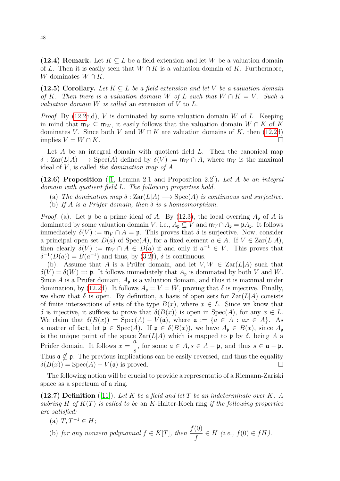<span id="page-47-0"></span>(12.4) Remark. Let  $K \subseteq L$  be a field extension and let W be a valuation domain of L. Then it is easily seen that  $W \cap K$  is a valuation domain of K. Furthermore, W dominates  $W \cap K$ .

<span id="page-47-1"></span>(12.5) Corollary. Let  $K \subseteq L$  be a field extension and let V be a valuation domain of K. Then there is a valuation domain W of L such that  $W \cap K = V$ . Such a valuation domain  $W$  is called an extension of  $V$  to  $L$ .

*Proof.* By  $(12.2c,d)$ , V is dominated by some valuation domain W of L. Keeping in mind that  $\mathfrak{m}_V \subseteq \mathfrak{m}_W$ , it easily follows that the valuation domain  $W \cap K$  of K dominates V. Since both V and  $W \cap K$  are valuation domains of K, then [\(12.2d](#page-45-1)) implies  $V = W \cap K$ .

Let  $A$  be an integral domain with quotient field  $L$ . Then the canonical map  $\delta$ : Zar(L|A)  $\longrightarrow$  Spec(A) defined by  $\delta(V) := \mathfrak{m}_V \cap A$ , where  $\mathfrak{m}_V$  is the maximal ideal of  $V$ , is called the domination map of  $A$ .

<span id="page-47-2"></span>(12.6) Proposition ([\[1,](#page-77-3) Lemma 2.1 and Proposition 2.2]). Let A be an integral domain with quotient field L. The following properties hold.

- (a) The domination map  $\delta : \text{Zar}(L|A) \longrightarrow \text{Spec}(A)$  is continuous and surjective.
- (b) If A is a Prüfer domain, then  $\delta$  is a homeomorphism.

*Proof.* (a). Let **p** be a prime ideal of A. By [\(12.3\)](#page-46-0), the local overring  $A_{\mathfrak{p}}$  of A is dominated by some valuation domain V, i.e.,  $A_{\mathfrak{p}} \subseteq V$  and  $\mathfrak{m}_V \cap A_{\mathfrak{p}} = \mathfrak{p} A_{\mathfrak{p}}$ . It follows immediately  $\delta(V) := \mathfrak{m}_V \cap A = \mathfrak{p}$ . This proves that  $\delta$  is surjective. Now, consider a principal open set  $D(a)$  of  $Spec(A)$ , for a fixed element  $a \in A$ . If  $V \in Zar(L|A)$ , then clearly  $\delta(V) := \mathfrak{m}_V \cap A \in D(a)$  if and only if  $a^{-1} \in V$ . This proves that  $\delta^{-1}(D(a)) = B(a^{-1})$  and thus, by [\(3.2f](#page-14-0)),  $\delta$  is continuous.

(b). Assume that A is a Prüfer domain, and let  $V, W \in \text{Zar}(L|A)$  such that  $\delta(V) = \delta(W) =: \mathfrak{p}$ . It follows immediately that  $A_{\mathfrak{p}}$  is dominated by both V and W. Since A is a Prüfer domain,  $A_{\mathfrak{p}}$  is a valuation domain, and thus it is maximal under domination, by [\(12.2d](#page-45-1)). It follows  $A_{\mathfrak{p}} = V = W$ , proving that  $\delta$  is injective. Finally, we show that  $\delta$  is open. By definition, a basis of open sets for  $\text{Zar}(L|A)$  consists of finite intersections of sets of the type  $B(x)$ , where  $x \in L$ . Since we know that δ is injective, it suffices to prove that  $\delta(B(x))$  is open in Spec(A), for any  $x \in L$ . We claim that  $\delta(B(x)) = \text{Spec}(A) - V(a)$ , where  $a := \{a \in A : ax \in A\}$ . As a matter of fact, let  $\mathfrak{p} \in \text{Spec}(A)$ . If  $\mathfrak{p} \in \delta(B(x))$ , we have  $A_{\mathfrak{p}} \in B(x)$ , since  $A_{\mathfrak{p}}$ is the unique point of the space  $\text{Zar}(L|A)$  which is mapped to p by  $\delta$ , being A a Prüfer domain. It follows  $x =$ a s , for some  $a \in A$ ,  $s \in A - \mathfrak{p}$ , and thus  $s \in \mathfrak{a} - \mathfrak{p}$ . Thus  $\mathfrak{a} \nsubseteq \mathfrak{p}$ . The previous implications can be easily reversed, and thus the equality  $\delta(B(x)) = \text{Spec}(A) - V(a)$  is proved.

The following notion will be crucial to provide a representatio of a Riemann-Zariski space as a spectrum of a ring.

(12.7) Definition ([\[11\]](#page-77-4)). Let K be a field and let T be an indeterminate over K. A subring H of  $K(T)$  is called to be an K-Halter-Koch ring if the following properties are satisfied:

- (a)  $T, T^{-1} \in H$ ;
- (b) for any nonzero polynomial  $f \in K[T]$ , then  $\frac{f(0)}{f}$ f  $\in H$  (i.e.,  $f(0) \in fH$ ).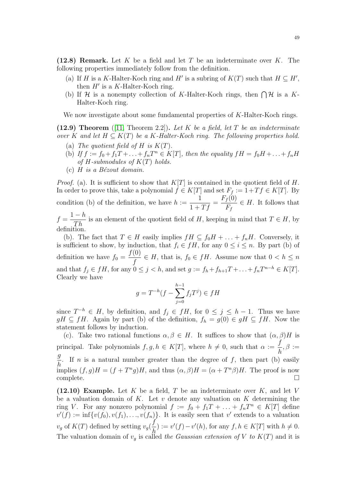<span id="page-48-0"></span>(12.8) Remark. Let K be a field and let T be an indeterminate over K. The following properties immediately follow from the definition.

- (a) If H is a K-Halter-Koch ring and H' is a subring of  $K(T)$  such that  $H \subseteq H'$ , then  $H'$  is a K-Halter-Koch ring.
- (b) If H is a nonempty collection of K-Halter-Koch rings, then  $\bigcap \mathcal{H}$  is a K-Halter-Koch ring.

We now investigate about some fundamental properties of K-Halter-Koch rings.

<span id="page-48-2"></span>(12.9) Theorem ([\[11,](#page-77-4) Theorem 2.2]). Let K be a field, let T be an indeterminate over K and let  $H \subseteq K(T)$  be a K-Halter-Koch ring. The following properties hold.

- (a) The quotient field of H is  $K(T)$ .
- (b) If  $f := f_0 + f_1T + \ldots + f_nT^n \in K[T]$ , then the equality  $fH = f_0H + \ldots + f_nH$ of H-submodules of  $K(T)$  holds.
- (c)  $H$  is a Bézout domain.

*Proof.* (a). It is sufficient to show that  $K[T]$  is contained in the quotient field of H. In order to prove this, take a polynomial  $f \in K[T]$  and set  $F_f := 1 + Tf \in K[T]$ . By condition (b) of the definition, we have  $h :=$ 1  $\frac{1}{1+Tf}$  =  $F_f(0)$  $F_f$  $\in$  H. It follows that  $f =$  $1-h$  $\frac{n}{Th}$  is an element of the quotient field of H, keeping in mind that  $T \in H$ , by

definition.

(b). The fact that  $T \in H$  easily implies  $fH \subseteq f_0H + \ldots + f_nH$ . Conversely, it is sufficient to show, by induction, that  $f_i \in fH$ , for any  $0 \leq i \leq n$ . By part (b) of definition we have  $f_0 =$  $f(0)$  $\frac{f^{(0)}}{f} \in H$ , that is,  $f_0 \in fH$ . Assume now that  $0 < h \leq n$ and that  $f_j \in fH$ , for any  $0 \leq j < h$ , and set  $g := f_h + f_{h+1}T + \ldots + f_nT^{n-h} \in K[T]$ . Clearly we have

$$
g = T^{-h}(f - \sum_{j=0}^{h-1} f_j T^j) \in fH
$$

since  $T^{-h} \in H$ , by definition, and  $f_j \in fH$ , for  $0 \leq j \leq h-1$ . Thus we have  $gH \subseteq fH$ . Again by part (b) of the definition,  $f_h = g(0) \in gH \subseteq fH$ . Now the statement follows by induction.

(c). Take two rational functions  $\alpha, \beta \in H$ . It suffices to show that  $(\alpha, \beta)H$  is principal. Take polynomials  $f, g, h \in K[T]$ , where  $h \neq 0$ , such that  $\alpha := \frac{f}{h}$ h  $, \beta :=$ g h . If n is a natural number greater than the degree of  $f$ , then part (b) easily implies  $(f, g)H = (f + T^n g)H$ , and thus  $(\alpha, \beta)H = (\alpha + T^n \beta)H$ . The proof is now  $\Box$ complete.  $\Box$ 

<span id="page-48-1"></span>(12.10) Example. Let K be a field, T be an indeterminate over K, and let V be a valuation domain of K. Let  $v$  denote any valuation on  $K$  determining the ring V. For any nonzero polynomial  $f := f_0 + f_1T + \ldots + f_nT^n \in K[T]$  define  $v'(f) := \inf\{v(f_0), v(f_1), \ldots, v(f_n)\}\.$  It is easily seen that  $v'$  extends to a valuation  $v_g$  of  $K(T)$  defined by setting  $v_g$ f h  $(0) := v'(f) - v'(h)$ , for any  $f, h \in K[T]$  with  $h \neq 0$ . The valuation domain of  $v<sub>g</sub>$  is called the Gaussian extension of V to  $K(T)$  and it is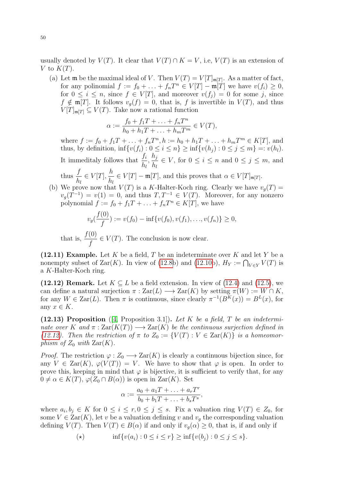usually denoted by  $V(T)$ . It clear that  $V(T) \cap K = V$ , i.e,  $V(T)$  is an extension of V to  $K(T)$ .

(a) Let **m** be the maximal ideal of V. Then  $V(T) = V[T]_{\mathfrak{m}[T]}$ . As a matter of fact, for any polinomial  $f := f_0 + \ldots + f_nT^n \in V[T] - \mathfrak{m}[T]$  we have  $v(f_i) \geq 0$ , for  $0 \leq i \leq n$ , since  $f \in V[T]$ , and moreover  $v(f_j) = 0$  for some j, since  $f \notin \mathfrak{m}[T]$ . It follows  $v_q(f) = 0$ , that is, f is invertible in  $V(T)$ , and thus  $V[T]_{\mathfrak{m}[T]} \subseteq V(T)$ . Take now a rational function

$$
\alpha := \frac{f_0 + f_1 T + \ldots + f_n T^n}{h_0 + h_1 T + \ldots + h_m T^m} \in V(T),
$$

where  $f := f_0 + f_1 T + \ldots + f_n T^n$ ,  $h := h_0 + h_1 T + \ldots + h_m T^m \in K[T]$ , and thus, by definition,  $\inf \{v(f_i) : 0 \le i \le n\} \ge \inf \{v(h_i) : 0 \le j \le m\} =: v(h_l)$ . It immeditaly follows that  $\frac{f_i}{I}$  $h_l$  $h_j$  $h_l$  $\in V$ , for  $0 \leq i \leq n$  and  $0 \leq j \leq m$ , and thus  $\frac{f}{i}$  $h_l$  $\in V[T], \frac{h}{l}$  $h_l$  $\in V[T] - \mathfrak{m}[T]$ , and this proves that  $\alpha \in V[T]_{\mathfrak{m}[T]}$ .

(b) We prove now that  $V(T)$  is a K-Halter-Koch ring. Clearly we have  $v_g(T)$  =  $v_g(T^{-1}) = v(1) = 0$ , and thus  $T, T^{-1} \in V(T)$ . Moreover, for any nonzero polynomial  $f := f_0 + f_1 T + \ldots + f_n T^n \in K[T]$ , we have

$$
v_g(\frac{f(0)}{f}) := v(f_0) - \inf\{v(f_0), v(f_1), \dots, v(f_n)\} \ge 0,
$$
  

$$
\frac{f(0)}{f} \in V(T)
$$
 The conclusion is now clear

that is, f  $\in V(T)$ . The conclusion is now clear.

<span id="page-49-1"></span>(12.11) Example. Let  $K$  be a field,  $T$  be an indeterminate over  $K$  and let  $Y$  be a nonempty subset of  $\text{Zar}(K)$ . In view of [\(12.8b](#page-48-0)) and [\(12.10b](#page-48-1)),  $H_Y := \bigcap_{V \in Y} V(T)$  is a K-Halter-Koch ring.

<span id="page-49-0"></span>(12.12) Remark. Let  $K \subseteq L$  be a field extension. In view of [\(12.4\)](#page-47-0) and [\(12.5\)](#page-47-1), we can define a natural surjection  $\pi$ :  $\text{Zar}(L) \longrightarrow \text{Zar}(K)$  by setting  $\pi(W) := W \cap K$ , for any  $W \in \text{Zar}(L)$ . Then  $\pi$  is continuous, since clearly  $\pi^{-1}(B^{K}(x)) = B^{L}(x)$ , for any  $x \in K$ .

<span id="page-49-2"></span>(12.13) Proposition ([\[4,](#page-77-5) Proposition 3.1]). Let K be a field, T be an indeterminate over K and  $\pi$ :  $\text{Zar}(K(T)) \longrightarrow \text{Zar}(K)$  be the continuous surjection defined in [\(12.12\)](#page-49-0). Then the restriction of  $\pi$  to  $Z_0 := \{V(T) : V \in \text{Zar}(K)\}\$ is a homeomorphism of  $Z_0$  with  $\text{Zar}(K)$ .

*Proof.* The restriction  $\varphi : Z_0 \longrightarrow \text{Zar}(K)$  is clearly a continuous bijection since, for any  $V \in \text{Zar}(K)$ ,  $\varphi(V(T)) = V$ . We have to show that  $\varphi$  is open. In order to prove this, keeping in mind that  $\varphi$  is bijective, it is sufficient to verify that, for any  $0 \neq \alpha \in K(T)$ ,  $\varphi(Z_0 \cap B(\alpha))$  is open in  $\text{Zar}(K)$ . Set

$$
\alpha := \frac{a_0 + a_1 T + \ldots + a_r T^r}{b_0 + b_1 T + \ldots + b_s T^s},
$$

where  $a_i, b_j \in K$  for  $0 \le i \le r, 0 \le j \le s$ . Fix a valuation ring  $V(T) \in Z_0$ , for some  $V \in \text{Zar}(K)$ , let v be a valuation defining v and  $v<sub>g</sub>$  the corresponding valuation defining  $V(T)$ . Then  $V(T) \in B(\alpha)$  if and only if  $v_g(\alpha) \geq 0$ , that is, if and only if

(\*) 
$$
\inf \{v(a_i) : 0 \le i \le r\} \ge \inf \{v(b_j) : 0 \le j \le s\}.
$$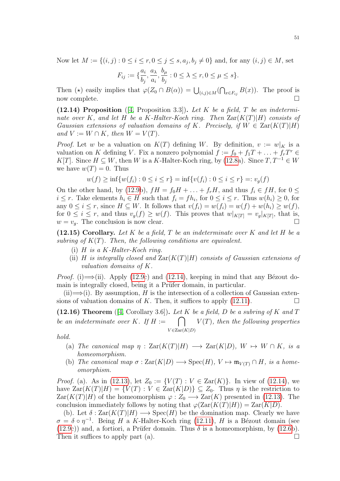Now let  $M := \{(i, j) : 0 \le i \le r, 0 \le j \le s, a_j, b_j \ne 0\}$  and, for any  $(i, j) \in M$ , set

$$
F_{ij} := \{\frac{a_i}{b_j}, \frac{a_\lambda}{a_i}, \frac{b_\mu}{b_j} : 0 \le \lambda \le r, 0 \le \mu \le s\}.
$$

Then ( $\star$ ) easily implies that  $\varphi(Z_0 \cap B(\alpha)) = \bigcup_{(i,j)\in M} (\bigcap_{x \in F_{ij}} B(x))$ . The proof is now complete.  $\square$ 

<span id="page-50-0"></span>(12.14) Proposition  $([4, Proposition 3.3])$  $([4, Proposition 3.3])$  $([4, Proposition 3.3])$ . Let K be a field, T be an indeterminate over K, and let H be a K-Halter-Koch ring. Then  $\text{Zar}(K(T)|H)$  consists of Gaussian extensions of valuation domains of K. Precisely, if  $W \in \text{Zar}(K(T)|H)$ and  $V := W \cap K$ , then  $W = V(T)$ .

*Proof.* Let w be a valuation on  $K(T)$  defining W. By definition,  $v := w|_K$  is a valuation on K defining V. Fix a nonzero polynomial  $f := f_0 + f_1T + \ldots + f_rT^r \in$ K[T]. Since  $H \subseteq W$ , then W is a K-Halter-Koch ring, by [\(12.8a](#page-48-0)). Since  $T, T^{-1} \in W$ we have  $w(T) = 0$ . Thus

$$
w(f) \ge \inf \{ w(f_i) : 0 \le i \le r \} = \inf \{ v(f_i) : 0 \le i \le r \} =: v_g(f)
$$

On the other hand, by [\(12.9b](#page-48-2)),  $fH = f_0H + \ldots + f_rH$ , and thus  $f_i \in fH$ , for  $0 \le$  $i \leq r$ . Take elements  $h_i \in H$  such that  $f_i = fh_i$ , for  $0 \leq i \leq r$ . Thus  $w(h_i) \geq 0$ , for any  $0 \leq i \leq r$ , since  $H \subseteq W$ . It follows that  $v(f_i) = w(f_i) = w(f) + w(h_i) \geq w(f)$ , for  $0 \leq i \leq r$ , and thus  $v_g(f) \geq w(f)$ . This proves that  $w|_{K[T]} = v_g|_{K[T]}$ , that is,  $w = v_q$ . The conclusion is now clear.

(12.15) Corollary. Let K be a field, T be an indeterminate over K and let H be a subring of  $K(T)$ . Then, the following conditions are equivalent.

- (i)  $H$  is a  $K$ -Halter-Koch ring.
- (ii) H is integrally closed and  $\text{Zar}(K(T)|H)$  consists of Gaussian extensions of valuation domains of K.

*Proof.* (i)  $\Longrightarrow$  (ii). Apply [\(12.9c](#page-48-2)) and [\(12.14\)](#page-50-0), keeping in mind that any Bézout domain is integrally closed, being it a Prüfer domain, in particular.

(ii)  $\Longrightarrow$  (i). By assumption, H is the intersection of a collection of Gaussian extensions of valuation domains of K. Then, it suffices to apply  $(12.11)$ .

<span id="page-50-1"></span>(12.16) Theorem ([\[4,](#page-77-5) Corollary 3.6]). Let K be a field, D be a subring of K and T be an indeterminate over K. If  $H :=$  $V \in \text{Zar}(K|D)$  $\bigcap$   $V(T)$ , then the following properties

hold.

- (a) The canonical map  $\eta : \text{Zar}(K(T)|H) \longrightarrow \text{Zar}(K|D)$ ,  $W \mapsto W \cap K$ , is a homeomorphism.
- (b) The canonical map  $\sigma : \text{Zar}(K|D) \longrightarrow \text{Spec}(H), V \mapsto \mathfrak{m}_{V(T)} \cap H$ , is a homeomorphism.

*Proof.* (a). As in [\(12.13\)](#page-49-2), let  $Z_0 := \{V(T) : V \in \text{Zar}(K)\}\$ . In view of [\(12.14\)](#page-50-0), we have  $\text{Zar}(K(T)|H) = \{V(T): V \in \text{Zar}(K|D)\} \subseteq Z_0$ . Thus  $\eta$  is the restriction to  $\text{Zar}(K(T)|H)$  of the homeomorphism  $\varphi: Z_0 \longrightarrow \text{Zar}(K)$  presented in [\(12.13\)](#page-49-2). The conclusion immediately follows by noting that  $\varphi(Zar(K(T)|H)) = Zar(K|D)$ .

(b). Let  $\delta : \text{Zar}(K(T)|H) \longrightarrow \text{Spec}(H)$  be the domination map. Clearly we have  $\sigma = \delta \circ \eta^{-1}$ . Being H a K-Halter-Koch ring [\(12.11\)](#page-49-1), H is a Bézout domain (see [\(12.9c](#page-48-2))) and, a fortiori, a Prüfer domain. Thus  $\delta$  is a homeomorphism, by [\(12.6b](#page-47-2)). Then it suffices to apply part (a).  $\Box$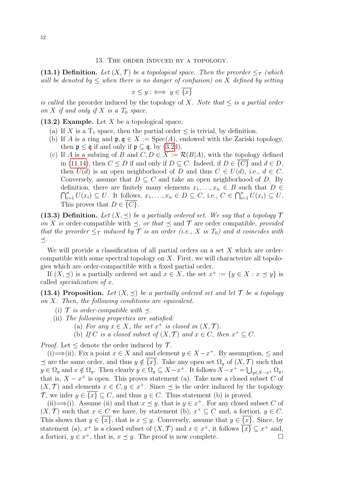(13.1) Definition. Let  $(X, \mathcal{T})$  be a topological space. Then the preorder  $\leq_{\mathcal{T}}$  (which will be denoted by  $\leq$  when there is no danger of confusion) on X defined by setting

$$
x \le y : \iff y \in \overline{\{x\}}
$$

is called the preorder induced by the topology of X. Note that  $\leq$  is a partial order on X if and only if X is a  $T_0$  space.

<span id="page-51-1"></span>(13.2) Example. Let  $X$  be a topological space.

- (a) If X is a  $T_1$  space, then the partial order  $\leq$  is trivial, by definition.
- (b) If A is a ring and  $\mathfrak{p}, \mathfrak{q} \in X := \text{Spec}(A)$ , endowed with the Zariski topology, then  $\mathfrak{p} \leq \mathfrak{q}$  if and only if  $\mathfrak{p} \subseteq \mathfrak{q}$ , by [\(3.2d](#page-14-0)).
- (c) If A is a subring of B and  $C, D \in X := \mathcal{R}(B|A)$ , with the topology defined in [\(11.14\)](#page-44-0), then  $C \leq D$  if and only if  $D \subseteq C$ . Indeed, if  $D \in \overline{\{C\}}$  and  $d \in D$ , then  $U(d)$  is an open neighborhood of D and thus  $C \in U(d)$ , i.e.,  $d \in C$ . Conversely, assume that  $D \subseteq C$  and take an open neighborhood of D. By definition, there are finitely many elements  $x_1, \ldots, x_n \in B$  such that  $D \in$  $\bigcap_{i=1}^n U(x_i) \subseteq U$ . It follows,  $x_1, \ldots, x_n \in D \subseteq C$ , i.e.,  $C \in \bigcap_{i=1}^n U(x_i) \subseteq U$ . This proves that  $D \in \overline{\{C\}}$ .

(13.3) Definition. Let  $(X, \preceq)$  be a partially ordered set. We say that a topology  $\mathcal T$ on X is order-compatible with  $\preceq$ , or that  $\preceq$  and T are order compatible, provided that the preorder  $\leq_T$  induced by T is an order (i.e., X is  $T_0$ ) and it coincides with  $\preceq$ .

We will provide a classification of all partial orders on a set  $X$  which are ordercompatible with some spectral topology on  $X$ . First, we will characterize all topologies which are order-compactible with a fixed partial order.

If  $(X, \preceq)$  is a partially ordered set and  $x \in X$ , the set  $x^+ := \{y \in X : x \preceq y\}$  is called specialization of x.

<span id="page-51-0"></span>(13.4) Proposition. Let  $(X, \preceq)$  be a partially ordered set and let  $\mathcal T$  be a topology on X. Then, the following conditions are equivalent.

- (i)  $\mathcal{T}$  is order-compatible with  $\prec$ .
- (ii) The following properties are satisfied:
	- (a) For any  $x \in X$ , the set  $x^+$  is closed in  $(X, \mathcal{T})$ .
	- (b) If C is a closed subset of  $(X, \mathcal{T})$  and  $x \in C$ , then  $x^+ \subseteq C$ .

*Proof.* Let  $\leq$  denote the order induced by  $\mathcal{T}$ .

(i)  $\implies$  (ii). Fix a point  $x \in X$  and and element  $y \in X - x^+$ . By assumption,  $\leq$  and  $\preceq$  are the same order, and thus  $y \notin \overline{\{x\}}$ . Take any open set  $\Omega_y$  of  $(X, \mathcal{T})$  such that  $y \in \Omega_y$  and  $x \notin \Omega_y$ . Then clearly  $y \in \Omega_y \subseteq X - x^+$ . It follows  $\overline{X} - x^+ = \bigcup_{y \in X - x^+} \Omega_y$ , that is,  $X - x^+$  is open. This proves statement (a). Take now a closed subset C of  $(X, \mathcal{T})$  and elements  $x \in C, y \in x^+$ . Since  $\preceq$  is the order induced by the topology T, we infer  $y \in \overline{\{x\}} \subseteq C$ , and thus  $y \in C$ . Thus statement (b) is proved.

(ii)  $\Longrightarrow$  (i). Assume (ii) and that  $x \preceq y$ , that is  $y \in x^+$ . For any closed subset C of  $(X, \mathcal{T})$  such that  $x \in C$  we have, by statement (b),  $x^+ \subseteq C$  and, a fortiori,  $y \in C$ . This shows that  $y \in \{x\}$ , that is  $x \leq y$ . Conversely, assume that  $y \in \{x\}$ . Since, by statement (a),  $x^+$  is a closed subset of  $(X, \mathcal{T})$  and  $x \in x^+$ , it follows  $\overline{\{x\}} \subseteq x^+$  and, a fortiori,  $y \in x^+$ , that is,  $x \preceq y$ . The proof is now complete.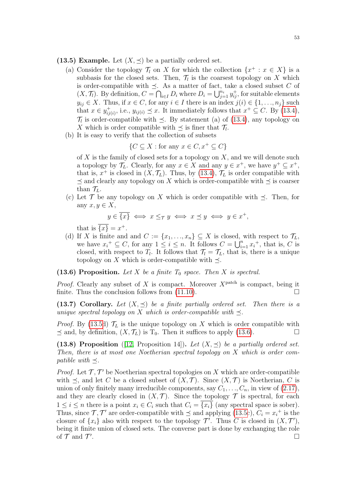<span id="page-52-0"></span>(13.5) Example. Let  $(X, \prec)$  be a partially ordered set.

- (a) Consider the topology  $\mathcal{T}_l$  on X for which the collection  $\{x^+ : x \in X\}$  is a subbasis for the closed sets. Then,  $\mathcal{T}_l$  is the coarsest topology on X which is order-compatible with  $\preceq$ . As a matter of fact, take a closed subset C of  $(X, \mathcal{T}_l)$ . By definition,  $C = \bigcap_{i \in I} D_i$  where  $D_i = \bigcup_{j=1}^{n_i} y_{ij}^+$ , for suitable elements  $y_{ij} \in X$ . Thus, if  $x \in C$ , for any  $i \in I$  there is an index  $j(i) \in \{1, \ldots, n_j\}$  such that  $x \in y_{ii}^+$  $i_{ij(i)}^+$ , i.e.,  $y_{ij(i)} \preceq x$ . It immediately follows that  $x^+ \subseteq C$ . By [\(13.4\)](#page-51-0),  $\mathcal{T}_l$  is order-compatible with  $\preceq$ . By statement (a) of [\(13.4\)](#page-51-0), any topology on X which is order compatible with  $\preceq$  is finer that  $\mathcal{T}_l$ .
- (b) It is easy to verify that the collection of subsets

$$
\{C \subseteq X : \text{for any } x \in C, x^+ \subseteq C\}
$$

of  $X$  is the family of closed sets for a topology on  $X$ , and we will denote such a topology by  $\mathcal{T}_L$ . Clearly, for any  $x \in X$  and any  $y \in x^+$ , we have  $y^+ \subseteq x^+$ , that is,  $x^+$  is closed in  $(X, \mathcal{T}_L)$ . Thus, by [\(13.4\)](#page-51-0),  $\mathcal{T}_L$  is order compatible with  $\prec$  and clearly any topology on X which is order-compatible with  $\prec$  is coarser than  $\mathcal{T}_L$ .

(c) Let  $\mathcal T$  be any topology on X which is order compatible with  $\preceq$ . Then, for any  $x, y \in X$ ,

$$
y \in \overline{\{x\}} \iff x \leq_{\mathcal{T}} y \iff x \preceq y \iff y \in x^+,
$$

that is  $\overline{\{x\}} = x^+$ .

(d) If X is finite and and  $C := \{x_1, \ldots, x_n\} \subseteq X$  is closed, with respect to  $\mathcal{T}_L$ , we have  $x_i^+ \subseteq C$ , for any  $1 \leq i \leq n$ . It follows  $C = \bigcup_{i=1}^n x_i^+$ , that is, C is closed, with respect to  $T_l$ . It follows that  $\mathcal{T}_l = \mathcal{T}_L$ , that is, there is a unique topology on X which is order-compatible with  $\preceq$ .

# <span id="page-52-1"></span>(13.6) Proposition. Let X be a finite  $T_0$  space. Then X is spectral.

*Proof.* Clearly any subset of X is compact. Moreover  $X^{\text{patch}}$  is compact, being it finite. Thus the conclusion follows from  $(11.10)$ .

<span id="page-52-3"></span>(13.7) Corollary. Let  $(X, \preceq)$  be a finite partially ordered set. Then there is a unique spectral topology on X which is order-compatible with  $\preceq$ .

*Proof.* By [\(13.5d](#page-52-0))  $\mathcal{T}_L$  is the unique topology on X which is order compatible with  $\preceq$  and, by definition,  $(X, \mathcal{T}_L)$  is  $T_0$ . Then it suffices to apply [\(13.6\)](#page-52-1).

<span id="page-52-2"></span>(13.8) Proposition ([\[12,](#page-77-2) Proposition 14]). Let  $(X, \preceq)$  be a partially ordered set. Then, there is at most one Noetherian spectral topology on X which is order compatible with  $\preceq$ .

*Proof.* Let  $\mathcal{T}, \mathcal{T}'$  be Noetherian spectral topologies on X which are order-compatible with  $\preceq$ , and let C be a closed subset of  $(X, \mathcal{T})$ . Since  $(X, \mathcal{T})$  is Noetherian, C is union of only finitely many irreducible components, say  $C_1, \ldots, C_n$ , in view of  $(2.17)$ , and they are clearly closed in  $(X, \mathcal{T})$ . Since the topology  $\mathcal T$  is spectral, for each  $1 \leq i \leq n$  there is a point  $x_i \in C_i$  such that  $C_i = \{x_i\}$  (any spectral space is sober). Thus, since  $\mathcal{T}, \mathcal{T}'$  are order-compatible with  $\preceq$  and applying [\(13.5c](#page-52-0)),  $C_i = x_i^+$  is the closure of  $\{x_i\}$  also with respect to the topology  $\mathcal{T}'$ . Thus C is closed in  $(X, \mathcal{T}')$ , being it finite union of closed sets. The converse part is done by exchanging the role of  $\mathcal T$  and  $\mathcal T'$ .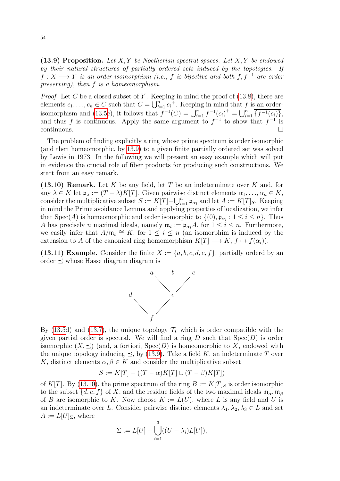<span id="page-53-0"></span>(13.9) Proposition. Let  $X, Y$  be Noetherian spectral spaces. Let  $X, Y$  be endowed by their natural structures of partially ordered sets induced by the topologies. If  $f: X \longrightarrow Y$  is an order-isomorphism (i.e., f is bijective and both f, f<sup>-1</sup> are order preserving), then f is a homeomorphism.

*Proof.* Let C be a closed subset of Y. Keeping in mind the proof of  $(13.8)$ , there are elements  $c_1, \ldots, c_n \in C$  such that  $C = \bigcup_{i=1}^n c_i^+$ . Keeping in mind that f is an order-isomorphism and [\(13.5c](#page-52-0)), it follows that  $f^{-1}(C) = \bigcup_{i=1}^{n} f^{-1}(c_i)^+ = \bigcup_{i=1}^{n} \overline{f^{-1}(c_i)}$ , and thus f is continuous. Apply the same argument to  $f^{-1}$  to show that  $f^{-1}$  is  $\Box$ continuous.

The problem of finding explicitly a ring whose prime spectrum is order isomorphic (and then homeomorphic, by [13.9\)](#page-53-0) to a given finite partially ordered set was solved by Lewis in 1973. In the following we will present an easy example which will put in evidence the crucial role of fiber products for producing such constructions. We start from an easy remark.

<span id="page-53-1"></span> $(13.10)$  Remark. Let K be any field, let T be an indeterminate over K and, for any  $\lambda \in K$  let  $\mathfrak{p}_{\lambda} := (T - \lambda)K[T]$ . Given pairwise distinct elements  $\alpha_1, \ldots, \alpha_n \in K$ , consider the multiplicative subset  $S := K[T] - \bigcup_{i=1}^{n} \mathfrak{p}_{\alpha_i}$  and let  $A := K[T]_S$ . Keeping in mind the Prime avoidance Lemma and applying properties of localization, we infer that Spec(A) is homeomorphic and order isomorphic to  $\{(0), \mathfrak{p}_{\alpha_i} : 1 \leq i \leq n\}$ . Thus A has precisely n maximal ideals, namely  $\mathfrak{m}_i := \mathfrak{p}_{\alpha_i} A$ , for  $1 \leq i \leq n$ . Furthermore, we easily infer that  $A/\mathfrak{m}_i \cong K$ , for  $1 \leq i \leq n$  (an isomorphim is induced by the extension to A of the canonical ring homomorphism  $K[T] \longrightarrow K, f \mapsto f(\alpha_i)$ .

(13.11) Example. Consider the finite  $X := \{a, b, c, d, e, f\}$ , partially orderd by an order  $\preceq$  whose Hasse diagram diagram is



By [\(13.5d](#page-52-0)) and [\(13.7\)](#page-52-3), the unique topology  $\mathcal{T}_L$  which is order compatible with the given partial order is spectral. We will find a ring  $D$  such that  $Spec(D)$  is order isomorphic  $(X, \preceq)$  (and, a fortiori,  $Spec(D)$ ) is homeomorphic to X, endowed with the unique topology inducing  $\preceq$ , by [\(13.9\)](#page-53-0). Take a field K, an indeterminate T over K, distinct elements  $\alpha, \beta \in K$  and consider the multiplicative subset

$$
S := K[T] - ((T - \alpha)K[T] \cup (T - \beta)K[T])
$$

of K[T]. By [\(13.10\)](#page-53-1), the prime spectrum of the ring  $B := K[T]_S$  is order isomorphic to the subset  $\{d, e, f\}$  of X, and the residue fields of the two maximal ideals  $\mathfrak{m}_{\alpha}, \mathfrak{m}_{\beta}$ of B are isomorphic to K. Now choose  $K := L(U)$ , where L is any field and U is an indeterminate over L. Consider pairwise distinct elements  $\lambda_1, \lambda_2, \lambda_3 \in L$  and set  $A := L[U]_{\Sigma}$ , where

$$
\Sigma := L[U] - \bigcup_{i=1}^{3} ((U - \lambda_i)L[U]),
$$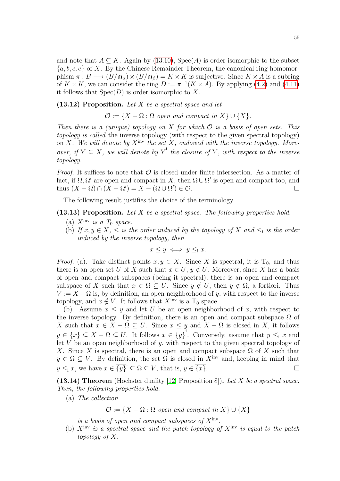and note that  $A \subseteq K$ . Again by [\(13.10\)](#page-53-1), Spec(A) is order isomorphic to the subset  ${a, b, c, e}$  of X. By the Chinese Remainder Theorem, the canonical ring homomorphism  $\pi : B \longrightarrow (B/\mathfrak{m}_{\alpha}) \times (B/\mathfrak{m}_{\beta}) = K \times K$  is surjective. Since  $K \times A$  is a subring of  $K \times K$ , we can consider the ring  $D := \pi^{-1}(K \times A)$ . By applying [\(4.2\)](#page-19-0) and [\(4.11\)](#page-21-0) it follows that  $Spec(D)$  is order isomorphic to X.

 $(13.12)$  Proposition. Let X be a spectral space and let

 $\mathcal{O} := \{X - \Omega : \Omega \text{ open and compact in } X\} \cup \{X\}.$ 

Then there is a (unique) topology on X for which  $\mathcal O$  is a basis of open sets. This topology is called the inverse topology (with respect to the given spectral topology) on X. We will denote by  $X^{inv}$  the set X, endowed with the inverse topology. Moreover, if  $Y \subseteq X$ , we will denote by  $\overline{Y}^{\dagger}$  the closure of Y, with respect to the inverse topology.

*Proof.* It suffices to note that  $\mathcal O$  is closed under finite intersection. As a matter of fact, if  $\Omega, \Omega'$  are open and compact in X, then  $\Omega \cup \Omega'$  is open and compact too, and thus  $(X - \Omega) \cap (X - \Omega') = X - (\Omega \cup \Omega') \in \mathcal{O}$ .

The following result justifies the choice of the terminology.

# <span id="page-54-1"></span> $(13.13)$  Proposition. Let X be a spectral space. The following properties hold.

- (a)  $X^{\text{inv}}$  is a  $T_0$  space.
- (b) If  $x, y \in X$ ,  $\leq$  is the order induced by the topology of X and  $\leq_i$  is the order induced by the inverse topology, then

$$
x \le y \iff y \le x.
$$

*Proof.* (a). Take distinct points  $x, y \in X$ . Since X is spectral, it is T<sub>0</sub>, and thus there is an open set U of X such that  $x \in U$ ,  $y \notin U$ . Moreover, since X has a basis of open and compact subspaces (being it spectral), there is an open and compact subspace of X such that  $x \in \Omega \subseteq U$ . Since  $y \notin U$ , then  $y \notin \Omega$ , a fortiori. Thus  $V := X - \Omega$  is, by definition, an open neighborhood of y, with respect to the inverse topology, and  $x \notin V$ . It follows that  $X^{\text{inv}}$  is a  $T_0$  space.

(b). Assume  $x \leq y$  and let U be an open neighborhood of x, with respect to the inverse topology. By definition, there is an open and compact subspace  $\Omega$  of X such that  $x \in X - \Omega \subseteq U$ . Since  $x \leq y$  and  $X - \Omega$  is closed in X, it follows  $y \in \overline{\{x\}} \subseteq X - \Omega \subseteq U$ . It follows  $x \in \overline{\{y\}}^1$ . Conversely, assume that  $y \leq_i x$  and let  $V$  be an open neighborhood of  $y$ , with respect to the given spectral topology of X. Since X is spectral, there is an open and compact subspace  $\Omega$  of X such that  $y \in \Omega \subseteq V$ . By definition, the set  $\Omega$  is closed in X<sup>inv</sup> and, keeping in mind that  $y \leq_i x$ , we have  $x \in \overline{\{y\}}^i \subseteq \Omega \subseteq V$ , that is,  $y \in \overline{\{x\}}$ .

<span id="page-54-0"></span>(13.14) Theorem (Hochster duality [\[12,](#page-77-2) Proposition 8]). Let X be a spectral space. Then, the following properties hold.

(a) The collection

 $\mathcal{O} := \{X - \Omega : \Omega \text{ open and compact in } X\} \cup \{X\}$ 

is a basis of open and compact subspaces of  $X^{inv}$ .

(b)  $X^{\text{inv}}$  is a spectral space and the patch topology of  $X^{\text{inv}}$  is equal to the patch topology of X.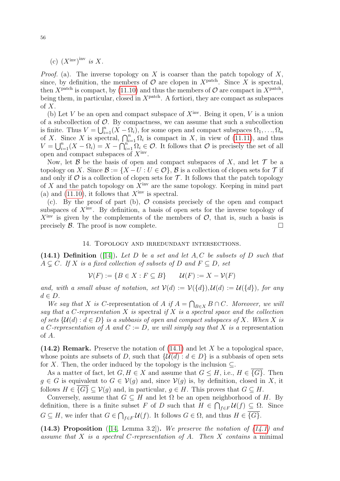(c)  $(X<sup>inv</sup>)<sup>inv</sup>$  is X.

*Proof.* (a). The inverse topology on X is coarser than the patch topology of X, since, by definition, the members of  $\mathcal O$  are clopen in  $X^{\text{patch}}$ . Since X is spectral, then  $X^{\text{patch}}$  is compact, by [\(11.10\)](#page-42-2) and thus the members of  $\mathcal{O}$  are compact in  $X^{\text{patch}}$ , being them, in particular, closed in  $X<sup>patch</sup>$ . A fortiori, they are compact as subspaces of  $X$ .

(b) Let V be an open and compact subspace of  $X<sup>inv</sup>$ . Being it open, V is a union of a subcollection of  $O$ . By compactness, we can assume that such a subcollection is finite. Thus  $V = \bigcup_{i=1}^{n} (X - \Omega_i)$ , for some open and compact subspaces  $\Omega_1, \ldots, \Omega_n$ of X. Since X is spectral,  $\bigcap_{i=1}^{n} \Omega_i$  is compact in X, in view of [\(11.11\)](#page-43-1), and thus  $V = \bigcup_{i=1}^n (X - \Omega_i) = X - \bigcap_{i=1}^{n^*-1} \Omega_i \in \mathcal{O}$ . It follows that  $\mathcal O$  is precisely the set of all open and compact subspaces of  $X<sup>inv</sup>$ .

Now, let B be the basis of open and compact subspaces of X, and let  $\mathcal T$  be a topology on X. Since  $\mathcal{B} := \{X - U : U \in \mathcal{O}\}\$ ,  $\mathcal{B}$  is a collection of clopen sets for  $\mathcal{T}$  if and only if  $\mathcal O$  is a collection of clopen sets for  $\mathcal T$ . It follows that the patch topology of X and the patch topology on  $\hat{X}^{\text{inv}}$  are the same topology. Keeping in mind part (a) and [\(11.10\)](#page-42-2), it follows that  $X<sup>inv</sup>$  is spectral.

(c). By the proof of part (b),  $\mathcal O$  consists precisely of the open and compact subspaces of  $X<sup>inv</sup>$ . By definition, a basis of open sets for the inverse topology of  $X<sup>inv</sup>$  is given by the complements of the members of  $\mathcal{O}$ , that is, such a basis is precisely  $\beta$ . The proof is now complete.

#### 14. Topology and irredundant intersections.

<span id="page-55-0"></span>(14.1) Definition ([\[14\]](#page-77-6)). Let D be a set and let A, C be subsets of D such that  $A \subseteq C$ . If X is a fixed collection of subsets of D and  $F \subseteq D$ , set

$$
\mathcal{V}(F) := \{ B \in X : F \subseteq B \} \qquad \mathcal{U}(F) := X - \mathcal{V}(F)
$$

and, with a small abuse of notation, set  $V(d) := V({d})$ ,  $\mathcal{U}(d) := \mathcal{U}({d})$ , for any  $d \in D$ .

We say that X is C-representation of A if  $A = \bigcap_{B \in X} B \cap C$ . Moreover, we will say that a C-representation  $X$  is spectral if  $X$  is a spectral space and the collection of sets  $\{\mathcal{U}(d): d \in D\}$  is a subbasis of open and compact subspaces of X. When X is a C-representation of A and  $C := D$ , we will simply say that X is a representation of A.

<span id="page-55-1"></span>(14.2) Remark. Preserve the notation of  $(14.1)$  and let X be a topological space, whose points are subsets of D, such that  $\{\mathcal{U}(d) : d \in D\}$  is a subbasis of open sets for X. Then, the order induced by the topology is the inclusion  $\subseteq$ .

As a matter of fact, let  $G, H \in X$  and assume that  $G \leq H$ , i.e.,  $H \in \{G\}$ . Then  $g \in G$  is equivalent to  $G \in V(g)$  and, since  $V(g)$  is, by definition, closed in X, it follows  $H \in \{G\} \subset \mathcal{V}(q)$  and, in particular,  $q \in H$ . This proves that  $G \subset H$ .

Conversely, assume that  $G \subseteq H$  and let  $\Omega$  be an open neighborhood of H. By definition, there is a finite subset F of D such that  $H \in \bigcap_{f \in F} \mathcal{U}(f) \subseteq \Omega$ . Since  $G \subseteq H$ , we infer that  $G \in \bigcap_{f \in F} \mathcal{U}(f)$ . It follows  $G \in \Omega$ , and thus  $H \in \{G\}$ .

<span id="page-55-2"></span>(14.3) Proposition ([\[14,](#page-77-6) Lemma 3.2]). We preserve the notation of  $(14.1)$  and assume that X is a spectral C-representation of A. Then X contains a minimal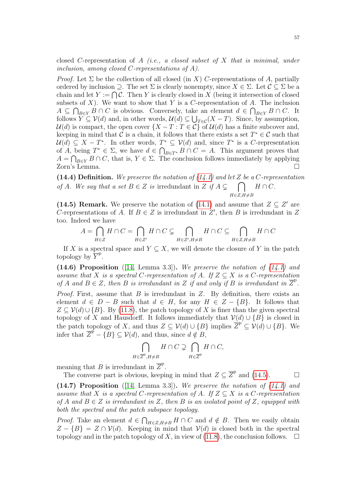closed C-representation of A (i.e., a closed subset of X that is minimal, under inclusion, among closed C-representations of  $A$ ).

*Proof.* Let  $\Sigma$  be the collection of all closed (in X) C-representations of A, partially ordered by inclusion  $\supset$ . The set  $\Sigma$  is clearly nonempty, since  $X \in \Sigma$ . Let  $\mathcal{C} \subset \Sigma$  be a chain and let  $Y := \bigcap \mathcal{C}$ . Then Y is clearly closed in X (being it intersection of closed subsets of  $X$ ). We want to show that Y is a C-representation of A. The inclusion  $A \subseteq \bigcap_{B \in Y} B \cap C$  is obvious. Conversely, take an element  $d \in \bigcap_{B \in Y} B \cap C$ . It follows  $Y \subseteq V(d)$  and, in other words,  $\mathcal{U}(d) \subseteq \bigcup_{T \in \mathcal{C}} (X - T)$ . Since, by assumption,  $\mathcal{U}(d)$  is compact, the open cover  $\{X-T : T \in \mathcal{C}\}\$  of  $\mathcal{U}(d)$  has a finite subcover and, keeping in mind that  $\mathcal C$  is a chain, it follows that there exists a set  $T^* \in \mathcal C$  such that  $\mathcal{U}(d) \subseteq X - T^*$ . In other words,  $T^* \subseteq \mathcal{V}(d)$  and, since  $T^*$  is a C-representation of A, being  $T^* \in \Sigma$ , we have  $d \in \bigcap_{B \in T^*} B \cap C = A$ . This argument proves that  $A = \bigcap_{B \in Y} B \cap C$ , that is,  $Y \in \Sigma$ . The conclusion follows immediately by applying Zorn's Lemma.

(14.4) Definition. We preserve the notation of  $(14.1)$  and let Z be a C-representation of A. We say that a set  $B \in \mathbb{Z}$  is irredundant in  $\mathbb{Z}$  if  $A \subsetneq \cap$  $H \in \mathbb{Z}, H \neq B$  $H \cap C$ .

<span id="page-56-0"></span>(14.5) Remark. We preserve the notation of [\(14.1\)](#page-55-0) and assume that  $Z \subseteq Z'$  are C-representations of A. If  $B \in \mathbb{Z}$  is irredundant in  $\mathbb{Z}'$ , then B is irredundant in Z too. Indeed we have

$$
A=\bigcap_{H\in Z}H\cap C=\bigcap_{H\in Z'}H\cap C\subsetneq\bigcap_{H\in Z',H\neq B}H\cap C\subseteq\bigcap_{H\in Z,H\neq B}H\cap C
$$

If X is a spectral space and  $Y \subseteq X$ , we will denote the closure of Y in the patch topology by  $\overline{Y}^p$ .

<span id="page-56-2"></span>(14.6) Proposition ([\[14,](#page-77-6) Lemma 3.3]). We preserve the notation of  $(14.1)$  and assume that X is a spectral C-representation of A. If  $Z \subseteq X$  is a C-representation of A and  $B \in \mathbb{Z}$ , then B is irredundant in Z if and only if B is irredundant in  $\overline{Z}^p$ .

*Proof.* First, assume that  $B$  is irredundant in  $Z$ . By definition, there exists an element  $d \in D - B$  such that  $d \in H$ , for any  $H \in Z - \{B\}$ . It follows that  $Z \subseteq V(d) \cup \{B\}$ . By [\(11.8\)](#page-42-0), the patch topology of X is finer than the given spectral topology of X and Hausdorff. It follows immediately that  $V(d) \cup \{B\}$  is closed in the patch topology of X, and thus  $Z \subseteq V(d) \cup \{B\}$  implies  $\overline{Z}^{p'} \subseteq V(d) \cup \{B\}$ . We infer that  $\overline{Z}^{\overline{p}} - {\overline{B}} \subseteq V(d)$ , and thus, since  $d \notin B$ ,

$$
\bigcap_{H \in \overline{Z}^{\mathcal{P}}, H \neq B} H \cap C \supsetneq \bigcap_{H \in \overline{Z}^{\mathcal{P}}} H \cap C,
$$

meaning that B is irredundant in  $\overline{Z}^{\text{p}}$ .

The converse part is obvious, keeping in mind that  $Z \subseteq \overline{Z}^p$  and [\(14.5\)](#page-56-0).

<span id="page-56-1"></span>(14.7) Proposition ([\[14,](#page-77-6) Lemma 3.3]). We preserve the notation of  $(14.1)$  and assume that X is a spectral C-representation of A. If  $Z \subseteq X$  is a C-representation of A and  $B \in \mathbb{Z}$  is irredundant in Z, then B is an isolated point of Z, equipped with both the spectral and the patch subspace topology.

*Proof.* Take an element  $d \in \bigcap_{H \in \mathbb{Z}, H \neq B} H \cap C$  and  $d \notin B$ . Then we easily obtain  $Z - \{B\} = Z \cap V(d)$ . Keeping in mind that  $V(d)$  is closed both in the spectral topology and in the patch topology of X, in view of [\(11.8\)](#page-42-0), the conclusion follows.  $\Box$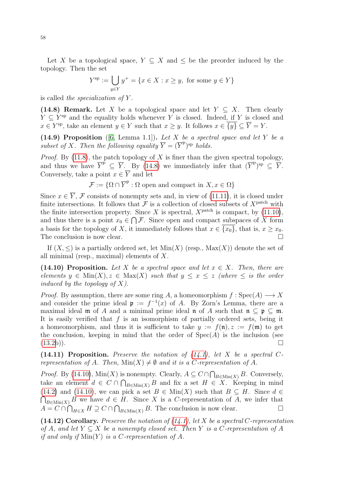Let X be a topological space,  $Y \subseteq X$  and  $\leq$  be the preorder induced by the topology. Then the set

$$
Y^{\text{sp}} := \bigcup_{y \in Y} y^+ = \{ x \in X : x \ge y, \text{ for some } y \in Y \}
$$

is called the specialization of  $Y$ .

<span id="page-57-0"></span>(14.8) Remark. Let X be a topological space and let  $Y \subseteq X$ . Then clearly  $Y \subseteq Y^{sp}$  and the equality holds whenever Y is closed. Indeed, if Y is closed and  $x \in Y^{\text{sp}}$ , take an element  $y \in Y$  such that  $x \geq y$ . It follows  $x \in \overline{\{y\}} \subseteq \overline{Y} = Y$ .

<span id="page-57-4"></span>(14.9) Proposition ([\[6,](#page-77-7) Lemma 1.1]). Let X be a spectral space and let Y be a subset of X. Then the following equality  $\overline{Y} = (\overline{Y}^{\mathrm{p}})^{\mathrm{sp}}$  holds.

*Proof.* By [\(11.8\)](#page-42-0), the patch topology of X is finer than the given spectral topology, and thus we have  $\overline{Y}^{\tilde{p}} \subseteq \overline{Y}$ . By [\(14.8\)](#page-57-0) we immediately infer that  $(\overline{Y}^p)^{sp} \subseteq \overline{Y}$ . Conversely, take a point  $x \in Y$  and let

 $\mathcal{F} := \{ \Omega \cap \overline{Y}^{\mathsf{p}} : \Omega \text{ open and compact in } X, x \in \Omega \}$ 

Since  $x \in \overline{Y}$ , F consists of nonempty sets and, in view of [\(11.11\)](#page-43-1), it is closed under finite intersections. It follows that  $\mathcal F$  is a collection of closed subsets of  $X^{\text{patch}}$  with the finite intersection property. Since X is spectral,  $X^{\text{patch}}$  is compact, by [\(11.10\)](#page-42-2), and thus there is a point  $x_0 \in \bigcap \mathcal{F}$ . Since open and compact subspaces of X form a basis for the topology of X, it immediately follows that  $x \in \overline{\{x_0\}}$ , that is,  $x \ge x_0$ . The conclusion is now clear.

If  $(X, \leq)$  is a partially ordered set, let  $Min(X)$  (resp.,  $Max(X)$ ) denote the set of all minimal (resp., maximal) elements of  $X$ .

<span id="page-57-1"></span>(14.10) Proposition. Let X be a spectral space and let  $x \in X$ . Then, there are elements  $y \in \text{Min}(X), z \in \text{Max}(X)$  such that  $y \leq x \leq z$  (where  $\leq$  is the order induced by the topology of  $X$ ).

*Proof.* By assumption, there are some ring A, a homeomorphism  $f : \text{Spec}(A) \longrightarrow X$ and consider the prime ideal  $\mathfrak{p} := f^{-1}(x)$  of A. By Zorn's Lemma, there are a maximal ideal **m** of A and a minimal prime ideal **n** of A such that  $\mathbf{n} \subseteq \mathbf{p} \subseteq \mathbf{m}$ . It is easily verified that  $f$  is an isomorphism of partially ordered sets, being it a homeomorphism, and thus it is sufficient to take  $y := f(\mathfrak{n}), z := f(\mathfrak{m})$  to get the conclusion, keeping in mind that the order of  $Spec(A)$  is the inclusion (see  $(13.2b)$  $(13.2b)$ ).

<span id="page-57-2"></span>(14.11) Proposition. Preserve the notation of  $(14.1)$ , let X be a spectral Crepresentation of A. Then,  $Min(X) \neq \emptyset$  and it is a C-representation of A.

*Proof.* By [\(14.10\)](#page-57-1),  $Min(X)$  is nonempty. Clearly,  $A \subseteq C \cap \bigcap_{B \in Min(X)} B$ . Conversely, take an element  $d \in C \cap \bigcap_{B \in \text{Min}(X)} B$  and fix a set  $H \in X$ . Keeping in mind [\(14.2\)](#page-55-1) and [\(14.10\)](#page-57-1), we can pick a set  $B \in \text{Min}(X)$  such that  $B \subseteq H$ . Since  $d \in$  $\bigcap_{B \in \text{Min}(X)} B$  we have  $d \in H$ . Since X is a C-representation of A, we infer that  $A = C \cap \bigcap_{H \in X} H \supseteq C \cap \bigcap_{B \in \text{Min}(X)} B$ . The conclusion is now clear.

<span id="page-57-3"></span>(14.12) Corollary. Preserve the notation of  $(14.1)$ , let X be a spectral C-representation of A, and let  $Y \subseteq X$  be a nonempty closed set. Then Y is a C-representation of A if and only if  $\text{Min}(Y)$  is a C-representation of A.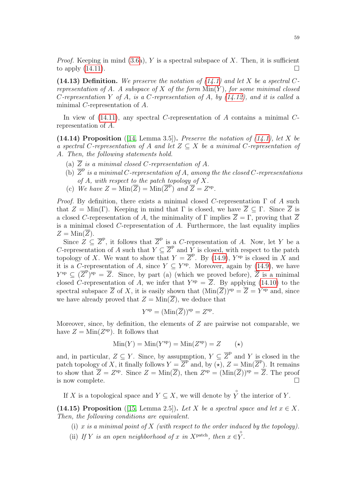*Proof.* Keeping in mind  $(3.6a)$ , Y is a spectral subspace of X. Then, it is sufficient to apply  $(14.11)$ .

<span id="page-58-1"></span>(14.13) Definition. We preserve the notation of  $(14.1)$  and let X be a spectral Crepresentation of A. A subspace of X of the form  $Min(Y)$ , for some minimal closed C-representation Y of A, is a C-representation of A, by  $(14.12)$ , and it is called a minimal C-representation of A.

In view of  $(14.11)$ , any spectral C-representation of A contains a minimal Crepresentation of A.

<span id="page-58-2"></span>(14.14) Proposition ([\[14,](#page-77-6) Lemma 3.5]). Preserve the notation of  $(14.1)$ , let X be a spectral C-representation of A and let  $Z \subseteq X$  be a minimal C-representation of A. Then, the following statements hold.

- (a)  $\overline{Z}$  is a minimal closed C-representation of A.
- (b)  $\overline{Z}^{\text{p}}$  is a minimal C-representation of A, among the the closed C-representations of A, with respect to the patch topology of  $X$ .
- (c) We have  $Z = \text{Min}(\overline{Z}) = \text{Min}(\overline{Z}^{\text{p}})$  and  $\overline{Z} = Z^{\text{sp}}$ .

*Proof.* By definition, there exists a minimal closed C-representation  $\Gamma$  of A such that  $Z = \text{Min}(\Gamma)$ . Keeping in mind that  $\Gamma$  is closed, we have  $\overline{Z} \subseteq \Gamma$ . Since  $\overline{Z}$  is a closed C-representation of A, the minimality of  $\Gamma$  implies  $\overline{Z} = \Gamma$ , proving that  $\overline{Z}$ is a minimal closed  $C$ -representation of  $A$ . Furthermore, the last equality implies  $Z = \text{Min}(Z)$ .

Since  $Z \subseteq \overline{Z}^p$ , it follows that  $\overline{Z}^p$  is a C-representation of A. Now, let Y be a C-representation of A such that  $Y \subseteq \overline{Z}^p$  and Y is closed, with respect to the patch topology of X. We want to show that  $Y = \overline{Z}^p$ . By [\(14.9\)](#page-57-4),  $Y^{sp}$  is closed in X and it is a C-representation of A, since  $Y \subseteq Y^{\text{sp}}$ . Moreover, again by [\(14.9\)](#page-57-4), we have  $Y^{\text{sp}} \subseteq (\overline{Z}^{\text{p}})^{\text{sp}} = \overline{Z}$ . Since, by part (a) (which we proved before),  $\overline{Z}$  is a minimal closed C-representation of A, we infer that  $Y^{sp} = \overline{Z}$ . By applying [\(14.10\)](#page-57-1) to the spectral subspace  $\overline{Z}$  of X, it is easily shown that  $(\text{Min}(\overline{Z}))^{\text{sp}} = \overline{Z} = Y^{\text{sp}}$  and, since we have already proved that  $Z = \text{Min}(\overline{Z})$ , we deduce that

$$
Y^{\rm sp} = (\text{Min}(\overline{Z}))^{\rm sp} = Z^{\rm sp}.
$$

Moreover, since, by definition, the elements of  $Z$  are pairwise not comparable, we have  $Z = \text{Min}(Z^{\text{sp}})$ . It follows that

$$
Min(Y) = Min(Ysp) = Min(Zsp) = Z \qquad (*)
$$

and, in particular,  $Z \subseteq Y$ . Since, by assupmption,  $Y \subseteq \overline{Z}^{\mathbb{P}}$  and Y is closed in the patch topology of X, it finally follows  $Y = \overline{Z}^{p}$  and, by  $\overline{(\star)}, Z = \text{Min}(\overline{Z}^{p})$ . It remains to show that  $\overline{Z} = Z^{\rm sp}$ . Since  $Z = \text{Min}(\overline{Z})$ , then  $Z^{\rm sp} = (\text{Min}(\overline{Z}))^{\rm sp} = \overline{Z}$ . The proof is now complete.

If X is a topological space and  $Y \subseteq X$ , we will denote by  $\overset{\circ}{Y}$  the interior of Y.

<span id="page-58-0"></span>(14.15) Proposition ([\[15,](#page-77-8) Lemma 2.5]). Let X be a spectral space and let  $x \in X$ . Then, the following conditions are equivalent.

- (i) x is a minimal point of X (with respect to the order induced by the topology).
- (ii) If Y is an open neighborhood of x in X<sup>patch</sup>, then  $x \in \stackrel{\circ}{Y}$ .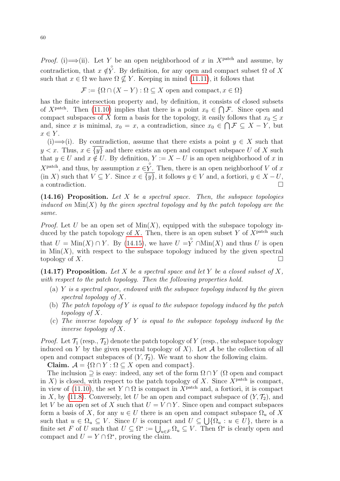*Proof.* (i)  $\Longrightarrow$  (ii). Let Y be an open neighborhood of x in X<sup>patch</sup> and assume, by contradiction, that  $x \notin \hat{Y}$ . By definition, for any open and compact subset  $\Omega$  of X such that  $x \in \Omega$  we have  $\Omega \nsubseteq Y$ . Keeping in mind [\(11.11\)](#page-43-1), it follows that

 $\mathcal{F} := \{ \Omega \cap (X - Y) : \Omega \subseteq X \text{ open and compact}, x \in \Omega \}$ 

has the finite intersection property and, by definition, it consists of closed subsets of  $X^{\text{patch}}$ . Then [\(11.10\)](#page-42-2) implies that there is a point  $x_0 \in \bigcap \mathcal{F}$ . Since open and compact subspaces of X form a basis for the topology, it easily follows that  $x_0 \leq x$ and, since x is minimal,  $x_0 = x$ , a contradiction, since  $x_0 \in \bigcap \mathcal{F} \subseteq X - Y$ , but  $x \in Y$ .

(i)  $\implies$  (i). By contradiction, assume that there exists a point  $y \in X$  such that  $y < x$ . Thus,  $x \in \overline{\{y\}}$  and there exists an open and compact subspace U of X such that  $y \in U$  and  $x \notin U$ . By definition,  $Y := X - U$  is an open neighborhood of x in  $X^{\text{patch}}$ , and thus, by assumption  $x \in Y$ . Then, there is an open neighborhoof V of x  $(in X)$  such that  $V \subseteq Y$ . Since  $x \in \{y\}$ , it follows  $y \in V$  and, a fortiori,  $y \in X - U$ ,  $\alpha$  contradiction.

<span id="page-59-0"></span> $(14.16)$  Proposition. Let X be a spectral space. Then, the subspace topologies induced on  $\text{Min}(X)$  by the given spectral topology and by the patch topology are the same.

*Proof.* Let U be an open set of  $Min(X)$ , equipped with the subspace topology induced by the patch topology of X. Then, there is an open subset Y of  $X<sup>patch</sup>$  such that  $U = \text{Min}(X) \cap Y$ . By [\(14.15\)](#page-58-0), we have  $U = \hat{Y} \cap \text{Min}(X)$  and thus U is open in  $Min(X)$ , with respect to the subspace topology induced by the given spectral topology of X.

<span id="page-59-1"></span>(14.17) Proposition. Let X be a spectral space and let Y be a closed subset of X, with respect to the patch topology. Then the following properties hold.

- (a)  $Y$  is a spectral space, endowed with the subspace topology induced by the given spectral topology of X.
- (b) The patch topology of Y is equal to the subspace topology induced by the patch topology of X.
- (c) The inverse topology of Y is equal to the subspace topology induced by the inverse topology of X.

*Proof.* Let  $\mathcal{T}_1$  (resp.,  $\mathcal{T}_2$ ) denote the patch topology of Y (resp., the subspace topology induced on Y by the given spectral topology of X). Let  $A$  be the collection of all open and compact subspaces of  $(Y, \mathcal{T}_2)$ . We want to show the following claim.

Claim.  $\mathcal{A} = \{ \Omega \cap Y : \Omega \subseteq X \}$  open and compact.

The inclusion  $\supset$  is easy: indeed, any set of the form  $\Omega \cap Y$  ( $\Omega$  open and compact in X) is closed, with respect to the patch topology of X. Since  $X^{\text{patch}}$  is compact, in view of [\(11.10\)](#page-42-2), the set  $Y \cap \Omega$  is compact in  $X^{\text{patch}}$  and, a fortiori, it is compact in X, by [\(11.8\)](#page-42-0). Conversely, let U be an open and compact subspace of  $(Y, \mathcal{T}_2)$ , and let V be an open set of X such that  $U = V \cap Y$ . Since open and compact subspaces form a basis of X, for any  $u \in U$  there is an open and compact subspace  $\Omega_u$  of X such that  $u \in \Omega_u \subseteq V$ . Since U is compact and  $U \subseteq \bigcup {\Omega_u : u \in U}$ , there is a finite set F of U such that  $U \subseteq \Omega^* := \bigcup_{u \in F} \Omega_u \subseteq V$ . Then  $\Omega^*$  is clearly open and compact and  $U = Y \cap \Omega^*$ , proving the claim.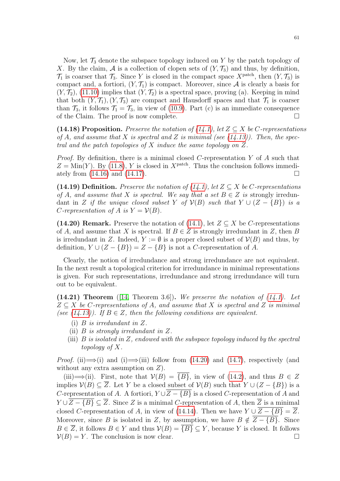Now, let  $\mathcal{T}_3$  denote the subspace topology induced on Y by the patch topology of X. By the claim, A is a collection of clopen sets of  $(Y, \mathcal{T}_3)$  and thus, by definition,  $\mathcal{T}_1$  is coarser that  $\mathcal{T}_3$ . Since Y is closed in the compact space  $X^{\text{patch}}$ , then  $(Y, \mathcal{T}_3)$  is compact and, a fortiori,  $(Y, \mathcal{T}_1)$  is compact. Moreover, since A is clearly a basis for  $(Y, \mathcal{T}_2)$ , [\(11.10\)](#page-42-2) implies that  $(Y, \mathcal{T}_2)$  is a spectral space, proving (a). Keeping in mind that both  $(Y, \mathcal{T}_1), (Y, \mathcal{T}_3)$  are compact and Hausdorff spaces and that  $\mathcal{T}_1$  is coarser than  $\mathcal{T}_3$ , it follows  $\mathcal{T}_1 = \mathcal{T}_3$ , in view of [\(10.9\)](#page-37-3). Part (c) is an immediate consequence of the Claim. The proof is now complete.

<span id="page-60-2"></span>(14.18) Proposition. Preserve the notation of [\(14.1\)](#page-55-0), let  $Z \subseteq X$  be C-representations of A, and assume that X is spectral and Z is minimal (see  $(14.13)$ ). Then, the spectral and the patch topologies of X induce the same topology on Z.

*Proof.* By definition, there is a minimal closed C-representation Y of A such that  $Z = \text{Min}(Y)$ . By [\(11.8\)](#page-42-0), Y is closed in X<sup>patch</sup>. Thus the conclusion follows immediately from  $(14.16)$  and  $(14.17)$ .

(14.19) Definition. Preserve the notation of [\(14.1\)](#page-55-0), let  $Z \subseteq X$  be C-representations of A, and assume that X is spectral. We say that a set  $B \in \mathbb{Z}$  is strongly irredundant in Z if the unique closed subset Y of  $\mathcal{V}(B)$  such that  $Y \cup (Z - \{B\})$  is a C-representation of A is  $Y = V(B)$ .

<span id="page-60-0"></span>(14.20) Remark. Preserve the notation of [\(14.1\)](#page-55-0), let  $Z \subseteq X$  be C-representations of A, and assume that X is spectral. If  $B \in \mathbb{Z}$  is strongly irredundant in Z, then B is irredundant in Z. Indeed,  $Y := \emptyset$  is a proper closed subset of  $V(B)$  and thus, by definition,  $Y \cup (Z - \{B\}) = Z - \{B\}$  is not a C-representation of A.

Clearly, the notion of irredundance and strong irredundance are not equivalent. In the next result a topological criterion for irredundance in minimal representations is given. For such representations, irredundance and strong irredundance will turn out to be equivalent.

<span id="page-60-1"></span> $(14.21)$  Theorem ([\[14,](#page-77-6) Theorem 3.6]). We preserve the notation of  $(14.1)$ . Let  $Z \subseteq X$  be C-representations of A, and assume that X is spectral and Z is minimal (see [\(14.13\)](#page-58-1)). If  $B \in \mathbb{Z}$ , then the following conditions are equivalent.

- (i) B is irredundant in Z.
- (ii)  $B$  is strongly irredundant in  $Z$ .
- (iii)  $B$  is isolated in  $Z$ , endowed with the subspace topology induced by the spectral topology of X.

*Proof.* (ii)  $\implies$  (i) and (i)  $\implies$  (iii) follow from [\(14.20\)](#page-60-0) and [\(14.7\)](#page-56-1), respectively (and without any extra assumption on  $Z$ ).

(iii)  $\implies$  (ii). First, note that  $V(B) = \{B\}$ , in view of [\(14.2\)](#page-55-1), and thus  $B \in \mathbb{Z}$ implies  $V(B) \subseteq Z$ . Let Y be a closed subset of  $V(B)$  such that  $Y \cup (Z - \{B\})$  is a C-representation of A. A fortiori,  $Y \cup \overline{Z - \{B\}}$  is a closed C-representation of A and  $Y \cup Z - \{B\} \subseteq \overline{Z}$ . Since Z is a minimal C-representation of A, then  $\overline{Z}$  is a minimal closed C-representation of A, in view of [\(14.14\)](#page-58-2). Then we have  $Y \cup \overline{Z - \{B\}} = \overline{Z}$ . Moreover, since B is isolated in Z, by assumption, we have  $B \notin Z - \{B\}$ . Since  $B \in \overline{Z}$ , it follows  $B \in Y$  and thus  $V(B) = \overline{\{B\}} \subseteq Y$ , because Y is closed. It follows  $V(B) = Y$ . The conclusion is now clear.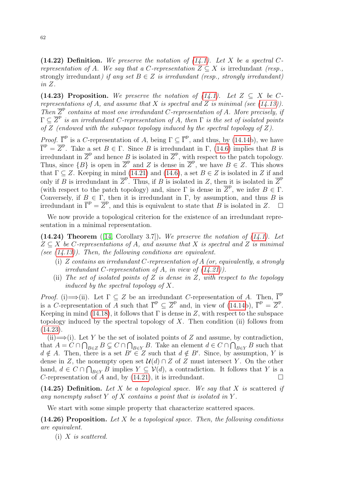(14.22) Definition. We preserve the notation of  $(14.1)$ . Let X be a spectral Crepresentation of A. We say that a C-representation  $Z \subseteq X$  is irredundant (resp., strongly irredundant) if any set  $B \in \mathbb{Z}$  is irredundant (resp., strongly irredundant) in Z.

<span id="page-61-0"></span>(14.23) Proposition. We preserve the notation of [\(14.1\)](#page-55-0). Let  $Z \subseteq X$  be Crepresentations of A, and assume that X is spectral and Z is minimal (see  $(14.13)$ ). Then  $\overline{Z}^{\text{p}}$  contains at most one irredundant C-representation of A. More precisely, if  $\Gamma \subseteq \overline{Z}^{\text{p}}$  is an irredundant C-representation of A, then  $\Gamma$  is the set of isolated points of  $Z$  (endowed with the subspace topology induced by the spectral topology of  $Z$ ).

*Proof.*  $\overline{\Gamma}^{\text{p}}$  is a C-representation of A, being  $\Gamma \subseteq \overline{\Gamma}^{\text{p}}$ , and thus, by [\(14.14b](#page-58-2)), we have  $\overline{\Gamma}^{\mathsf{p}} = \overline{Z}^{\mathsf{p}}$ . Take a set  $B \in \Gamma$ . Since B is irredundant in  $\Gamma$ , [\(14.6\)](#page-56-2) implies that B is irredundant in  $\overline{Z}^{\text{p}}$  and hence B is isolated in  $\overline{Z}^{\text{p}}$ , with respect to the patch topology. Thus, since  $\{B\}$  is open in  $\overline{Z}^{\mathsf{p}}$  and Z is dense in  $\overline{Z}^{\mathsf{p}}$ , we have  $B \in \mathsf{Z}$ . This shows that  $\Gamma \subseteq Z$ . Keeping in mind [\(14.21\)](#page-60-1) and [\(14.6\)](#page-56-2), a set  $B \in Z$  is isolated in Z if and only if  $\overline{B}$  is irredundant in  $\overline{Z}^p$ . Thus, if  $B$  is isolated in  $Z$ , then it is isolated in  $\overline{Z}^p$ (with respect to the patch topology) and, since  $\Gamma$  is dense in  $\overline{Z}^{\text{P}}$ , we infer  $B \in \Gamma$ . Conversely, if  $B \in \Gamma$ , then it is irredundant in  $\Gamma$ , by assumption, and thus B is irredundant in  $\overline{\Gamma}^{\text{p}} = \overline{Z}^{\text{p}}$ , and this is equivalent to state that B is isolated in Z.  $\Box$ 

We now provide a topological criterion for the existence of an irredundant representation in a minimal representation.

<span id="page-61-2"></span> $(14.24)$  Theorem ([\[14,](#page-77-6) Corollary 3.7]). We preserve the notation of  $(14.1)$ . Let  $Z \subseteq X$  be C-representations of A, and assume that X is spectral and Z is minimal (see  $(14.13)$ ). Then, the following conditions are equivalent.

- (i) Z contains an irredundant C-representation of A (or, equivalently, a strongly irredundant C-representation of A, in view of  $(14.21)$ ).
- (ii) The set of isolated points of Z is dense in Z, with respect to the topology induced by the spectral topology of  $X$ .

*Proof.* (i)  $\Longrightarrow$  (ii). Let  $\Gamma \subseteq Z$  be an irredundant C-representation of A. Then,  $\overline{\Gamma}^p$ is a C-representation of A such that  $\overline{\Gamma}^p \subseteq \overline{Z}^p$  and, in view of [\(14.14b](#page-58-2)),  $\overline{\Gamma}^p = \overline{Z}^p$ . Keeping in mind [\(14.18\)](#page-60-2), it follows that  $\Gamma$  is dense in Z, with respect to the subspace topology induced by the spectral topology of  $X$ . Then condition (ii) follows from [\(14.23\)](#page-61-0).

 $(i) \implies (i)$ . Let Y be the set of isolated points of Z and assume, by contradiction, that  $A = C \cap \bigcap_{B \in \mathbb{Z}} B \subsetneq C \cap \bigcap_{B \in \mathbb{Y}} B$ . Take an element  $d \in C \cap \bigcap_{B \in \mathbb{Y}} B$  such that  $d \notin A$ . Then, there is a set  $B' \in \mathbb{Z}$  such that  $d \notin B'$ . Since, by assumption, Y is dense in Z, the nonempty open set  $\mathcal{U}(d) \cap Z$  of Z must intersect Y. On the other hand,  $d \in C \cap \bigcap_{B \in Y} B$  implies  $Y \subseteq V(d)$ , a contradiction. It follows that Y is a C-representation of A and, by [\(14.21\)](#page-60-1), it is irredundant.  $\square$ 

(14.25) Definition. Let X be a topological space. We say that X is scattered if any nonempty subset Y of X contains a point that is isolated in Y.

We start with some simple property that characterize scattered spaces.

<span id="page-61-1"></span> $(14.26)$  Proposition. Let X be a topological space. Then, the following conditions are equivalent.

 $(i)$  X is scattered.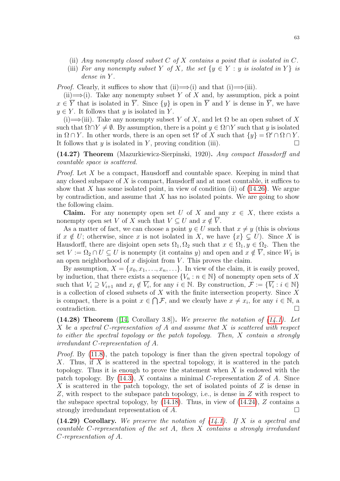- (ii) Any nonempty closed subset  $C$  of  $X$  contains a point that is isolated in  $C$ .
- (iii) For any nonempty subset Y of X, the set  $\{y \in Y : y \text{ is isolated in } Y\}$  is dense in Y.

*Proof.* Clearly, it suffices to show that (i)  $\Longrightarrow$  (i) and that (i)  $\Longrightarrow$  (iii).

(ii)  $\Longrightarrow$  (i). Take any nonempty subset Y of X and, by assumption, pick a point  $x \in \overline{Y}$  that is isolated in  $\overline{Y}$ . Since  $\{y\}$  is open in  $\overline{Y}$  and Y is dense in  $\overline{Y}$ , we have  $y \in Y$ . It follows that y is isolated in Y.

(i)  $\Longrightarrow$  (iii). Take any nonempty subset Y of X, and let  $\Omega$  be an open subset of X such that  $\Omega \cap Y \neq \emptyset$ . By assumption, there is a point  $y \in \Omega \cap Y$  such that y is isolated in  $\Omega \cap Y$ . In other words, there is an open set  $\Omega'$  of X such that  $\{y\} = \Omega' \cap \Omega \cap Y$ . It follows that y is isolated in Y, proving condition (iii).  $\Box$ 

<span id="page-62-0"></span>(14.27) Theorem (Mazurkiewicz-Sierpinski, 1920). Any compact Hausdorff and countable space is scattered.

Proof. Let X be a compact, Hausdorff and countable space. Keeping in mind that any closed subspace of X is compact, Hausdorff and at most countable, it suffices to show that X has some isolated point, in view of condition (ii) of  $(14.26)$ . We argue by contradiction, and assume that  $X$  has no isolated points. We are going to show the following claim.

**Claim.** For any nonempty open set U of X and any  $x \in X$ , there exists a nonempty open set V of X such that  $V \subseteq U$  and  $x \notin \overline{V}$ .

As a matter of fact, we can choose a point  $y \in U$  such that  $x \neq y$  (this is obvious if  $x \notin U$ ; otherwise, since x is not isolated in X, we have  $\{x\} \subsetneq U$ ). Since X is Hausdorff, there are disjoint open sets  $\Omega_1, \Omega_2$  such that  $x \in \Omega_1, y \in \Omega_2$ . Then the set  $V := \Omega_2 \cap U \subseteq U$  is nonempty (it contains y) and open and  $x \notin \overline{V}$ , since  $W_1$  is an open neighborhood of  $x$  disjoint from  $V$ . This proves the claim.

By assumption,  $X = \{x_0, x_1, \ldots, x_n, \ldots\}$ . In view of the claim, it is easily proved, by induction, that there exists a sequence  $\{V_n : n \in \mathbb{N}\}\$  of nonempty open sets of X such that  $V_i \supseteq V_{i+1}$  and  $x_i \notin \overline{V_i}$ , for any  $i \in \mathbb{N}$ . By construction,  $\mathcal{F} := \{\overline{V_i} : i \in \mathbb{N}\}\$ is a collection of closed subsets of  $X$  with the finite intersection property. Since  $X$ is compact, there is a point  $x \in \bigcap \mathcal{F}$ , and we clearly have  $x \neq x_i$ , for any  $i \in \mathbb{N}$ , a contradiction.

<span id="page-62-1"></span> $(14.28)$  Theorem ([\[14,](#page-77-6) Corollary 3.8]). We preserve the notation of  $(14.1)$ . Let X be a spectral C-representation of A and assume that X is scattered with respect to either the spectral topology or the patch topology. Then, X contain a strongly irredundant C-representation of A.

Proof. By [\(11.8\)](#page-42-0), the patch topology is finer than the given spectral topology of X. Thus, if X is scattered in the spectral topology, it is scattered in the patch topology. Thus it is enough to prove the statement when  $X$  is endowed with the patch topology. By  $(14.3)$ , X contains a minimal C-representation Z of A. Since X is scattered in the patch topology, the set of isolated points of Z is dense in Z, with respect to the subspace patch topology, i.e., is dense in Z with respect to the subspace spectral topology, by  $(14.18)$ . Thus, in view of  $(14.24)$ , Z contains a strongly irredundant representation of  $A$ .

<span id="page-62-2"></span>(14.29) Corollary. We preserve the notation of  $(14.1)$ . If X is a spectral and countable C-representation of the set A, then X contains a strongly irredundant C-representation of A.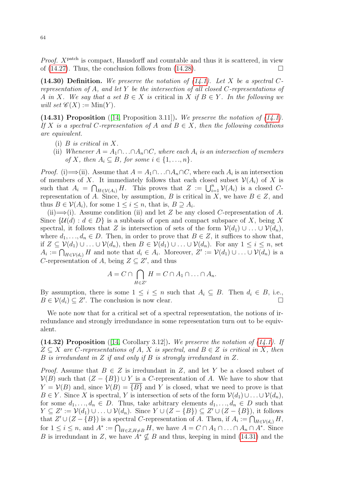*Proof.*  $X^{\text{patch}}$  is compact, Hausdorff and countable and thus it is scattered, in view of [\(14.27\)](#page-62-0). Thus, the conclusion follows from [\(14.28\)](#page-62-1).  $\Box$ 

<span id="page-63-1"></span>(14.30) Definition. We preserve the notation of  $(14.1)$ . Let X be a spectral Crepresentation of A, and let Y be the intersection of all closed  $C$ -representations of A in X. We say that a set  $B \in X$  is critical in X if  $B \in Y$ . In the following we will set  $\mathscr{C}(X) := \text{Min}(Y)$ .

<span id="page-63-0"></span>(14.31) Proposition ([\[14,](#page-77-6) Proposition 3.11]). We preserve the notation of  $(14.1)$ . If X is a spectral C-representation of A and  $B \in X$ , then the following conditions are equivalent.

- (i)  $B$  is critical in  $X$ .
- (ii) Whenever  $A = A_1 \cap ... \cap A_n \cap C$ , where each  $A_i$  is an intersection of members of X, then  $A_i \subseteq B$ , for some  $i \in \{1, ..., n\}$ .

*Proof.* (i)  $\implies$  (ii). Assume that  $A = A_1 \cap \ldots \cap A_n \cap C$ , where each  $A_i$  is an intersection of members of X. It immediately follows that each closed subset  $\mathcal{V}(A_i)$  of X is such that  $A_i = \bigcap_{H \in \mathcal{V}(A_i)} H$ . This proves that  $Z := \bigcup_{i=1}^n \mathcal{V}(A_i)$  is a closed Crepresentation of A. Since, by assumption, B is critical in X, we have  $B \in \mathbb{Z}$ , and thus  $B \in \mathcal{V}(A_i)$ , for some  $1 \leq i \leq n$ , that is,  $B \supseteq A_i$ .

(ii)  $\Longrightarrow$  (i). Assume condition (ii) and let Z be any closed C-representation of A. Since  $\{\mathcal{U}(d): d \in D\}$  is a subbasis of open and compact subspace of X, being X spectral, it follows that Z is intersection of sets of the form  $\mathcal{V}(d_1) \cup \ldots \cup \mathcal{V}(d_n)$ , where  $d_1, \ldots, d_n \in D$ . Then, in order to prove that  $B \in \mathbb{Z}$ , it suffices to show that, if  $Z \subseteq \mathcal{V}(d_1) \cup \ldots \cup \mathcal{V}(d_n)$ , then  $B \in \mathcal{V}(d_1) \cup \ldots \cup \mathcal{V}(d_n)$ . For any  $1 \leq i \leq n$ , set  $A_i := \bigcap_{H \in \mathcal{V}(d_i)} H$  and note that  $d_i \in A_i$ . Moreover,  $Z' := \mathcal{V}(d_1) \cup \ldots \cup \mathcal{V}(d_n)$  is a C-representation of A, being  $Z \subseteq Z'$ , and thus

$$
A = C \cap \bigcap_{H \in Z'} H = C \cap A_1 \cap \ldots \cap A_n.
$$

By assumption, there is some  $1 \leq i \leq n$  such that  $A_i \subseteq B$ . Then  $d_i \in B$ , i.e.,  $B \in \mathcal{V}(d_i) \subseteq Z'$ . The conclusion is now clear.

We note now that for a critical set of a spectral representation, the notions of irredundance and strongly irredundance in some representation turn out to be equivalent.

<span id="page-63-2"></span>(14.32) Proposition ([\[14,](#page-77-6) Corollary 3.12]). We preserve the notation of  $(14.1)$ . If  $Z \subseteq X$  are C-representations of A, X is spectral, and  $B \in Z$  is critical in X, then B is irredundant in Z if and only if B is strongly irredundant in Z.

*Proof.* Assume that  $B \in \mathbb{Z}$  is irredundant in  $\mathbb{Z}$ , and let Y be a closed subset of  $V(B)$  such that  $(Z - {B}) \cup Y$  is a C-representation of A. We have to show that  $Y = V(B)$  and, since  $V(B) = {B}$  and Y is closed, what we need to prove is that  $B \in Y$ . Since X is spectral, Y is intersection of sets of the form  $V(d_1) \cup \ldots \cup V(d_n)$ , for some  $d_1, \ldots, d_n \in D$ . Thus, take arbitrary elements  $d_1, \ldots, d_n \in D$  such that  $Y \subseteq Z' := \mathcal{V}(d_1) \cup \ldots \cup \mathcal{V}(d_n)$ . Since  $Y \cup (Z - \{B\}) \subseteq Z' \cup (Z - \{B\})$ , it follows that  $Z' \cup (Z - \{B\})$  is a spectral C-representation of A. Then, if  $A_i := \bigcap_{H \in \mathcal{V}(d_i)} H$ , for  $1 \leq i \leq n$ , and  $A^* := \bigcap_{H \in \mathbb{Z}, H \neq B} H$ , we have  $A = C \cap A_1 \cap \ldots \cap A_n \cap A^*$ . Since B is irredundant in Z, we have  $A^* \nsubseteq B$  and thus, keeping in mind [\(14.31\)](#page-63-0) and the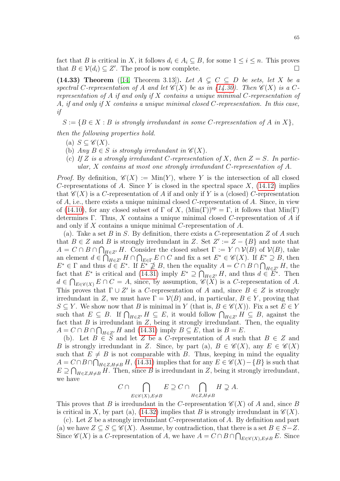fact that B is critical in X, it follows  $d_i \in A_i \subseteq B$ , for some  $1 \leq i \leq n$ . This proves that  $B \in \mathcal{V}(d_i) \subseteq Z'$ . The proof is now complete.

<span id="page-64-0"></span>(14.33) Theorem ([\[14,](#page-77-6) Theorem 3.13]). Let  $A \subseteq C \subseteq D$  be sets, let X be a spectral C-representation of A and let  $\mathscr{C}(X)$  be as in [\(14.30\)](#page-63-1). Then  $\mathscr{C}(X)$  is a Crepresentation of A if and only if X contains a unique minimal C-representation of A, if and only if  $X$  contains a unique minimal closed  $C$ -representation. In this case, if

 $S := \{B \in X : B \text{ is strongly irredundant in some } C \text{-representation of } A \text{ in } X\},\$ 

then the following properties hold.

- (a)  $S \subset \mathscr{C}(X)$ .
- (b) Any  $B \in S$  is strongly irredundant in  $\mathscr{C}(X)$ .
- (c) If Z is a strongly irredundant C-representation of X, then  $Z = S$ . In particular, X contains at most one strongly irredundant C-representation of A.

*Proof.* By definition,  $\mathscr{C}(X) := \text{Min}(Y)$ , where Y is the intersection of all closed C-representations of A. Since Y is closed in the spectral space  $X$ , [\(14.12\)](#page-57-3) implies that  $\mathscr{C}(X)$  is a C-representation of A if and only if Y is a (closed) C-representation of  $A$ , i.e., there exists a unique minimal closed C-representation of  $A$ . Since, in view of [\(14.10\)](#page-57-1), for any closed subset of  $\Gamma$  of X,  $(\text{Min}(\Gamma))^{\text{sp}} = \Gamma$ , it follows that  $\text{Min}(\Gamma)$ determines Γ. Thus, X contains a unique minimal closed C-representation of A if and only if X contains a unique minimal C-representation of A.

(a). Take a set B in S. By definition, there exists a C-representation Z of A such that  $B \in \mathbb{Z}$  and B is strongly irredundant in Z. Set  $Z' := Z - \{B\}$  and note that  $A = C \cap B \cap \bigcap_{H \in \mathbb{Z}'} H$ . Consider the closed subset  $\Gamma := Y \cap V(B)$  of  $V(B)$ , take an element  $d \in \bigcap_{H \in \mathbb{Z}'} H \cap \bigcap_{E \in \Gamma} E \cap C$  and fix a set  $E^* \in \mathscr{C}(X)$ . If  $E^* \supseteq B$ , then  $E^* \in \Gamma$  and thus  $d \in E^*$ . If  $E^* \nsubseteq B$ , then the equality  $A = C \cap B \cap \bigcap_{H \in Z'} H$ , the fact that  $E^*$  is critical and [\(14.31\)](#page-63-0) imply  $E^* \supseteq \bigcap_{H \in \mathbb{Z}'} H$ , and thus  $d \in E^*$ . Then  $d \in \bigcap_{E \in \mathscr{C}(X)} E \cap C = A$ , since, by assumption,  $\mathscr{C}(X)$  is a C-representation of A. This proves that  $\Gamma \cup Z'$  is a C-representation of A and, since  $B \in Z$  is strongly irredundant in Z, we must have  $\Gamma = \mathcal{V}(B)$  and, in particular,  $B \in Y$ , proving that  $S \subseteq Y$ . We show now that B is minimal in Y (that is,  $B \in \mathscr{C}(X)$ ). Fix a set  $E \in Y$ such that  $E \subseteq B$ . If  $\bigcap_{H \in Z'} H \subseteq E$ , it would follow  $\bigcap_{H \in Z'} H \subseteq B$ , against the fact that  $B$  is irredundant in  $Z$ , being it strongly irredundant. Then, the equality  $A = C \cap B \cap \bigcap_{H \in \mathbb{Z}'} H$  and [\(14.31\)](#page-63-0) imply  $B \subseteq E$ , that is  $B = E$ .

(b). Let  $B \in S$  and let Z be a C-representation of A such that  $B \in Z$  and B is strongly irredundant in Z. Since, by part (a),  $B \in \mathscr{C}(X)$ , any  $E \in \mathscr{C}(X)$ such that  $E \neq B$  is not comparable with B. Thus, keeping in mind the equality  $A = C \cap B \cap \bigcap_{H \in \mathbb{Z}, H \neq B} H$ , [\(14.31\)](#page-63-0) implies that for any  $E \in \mathscr{C}(X) - \{B\}$  is such that  $E \supseteq \bigcap_{H \in \mathbb{Z}, H \neq B} H$ . Then, since B is irredundant in Z, being it strongly irredundant, we have

 $C \cap \bigcap$  $E\in\mathscr{C}(X),E\neq B$  $E \supseteq C \cap \bigcap$  $H \in \mathbb{Z}, H \neq B$  $H \supsetneq A$ .

This proves that B is irredundant in the C-representation  $\mathscr{C}(X)$  of A and, since B is critical in X, by part (a), [\(14.32\)](#page-63-2) implies that B is strongly irredundant in  $\mathscr{C}(X)$ .

(c). Let  $Z$  be a strongly irredundant C-representation of  $A$ . By definition and part (a) we have  $Z \subseteq S \subseteq \mathscr{C}(X)$ . Assume, by contradiction, that there is a set  $B \in S-Z$ . Since  $\mathscr{C}(X)$  is a C-representation of A, we have  $A = C \cap B \cap \bigcap_{E \in \mathscr{C}(X), E \neq B} E$ . Since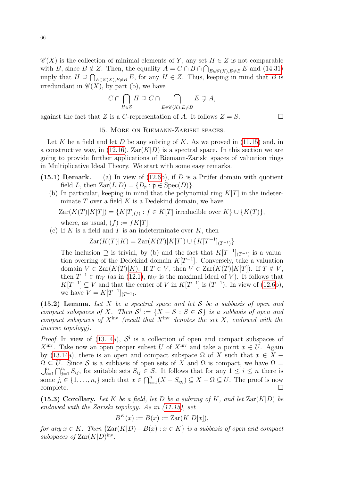$\mathscr{C}(X)$  is the collection of minimal elements of Y, any set  $H \in Z$  is not comparable with B, since  $B \notin \mathbb{Z}$ . Then, the equality  $A = C \cap B \cap \bigcap_{E \in \mathscr{C}(X), E \neq B} E$  and [\(14.31\)](#page-63-0) imply that  $H \supseteq \bigcap_{E \in \mathscr{C}(X), E \neq B} E$ , for any  $H \in Z$ . Thus, keeping in mind that B is irredundant in  $\mathscr{C}(X)$ , by part (b), we have

$$
C\cap\bigcap_{H\in Z}H\supseteq C\cap\bigcap_{E\in\mathscr{C}(X),E\neq B}E\supsetneq A,
$$

against the fact that Z is a C-representation of A. It follows  $Z = S$ .

## 15. More on Riemann-Zariski spaces.

Let K be a field and let D be any subring of K. As we proved in  $(11.15)$  and, in a constructive way, in [\(12.16\)](#page-50-1),  $\text{Zar}(K|D)$  is a spectral space. In this section we are going to provide further applications of Riemann-Zariski spaces of valuation rings in Multiplicative Ideal Theory. We start with some easy remarks.

- (15.1) Remark. (a) In view of  $(12.6b)$ , if D is a Prüfer domain with quotient field L, then  $\text{Zar}(L|D) = \{D_{\mathfrak{p}} : \mathfrak{p} \in \text{Spec}(D)\}.$ 
	- (b) In particular, keeping in mind that the polynomial ring  $K[T]$  in the indeterminate  $T$  over a field  $K$  is a Dedekind domain, we have

$$
Zar(K(T)|K[T]) = \{K[T]_{(f)} : f \in K[T] \text{ irreducible over } K\} \cup \{K(T)\},
$$
  
where, as usual,  $(f) := fK[T]$ .

(c) If K is a field and T is an indeterminate over  $K$ , then

 $\text{Zar}(K(T)|K) = \text{Zar}(K(T)|K[T]) \cup \{K[T^{-1}]_{(T^{-1})}\}$ 

The inclusion  $\supseteq$  is trivial, by (b) and the fact that  $K[T^{-1}]_{(T^{-1})}$  is a valuation overring of the Dedekind domain  $K[T^{-1}]$ . Conversely, take a valuation domain  $V \in \text{Zar}(K(T)|K)$ . If  $T \in V$ , then  $V \in \text{Zar}(K(T)|K[T])$ . If  $T \notin V$ , then  $T^{-1} \in \mathfrak{m}_V$  (as in [\(12.1\)](#page-45-2),  $\mathfrak{m}_V$  is the maximal ideal of V). It follows that  $K[T^{-1}] \subseteq V$  and that the center of V in  $K[T^{-1}]$  is  $(T^{-1})$ . In view of [\(12.6b](#page-47-2)), we have  $V = K[T^{-1}]_{(T^{-1})}$ .

<span id="page-65-0"></span>(15.2) Lemma. Let X be a spectral space and let S be a subbasis of open and compact subspaces of X. Then  $S^i := \{X - S : S \in S\}$  is a subbasis of open and compact subspaces of  $X^{inv}$  (recall that  $X^{inv}$  denotes the set  $X$ , endowed with the inverse topology).

*Proof.* In view of [\(13.14a](#page-54-0)),  $S^i$  is a collection of open and compact subspaces of  $X^{\text{inv}}$ . Take now an open proper subset U of  $X^{\text{inv}}$  and take a point  $x \in U$ . Again by [\(13.14a](#page-54-0)), there is an open and compact subspace  $\Omega$  of X such that  $x \in X$  –  $\Omega \subseteq U$ . Since S is a subbasis of open sets of X and  $\Omega$  is compact, we have  $\Omega =$  $\bigcup_{i=1}^n$  $\sum_{i=1}^n\bigcap_{j=1}^{n_i}S_{ij}$ , for suitable sets  $S_{ij}\in\mathcal{S}$ . It follows that for any  $1\leq i\leq n$  there is some  $j_i \in \{1, ..., n_i\}$  such that  $x \in \bigcap_{i=1}^n (X - S_{ij_i}) \subseteq X - \Omega \subseteq U$ . The proof is now complete.  $\square$ 

<span id="page-65-1"></span>(15.3) Corollary. Let K be a field, let D be a subring of K, and let  $\text{Zar}(K|D)$  be endowed with the Zariski topology. As in [\(11.15\)](#page-45-0), set

$$
B^K(x) := B(x) := \text{Zar}(K[D[x]),
$$

for any  $x \in K$ . Then  $\{ \text{Zar}(K|D) - B(x) : x \in K \}$  is a subbasis of open and compact subspaces of  $\text{Zar}(K|D)^{\text{inv}}$ .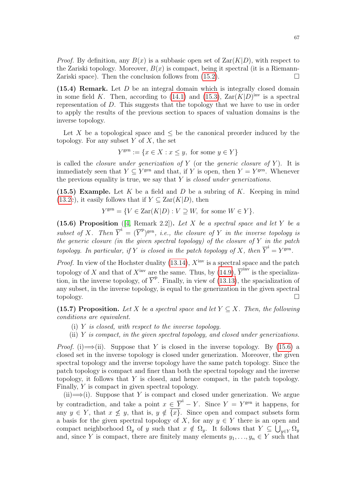*Proof.* By definition, any  $B(x)$  is a subbasic open set of  $\text{Zar}(K|D)$ , with respect to the Zariski topology. Moreover,  $B(x)$  is compact, being it spectral (it is a Riemann-Zariski space). Then the conclusion follows from  $(15.2)$ .

(15.4) Remark. Let D be an integral domain which is integrally closed domain in some field K. Then, according to [\(14.1\)](#page-55-0) and [\(15.3\)](#page-65-1),  $\text{Zar}(K|D)^{\text{inv}}$  is a spectral representation of D. This suggests that the topology that we have to use in order to apply the results of the previous section to spaces of valuation domains is the inverse topology.

Let X be a topological space and  $\leq$  be the canonical preorder induced by the topology. For any subset  $Y$  of  $X$ , the set

$$
Y^{\text{gen}} := \{ x \in X : x \le y, \text{ for some } y \in Y \}
$$

is called the *closure under generization of*  $Y$  (or the *generic closure of*  $Y$ ). It is immediately seen that  $Y \subseteq Y^{\text{gen}}$  and that, if Y is open, then  $Y = Y^{\text{gen}}$ . Whenever the previous equality is true, we say that  $Y$  is *closed under generizations*.

<span id="page-66-1"></span>(15.5) Example. Let K be a field and D be a subring of K. Keeping in mind [\(13.2c](#page-51-1)), it easily follows that if  $Y \subseteq \text{Zar}(K|D)$ , then

$$
Y^{\text{gen}} = \{ V \in \text{Zar}(K|D) : V \supseteq W, \text{ for some } W \in Y \}.
$$

<span id="page-66-0"></span>(15.6) Proposition ([\[4,](#page-77-5) Remark 2.2]). Let X be a spectral space and let Y be a subset of X. Then  $\overline{Y}^i = (\overline{Y}^p)^{\text{gen}}$ , i.e., the closure of Y in the inverse topology is the generic closure (in the given spectral topology) of the closure of  $Y$  in the patch topology. In particular, if Y is closed in the patch topology of X, then  $\overline{Y}^i = Y^{\text{gen}}$ .

*Proof.* In view of the Hochster duality [\(13.14\)](#page-54-0),  $X<sup>inv</sup>$  is a spectral space and the patch topology of X and that of  $X<sup>inv</sup>$  are the same. Thus, by [\(14.9\)](#page-57-4),  $\overline{Y}^{inv}$  is the specialization, in the inverse topology, of  $\overline{Y}^{\text{p}}$ . Finally, in view of [\(13.13\)](#page-54-1), the spacialization of any subset, in the inverse topology, is equal to the generization in the given spectral topology.

<span id="page-66-2"></span>(15.7) Proposition. Let X be a spectral space and let  $Y \subseteq X$ . Then, the following conditions are equivalent.

- (i)  $Y$  is closed, with respect to the inverse topology.
- (ii)  $Y$  is compact, in the given spectral topology, and closed under generizations.

*Proof.* (i)  $\Longrightarrow$  (ii). Suppose that Y is closed in the inverse topology. By [\(15.6\)](#page-66-0) a closed set in the inverse topology is closed under generization. Moreover, the given spectral topology and the inverse topology have the same patch topology. Since the patch topology is compact and finer than both the spectral topology and the inverse topology, it follows that  $Y$  is closed, and hence compact, in the patch topology. Finally, Y is compact in given spectral topology.

 $(ii) \rightarrow (i)$ . Suppose that Y is compact and closed under generization. We argue by contradiction, and take a point  $x \in \overline{Y}^{\mathbf{i}} - Y$ . Since  $Y = Y^{\text{gen}}$  it happens, for any  $y \in Y$ , that  $x \nleq y$ , that is,  $y \notin \overline{\{x\}}$ . Since open and compact subsets form a basis for the given spectral topology of X, for any  $y \in Y$  there is an open and compact neighborhood  $\Omega_y$  of y such that  $x \notin \Omega_y$ . It follows that  $Y \subseteq \bigcup_{y \in Y} \Omega_y$ and, since Y is compact, there are finitely many elements  $y_1, \ldots, y_n \in Y$  such that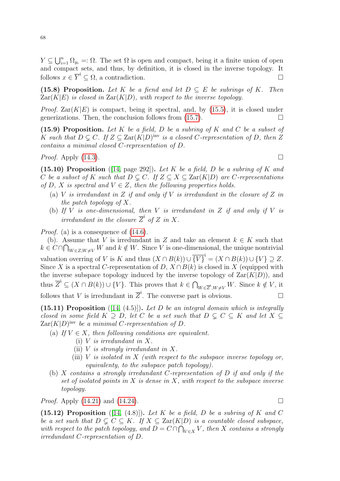$Y \subseteq \bigcup_{i=1}^n \Omega_{y_i} =: \Omega$ . The set  $\Omega$  is open and compact, being it a finite union of open and compact sets, and thus, by definition, it is closed in the inverse topology. It follows  $x \in \overline{Y}^{\mathsf{i}} \subseteq \Omega$ , a contradiction.

<span id="page-67-0"></span>(15.8) Proposition. Let K be a fiend and let  $D \subseteq E$  be subrings of K. Then  $\text{Zar}(K|E)$  is closed in  $\text{Zar}(K|D)$ , with respect to the inverse topology.

*Proof.*  $\text{Zar}(K|E)$  is compact, being it spectral, and, by [\(15.5\)](#page-66-1), it is closed under generizations. Then, the conclusion follows from  $(15.7)$ .

(15.9) Proposition. Let K be a field, D be a subring of K and C be a subset of K such that  $D \subsetneq C$ . If  $Z \subseteq \text{Zar}(K|D)^{\text{inv}}$  is a closed C-representation of D, then  $Z$ contains a minimal closed C-representation of D.

*Proof.* Apply [\(14.3\)](#page-55-2).

(15.10) Proposition ([\[14,](#page-77-6) page 292]). Let K be a field, D be a subring of K and C be a subset of K such that  $D \subseteq C$ . If  $Z \subseteq X \subseteq \text{Zar}(K|D)$  are C-representations of D, X is spectral and  $V \in Z$ , then the following properties holds.

- (a) V is irredundant in Z if and only if V is irredundant in the closure of Z in the patch topology of  $X$ .
- (b) If V is one-dimensional, then V is irredundant in Z if and only if V is irredundant in the closure  $\overline{Z}^i$  of Z in X.

*Proof.* (a) is a consequence of  $(14.6)$ .

(b). Assume that V is irredundant in Z and take an element  $k \in K$  such that  $k \in C \cap \bigcap_{W \in Z, W \neq V} W$  and  $k \notin W$ . Since V is one-dimensional, the unique nontrivial valuation overring of V is K and thus  $(X \cap B(k)) \cup \overline{\{V\}}^i = (X \cap B(k)) \cup \{V\} \supseteq Z$ . Since X is a spectral C-representation of D,  $X \cap B(k)$  is closed in X (equipped with the inverse subspace topology induced by the inverse topology of  $\text{Zar}(K|D)$ , and thus  $\overline{Z}^i \subseteq (X \cap B(k)) \cup \{V\}$ . This proves that  $k \in \bigcap_{W \in \overline{Z}^i, W \neq V} W$ . Since  $k \notin V$ , it

follows that V is irredundant in  $\overline{Z}^i$ . The converse part is obvious.

(15.11) Proposition ([\[14,](#page-77-6) (4.5)]). Let  $D$  be an integral domain which is integrally closed in some field  $K \supseteq D$ , let C be a set such that  $D \subseteq C \subseteq K$  and let  $X \subseteq$  $\text{Zar}(K|D)$ <sup>inv</sup> be a minimal C-representation of D.

- (a) If  $V \in X$ , then following conditions are equivalent.
	- (i) V is irredundant in X.
	- (ii) V is strongly irredundant in  $X$ .
	- (iii)  $V$  is isolated in  $X$  (with respect to the subspace inverse topology or, equivalenty, to the subspace patch topology).
- (b) X contains a strongly irredundant C-representation of  $D$  if and only if the set of isolated points in  $X$  is dense in  $X$ , with respect to the subspace inverse topology.

*Proof.* Apply [\(14.21\)](#page-60-1) and [\(14.24\)](#page-61-2).

(15.12) Proposition ([\[14,](#page-77-6) (4.8)]). Let K be a field, D be a subring of K and C be a set such that  $D \subseteq C \subseteq K$ . If  $X \subseteq \text{Zar}(K|D)$  is a countable closed subspace, with respect to the patch topology, and  $D = C \cap \bigcap_{V \in X} V$ , then X contains a strongly irredundant C-representation of D.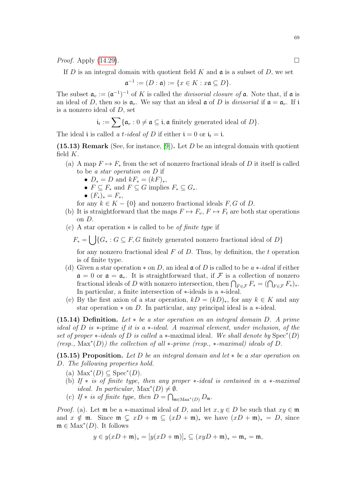*Proof.* Apply  $(14.29)$ .

If  $D$  is an integral domain with quotient field  $K$  and  $\mathfrak a$  is a subset of  $D$ , we set

$$
\mathfrak{a}^{-1} := (D : \mathfrak{a}) := \{ x \in K : x \mathfrak{a} \subseteq D \}.
$$

The subset  $\mathfrak{a}_v := (\mathfrak{a}^{-1})^{-1}$  of K is called the *divisorial closure of*  $\mathfrak{a}$ . Note that, if  $\mathfrak{a}$  is an ideal of D, then so is  $\mathfrak{a}_v$ . We say that an ideal  $\mathfrak{a}$  of D is *divisorial* if  $\mathfrak{a} = \mathfrak{a}_v$ . If i is a nonzero ideal of D, set

$$
\mathfrak{i}_t := \sum \{ \mathfrak{a}_v : 0 \neq \mathfrak{a} \subseteq \mathfrak{i}, \mathfrak{a} \text{ finitely generated ideal of } D \}.
$$

The ideal i is called a t-ideal of D if either  $i = 0$  or  $i_t = i$ .

<span id="page-68-0"></span>(15.13) Remark (See, for instance, [\[9\]](#page-77-9)). Let D be an integral domain with quotient field  $K$ .

- (a) A map  $F \mapsto F_*$  from the set of nonzero fractional ideals of D it itself is called to be a star operation on D if
	- $D_* = D$  and  $kF_* = (kF)_*,$
	- $F \subset F_*$  and  $F \subset G$  implies  $F_* \subset G_*$ .
	- $(F_*)_* = F_*$
	- for any  $k \in K \{0\}$  and nonzero fractional ideals  $F, G$  of D.
- (b) It is straightforward that the maps  $F \mapsto F_v$ ,  $F \mapsto F_t$  are both star operations on D.
- (c) A star operation  $*$  is called to be *of finite type* if

 $F_* = \bigcup \{G_* : G \subseteq F, G \text{ finitely generated nonzero fractional ideal of } D\}$ 

for any nonzero fractional ideal  $F$  of  $D$ . Thus, by definition, the  $t$  operation is of finite type.

- (d) Given a star operation  $*$  on D, an ideal  $\mathfrak a$  of D is called to be  $a *-ideal$  if either  $\mathfrak{a} = 0$  or  $\mathfrak{a} = \mathfrak{a}_*$ . It is straightforward that, if F is a collection of nonzero fractional ideals of D with nonzero intersection, then  $\bigcap_{F \in \mathcal{F}} F_* = (\bigcap_{F \in \mathcal{F}} F_*)_*$ . In particular, a finite intersection of ∗-ideals is a ∗-ideal.
- (e) By the first axion of a star operation,  $kD = (kD)_*,$  for any  $k \in K$  and any star operation  $*$  on D. In particular, any principal ideal is a  $*$ -ideal.

(15.14) Definition. Let ∗ be a star operation on an integral domain D. A prime ideal of D is ∗-prime if it is a ∗-ideal. A maximal element, under inclusion, of the set of proper  $\ast$ -ideals of D is called a  $\ast$ -maximal ideal. We shall denote by  $Spec^*(D)$  $(resp., Max^*(D))$  the collection of all \*-prime (resp., \*-maximal) ideals of D.

(15.15) Proposition. Let D be an integral domain and let  $*$  be a star operation on D. The following properties hold.

- (a)  $\text{Max}^*(D) \subseteq \text{Spec}^*(D)$ .
- (b) If  $*$  is of finite type, then any proper  $*-ideal$  is contained in a  $*-maximal$ *ideal.* In particular,  $Max^*(D) \neq \emptyset$ .
- (c) If \* is of finite type, then  $D = \bigcap_{\mathfrak{m} \in \text{Max}^*(D)} D_{\mathfrak{m}}$ .

*Proof.* (a). Let  $\mathfrak{m}$  be a  $*$ -maximal ideal of D, and let  $x, y \in D$  be such that  $xy \in \mathfrak{m}$ and  $x \notin \mathfrak{m}$ . Since  $\mathfrak{m} \subsetneq xD + \mathfrak{m} \subseteq (xD + \mathfrak{m})_*$  we have  $(xD + \mathfrak{m})_* = D$ , since  $\mathfrak{m} \in \text{Max}^*(D)$ . It follows

$$
y \in y(xD + \mathfrak{m})_* = [y(xD + \mathfrak{m})]_* \subseteq (xyD + \mathfrak{m})_* = \mathfrak{m}_* = \mathfrak{m},
$$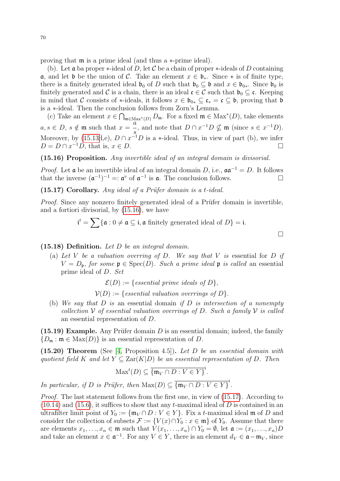proving that m is a prime ideal (and thus a ∗-prime ideal).

(b). Let **a** ba proper  $\ast$ -ideal of D, let C be a chain of proper  $\ast$ -ideals of D containing **a**, and let **b** be the union of C. Take an element  $x \in \mathfrak{b}_*$ . Since  $*$  is of finite type, there is a finitely generated ideal  $\mathfrak{b}_0$  of D such that  $\mathfrak{b}_0 \subseteq \mathfrak{b}$  and  $x \in \mathfrak{b}_{0*}$ . Since  $\mathfrak{b}_0$  is finitely generated and C is a chain, there is an ideal  $\mathfrak{c} \in \mathcal{C}$  such that  $\mathfrak{b}_0 \subseteq \mathfrak{c}$ . Keeping in mind that C consists of \*-ideals, it follows  $x \in \mathfrak{b}_{0*} \subseteq \mathfrak{c}_* = \mathfrak{c} \subseteq \mathfrak{b}$ , proving that  $\mathfrak{b}$ is a ∗-ideal. Then the conclusion follows from Zorn's Lemma.

(c) Take an element  $x \in \bigcap_{\mathfrak{m} \in \text{Max}^*(D)} D_{\mathfrak{m}}$ . For a fixed  $\mathfrak{m} \in \text{Max}^*(D)$ , take elements  $a, s \in D$ ,  $s \notin \mathfrak{m}$  such that  $x = \frac{a}{2}$ , and note that  $D \cap x^{-1}D \nsubseteq \mathfrak{m}$  (since  $s \in x^{-1}D$ ). s Moreover, by  $(15.13d,e)$ ,  $D \cap x^{-1}D$  is a \*-ideal. Thus, in view of part (b), we infer  $D = D \cap x^{-1}D$ , that is,  $x \in D$ .

<span id="page-69-0"></span>(15.16) Proposition. Any invertible ideal of an integral domain is divisorial.

*Proof.* Let **a** be an invertible ideal of an integral domain D, i.e.,  $a a^{-1} = D$ . It follows that the inverse  $(\mathfrak{a}^{-1})^{-1} =: \mathfrak{a}^v$  of  $\mathfrak{a}^{-1}$  is  $\mathfrak{a}$ . The conclusion follows.

<span id="page-69-1"></span> $(15.17)$  Corollary. Any ideal of a Prüfer domain is a t-ideal.

*Proof.* Since any nonzero finitely generated ideal of a Prüfer domain is invertible, and a fortiori divisorial, by [\(15.16\)](#page-69-0), we have

$$
\mathfrak{i}^t = \sum \{ \mathfrak{a} : 0 \neq \mathfrak{a} \subseteq \mathfrak{i}, \mathfrak{a} \text{ finitely generated ideal of } D \} = \mathfrak{i}.
$$

 $\Box$ 

 $(15.18)$  Definition. Let D be an integral domain.

(a) Let V be a valuation overring of D. We say that V is essential for D if  $V = D_n$ , for some  $\mathfrak{p} \in \text{Spec}(D)$ . Such a prime ideal  $\mathfrak{p}$  is called an essential prime ideal of D. Set

 $\mathcal{E}(D) := \{ essential\ prime\ ideals\ of\ D\}.$ 

 $V(D) := \{ essential \; valuation \; overrings \; of \; D\}.$ 

(b) We say that  $D$  is an essential domain if  $D$  is intersection of a nonempty collection V of essential valuation overrings of D. Such a family V is called an essential representation of D.

(15.19) Example. Any Prüfer domain  $D$  is an essential domain; indeed, the family  ${D_m : \mathfrak{m} \in \text{Max}(D)}$  is an essential representation of D.

<span id="page-69-2"></span> $(15.20)$  Theorem (See [\[4,](#page-77-5) Proposition 4.5]). Let D be an essential domain with quotient field K and let  $Y \subseteq \text{Zar}(K|D)$  be an essential representation of D. Then

$$
\text{Max}^t(D) \subseteq \overline{\{\mathfrak{m}_V \cap D : V \in Y\}}^i.
$$

In particular, if D is Prüfer, then  $\text{Max}(D) \subseteq \overline{\{\mathfrak{m}_V \cap D : V \in Y\}}^1$ .

*Proof.* The last statement follows from the first one, in view of [\(15.17\)](#page-69-1). According to  $(10.14)$  and  $(15.6)$ , it suffices to show that any t-maximal ideal of D is contained in an ultrafilter limit point of  $Y_0 := \{ \mathfrak{m}_V \cap D : V \in Y \}$ . Fix a t-maximal ideal  $\mathfrak{m}$  of D and consider the collection of subsets  $\mathcal{F} := \{V(x) \cap Y_0 : x \in \mathfrak{m}\}\$  of  $Y_0$ . Assume that there are elements  $x_1, \ldots, x_n \in \mathfrak{m}$  such that  $V(x_1, \ldots, x_n) \cap Y_0 = \emptyset$ , let  $\mathfrak{a} := (x_1, \ldots, x_n)D$ and take an element  $x \in \mathfrak{a}^{-1}$ . For any  $V \in Y$ , there is an element  $d_V \in \mathfrak{a} - \mathfrak{m}_V$ , since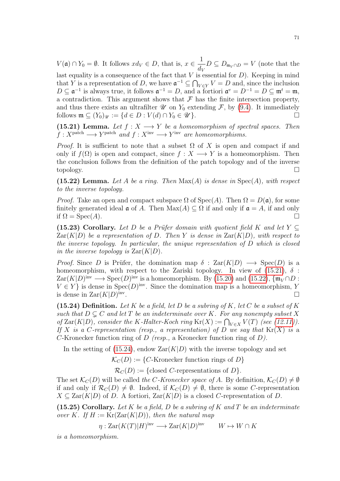$V(\mathfrak{a}) \cap Y_0 = \emptyset$ . It follows  $xd_V \in D$ , that is,  $x \in \frac{1}{d}$  $\frac{1}{d_V}D \subseteq D_{\mathfrak{m}_V \cap D} = V$  (note that the last equality is a consequence of the fact that  $V$  is essential for  $D$ ). Keeping in mind that Y is a representation of D, we have  $\mathfrak{a}^{-1} \subseteq \bigcap_{V \in Y} V = D$  and, since the inclusion  $D \subseteq \mathfrak{a}^{-1}$  is always true, it follows  $\mathfrak{a}^{-1} = D$ , and a fortiori  $\mathfrak{a}^v = D^{-1} = D \subseteq \mathfrak{m}^t = \mathfrak{m}$ , a contradiction. This argument shows that  $\mathcal F$  has the finite intersection property, and thus there exists an ultrafilter  $\mathscr U$  on  $Y_0$  extending  $\mathcal F$ , by [\(9.4\)](#page-30-1). It immediately follows  $\mathfrak{m} \subseteq (Y_0)_{\mathscr{U}} := \{d \in D : V(d) \cap Y_0 \in \mathscr{U}\}.$ 

<span id="page-70-0"></span>(15.21) Lemma. Let  $f: X \longrightarrow Y$  be a homeomorphism of spectral spaces. Then  $f: X^{\text{patch}} \longrightarrow Y^{\text{patch}}$  and  $f: X^{\text{inv}} \longrightarrow Y^{\text{inv}}$  are homeomorphisms.

*Proof.* It is sufficient to note that a subset  $\Omega$  of X is open and compact if and only if  $f(\Omega)$  is open and compact, since  $f: X \longrightarrow Y$  is a homeomorphism. Then the conclusion follows from the definition of the patch topology and of the inverse topology.

<span id="page-70-1"></span>(15.22) Lemma. Let A be a ring. Then  $Max(A)$  is dense in  $Spec(A)$ , with respect to the inverse topology.

*Proof.* Take an open and compact subspace  $\Omega$  of  $Spec(A)$ . Then  $\Omega = D(\mathfrak{a})$ , for some finitely generated ideal  $\mathfrak a$  of A. Then  $\text{Max}(A) \subseteq \Omega$  if and only if  $\mathfrak a = A$ , if and only if  $\Omega = \text{Spec}(A)$ .

<span id="page-70-4"></span>(15.23) Corollary. Let D be a Prüfer domain with quotient field K and let Y  $\subset$  $\text{Zar}(K|D)$  be a representation of D. Then Y is dense in  $\text{Zar}(K|D)$ , with respect to the inverse topology. In particular, the unique representation of D which is closed in the inverse topology is  $\text{Zar}(K|D)$ .

*Proof.* Since D is Prüfer, the domination map  $\delta$  :  $\text{Zar}(K|D) \longrightarrow \text{Spec}(D)$  is a homeomorphism, with respect to the Zariski topology. In view of  $(15.21)$ ,  $\delta$ :  $\text{Zar}(K|D)$ <sup>inv</sup> → Spec $(D)$ <sup>inv</sup> is a homeomorphism. By [\(15.20\)](#page-69-2) and [\(15.22\)](#page-70-1),  $\{\mathfrak{m}_V \cap D :$  $V \in Y$  is dense in  $Spec(D)^{inv}$ . Since the domination map is a homeomorphism, Y is dense in  $\text{Zar}(K|D)^{\text{inv}}$ . The contract of the contract of the contract of  $\Box$ 

<span id="page-70-2"></span>(15.24) Definition. Let K be a field, let D be a subring of K, let C be a subset of K such that  $D \subseteq C$  and let T be an indeterminate over K. For any nonempty subset X of  $\text{Zar}(K|D)$ , consider the K-Halter-Koch ring  $\text{Kr}(X) := \bigcap_{V \in X} V(T)$  (see [\(12.11\)](#page-49-1)). If X is a C-representation (resp., a representation) of D we say that  $Kr(X)$  is a C-Kronecker function ring of D (resp., a Kronecker function ring of D).

In the setting of  $(15.24)$ , endow  $\text{Zar}(K|D)$  with the inverse topology and set

 $\mathcal{K}_C(D) := \{C\text{-Kronecker function rings of } D\}$ 

 $\mathcal{R}_C(D) := \{ \text{closed } C \text{-representations of } D \}.$ 

The set  $\mathcal{K}_C(D)$  will be called the C-Kronecker space of A. By definition,  $\mathcal{K}_C(D) \neq \emptyset$ if and only if  $\mathcal{R}_C(D) \neq \emptyset$ . Indeed, if  $\mathcal{K}_C(D) \neq \emptyset$ , there is some C-representation  $X \subseteq \text{Zar}(K|D)$  of D. A fortiori,  $\text{Zar}(K|D)$  is a closed C-representation of D.

<span id="page-70-3"></span>(15.25) Corollary. Let K be a field, D be a subring of K and T be an indeterminate over K. If  $H := \text{Kr}(\text{Zar}(K|D))$ , then the natural map

 $\eta: \mathrm{Zar}(K(T)|H)$ <sup>inv</sup>  $\longrightarrow \mathrm{Zar}(K|D)$ <sup>inv</sup>  $W \mapsto W \cap K$ 

is a homeomorphism.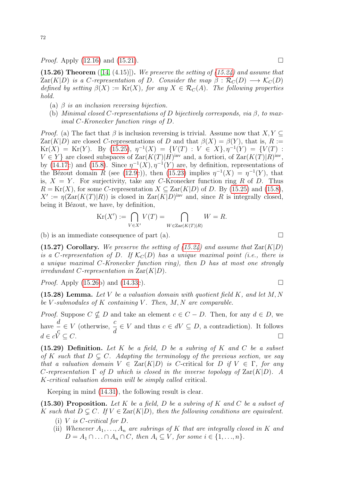<span id="page-71-0"></span>(15.26) Theorem  $([14, (4.15)])$  $([14, (4.15)])$  $([14, (4.15)])$ . We preserve the setting of  $(15.24)$  and assume that  $\text{Zar}(K|D)$  is a C-representation of D. Consider the map  $\beta : \mathcal{R}_C(D) \longrightarrow \mathcal{K}_C(D)$ defined by setting  $\beta(X) := \text{Kr}(X)$ , for any  $X \in \mathcal{R}_C(A)$ . The following properties hold.

- (a)  $\beta$  is an inclusion reversing bijection.
- (b) Minimal closed C-representations of D bijectively corresponds, via  $\beta$ , to maximal C-Kronecker function rings of D.

*Proof.* (a) The fact that  $\beta$  is inclusion reversing is trivial. Assume now that  $X, Y \subseteq$  $\text{Zar}(K|D)$  are closed C-representations of D and that  $\beta(X) = \beta(Y)$ , that is, R :=  $Kr(X) = Kr(Y)$ . By [\(15.25\)](#page-70-3),  $\eta^{-1}(X) = \{V(T) : V \in X\}, \eta^{-1}(Y) = \{V(T) :$  $V \in Y$  are closed subspaces of  $\text{Zar}(K(T)|H)$ <sup>inv</sup> and, a fortiori, of  $\text{Zar}(K(T)|R)$ <sup>inv</sup>, by [\(14.17c](#page-59-1)) and [\(15.8\)](#page-67-0). Since  $\eta^{-1}(X), \eta^{-1}(Y)$  are, by definition, representations of the Bézout domain R (see [\(12.9c](#page-48-2))), then [\(15.23\)](#page-70-4) implies  $\eta^{-1}(X) = \eta^{-1}(Y)$ , that is,  $X = Y$ . For surjectivity, take any C-Kronecker function ring R of D. Thus  $R = \text{Kr}(X)$ , for some C-representation  $X \subseteq \text{Zar}(K|D)$  of D. By [\(15.25\)](#page-70-3) and [\(15.8\)](#page-67-0),  $X' := \eta(\text{Zar}(K(T)|R))$  is closed in  $\text{Zar}(K|D)^{inv}$  and, since R is integrally closed, being it Bézout, we have, by definition,

$$
Kr(X') := \bigcap_{V \in X'} V(T) = \bigcap_{W \in Zar(K(T)|R)} W = R.
$$

(b) is an immediate consequence of part (a).  $\Box$ 

(15.27) Corollary. We preserve the setting of [\(15.24\)](#page-70-2) and assume that  $\text{Zar}(K|D)$ is a C-representation of D. If  $\mathcal{K}_C(D)$  has a unique maximal point (i.e., there is a unique maximal C-Kronecker function ring), then D has at most one strongly irredundant C-representation in  $\text{Zar}(K|D)$ .

*Proof.* Apply [\(15.26b](#page-71-0)) and [\(14.33c](#page-64-0)).

(15.28) Lemma. Let V be a valuation domain with quotient field  $K$ , and let  $M, N$ be V-submodules of K containing V. Then,  $M, N$  are comparable.

*Proof.* Suppose  $C \nsubseteq D$  and take an element  $c \in C - D$ . Then, for any  $d \in D$ , we have  $\frac{d}{ }$ c  $\in V$  (otherwise,  $\frac{c}{1}$ d  $\in V$  and thus  $c \in dV \subseteq D$ , a contradiction). It follows  $d \in c\breve{V} \subseteq C.$ 

(15.29) Definition. Let K be a field, D be a subring of K and C be a subset of K such that  $D \subsetneq C$ . Adapting the terminology of the previous section, we say that a valuation domain  $V \in \text{Zar}(K|D)$  is C-critical for D if  $V \in \Gamma$ , for any C-representation  $\Gamma$  of D which is closed in the inverse topology of  $\text{Zar}(K|D)$ . A K-critical valuation domain will be simply called critical.

Keeping in mind [\(14.31\)](#page-63-0), the following result is clear.

(15.30) Proposition. Let K be a field, D be a subring of K and C be a subset of K such that  $D \subsetneq C$ . If  $V \in \text{Zar}(K|D)$ , then the following conditions are equivalent.

- (i)  $V$  is  $C$ -critical for  $D$ .
- (ii) Whenever  $A_1, \ldots, A_n$  are subrings of K that are integrally closed in K and  $D = A_1 \cap \ldots \cap A_n \cap C$ , then  $A_i \subseteq V$ , for some  $i \in \{1, \ldots, n\}$ .

$$
\qquad \qquad \Box
$$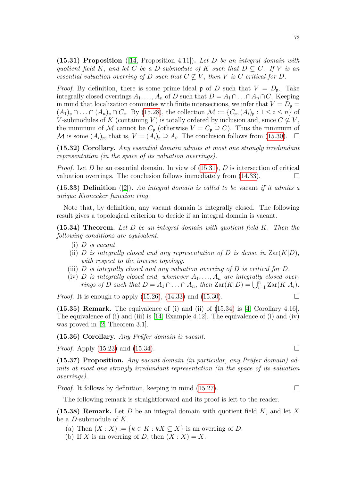<span id="page-72-0"></span> $(15.31)$  Proposition ([\[14,](#page-77-0) Proposition 4.11]). Let D be an integral domain with quotient field K, and let C be a D-submodule of K such that  $D \subseteq C$ . If V is an essential valuation overring of D such that  $C \nsubseteq V$ , then V is C-critical for D.

*Proof.* By definition, there is some prime ideal  $\mathfrak p$  of D such that  $V = D_{\mathfrak p}$ . Take integrally closed overrings  $A_1, \ldots, A_n$  of D such that  $D = A_1 \cap \ldots \cap A_n \cap C$ . Keeping in mind that localization commutes with finite intersections, we infer that  $V = D_{\mathfrak{p}} =$  $(A_1)_{\mathfrak{p}} \cap \ldots \cap (A_n)_{\mathfrak{p}} \cap C_{\mathfrak{p}}$ . By [\(15.28\)](#page-71-0), the collection  $\mathcal{M} := \{C_{\mathfrak{p}}, (A_i)_{\mathfrak{p}} : 1 \leq i \leq n\}$  of V-submodules of K (containing V) is totally ordered by inclusion and, since  $C \nsubseteq V$ , the minimum of M cannot be  $C_{\mathfrak{p}}$  (otherwise  $V = C_{\mathfrak{p}} \supseteq C$ ). Thus the minimum of M is some  $(A_i)_{\mathfrak{p}}$ , that is,  $V = (A_i)_{\mathfrak{p}} \supseteq A_i$ . The conclusion follows from [\(15.30\)](#page-71-1).  $\Box$ 

<span id="page-72-3"></span>(15.32) Corollary. Any essential domain admits at most one strongly irredundant representation (in the space of its valuation overrings).

*Proof.* Let D be an essential domain. In view of  $(15.31)$ , D is intersection of critical valuation overrings. The conclusion follows immediately from  $(14.33)$ .

(15.33) Definition ([\[2\]](#page-77-1)). An integral domain is called to be vacant if it admits a unique Kronecker function ring.

Note that, by definition, any vacant domain is integrally closed. The following result gives a topological criterion to decide if an integral domain is vacant.

<span id="page-72-1"></span> $(15.34)$  Theorem. Let D be an integral domain with quotient field K. Then the following conditions are equivalent.

- (i) D is vacant.
- (ii) D is integrally closed and any representation of D is dense in  $\text{Zar}(K|D)$ , with respect to the inverse topology.
- (iii) D is integrally closed and any valuation overring of D is critical for D.
- (iv) D is integrally closed and, whenever  $A_1, \ldots, A_n$  are integrally closed overrings of D such that  $D = A_1 \cap ... \cap A_n$ , then  $\text{Zar}(K|D) = \bigcup_{i=1}^n \text{Zar}(K|A_i)$ .

*Proof.* It is enough to apply  $(15.26)$ ,  $(14.33)$  and  $(15.30)$ .

 $(15.35)$  Remark. The equivalence of (i) and (ii) of  $(15.34)$  is [\[4,](#page-77-2) Corollary 4.16]. The equivalence of (i) and (iii) is [\[14,](#page-77-0) Example 4.12]. The equivalence of (i) and (iv) was proved in [\[2,](#page-77-1) Theorem 3.1].

 $(15.36)$  Corollary. Any Prüfer domain is vacant.

*Proof.* Apply  $(15.23)$  and  $(15.34)$ .

(15.37) Proposition. Any vacant domain (in particular, any Prüfer domain) admits at most one strongly irredundant representation (in the space of its valuation overrings).

*Proof.* It follows by definition, keeping in mind  $(15.27)$ .

The following remark is straightforward and its proof is left to the reader.

<span id="page-72-2"></span>(15.38) Remark. Let D be an integral domain with quotient field  $K$ , and let X be a D-submodule of K.

- (a) Then  $(X : X) := \{k \in K : kX \subseteq X\}$  is an overring of D.
- (b) If X is an overring of D, then  $(X: X) = X$ .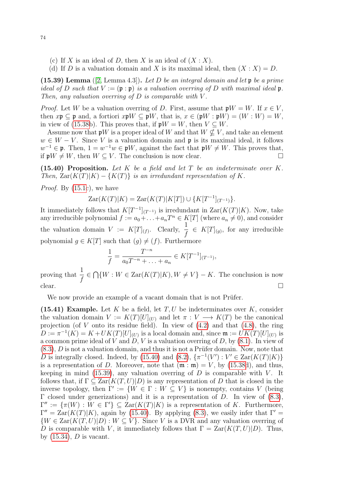- (c) If X is an ideal of D, then X is an ideal of  $(X : X)$ .
- (d) If D is a valuation domain and X is its maximal ideal, then  $(X: X) = D$ .

<span id="page-73-1"></span>(15.39) Lemma ([\[2,](#page-77-1) Lemma 4.3]). Let D be an integral domain and let  $\mathfrak p$  be a prime ideal of D such that  $V := (\mathfrak{p} : \mathfrak{p})$  is a valuation overring of D with maximal ideal  $\mathfrak{p}$ . Then, any valuation overring of  $D$  is comparable with  $V$ .

*Proof.* Let W be a valuation overring of D. First, assume that  $\mathfrak{p}W = W$ . If  $x \in V$ , then  $x\mathfrak{p} \subseteq \mathfrak{p}$  and, a fortiori  $x\mathfrak{p}W \subseteq \mathfrak{p}W$ , that is,  $x \in (\mathfrak{p}W : \mathfrak{p}W) = (W : W) = W$ , in view of [\(15.38b](#page-72-2)). This proves that, if  $\mathfrak{p}W = W$ , then  $V \subseteq W$ .

Assume now that  $\mathfrak{p}W$  is a proper ideal of W and that  $W \not\subseteq V$ , and take an element  $w \in W - V$ . Since V is a valuation domain and p is its maximal ideal, it follows  $w^{-1} \in \mathfrak{p}$ . Then,  $1 = w^{-1}w \in \mathfrak{p}W$ , against the fact that  $\mathfrak{p}W \neq W$ . This proves that, if  $\mathfrak{p}W \neq W$ , then  $W \subseteq V$ . The conclusion is now clear.

<span id="page-73-0"></span>(15.40) Proposition. Let  $K$  be a field and let  $T$  be an indeterminate over  $K$ . Then,  $\text{Zar}(K(T)|K) - \{K(T)\}\$ is an irredundant representation of K.

*Proof.* By [\(15.1c](#page-0-0)), we have

$$
Zar(K(T)|K) = Zar(K(T)|K[T]) \cup \{K[T^{-1}]_{(T^{-1})}\}.
$$

It immediately follows that  $K[T^{-1}]_{(T^{-1})}$  is irredundant in  $\text{Zar}(K(T)|K)$ . Now, take any irreducible polynomial  $f := a_0 + \ldots + a_nT^n \in K[T]$  (where  $a_n \neq 0$ ), and consider the valuation domain  $V := K[T]_{(f)}$ . Clearly,  $\frac{1}{f}$  $\frac{1}{f} \in K[T]_{(g)},$  for any irreducible polynomial  $g \in K[T]$  such that  $(g) \neq (f)$ . Furthermore

$$
\frac{1}{f} = \frac{T^{-n}}{a_0 T^{-n} + \ldots + a_n} \in K[T^{-1}]_{(T^{-1})},
$$

proving that  $\frac{1}{6}$ f  $\in \bigcap \{W : W \in \text{Zar}(K(T)|K), W \neq V\} - K$ . The conclusion is now clear.

We now provide an example of a vacant domain that is not Prüfer.

(15.41) Example. Let  $K$  be a field, let  $T, U$  be indeterminates over  $K$ , consider the valuation domain  $V := K(T)[U]_{(U)}$  and let  $\pi : V \longrightarrow K(T)$  be the canonical projection (of V onto its residue field). In view of  $(4.2)$  and that  $(4.8)$ , the ring  $D := \pi^{-1}(K) = K + UK(T)[U]_{(U)}$  is a local domain and, since  $\mathfrak{m} := UK(T)[U]_{(U)}$  is a common prime ideal of V and D, V is a valuation overring of D, by  $(8.1)$ . In view of  $(8.3)$ , D is not a valuation domain, and thus it is not a Prüfer domain. Now, note that D is integrally closed. Indeed, by [\(15.40\)](#page-73-0) and [\(8.2\)](#page-28-2),  $\{\pi^{-1}(V'): V \in \text{Zar}(K(T)|K)\}\$ is a representation of D. Moreover, note that  $(\mathfrak{m} : \mathfrak{m}) = V$ , by [\(15.38d](#page-72-2)), and thus, keeping in mind [\(15.39\)](#page-73-1), any valuation overring of  $D$  is comparable with  $V$ . It follows that, if  $\Gamma \subseteq \text{Zar}(K(T, U)|D)$  is any representation of D that is closed in the inverse topology, then  $\Gamma' := \{W \in \Gamma : W \subseteq V\}$  is nonempty, contains V (being  $Γ$  closed under generizations) and it is a representation of D. In view of  $(8.3)$ ,  $\Gamma'' := {\pi(W) : W \in \Gamma'} \subseteq \text{Zar}(K(T)|K)$  is a representation of K. Furthermore,  $\Gamma'' = \text{Zar}(K(T)|K)$ , again by [\(15.40\)](#page-73-0). By applying [\(8.3\)](#page-28-1), we easily infer that  $\Gamma' =$  $\{W \in \text{Zar}(K(T, U)|D): W \subseteq V\}$ . Since V is a DVR and any valuation overring of D is comparable with V, it immediately follows that  $\Gamma = \text{Zar}(K(T, U)|D)$ . Thus, by  $(15.34)$ , D is vacant.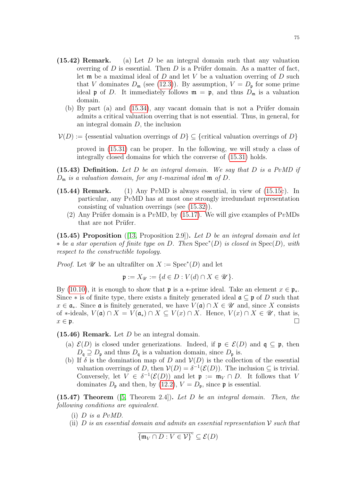- (15.42) Remark. (a) Let  $D$  be an integral domain such that any valuation overring of D is essential. Then D is a Prüfer domain. As a matter of fact, let  $\mathfrak m$  be a maximal ideal of  $D$  and let  $V$  be a valuation overring of  $D$  such that V dominates  $D_m$  (see [\(12.3\)](#page-46-0)). By assumption,  $V = D_p$  for some prime ideal **p** of D. It immediately follows  $\mathfrak{m} = \mathfrak{p}$ , and thus  $D_{\mathfrak{m}}$  is a valuation domain.
	- (b) By part (a) and  $(15.34)$ , any vacant domain that is not a Prüfer domain admits a critical valuation overring that is not essential. Thus, in general, for an integral domain  $D$ , the inclusion
- $V(D) :=$  {essential valuation overrings of  $D \subset$  {critical valuation overrings of  $D$ }

proved in [\(15.31\)](#page-72-0) can be proper. In the following, we will study a class of integrally closed domains for which the converse of [\(15.31\)](#page-72-0) holds.

(15.43) Definition. Let D be an integral domain. We say that D is a PvMD if  $D_{\mathfrak{m}}$  is a valuation domain, for any t-maximal ideal  $\mathfrak{m}$  of  $D$ .

- (15.44) Remark. (1) Any PvMD is always essential, in view of  $(15.15c)$ . In particular, any PvMD has at most one strongly irredundant representation consisting of valuation overrings (see [\(15.32\)](#page-72-3)).
	- (2) Any Prüfer domain is a PvMD, by [\(15.17\)](#page-69-0). We will give examples of PvMDs that are not Prüfer.

<span id="page-74-0"></span>(15.45) Proposition ([\[13,](#page-77-3) Proposition 2.9]). Let  $D$  be an integral domain and let  $\star$  be a star operation of finite type on D. Then Spec<sup>\*</sup>(D) is closed in Spec(D), with respect to the constructible topology.

*Proof.* Let  $\mathscr U$  be an ultrafilter on  $X := \mathrm{Spec}^*(D)$  and let

$$
\mathfrak{p} := X_{\mathscr{U}} := \{ d \in D : V(d) \cap X \in \mathscr{U} \}.
$$

By [\(10.10\)](#page-37-0), it is enough to show that **p** is a \*-prime ideal. Take an element  $x \in \mathfrak{p}_*$ . Since  $*$  is of finite type, there exists a finitely generated ideal  $\mathfrak{a} \subseteq \mathfrak{p}$  of D such that  $x \in \mathfrak{a}_*$ . Since  $\mathfrak{a}$  is finitely generated, we have  $V(\mathfrak{a}) \cap X \in \mathcal{U}$  and, since X consists of \*-ideals,  $V(\mathfrak{a}) \cap X = V(\mathfrak{a}_*) \cap X \subseteq V(x) \cap X$ . Hence,  $V(x) \cap X \in \mathcal{U}$ , that is,  $x \in \mathfrak{p}$ .

<span id="page-74-2"></span> $(15.46)$  Remark. Let D be an integral domain.

- (a)  $\mathcal{E}(D)$  is closed under generizations. Indeed, if  $\mathfrak{p} \in \mathcal{E}(D)$  and  $\mathfrak{q} \subseteq \mathfrak{p}$ , then  $D_{\mathfrak{q}} \supseteq D_{\mathfrak{p}}$  and thus  $D_{\mathfrak{q}}$  is a valuation domain, since  $D_{\mathfrak{p}}$  is.
- (b) If  $\delta$  is the domination map of D and  $V(D)$  is the collection of the essential valuation overrings of D, then  $V(D) = \delta^{-1}(\mathcal{E}(D))$ . The inclusion  $\subseteq$  is trivial. Conversely, let  $V \in \delta^{-1}(\mathcal{E}(D))$  and let  $\mathfrak{p} := \mathfrak{m}_V \cap D$ . It follows that V dominates  $D_{\mathfrak{p}}$  and then, by [\(12.2\)](#page-45-0),  $V = D_{\mathfrak{p}}$ , since  $\mathfrak{p}$  is essential.

<span id="page-74-1"></span>(15.47) Theorem  $(5,$  Theorem 2.4.). Let D be an integral domain. Then, the following conditions are equivalent.

- (i)  $D$  is a  $PvMD$ .
- (ii)  $D$  is an essential domain and admits an essential representation  $\mathcal V$  such that

$$
\overline{\{\mathfrak{m}_V\cap D:V\in\mathcal{V}\}}^c\subseteq\mathcal{E}(D)
$$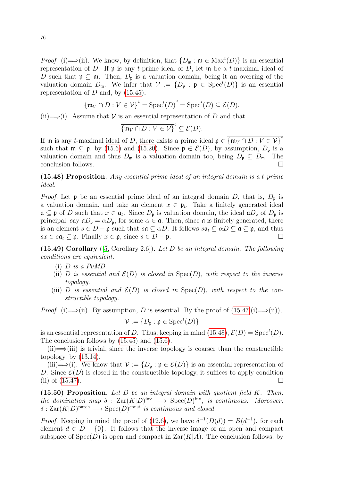*Proof.* (i)  $\Longrightarrow$  (ii). We know, by definition, that  $\{D_{\mathfrak{m}} : \mathfrak{m} \in \text{Max}^t(D)\}\$  is an essential representation of D. If  $\mathfrak p$  is any t-prime ideal of D, let  $\mathfrak m$  be a t-maximal ideal of D such that  $\mathfrak{p} \subseteq \mathfrak{m}$ . Then,  $D_{\mathfrak{p}}$  is a valuation domain, being it an overring of the valuation domain  $D_{\mathfrak{m}}$ . We infer that  $\mathcal{V} := \{D_{\mathfrak{p}} : \mathfrak{p} \in \text{Spec}^t(D)\}\$ is an essential representation of  $D$  and, by  $(15.45)$ ,

$$
\overline{\{\mathfrak{m}_V \cap D : V \in \mathcal{V}\}}^c = \overline{\text{Spec}^t(D)}^c = \text{Spec}^t(D) \subseteq \mathcal{E}(D).
$$

(ii)  $\Longrightarrow$  (i). Assume that V is an essential representation of D and that

$$
\overline{\{\mathfrak{m}_V \cap D : V \in \mathcal{V}\}}^c \subseteq \mathcal{E}(D).
$$

If **m** is any t-maximal ideal of D, there exists a prime ideal  $\mathfrak{p} \in {\mathfrak{m}}_V \cap D : V \in V$ such that  $\mathfrak{m} \subseteq \mathfrak{p}$ , by [\(15.6\)](#page-66-0) and [\(15.20\)](#page-69-1). Since  $\mathfrak{p} \in \mathcal{E}(D)$ , by assumption,  $D_{\mathfrak{p}}$  is a valuation domain and thus  $D_m$  is a valuation domain too, being  $D_p \subseteq D_m$ . The conclusion follows.

<span id="page-75-0"></span>(15.48) Proposition. Any essential prime ideal of an integral domain is a t-prime ideal.

*Proof.* Let  $\mathfrak p$  be an essential prime ideal of an integral domain D, that is,  $D_{\mathfrak p}$  is a valuation domain, and take an element  $x \in \mathfrak{p}_t$ . Take a finitely generated ideal  $\mathfrak{a} \subseteq \mathfrak{p}$  of D such that  $x \in \mathfrak{a}_t$ . Since  $D_{\mathfrak{p}}$  is valuation domain, the ideal  $\mathfrak{a}D_{\mathfrak{p}}$  of  $D_{\mathfrak{p}}$  is principal, say  $\mathfrak{a}D_{\mathfrak{p}} = \alpha D_{\mathfrak{p}}$ , for some  $\alpha \in \mathfrak{a}$ . Then, since  $\mathfrak{a}$  is finitely generated, there is an element  $s \in D - \mathfrak{p}$  such that  $s\mathfrak{a} \subseteq \alpha D$ . It follows  $s\mathfrak{a}_t \subseteq \alpha D \subseteq \mathfrak{a} \subseteq \mathfrak{p}$ , and thus  $sx \in s\mathfrak{a}_t \subseteq \mathfrak{p}$ . Finally  $x \in \mathfrak{p}$ , since  $s \in D - \mathfrak{p}$ .

<span id="page-75-2"></span> $(15.49)$  Corollary  $(5, Corollary 2.6)$ . Let D be an integral domain. The following conditions are equivalent.

- $(i)$  D is a PvMD.
- (ii) D is essential and  $\mathcal{E}(D)$  is closed in  $Spec(D)$ , with respect to the inverse topology.
- (iii) D is essential and  $\mathcal{E}(D)$  is closed in  $Spec(D)$ , with respect to the constructible topology.

*Proof.* (i)  $\implies$  (ii). By assumption, D is essential. By the proof of  $(15.47, (i) \implies$  (ii)),

$$
\mathcal{V}:=\{D_{\mathfrak{p}}: \mathfrak{p}\in \mathrm{Spec}^t(D)\}
$$

is an essential representation of D. Thus, keeping in mind [\(15.48\)](#page-75-0),  $\mathcal{E}(D) = \text{Spec}^t(D)$ . The conclusion follows by [\(15.45\)](#page-74-0) and [\(15.6\)](#page-66-0).

 $(iii) \implies (iii)$  is trivial, since the inverse topology is coarser than the constructible topology, by  $(13.14)$ .

(iii)  $\Longrightarrow$  (i). We know that  $\mathcal{V} := \{D_{\mathfrak{p}} : \mathfrak{p} \in \mathcal{E}(D)\}\$ is an essential representation of D. Since  $\mathcal{E}(D)$  is closed in the constructible topology, it suffices to apply condition (ii) of  $(15.47)$ .

<span id="page-75-1"></span> $(15.50)$  Proposition. Let D be an integral domain with quotient field K. Then, the domination map  $\delta$  :  $\text{Zar}(K|D)^{\text{inv}} \longrightarrow \text{Spec}(D)^{\text{inv}}$ , is continuous. Moreover,  $\delta: \text{Zar}(K|D)^\text{patch} \longrightarrow \text{Spec}(D)^\text{const}$  is continuous and closed.

*Proof.* Keeping in mind the proof of [\(12.6\)](#page-47-0), we have  $\delta^{-1}(D(d)) = B(d^{-1})$ , for each element  $d \in D - \{0\}$ . It follows that the inverse image of an open and compact subspace of  $Spec(D)$  is open and compact in  $Zar(K|A)$ . The conclusion follows, by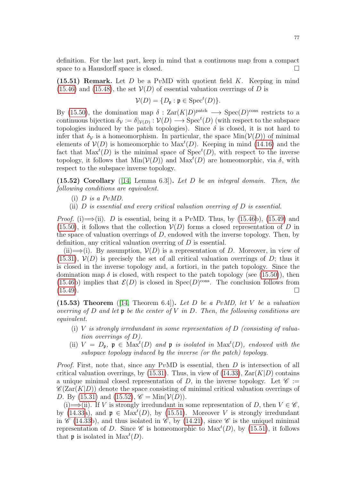definition. For the last part, keep in mind that a continuous map from a compact space to a Hausdorff space is closed.

<span id="page-76-1"></span>(15.51) Remark. Let  $D$  be a PvMD with quotient field  $K$ . Keeping in mind [\(15.46\)](#page-74-2) and [\(15.48\)](#page-75-0), the set  $V(D)$  of essential valuation overrings of D is

$$
\mathcal{V}(D) = \{D_{\mathfrak{p}} : \mathfrak{p} \in \text{Spec}^t(D)\}.
$$

By [\(15.50\)](#page-75-1), the domination map  $\delta: \text{Zar}(K|D)^{\text{patch}} \longrightarrow \text{Spec}(D)^{\text{cons}}$  restricts to a continuous bijection  $\delta_{\mathcal{V}} := \delta|_{\mathcal{V}(D)} : \mathcal{V}(D) \longrightarrow \text{Spec}^t(D)$  (with respect to the subspace topologies induced by the patch topologies). Since  $\delta$  is closed, it is not hard to infer that  $\delta_{\mathcal{V}}$  is a homeomorphism. In particular, the space  $\text{Min}(\mathcal{V}(D))$  of minimal elements of  $V(D)$  is homeomorphic to  $\text{Max}^t(D)$ . Keeping in mind [\(14.16\)](#page-59-0) and the fact that  $\text{Max}^t(D)$  is the minimal space of  $\text{Spec}^t(D)$ , with respect to the inverse topology, it follows that  $Min(V(D))$  and  $Max<sup>t</sup>(D)$  are homeomorphic, via  $\delta$ , with respect to the subspace inverse topology.

<span id="page-76-0"></span> $(15.52)$  Corollary ([\[14,](#page-77-0) Lemma 6.3]). Let D be an integral domain. Then, the following conditions are equivalent.

- (i)  $D$  is a  $PvMD$ .
- (ii)  $D$  is essential and every critical valuation overring of  $D$  is essential.

*Proof.* (i)  $\Longrightarrow$  (ii). D is essential, being it a PvMD. Thus, by [\(15.46b](#page-74-2)), [\(15.49\)](#page-75-2) and  $(15.50)$ , it follows that the collection  $V(D)$  forms a closed representation of D in the space of valuation overrings of  $D$ , endowed with the inverse topology. Then, by definition, any critical valuation overring of D is essential.

(ii)  $\Longrightarrow$  (i). By assumption,  $V(D)$  is a representation of D. Moreover, in view of  $(15.31)$ ,  $\mathcal{V}(D)$  is precisely the set of all critical valuation overrings of D; thus it is closed in the inverse topology and, a fortiori, in the patch topology. Since the domination map  $\delta$  is closed, with respect to the patch topology (see [\(15.50\)](#page-75-1)), then [\(15.46b](#page-74-2)) implies that  $\mathcal{E}(D)$  is closed in Spec(D)<sup>cons</sup>. The conclusion follows from  $(15.49).$  $(15.49).$ 

(15.53) Theorem ([\[14,](#page-77-0) Theorem 6.4]). Let D be a PvMD, let V be a valuation overring of D and let  $\mathfrak p$  be the center of V in D. Then, the following conditions are equivalent.

- (i) V is strongly irredundant in some representation of  $D$  (consisting of valuation overrings of D).
- (ii)  $V = D_p$ ,  $p \in Max<sup>t</sup>(D)$  and  $p$  is isolated in  $Max<sup>t</sup>(D)$ , endowed with the subspace topology induced by the inverse (or the patch) topology.

*Proof.* First, note that, since any PvMD is essential, then  $D$  is intersection of all critical valuation overrings, by [\(15.31\)](#page-72-0). Thus, in view of [\(14.33\)](#page-64-0),  $\text{Zar}(K|D)$  contains a unique minimal closed representation of D, in the inverse topology. Let  $\mathscr{C} :=$  $\mathscr{C}(Zar(K|D))$  denote the space consisting of minimal critical valuation overrings of D. By [\(15.31\)](#page-72-0) and [\(15.52\)](#page-76-0),  $\mathscr{C} = \text{Min}(\mathcal{V}(D)).$ 

(i)  $\Longrightarrow$  (ii). If V is strongly irredundant in some representation of D, then  $V \in \mathscr{C}$ , by [\(14.33a](#page-64-0)), and  $\mathfrak{p} \in \text{Max}^{t}(D)$ , by [\(15.51\)](#page-76-1). Moreover V is strongly irredundant in  $\mathscr{C}$  [\(14.33b](#page-64-0)), and thus isolated in  $\mathscr{C}$ , by [\(14.21\)](#page-60-0), since  $\mathscr{C}$  is the uniquel minimal representation of D. Since  $\mathscr C$  is homeomorphic to  $\text{Max}^t(D)$ , by [\(15.51\)](#page-76-1), it follows that  $\mathfrak p$  is isolated in  $\text{Max}^t(D)$ .